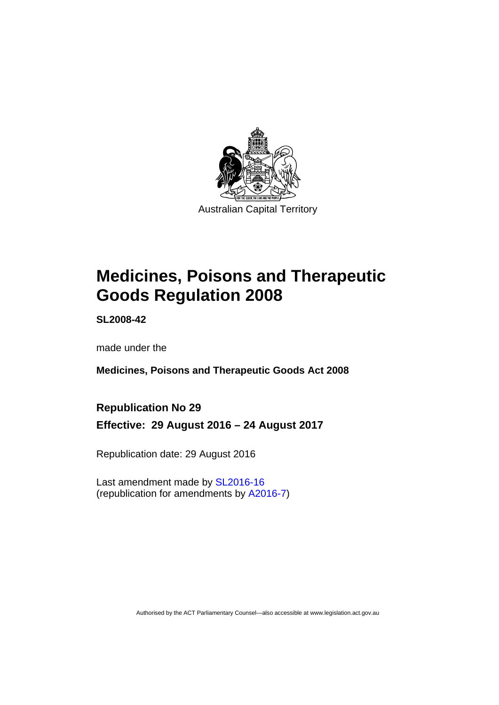

## **Medicines, Poisons and Therapeutic Goods Regulation 2008**

**SL2008-42** 

made under the

**Medicines, Poisons and Therapeutic Goods Act 2008** 

#### **Republication No 29**

**Effective: 29 August 2016 – 24 August 2017** 

Republication date: 29 August 2016

Last amendment made by [SL2016-16](http://www.legislation.act.gov.au/sl/2016-16)  (republication for amendments by [A2016-7\)](http://www.legislation.act.gov.au/a/2016-7/default.asp)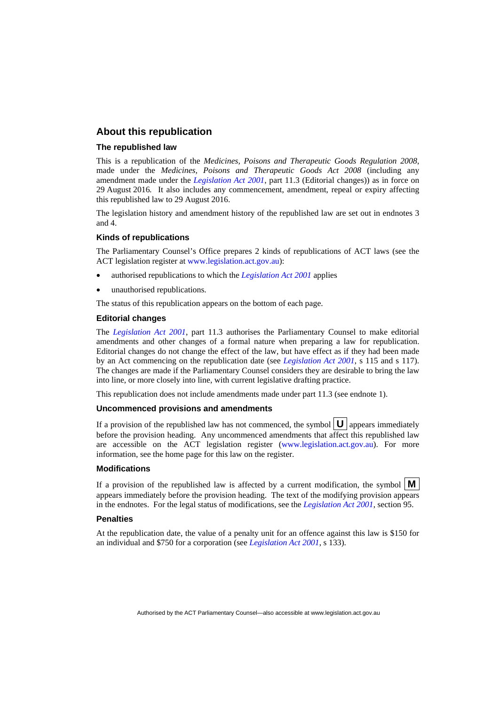#### **About this republication**

#### **The republished law**

This is a republication of the *Medicines, Poisons and Therapeutic Goods Regulation 2008*, made under the *Medicines, Poisons and Therapeutic Goods Act 2008* (including any amendment made under the *[Legislation Act 2001](http://www.legislation.act.gov.au/a/2001-14)*, part 11.3 (Editorial changes)) as in force on 29 August 2016*.* It also includes any commencement, amendment, repeal or expiry affecting this republished law to 29 August 2016.

The legislation history and amendment history of the republished law are set out in endnotes 3 and 4.

#### **Kinds of republications**

The Parliamentary Counsel's Office prepares 2 kinds of republications of ACT laws (see the ACT legislation register at [www.legislation.act.gov.au](http://www.legislation.act.gov.au/)):

- authorised republications to which the *[Legislation Act 2001](http://www.legislation.act.gov.au/a/2001-14)* applies
- unauthorised republications.

The status of this republication appears on the bottom of each page.

#### **Editorial changes**

The *[Legislation Act 2001](http://www.legislation.act.gov.au/a/2001-14)*, part 11.3 authorises the Parliamentary Counsel to make editorial amendments and other changes of a formal nature when preparing a law for republication. Editorial changes do not change the effect of the law, but have effect as if they had been made by an Act commencing on the republication date (see *[Legislation Act 2001](http://www.legislation.act.gov.au/a/2001-14)*, s 115 and s 117). The changes are made if the Parliamentary Counsel considers they are desirable to bring the law into line, or more closely into line, with current legislative drafting practice.

This republication does not include amendments made under part 11.3 (see endnote 1).

#### **Uncommenced provisions and amendments**

If a provision of the republished law has not commenced, the symbol  $\mathbf{U}$  appears immediately before the provision heading. Any uncommenced amendments that affect this republished law are accessible on the ACT legislation register [\(www.legislation.act.gov.au\)](http://www.legislation.act.gov.au/). For more information, see the home page for this law on the register.

#### **Modifications**

If a provision of the republished law is affected by a current modification, the symbol  $\mathbf{M}$ appears immediately before the provision heading. The text of the modifying provision appears in the endnotes. For the legal status of modifications, see the *[Legislation Act 2001](http://www.legislation.act.gov.au/a/2001-14)*, section 95.

#### **Penalties**

At the republication date, the value of a penalty unit for an offence against this law is \$150 for an individual and \$750 for a corporation (see *[Legislation Act 2001](http://www.legislation.act.gov.au/a/2001-14)*, s 133).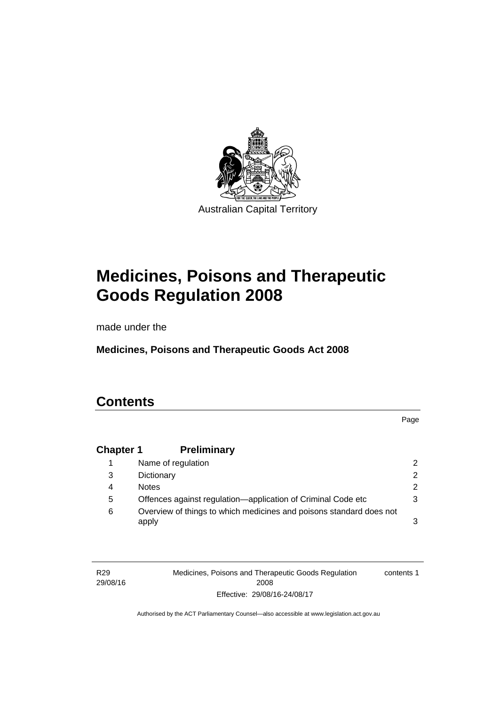

## **Medicines, Poisons and Therapeutic Goods Regulation 2008**

made under the

**Medicines, Poisons and Therapeutic Goods Act 2008** 

## **Contents**

Page

#### **Chapter 1 [Preliminary](#page-25-0)**

|   | Name of regulation                                                           |   |
|---|------------------------------------------------------------------------------|---|
| 3 | Dictionary                                                                   |   |
| 4 | <b>Notes</b>                                                                 | 2 |
| 5 | Offences against regulation-application of Criminal Code etc                 |   |
| 6 | Overview of things to which medicines and poisons standard does not<br>apply |   |

R29 29/08/16 Medicines, Poisons and Therapeutic Goods Regulation 2008 Effective: 29/08/16-24/08/17 contents 1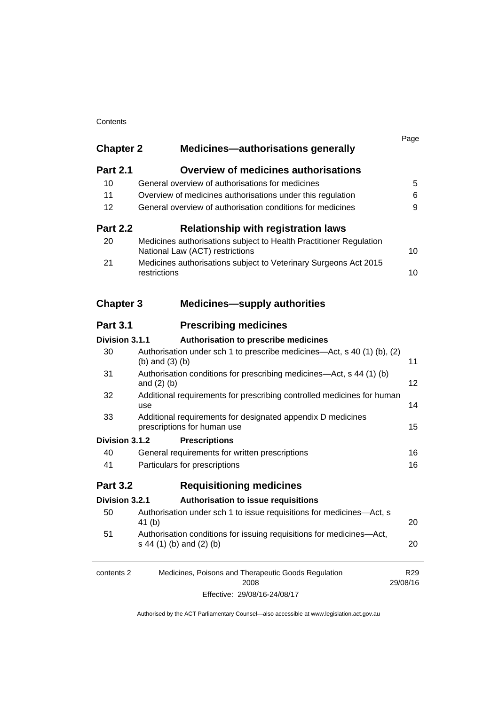#### **Contents**

| <b>Chapter 2</b> | <b>Medicines-authorisations generally</b>                                                             | Page                        |
|------------------|-------------------------------------------------------------------------------------------------------|-----------------------------|
| <b>Part 2.1</b>  | <b>Overview of medicines authorisations</b>                                                           |                             |
| 10               | General overview of authorisations for medicines                                                      | 5                           |
| 11               | Overview of medicines authorisations under this regulation                                            | 6                           |
| 12               | General overview of authorisation conditions for medicines                                            | 9                           |
| <b>Part 2.2</b>  | <b>Relationship with registration laws</b>                                                            |                             |
| 20               | Medicines authorisations subject to Health Practitioner Regulation<br>National Law (ACT) restrictions | 10                          |
| 21               | Medicines authorisations subject to Veterinary Surgeons Act 2015<br>restrictions                      | 10                          |
| <b>Chapter 3</b> | <b>Medicines—supply authorities</b>                                                                   |                             |
| <b>Part 3.1</b>  | <b>Prescribing medicines</b>                                                                          |                             |
| Division 3.1.1   | Authorisation to prescribe medicines                                                                  |                             |
| 30               | Authorisation under sch 1 to prescribe medicines—Act, s 40 (1) (b), (2)<br>(b) and $(3)$ (b)          | 11                          |
| 31               | Authorisation conditions for prescribing medicines—Act, s 44 (1) (b)<br>and $(2)$ $(b)$               | 12                          |
| 32               | Additional requirements for prescribing controlled medicines for human<br>use                         | 14                          |
| 33               | Additional requirements for designated appendix D medicines<br>prescriptions for human use            | 15                          |
| Division 3.1.2   | <b>Prescriptions</b>                                                                                  |                             |
| 40               | General requirements for written prescriptions                                                        | 16                          |
| 41               | Particulars for prescriptions                                                                         | 16                          |
| <b>Part 3.2</b>  | <b>Requisitioning medicines</b>                                                                       |                             |
| Division 3.2.1   | Authorisation to issue requisitions                                                                   |                             |
| 50               | Authorisation under sch 1 to issue requisitions for medicines-Act, s<br>41 <sub>(b)</sub>             | 20                          |
| 51               | Authorisation conditions for issuing requisitions for medicines-Act,<br>s 44 (1) (b) and (2) (b)      | 20                          |
| contents 2       | Medicines, Poisons and Therapeutic Goods Regulation<br>2008                                           | R <sub>29</sub><br>29/08/16 |

Effective: 29/08/16-24/08/17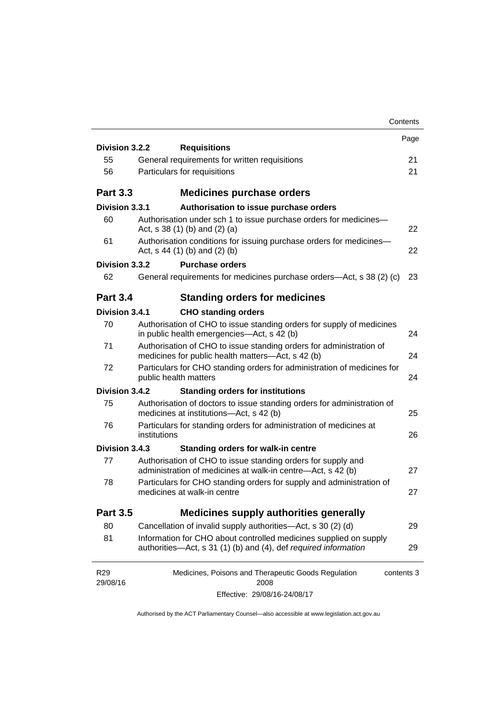|                             |                                                                                                                                      | Contents   |
|-----------------------------|--------------------------------------------------------------------------------------------------------------------------------------|------------|
|                             |                                                                                                                                      | Page       |
| Division 3.2.2<br>55        | <b>Requisitions</b><br>General requirements for written requisitions                                                                 | 21         |
| 56                          | Particulars for requisitions                                                                                                         | 21         |
|                             |                                                                                                                                      |            |
| <b>Part 3.3</b>             | <b>Medicines purchase orders</b>                                                                                                     |            |
| Division 3.3.1              | Authorisation to issue purchase orders                                                                                               |            |
| 60                          | Authorisation under sch 1 to issue purchase orders for medicines-<br>Act, s $38(1)$ (b) and (2) (a)                                  | 22         |
| 61                          | Authorisation conditions for issuing purchase orders for medicines-<br>Act, $s$ 44 (1) (b) and (2) (b)                               | 22         |
| Division 3.3.2              | <b>Purchase orders</b>                                                                                                               |            |
| 62                          | General requirements for medicines purchase orders-Act, s 38 (2) (c)                                                                 | 23         |
| <b>Part 3.4</b>             | <b>Standing orders for medicines</b>                                                                                                 |            |
| Division 3.4.1              | <b>CHO standing orders</b>                                                                                                           |            |
| 70                          | Authorisation of CHO to issue standing orders for supply of medicines<br>in public health emergencies—Act, s 42 (b)                  | 24         |
| 71                          | Authorisation of CHO to issue standing orders for administration of<br>medicines for public health matters-Act, s 42 (b)             | 24         |
| 72                          | Particulars for CHO standing orders for administration of medicines for<br>public health matters                                     | 24         |
| Division 3.4.2              | <b>Standing orders for institutions</b>                                                                                              |            |
| 75                          | Authorisation of doctors to issue standing orders for administration of<br>medicines at institutions-Act, s 42 (b)                   | 25         |
| 76                          | Particulars for standing orders for administration of medicines at<br>institutions                                                   | 26         |
| Division 3.4.3              | Standing orders for walk-in centre                                                                                                   |            |
| 77                          | Authorisation of CHO to issue standing orders for supply and<br>administration of medicines at walk-in centre-Act, s 42 (b)          | 27         |
| 78                          | Particulars for CHO standing orders for supply and administration of<br>medicines at walk-in centre                                  | 27         |
| <b>Part 3.5</b>             | <b>Medicines supply authorities generally</b>                                                                                        |            |
| 80                          | Cancellation of invalid supply authorities—Act, s 30 (2) (d)                                                                         | 29         |
| 81                          | Information for CHO about controlled medicines supplied on supply<br>authorities—Act, s 31 (1) (b) and (4), def required information | 29         |
| R <sub>29</sub><br>29/08/16 | Medicines, Poisons and Therapeutic Goods Regulation<br>2008                                                                          | contents 3 |
|                             | Effective: 29/08/16-24/08/17                                                                                                         |            |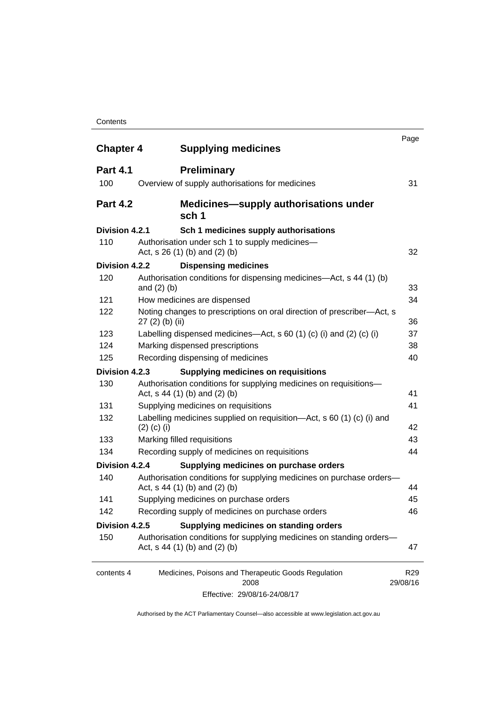#### **Contents**

| <b>Chapter 4</b> | <b>Supplying medicines</b>                                                                              | Page                        |
|------------------|---------------------------------------------------------------------------------------------------------|-----------------------------|
| <b>Part 4.1</b>  | <b>Preliminary</b>                                                                                      |                             |
| 100              | Overview of supply authorisations for medicines                                                         | 31                          |
| <b>Part 4.2</b>  | <b>Medicines—supply authorisations under</b><br>sch 1                                                   |                             |
| Division 4.2.1   | Sch 1 medicines supply authorisations                                                                   |                             |
| 110              | Authorisation under sch 1 to supply medicines-<br>Act, $s$ 26 (1) (b) and (2) (b)                       | 32                          |
| Division 4.2.2   | <b>Dispensing medicines</b>                                                                             |                             |
| 120              | Authorisation conditions for dispensing medicines—Act, s 44 (1) (b)<br>and $(2)$ $(b)$                  | 33                          |
| 121              | How medicines are dispensed                                                                             | 34                          |
| 122              | Noting changes to prescriptions on oral direction of prescriber-Act, s<br>$27(2)$ (b) (ii)              | 36                          |
| 123              | Labelling dispensed medicines—Act, s 60 (1) (c) (i) and (2) (c) (i)                                     | 37                          |
| 124              | Marking dispensed prescriptions                                                                         | 38                          |
| 125              | Recording dispensing of medicines                                                                       | 40                          |
| Division 4.2.3   | <b>Supplying medicines on requisitions</b>                                                              |                             |
| 130              | Authorisation conditions for supplying medicines on requisitions-<br>Act, $s$ 44 (1) (b) and (2) (b)    | 41                          |
| 131              | Supplying medicines on requisitions                                                                     | 41                          |
| 132              | Labelling medicines supplied on requisition—Act, s 60 (1) (c) (i) and<br>$(2)$ (c) (i)                  | 42                          |
| 133              | Marking filled requisitions                                                                             | 43                          |
| 134              | Recording supply of medicines on requisitions                                                           | 44                          |
| Division 4.2.4   | Supplying medicines on purchase orders                                                                  |                             |
| 140              | Authorisation conditions for supplying medicines on purchase orders-<br>Act, $s$ 44 (1) (b) and (2) (b) | 44                          |
| 141              | Supplying medicines on purchase orders                                                                  | 45                          |
| 142              | Recording supply of medicines on purchase orders                                                        | 46                          |
| Division 4.2.5   | Supplying medicines on standing orders                                                                  |                             |
| 150              | Authorisation conditions for supplying medicines on standing orders-<br>Act, s 44 (1) (b) and (2) (b)   | 47                          |
| contents 4       | Medicines, Poisons and Therapeutic Goods Regulation<br>2008                                             | R <sub>29</sub><br>29/08/16 |
|                  | Effective: 29/08/16-24/08/17                                                                            |                             |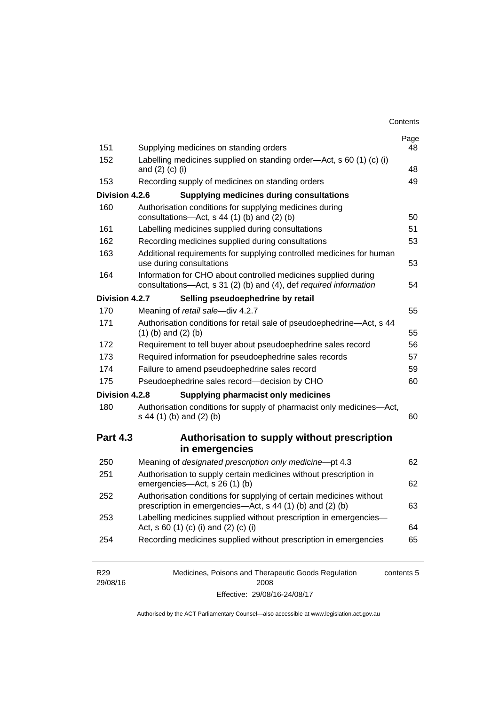| Contents |
|----------|
|----------|

| 151             | Supplying medicines on standing orders                                                                                              | Page<br>48 |
|-----------------|-------------------------------------------------------------------------------------------------------------------------------------|------------|
| 152             | Labelling medicines supplied on standing order-Act, s 60 (1) (c) (i)<br>and $(2)$ $(c)$ $(i)$                                       | 48         |
| 153             | Recording supply of medicines on standing orders                                                                                    | 49         |
|                 |                                                                                                                                     |            |
| Division 4.2.6  | <b>Supplying medicines during consultations</b>                                                                                     |            |
| 160             | Authorisation conditions for supplying medicines during<br>consultations-Act, s 44 (1) (b) and (2) (b)                              | 50         |
| 161             | Labelling medicines supplied during consultations                                                                                   | 51         |
| 162             | Recording medicines supplied during consultations                                                                                   | 53         |
| 163             | Additional requirements for supplying controlled medicines for human<br>use during consultations                                    | 53         |
| 164             | Information for CHO about controlled medicines supplied during<br>consultations-Act, s 31 (2) (b) and (4), def required information | 54         |
| Division 4.2.7  | Selling pseudoephedrine by retail                                                                                                   |            |
| 170             | Meaning of retail sale-div 4.2.7                                                                                                    | 55         |
| 171             | Authorisation conditions for retail sale of pseudoephedrine-Act, s 44<br>$(1)$ (b) and $(2)$ (b)                                    | 55         |
| 172             | Requirement to tell buyer about pseudoephedrine sales record                                                                        | 56         |
| 173             | Required information for pseudoephedrine sales records                                                                              | 57         |
| 174             | Failure to amend pseudoephedrine sales record                                                                                       | 59         |
| 175             | Pseudoephedrine sales record-decision by CHO                                                                                        | 60         |
| Division 4.2.8  | <b>Supplying pharmacist only medicines</b>                                                                                          |            |
| 180             | Authorisation conditions for supply of pharmacist only medicines-Act,<br>s 44 (1) (b) and (2) (b)                                   | 60         |
|                 |                                                                                                                                     |            |
| <b>Part 4.3</b> | Authorisation to supply without prescription                                                                                        |            |
|                 | in emergencies                                                                                                                      |            |
| 250             | Meaning of designated prescription only medicine-pt 4.3                                                                             | 62         |
| 251             | Authorisation to supply certain medicines without prescription in<br>emergencies-Act, s 26 (1) (b)                                  |            |
| 252             | Authorisation conditions for supplying of certain medicines without<br>prescription in emergencies—Act, s 44 (1) (b) and (2) (b)    | 62<br>63   |
| 253             | Labelling medicines supplied without prescription in emergencies-<br>Act, s 60 (1) (c) (i) and (2) (c) (i)                          | 64         |

| R <sub>29</sub> | Medicines, Poisons and Therapeutic Goods Regulation | contents 5 |
|-----------------|-----------------------------------------------------|------------|
| 29/08/16        | 2008                                                |            |
|                 | Effective: 29/08/16-24/08/17                        |            |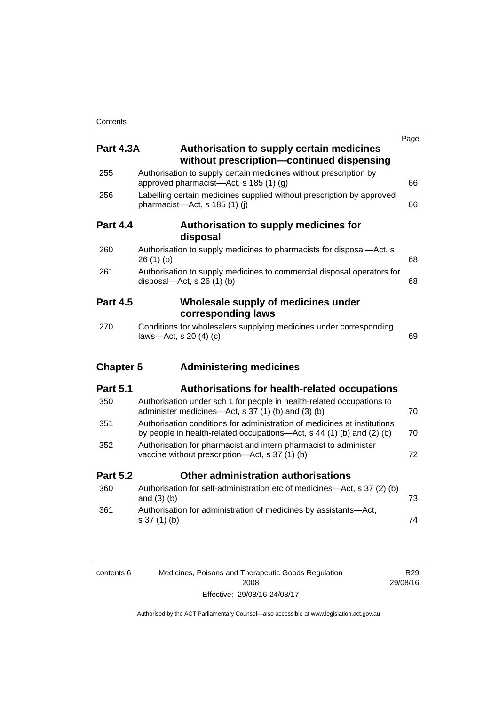|                  |                                                                                                                                                   | Page |
|------------------|---------------------------------------------------------------------------------------------------------------------------------------------------|------|
| <b>Part 4.3A</b> | Authorisation to supply certain medicines<br>without prescription-continued dispensing                                                            |      |
| 255              | Authorisation to supply certain medicines without prescription by<br>approved pharmacist-Act, s 185 (1) (g)                                       | 66   |
| 256              | Labelling certain medicines supplied without prescription by approved<br>pharmacist-Act, s 185 (1) (j)                                            | 66   |
| <b>Part 4.4</b>  | Authorisation to supply medicines for<br>disposal                                                                                                 |      |
| 260              | Authorisation to supply medicines to pharmacists for disposal-Act, s<br>26(1)(b)                                                                  | 68   |
| 261              | Authorisation to supply medicines to commercial disposal operators for<br>disposal- $-\text{Act}$ , s 26 (1) (b)                                  | 68   |
| <b>Part 4.5</b>  | Wholesale supply of medicines under<br>corresponding laws                                                                                         |      |
| 270              | Conditions for wholesalers supplying medicines under corresponding<br>laws-Act, s 20 (4) (c)                                                      | 69   |
| <b>Chapter 5</b> | <b>Administering medicines</b>                                                                                                                    |      |
| <b>Part 5.1</b>  | <b>Authorisations for health-related occupations</b>                                                                                              |      |
| 350              | Authorisation under sch 1 for people in health-related occupations to<br>administer medicines—Act, s 37 (1) (b) and (3) (b)                       | 70   |
| 351              | Authorisation conditions for administration of medicines at institutions<br>by people in health-related occupations-Act, s 44 (1) (b) and (2) (b) | 70   |
| 352              | Authorisation for pharmacist and intern pharmacist to administer<br>vaccine without prescription-Act, s 37 (1) (b)                                | 72   |
| <b>Part 5.2</b>  | Other administration authorisations                                                                                                               |      |
| 360              | Authorisation for self-administration etc of medicines-Act, s 37 (2) (b)<br>and $(3)$ $(b)$                                                       | 73   |
| 361              | Authorisation for administration of medicines by assistants-Act,<br>$s 37(1)$ (b)                                                                 | 74   |
|                  |                                                                                                                                                   |      |
|                  |                                                                                                                                                   |      |

| contents 6 | Medicines, Poisons and Therapeutic Goods Regulation | R29.     |
|------------|-----------------------------------------------------|----------|
|            | 2008                                                | 29/08/16 |
|            | Effective: 29/08/16-24/08/17                        |          |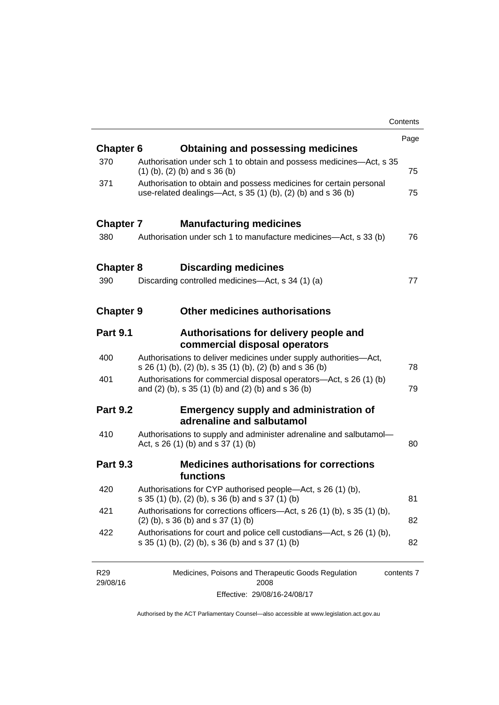|                  |                                                                                                                                       | Contents |
|------------------|---------------------------------------------------------------------------------------------------------------------------------------|----------|
|                  |                                                                                                                                       | Page     |
| <b>Chapter 6</b> | <b>Obtaining and possessing medicines</b>                                                                                             |          |
| 370              | Authorisation under sch 1 to obtain and possess medicines—Act, s 35<br>$(1)$ (b), (2) (b) and s 36 (b)                                | 75       |
| 371              | Authorisation to obtain and possess medicines for certain personal<br>use-related dealings—Act, s $35(1)(b)$ , $(2)(b)$ and s $36(b)$ | 75       |
| <b>Chapter 7</b> | <b>Manufacturing medicines</b>                                                                                                        |          |
| 380              | Authorisation under sch 1 to manufacture medicines—Act, s 33 (b)                                                                      | 76       |
| <b>Chapter 8</b> | <b>Discarding medicines</b>                                                                                                           |          |
| 390              | Discarding controlled medicines—Act, s 34 (1) (a)                                                                                     | 77       |
| <b>Chapter 9</b> | <b>Other medicines authorisations</b>                                                                                                 |          |
| <b>Part 9.1</b>  | Authorisations for delivery people and<br>commercial disposal operators                                                               |          |
| 400              | Authorisations to deliver medicines under supply authorities-Act,<br>s 26 (1) (b), (2) (b), s 35 (1) (b), (2) (b) and s 36 (b)        | 78       |
| 401              | Authorisations for commercial disposal operators-Act, s 26 (1) (b)<br>and (2) (b), s 35 (1) (b) and (2) (b) and s 36 (b)              | 79       |
| <b>Part 9.2</b>  | <b>Emergency supply and administration of</b><br>adrenaline and salbutamol                                                            |          |
| 410              | Authorisations to supply and administer adrenaline and salbutamol-<br>Act, s 26 (1) (b) and s 37 (1) (b)                              | 80       |
| <b>Part 9.3</b>  | <b>Medicines authorisations for corrections</b><br>functions                                                                          |          |
| 420              | Authorisations for CYP authorised people-Act, s 26 (1) (b),<br>s 35 (1) (b), (2) (b), s 36 (b) and s 37 (1) (b)                       | 81       |
| 421              | Authorisations for corrections officers—Act, s 26 (1) (b), s 35 (1) (b),<br>$(2)$ (b), s 36 (b) and s 37 (1) (b)                      | 82       |
| 422              | Authorisations for court and police cell custodians-Act, s 26 (1) (b),<br>s 35 (1) (b), (2) (b), s 36 (b) and s 37 (1) (b)            | 82       |

| R <sub>29</sub> | Medicines, Poisons and Therapeutic Goods Regulation | contents 7 |
|-----------------|-----------------------------------------------------|------------|
| 29/08/16        | 2008                                                |            |
|                 | Effective: 29/08/16-24/08/17                        |            |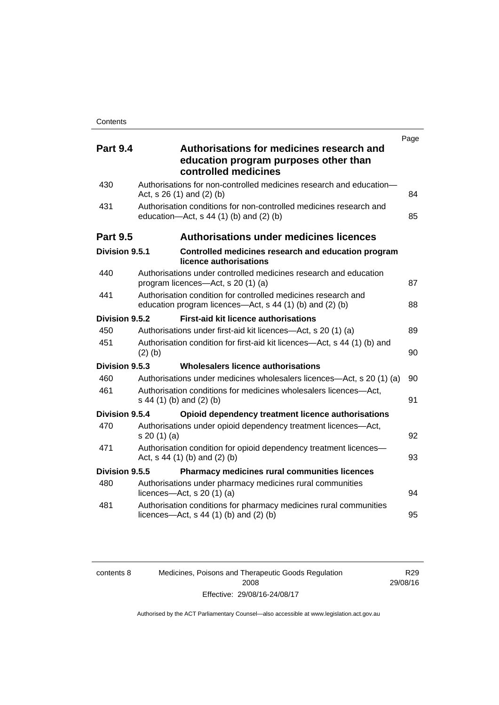| <b>Part 9.4</b> | Authorisations for medicines research and                                                                                 | Page |
|-----------------|---------------------------------------------------------------------------------------------------------------------------|------|
|                 | education program purposes other than<br>controlled medicines                                                             |      |
| 430             | Authorisations for non-controlled medicines research and education-<br>Act, $s$ 26 (1) and (2) (b)                        | 84   |
| 431             | Authorisation conditions for non-controlled medicines research and<br>education-Act, s 44 (1) (b) and (2) (b)             | 85   |
| <b>Part 9.5</b> | Authorisations under medicines licences                                                                                   |      |
| Division 9.5.1  | Controlled medicines research and education program<br>licence authorisations                                             |      |
| 440             | Authorisations under controlled medicines research and education<br>program licences—Act, s 20 (1) (a)                    | 87   |
| 441             | Authorisation condition for controlled medicines research and<br>education program licences—Act, s 44 (1) (b) and (2) (b) | 88   |
| Division 9.5.2  | <b>First-aid kit licence authorisations</b>                                                                               |      |
| 450             | Authorisations under first-aid kit licences—Act, s 20 (1) (a)                                                             | 89   |
| 451             | Authorisation condition for first-aid kit licences—Act, s 44 (1) (b) and<br>$(2)$ $(b)$                                   | 90   |
| Division 9.5.3  | Wholesalers licence authorisations                                                                                        |      |
| 460             | Authorisations under medicines wholesalers licences—Act, s 20 (1) (a)                                                     | 90   |
| 461             | Authorisation conditions for medicines wholesalers licences-Act,<br>s 44 (1) (b) and (2) (b)                              | 91   |
| Division 9.5.4  | Opioid dependency treatment licence authorisations                                                                        |      |
| 470             | Authorisations under opioid dependency treatment licences—Act,<br>s 20(1)(a)                                              | 92   |
| 471             | Authorisation condition for opioid dependency treatment licences-<br>Act, s 44 (1) (b) and (2) (b)                        | 93   |
| Division 9.5.5  | <b>Pharmacy medicines rural communities licences</b>                                                                      |      |
| 480             | Authorisations under pharmacy medicines rural communities<br>licences- $-\text{Act}$ , s 20 (1) (a)                       | 94   |
| 481             | Authorisation conditions for pharmacy medicines rural communities<br>licences—Act, $s$ 44 (1) (b) and (2) (b)             | 95   |

| contents 8 |  |
|------------|--|
|            |  |

Medicines, Poisons and Therapeutic Goods Regulation 2008 Effective: 29/08/16-24/08/17

R29 29/08/16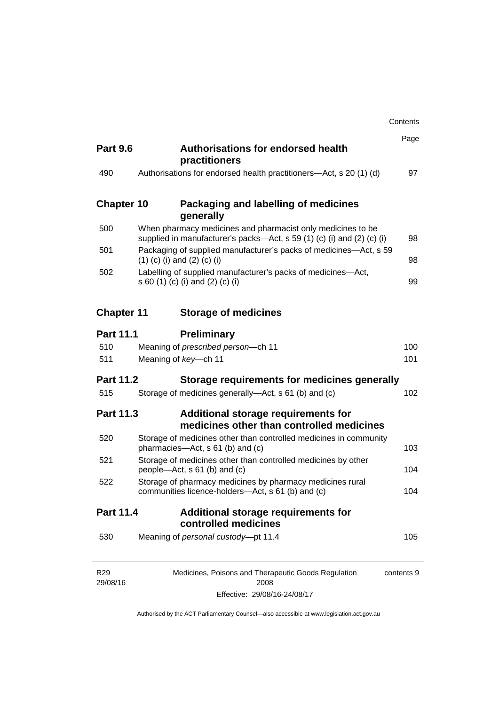|                   |                                                                                                                                       | Contents   |
|-------------------|---------------------------------------------------------------------------------------------------------------------------------------|------------|
| <b>Part 9.6</b>   | <b>Authorisations for endorsed health</b><br>practitioners                                                                            | Page       |
| 490               | Authorisations for endorsed health practitioners—Act, s 20 (1) (d)                                                                    | 97         |
| <b>Chapter 10</b> | Packaging and labelling of medicines<br>generally                                                                                     |            |
| 500               | When pharmacy medicines and pharmacist only medicines to be<br>supplied in manufacturer's packs—Act, s 59 (1) (c) (i) and (2) (c) (i) | 98         |
| 501               | Packaging of supplied manufacturer's packs of medicines-Act, s 59<br>$(1)$ (c) (i) and (2) (c) (i)                                    | 98         |
| 502               | Labelling of supplied manufacturer's packs of medicines-Act,<br>s 60 (1) (c) (i) and (2) (c) (i)                                      | 99         |
| <b>Chapter 11</b> | <b>Storage of medicines</b>                                                                                                           |            |
| <b>Part 11.1</b>  | <b>Preliminary</b>                                                                                                                    |            |
| 510               | Meaning of prescribed person-ch 11                                                                                                    | 100        |
| 511               | Meaning of key-ch 11                                                                                                                  | 101        |
| <b>Part 11.2</b>  | Storage requirements for medicines generally                                                                                          |            |
| 515               | Storage of medicines generally-Act, s 61 (b) and (c)                                                                                  | 102        |
| <b>Part 11.3</b>  | Additional storage requirements for<br>medicines other than controlled medicines                                                      |            |
| 520               | Storage of medicines other than controlled medicines in community<br>pharmacies—Act, s 61 (b) and (c)                                 | 103        |
| 521               | Storage of medicines other than controlled medicines by other<br>people—Act, s 61 (b) and (c)                                         | 104        |
| 522               | Storage of pharmacy medicines by pharmacy medicines rural<br>communities licence-holders—Act, s 61 (b) and (c)                        | 104        |
| <b>Part 11.4</b>  | <b>Additional storage requirements for</b><br>controlled medicines                                                                    |            |
| 530               | Meaning of personal custody-pt 11.4                                                                                                   | 105        |
| R <sub>29</sub>   | Medicines, Poisons and Therapeutic Goods Regulation                                                                                   | contents 9 |

| R29      | Medicines, Poisons and Therapeutic Goods Regulation | contents 9 |
|----------|-----------------------------------------------------|------------|
| 29/08/16 | 2008                                                |            |
|          | Effective: 29/08/16-24/08/17                        |            |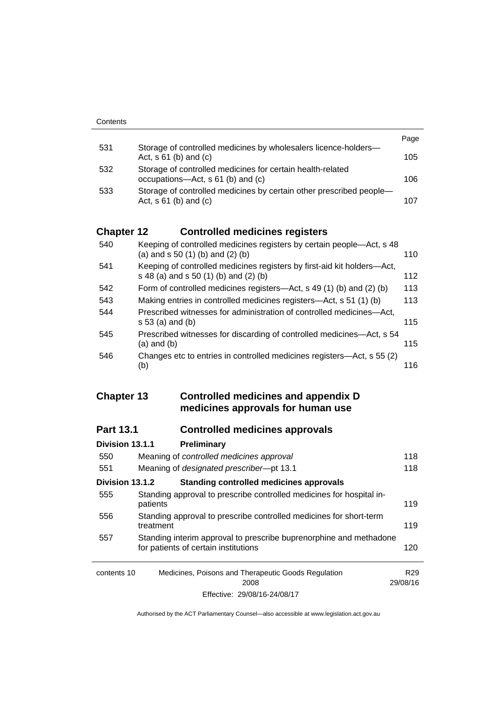|     |                                                                                                   | Page |
|-----|---------------------------------------------------------------------------------------------------|------|
| 531 | Storage of controlled medicines by wholesalers licence-holders-<br>Act, $s \, 61$ (b) and (c)     | 105  |
| 532 | Storage of controlled medicines for certain health-related<br>occupations—Act, s 61 (b) and (c)   | 106  |
| 533 | Storage of controlled medicines by certain other prescribed people-<br>Act, $s \, 61$ (b) and (c) | 107  |

### **Chapter 12 [Controlled medicines registers](#page-133-0)**

| 540 | Keeping of controlled medicines registers by certain people—Act, s 48<br>(a) and $s$ 50 (1) (b) and (2) (b)      | 110 |
|-----|------------------------------------------------------------------------------------------------------------------|-----|
| 541 | Keeping of controlled medicines registers by first-aid kit holders-Act,<br>s 48 (a) and s 50 (1) (b) and (2) (b) | 112 |
| 542 | Form of controlled medicines registers—Act, s 49 (1) (b) and (2) (b)                                             | 113 |
| 543 | Making entries in controlled medicines registers-Act, s 51 (1) (b)                                               | 113 |
| 544 | Prescribed witnesses for administration of controlled medicines—Act,<br>$s 53$ (a) and (b)                       | 115 |
| 545 | Prescribed witnesses for discarding of controlled medicines—Act, s 54<br>$(a)$ and $(b)$                         | 115 |
| 546 | Changes etc to entries in controlled medicines registers—Act, s 55 (2)<br>(b)                                    | 116 |

#### **Chapter 13 [Controlled medicines and appendix D](#page-141-0)  [medicines approvals for human use](#page-141-0)**

### **Part 13.1 [Controlled medicines approvals](#page-141-1)**

| Division 13.1.1 | Preliminary                                                                                                |                 |
|-----------------|------------------------------------------------------------------------------------------------------------|-----------------|
| 550             | Meaning of controlled medicines approval                                                                   | 118             |
| 551             | Meaning of designated prescriber-pt 13.1                                                                   | 118             |
| Division 13.1.2 | Standing controlled medicines approvals                                                                    |                 |
| 555             | Standing approval to prescribe controlled medicines for hospital in-<br>patients                           | 119             |
| 556             | Standing approval to prescribe controlled medicines for short-term<br>treatment                            | 119             |
| 557             | Standing interim approval to prescribe buprenorphine and methadone<br>for patients of certain institutions | 120             |
| contents 10     | Medicines, Poisons and Therapeutic Goods Regulation<br>2008                                                | R29<br>29/08/16 |
|                 | Effective: 29/08/16-24/08/17                                                                               |                 |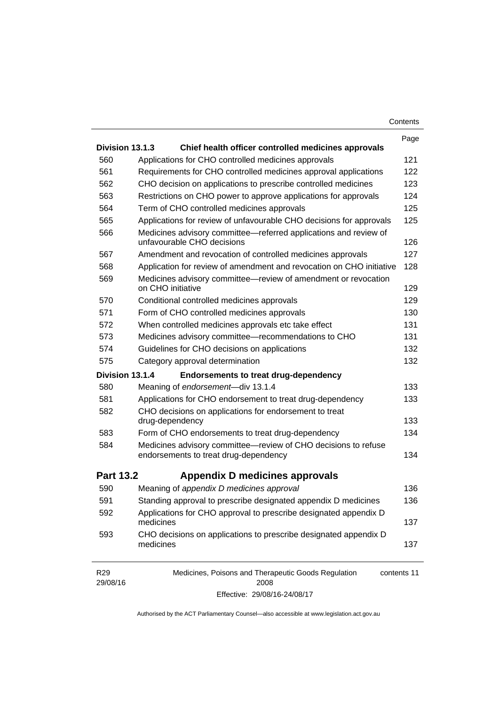| Contents |  |
|----------|--|
|----------|--|

|                             |                                                                                                | Page        |
|-----------------------------|------------------------------------------------------------------------------------------------|-------------|
| Division 13.1.3             | Chief health officer controlled medicines approvals                                            |             |
| 560                         | Applications for CHO controlled medicines approvals                                            | 121         |
| 561                         | Requirements for CHO controlled medicines approval applications                                | 122         |
| 562                         | CHO decision on applications to prescribe controlled medicines                                 | 123         |
| 563                         | Restrictions on CHO power to approve applications for approvals                                | 124         |
| 564                         | Term of CHO controlled medicines approvals                                                     | 125         |
| 565                         | Applications for review of unfavourable CHO decisions for approvals                            | 125         |
| 566                         | Medicines advisory committee-referred applications and review of<br>unfavourable CHO decisions | 126         |
| 567                         | Amendment and revocation of controlled medicines approvals                                     | 127         |
| 568                         | Application for review of amendment and revocation on CHO initiative                           | 128         |
| 569                         | Medicines advisory committee-review of amendment or revocation<br>on CHO initiative            | 129         |
| 570                         | Conditional controlled medicines approvals                                                     | 129         |
| 571                         | Form of CHO controlled medicines approvals                                                     | 130         |
| 572                         | When controlled medicines approvals etc take effect                                            | 131         |
| 573                         | Medicines advisory committee-recommendations to CHO                                            | 131         |
| 574                         | Guidelines for CHO decisions on applications                                                   | 132         |
| 575                         | Category approval determination                                                                | 132         |
| Division 13.1.4             | <b>Endorsements to treat drug-dependency</b>                                                   |             |
| 580                         | Meaning of endorsement-div 13.1.4                                                              | 133         |
| 581                         | Applications for CHO endorsement to treat drug-dependency                                      | 133         |
| 582                         | CHO decisions on applications for endorsement to treat<br>drug-dependency                      | 133         |
| 583                         | Form of CHO endorsements to treat drug-dependency                                              | 134         |
| 584                         | Medicines advisory committee-review of CHO decisions to refuse                                 |             |
|                             | endorsements to treat drug-dependency                                                          | 134         |
| <b>Part 13.2</b>            | Appendix D medicines approvals                                                                 |             |
| 590                         | Meaning of appendix D medicines approval                                                       | 136         |
| 591                         | Standing approval to prescribe designated appendix D medicines                                 | 136         |
| 592                         | Applications for CHO approval to prescribe designated appendix D<br>medicines                  | 137         |
| 593                         | CHO decisions on applications to prescribe designated appendix D<br>medicines                  | 137         |
| R <sub>29</sub><br>29/08/16 | Medicines, Poisons and Therapeutic Goods Regulation<br>2008                                    | contents 11 |

Effective: 29/08/16-24/08/17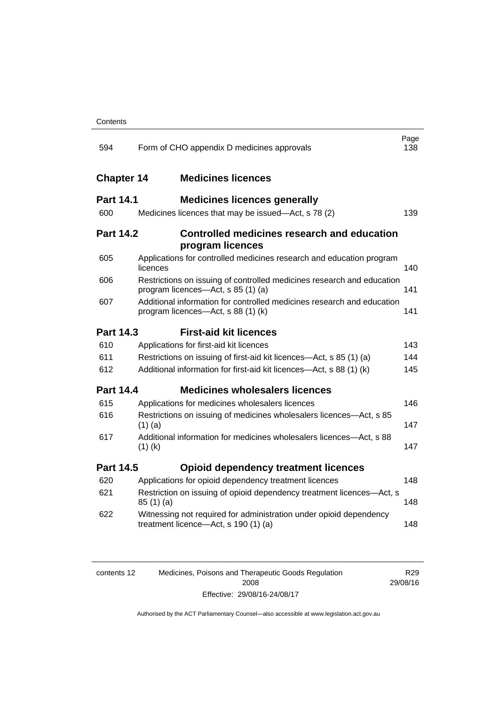| 594               | Form of CHO appendix D medicines approvals                                                                   | Page<br>138 |
|-------------------|--------------------------------------------------------------------------------------------------------------|-------------|
| <b>Chapter 14</b> | <b>Medicines licences</b>                                                                                    |             |
| <b>Part 14.1</b>  | <b>Medicines licences generally</b>                                                                          |             |
| 600               | Medicines licences that may be issued-Act, s 78 (2)                                                          | 139         |
| <b>Part 14.2</b>  | <b>Controlled medicines research and education</b><br>program licences                                       |             |
| 605               | Applications for controlled medicines research and education program<br>licences                             | 140         |
| 606               | Restrictions on issuing of controlled medicines research and education<br>program licences-Act, s 85 (1) (a) | 141         |
| 607               | Additional information for controlled medicines research and education<br>program licences-Act, s 88 (1) (k) | 141         |
| <b>Part 14.3</b>  | <b>First-aid kit licences</b>                                                                                |             |
| 610               | Applications for first-aid kit licences                                                                      | 143         |
| 611               | Restrictions on issuing of first-aid kit licences—Act, s 85 (1) (a)                                          | 144         |
| 612               | Additional information for first-aid kit licences-Act, s 88 (1) (k)                                          | 145         |
| <b>Part 14.4</b>  | <b>Medicines wholesalers licences</b>                                                                        |             |
| 615               | Applications for medicines wholesalers licences                                                              | 146         |
| 616               | Restrictions on issuing of medicines wholesalers licences-Act, s 85<br>$(1)$ (a)                             | 147         |
| 617               | Additional information for medicines wholesalers licences-Act, s 88<br>$(1)$ (k)                             | 147         |
| <b>Part 14.5</b>  | <b>Opioid dependency treatment licences</b>                                                                  |             |
| 620               | Applications for opioid dependency treatment licences                                                        | 148         |
| 621               | Restriction on issuing of opioid dependency treatment licences-Act, s<br>85(1)(a)                            | 148         |
| 622               | Witnessing not required for administration under opioid dependency<br>treatment licence-Act, s 190 (1) (a)   | 148         |
|                   |                                                                                                              |             |

| contents 12 | Medicines, Poisons and Therapeutic Goods Regulation | R <sub>29</sub> |
|-------------|-----------------------------------------------------|-----------------|
|             | 2008                                                | 29/08/16        |
|             | Effective: 29/08/16-24/08/17                        |                 |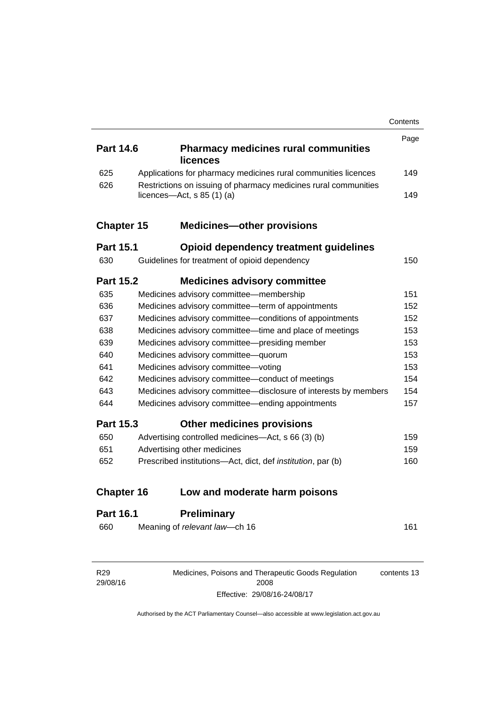|                   |                                                                     | Contents |
|-------------------|---------------------------------------------------------------------|----------|
|                   |                                                                     | Page     |
| <b>Part 14.6</b>  | <b>Pharmacy medicines rural communities</b><br>licences             |          |
| 625               | Applications for pharmacy medicines rural communities licences      | 149      |
| 626               | Restrictions on issuing of pharmacy medicines rural communities     |          |
|                   | licences- $-\text{Act}$ , s 85 (1) (a)                              | 149      |
| <b>Chapter 15</b> | <b>Medicines-other provisions</b>                                   |          |
| <b>Part 15.1</b>  | Opioid dependency treatment guidelines                              |          |
| 630               | Guidelines for treatment of opioid dependency                       | 150      |
| <b>Part 15.2</b>  | <b>Medicines advisory committee</b>                                 |          |
| 635               | Medicines advisory committee-membership                             | 151      |
| 636               | Medicines advisory committee-term of appointments                   | 152      |
| 637               | Medicines advisory committee-conditions of appointments             | 152      |
| 638               | Medicines advisory committee—time and place of meetings             | 153      |
| 639               | Medicines advisory committee-presiding member                       | 153      |
| 640               | Medicines advisory committee-quorum                                 | 153      |
| 641               | Medicines advisory committee-voting                                 | 153      |
| 642               | Medicines advisory committee-conduct of meetings                    | 154      |
| 643               | Medicines advisory committee-disclosure of interests by members     | 154      |
| 644               | Medicines advisory committee—ending appointments                    | 157      |
| <b>Part 15.3</b>  | <b>Other medicines provisions</b>                                   |          |
| 650               | Advertising controlled medicines-Act, s 66 (3) (b)                  | 159      |
| 651               | Advertising other medicines                                         | 159      |
| 652               | Prescribed institutions-Act, dict, def <i>institution</i> , par (b) | 160      |
| <b>Chapter 16</b> | Low and moderate harm poisons                                       |          |
| <b>Part 16.1</b>  | <b>Preliminary</b>                                                  |          |
| 660               | Meaning of relevant law-ch 16                                       | 161      |
|                   |                                                                     |          |

Medicines, Poisons and Therapeutic Goods Regulation 2008 Effective: 29/08/16-24/08/17

contents 13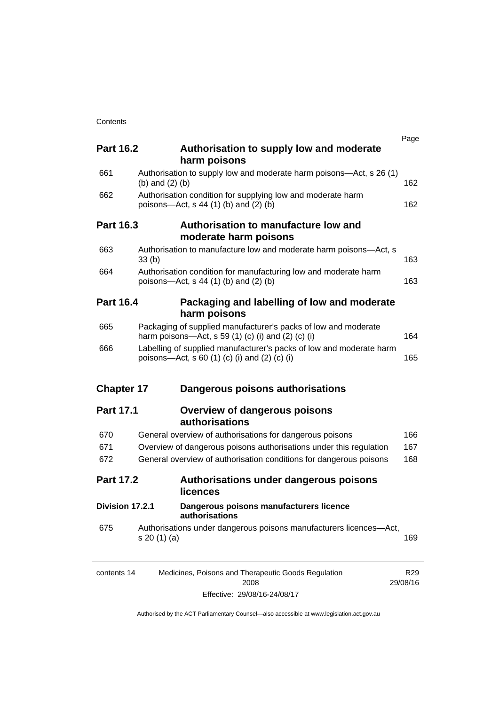| <b>Part 16.2</b>  | Authorisation to supply low and moderate<br>harm poisons                                                             | Page            |
|-------------------|----------------------------------------------------------------------------------------------------------------------|-----------------|
| 661               | Authorisation to supply low and moderate harm poisons-Act, s 26 (1)<br>(b) and $(2)$ (b)                             | 162             |
| 662               | Authorisation condition for supplying low and moderate harm<br>poisons-Act, $s$ 44 (1) (b) and (2) (b)               | 162             |
| <b>Part 16.3</b>  | Authorisation to manufacture low and<br>moderate harm poisons                                                        |                 |
| 663               | Authorisation to manufacture low and moderate harm poisons-Act, s<br>33 <sub>(b)</sub>                               | 163             |
| 664               | Authorisation condition for manufacturing low and moderate harm<br>poisons—Act, s $44$ (1) (b) and (2) (b)           | 163             |
| <b>Part 16.4</b>  | Packaging and labelling of low and moderate<br>harm poisons                                                          |                 |
| 665               | Packaging of supplied manufacturer's packs of low and moderate<br>harm poisons-Act, s 59 (1) (c) (i) and (2) (c) (i) | 164             |
| 666               | Labelling of supplied manufacturer's packs of low and moderate harm<br>poisons—Act, s 60 (1) (c) (i) and (2) (c) (i) | 165             |
| <b>Chapter 17</b> | Dangerous poisons authorisations                                                                                     |                 |
| <b>Part 17.1</b>  | <b>Overview of dangerous poisons</b><br>authorisations                                                               |                 |
| 670               | General overview of authorisations for dangerous poisons                                                             | 166             |
| 671               | Overview of dangerous poisons authorisations under this regulation                                                   | 167             |
| 672               | General overview of authorisation conditions for dangerous poisons                                                   | 168             |
| <b>Part 17.2</b>  | Authorisations under dangerous poisons<br><b>licences</b>                                                            |                 |
| Division 17.2.1   | Dangerous poisons manufacturers licence<br>authorisations                                                            |                 |
| 675               | Authorisations under dangerous poisons manufacturers licences-Act,<br>s 20 (1) (a)                                   | 169             |
| contents 14       | Medicines, Poisons and Therapeutic Goods Regulation                                                                  | R <sub>29</sub> |

| contents 14 | Medicines, Poisons and Therapeutic Goods Regulation | R29.     |
|-------------|-----------------------------------------------------|----------|
|             | 2008                                                | 29/08/16 |
|             | Effective: 29/08/16-24/08/17                        |          |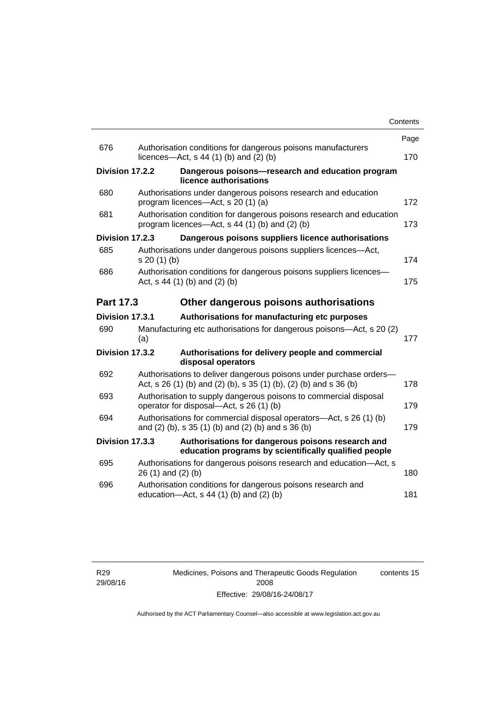|                  |                    |                                                                                                                                         | Contents |
|------------------|--------------------|-----------------------------------------------------------------------------------------------------------------------------------------|----------|
|                  |                    |                                                                                                                                         | Page     |
| 676              |                    | Authorisation conditions for dangerous poisons manufacturers<br>licences- $-\text{Act}$ , s 44 (1) (b) and (2) (b)                      | 170      |
| Division 17.2.2  |                    | Dangerous poisons-research and education program<br>licence authorisations                                                              |          |
| 680              |                    | Authorisations under dangerous poisons research and education<br>program licences-Act, s 20 (1) (a)                                     | 172      |
| 681              |                    | Authorisation condition for dangerous poisons research and education<br>program licences—Act, s 44 (1) (b) and (2) (b)                  | 173      |
| Division 17.2.3  |                    | Dangerous poisons suppliers licence authorisations                                                                                      |          |
| 685              | s 20(1)(b)         | Authorisations under dangerous poisons suppliers licences—Act,                                                                          | 174      |
| 686              |                    | Authorisation conditions for dangerous poisons suppliers licences-<br>Act, $s$ 44 (1) (b) and (2) (b)                                   | 175      |
| <b>Part 17.3</b> |                    | Other dangerous poisons authorisations                                                                                                  |          |
| Division 17.3.1  |                    | Authorisations for manufacturing etc purposes                                                                                           |          |
| 690              | (a)                | Manufacturing etc authorisations for dangerous poisons-Act, s 20 (2)                                                                    | 177      |
| Division 17.3.2  |                    | Authorisations for delivery people and commercial<br>disposal operators                                                                 |          |
| 692              |                    | Authorisations to deliver dangerous poisons under purchase orders-<br>Act, s 26 (1) (b) and (2) (b), s 35 (1) (b), (2) (b) and s 36 (b) | 178      |
| 693              |                    | Authorisation to supply dangerous poisons to commercial disposal<br>operator for disposal—Act, s 26 (1) (b)                             | 179      |
| 694              |                    | Authorisations for commercial disposal operators—Act, s 26 (1) (b)<br>and (2) (b), s 35 (1) (b) and (2) (b) and s 36 (b)                | 179      |
| Division 17.3.3  |                    | Authorisations for dangerous poisons research and<br>education programs by scientifically qualified people                              |          |
| 695              | 26 (1) and (2) (b) | Authorisations for dangerous poisons research and education-Act, s                                                                      | 180      |
| 696              |                    | Authorisation conditions for dangerous poisons research and<br>education- $Act$ , s 44 (1) (b) and (2) (b)                              | 181      |
|                  |                    |                                                                                                                                         |          |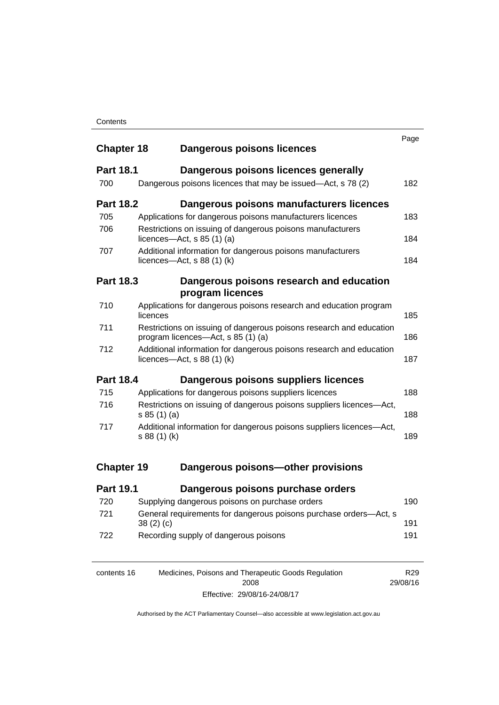#### **Contents**

| <b>Chapter 18</b> |                                                                                    | <b>Dangerous poisons licences</b>                                                                             | Page |
|-------------------|------------------------------------------------------------------------------------|---------------------------------------------------------------------------------------------------------------|------|
| <b>Part 18.1</b>  |                                                                                    | Dangerous poisons licences generally                                                                          |      |
| 700               |                                                                                    | Dangerous poisons licences that may be issued—Act, s 78 (2)                                                   | 182  |
| <b>Part 18.2</b>  |                                                                                    | Dangerous poisons manufacturers licences                                                                      |      |
| 705               |                                                                                    | Applications for dangerous poisons manufacturers licences                                                     | 183  |
| 706               |                                                                                    | Restrictions on issuing of dangerous poisons manufacturers<br>licences- $-\text{Act}$ , s 85 (1) (a)          | 184  |
| 707               |                                                                                    | Additional information for dangerous poisons manufacturers<br>licences- $-\text{Act}, s 88 (1) (k)$           | 184  |
| <b>Part 18.3</b>  |                                                                                    | Dangerous poisons research and education<br>program licences                                                  |      |
| 710               | licences                                                                           | Applications for dangerous poisons research and education program                                             | 185  |
| 711               |                                                                                    | Restrictions on issuing of dangerous poisons research and education<br>program licences-Act, s 85 (1) (a)     | 186  |
| 712               |                                                                                    | Additional information for dangerous poisons research and education<br>licences- $-\text{Act}$ , s 88 (1) (k) | 187  |
| <b>Part 18.4</b>  |                                                                                    | Dangerous poisons suppliers licences                                                                          |      |
| 715               |                                                                                    | Applications for dangerous poisons suppliers licences                                                         | 188  |
| 716               | Restrictions on issuing of dangerous poisons suppliers licences-Act,<br>s 85(1)(a) |                                                                                                               | 188  |
| 717               | s 88 (1) (k)                                                                       | Additional information for dangerous poisons suppliers licences-Act,                                          | 189  |
| <b>Chapter 19</b> |                                                                                    | Dangerous poisons-other provisions                                                                            |      |
| <b>Part 19.1</b>  |                                                                                    | Dangerous poisons purchase orders                                                                             |      |
| 720               |                                                                                    | Supplying dangerous poisons on purchase orders                                                                | 190  |
| 721               | 38(2)(c)                                                                           | General requirements for dangerous poisons purchase orders-Act, s                                             | 191  |
| 722               |                                                                                    | Recording supply of dangerous poisons                                                                         | 191  |

| contents 16 | Medicines, Poisons and Therapeutic Goods Regulation | R29      |
|-------------|-----------------------------------------------------|----------|
|             | 2008                                                | 29/08/16 |
|             | Effective: 29/08/16-24/08/17                        |          |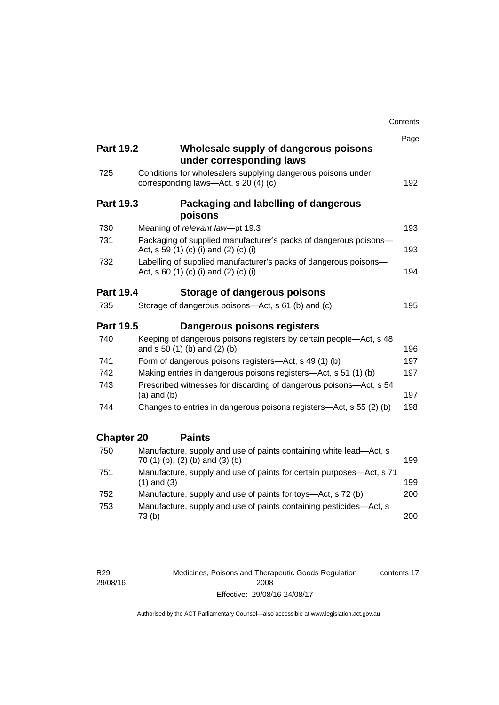|                   |                                                                                                           | Contents |
|-------------------|-----------------------------------------------------------------------------------------------------------|----------|
|                   |                                                                                                           | Page     |
| <b>Part 19.2</b>  | Wholesale supply of dangerous poisons<br>under corresponding laws                                         |          |
| 725               | Conditions for wholesalers supplying dangerous poisons under<br>corresponding laws-Act, s 20 (4) (c)      | 192      |
| <b>Part 19.3</b>  | Packaging and labelling of dangerous<br>poisons                                                           |          |
| 730               | Meaning of relevant law-pt 19.3                                                                           | 193      |
| 731               | Packaging of supplied manufacturer's packs of dangerous poisons-<br>Act, s 59 (1) (c) (i) and (2) (c) (i) | 193      |
| 732               | Labelling of supplied manufacturer's packs of dangerous poisons-<br>Act, s 60 (1) (c) (i) and (2) (c) (i) | 194      |
| <b>Part 19.4</b>  | Storage of dangerous poisons                                                                              |          |
| 735               | Storage of dangerous poisons-Act, s 61 (b) and (c)                                                        | 195      |
| <b>Part 19.5</b>  | Dangerous poisons registers                                                                               |          |
| 740               | Keeping of dangerous poisons registers by certain people—Act, s 48<br>and $s 50 (1) (b)$ and $(2) (b)$    | 196      |
| 741               | Form of dangerous poisons registers-Act, s 49 (1) (b)                                                     | 197      |
| 742               | Making entries in dangerous poisons registers—Act, s 51 (1) (b)                                           | 197      |
| 743               | Prescribed witnesses for discarding of dangerous poisons-Act, s 54<br>$(a)$ and $(b)$                     | 197      |
| 744               | Changes to entries in dangerous poisons registers—Act, s 55 (2) (b)                                       | 198      |
| <b>Chapter 20</b> | <b>Paints</b>                                                                                             |          |
| 750               | Manufacture, supply and use of paints containing white lead-Act, s<br>70 (1) (b), (2) (b) and (3) (b)     | 199      |
| 751               | Manufacture, supply and use of paints for certain purposes—Act, s 71<br>$(1)$ and $(3)$                   | 199      |
| 752               | Manufacture, supply and use of paints for toys-Act, s 72 (b)                                              | 200      |
| 753               | Manufacture, supply and use of paints containing pesticides-Act, s<br>73(b)                               | 200      |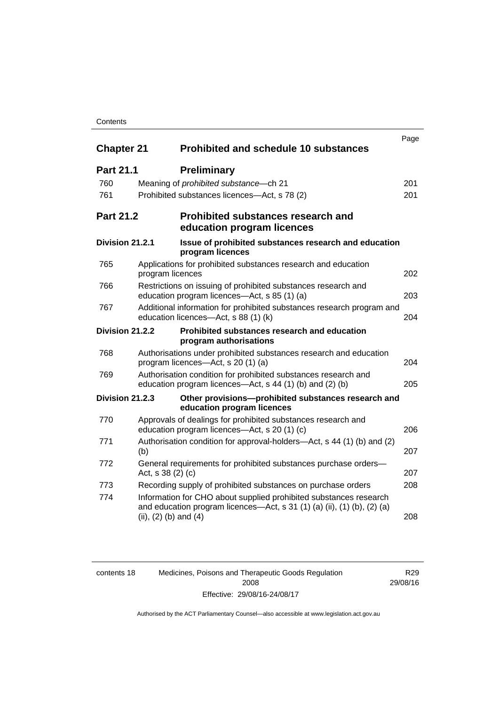#### **Contents**

| <b>Chapter 21</b> |                           | <b>Prohibited and schedule 10 substances</b>                                                                                                 | Page |
|-------------------|---------------------------|----------------------------------------------------------------------------------------------------------------------------------------------|------|
| <b>Part 21.1</b>  |                           | <b>Preliminary</b>                                                                                                                           |      |
| 760               |                           | Meaning of prohibited substance - ch 21                                                                                                      | 201  |
| 761               |                           | Prohibited substances licences—Act, s 78 (2)                                                                                                 | 201  |
| <b>Part 21.2</b>  |                           | Prohibited substances research and<br>education program licences                                                                             |      |
| Division 21.2.1   |                           | Issue of prohibited substances research and education<br>program licences                                                                    |      |
| 765               | program licences          | Applications for prohibited substances research and education                                                                                | 202  |
| 766               |                           | Restrictions on issuing of prohibited substances research and<br>education program licences-Act, s 85 (1) (a)                                | 203  |
| 767               |                           | Additional information for prohibited substances research program and<br>education licences-Act, s 88 (1) (k)                                | 204  |
| Division 21.2.2   |                           | Prohibited substances research and education<br>program authorisations                                                                       |      |
| 768               |                           | Authorisations under prohibited substances research and education<br>program licences—Act, s 20 (1) (a)                                      | 204  |
| 769               |                           | Authorisation condition for prohibited substances research and<br>education program licences—Act, s 44 (1) (b) and (2) (b)                   | 205  |
| Division 21.2.3   |                           | Other provisions-prohibited substances research and<br>education program licences                                                            |      |
| 770               |                           | Approvals of dealings for prohibited substances research and<br>education program licences—Act, s 20 (1) (c)                                 | 206  |
| 771               | (b)                       | Authorisation condition for approval-holders—Act, s 44 (1) (b) and (2)                                                                       | 207  |
| 772               | Act, s 38 (2) (c)         | General requirements for prohibited substances purchase orders-                                                                              | 207  |
| 773               |                           | Recording supply of prohibited substances on purchase orders                                                                                 | 208  |
| 774               | (ii), $(2)$ (b) and $(4)$ | Information for CHO about supplied prohibited substances research<br>and education program licences—Act, s 31 (1) (a) (ii), (1) (b), (2) (a) | 208  |

| contents 18 | Medicines, Poisons and Therapeutic Goods Regulation |  |
|-------------|-----------------------------------------------------|--|
|             | 2008                                                |  |
|             | Effective: 29/08/16-24/08/17                        |  |

Authorised by the ACT Parliamentary Counsel—also accessible at www.legislation.act.gov.au

R29 29/08/16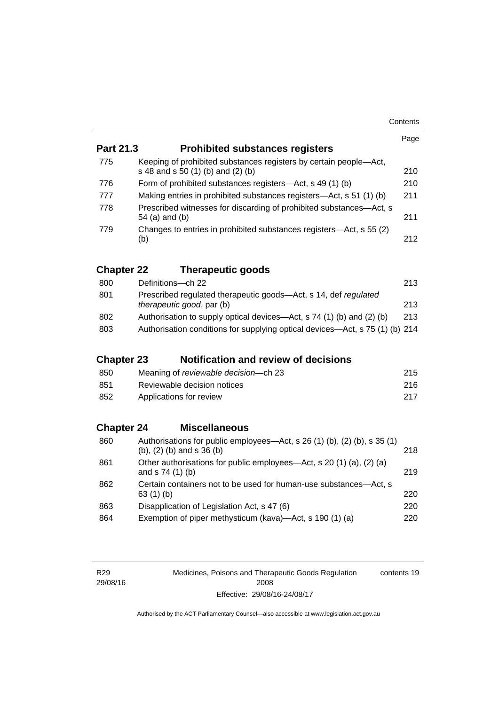|                   |                                                                                                                | Page |
|-------------------|----------------------------------------------------------------------------------------------------------------|------|
| <b>Part 21.3</b>  | <b>Prohibited substances registers</b>                                                                         |      |
| 775               | Keeping of prohibited substances registers by certain people-Act,                                              |      |
|                   | s 48 and s 50 (1) (b) and (2) (b)                                                                              | 210  |
| 776               | Form of prohibited substances registers—Act, s 49 (1) (b)                                                      | 210  |
| 777               | Making entries in prohibited substances registers—Act, s 51 (1) (b)                                            | 211  |
| 778               | Prescribed witnesses for discarding of prohibited substances-Act, s<br>54 (a) and (b)                          | 211  |
| 779               | Changes to entries in prohibited substances registers—Act, s 55 (2)<br>(b)                                     | 212  |
| <b>Chapter 22</b> | <b>Therapeutic goods</b>                                                                                       |      |
| 800               | Definitions-ch 22                                                                                              | 213  |
| 801               | Prescribed regulated therapeutic goods-Act, s 14, def regulated<br>therapeutic good, par (b)                   | 213  |
| 802               | Authorisation to supply optical devices—Act, s 74 (1) (b) and (2) (b)                                          | 213  |
| 803               | Authorisation conditions for supplying optical devices—Act, s 75 (1) (b) 214                                   |      |
| <b>Chapter 23</b> | <b>Notification and review of decisions</b>                                                                    |      |
| 850               | Meaning of reviewable decision--- ch 23                                                                        | 215  |
| 851               | Reviewable decision notices                                                                                    | 216  |
| 852               | Applications for review                                                                                        | 217  |
|                   |                                                                                                                |      |
| <b>Chapter 24</b> | <b>Miscellaneous</b>                                                                                           |      |
| 860               | Authorisations for public employees-Act, s 26 (1) (b), (2) (b), s 35 (1)<br>$(b)$ , $(2)$ $(b)$ and s 36 $(b)$ | 218  |
| 861               | Other authorisations for public employees—Act, s 20 (1) (a), (2) (a)<br>and s 74 (1) (b)                       | 219  |
| 862               | Certain containers not to be used for human-use substances-Act, s<br>63(1)(b)                                  | 220  |
| 863               | Disapplication of Legislation Act, s 47 (6)                                                                    | 220  |
| 864               | Exemption of piper methysticum (kava)—Act, s 190 (1) (a)                                                       | 220  |

| R <sub>29</sub> |
|-----------------|
| 29/08/16        |

Medicines, Poisons and Therapeutic Goods Regulation 2008 Effective: 29/08/16-24/08/17 contents 19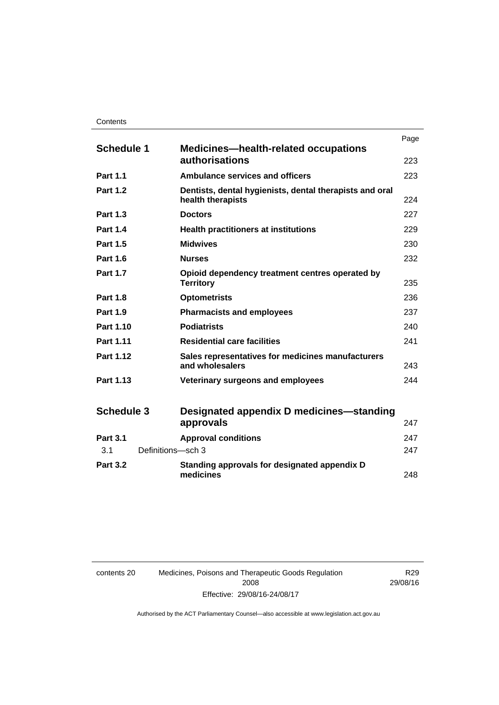|                          |                                                                              | Page |
|--------------------------|------------------------------------------------------------------------------|------|
| <b>Schedule 1</b>        | <b>Medicines—health-related occupations</b><br>authorisations                | 223  |
| <b>Part 1.1</b>          | <b>Ambulance services and officers</b>                                       | 223  |
| <b>Part 1.2</b>          | Dentists, dental hygienists, dental therapists and oral<br>health therapists | 224  |
| <b>Part 1.3</b>          | <b>Doctors</b>                                                               | 227  |
| <b>Part 1.4</b>          | <b>Health practitioners at institutions</b>                                  | 229  |
| <b>Part 1.5</b>          | <b>Midwives</b>                                                              | 230  |
| <b>Part 1.6</b>          | <b>Nurses</b>                                                                | 232  |
| <b>Part 1.7</b>          | Opioid dependency treatment centres operated by<br><b>Territory</b>          | 235  |
| <b>Part 1.8</b>          | <b>Optometrists</b>                                                          | 236  |
| <b>Part 1.9</b>          | <b>Pharmacists and employees</b>                                             | 237  |
| Part 1.10                | <b>Podiatrists</b>                                                           | 240  |
| Part 1.11                | <b>Residential care facilities</b>                                           | 241  |
| Part 1.12                | Sales representatives for medicines manufacturers<br>and wholesalers         | 243  |
| Part 1.13                | Veterinary surgeons and employees                                            | 244  |
| <b>Schedule 3</b>        | Designated appendix D medicines—standing<br>approvals                        | 247  |
| <b>Part 3.1</b>          | <b>Approval conditions</b>                                                   | 247  |
| Definitions-sch 3<br>3.1 |                                                                              | 247  |
| <b>Part 3.2</b>          | Standing approvals for designated appendix D<br>medicines                    | 248  |

| contents 20 | Medicines, Poisons and Therapeutic Goods Regulation |
|-------------|-----------------------------------------------------|
|             | 2008                                                |
|             | Effective: 29/08/16-24/08/17                        |

R29 29/08/16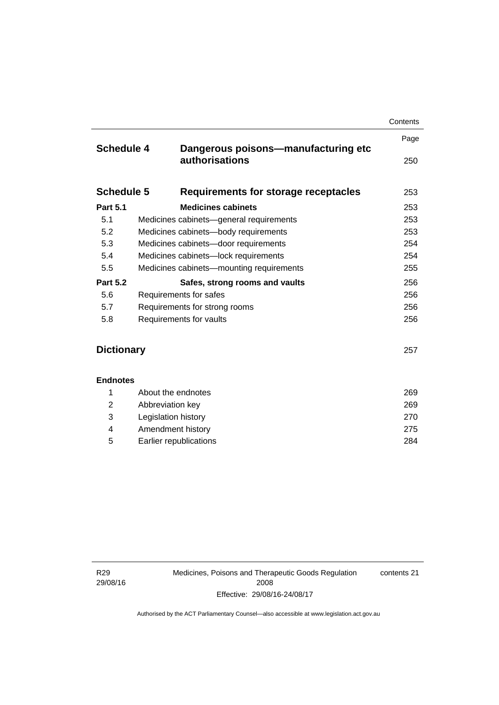|                                                | Contents                                                                                                                                                                                                         |
|------------------------------------------------|------------------------------------------------------------------------------------------------------------------------------------------------------------------------------------------------------------------|
|                                                | Page                                                                                                                                                                                                             |
| authorisations                                 | 250                                                                                                                                                                                                              |
| Requirements for storage receptacles           | 253                                                                                                                                                                                                              |
| <b>Medicines cabinets</b>                      | 253                                                                                                                                                                                                              |
| 5.1<br>Medicines cabinets-general requirements |                                                                                                                                                                                                                  |
| Medicines cabinets-body requirements           | 253                                                                                                                                                                                                              |
| Medicines cabinets-door requirements           | 254                                                                                                                                                                                                              |
| Medicines cabinets-lock requirements           |                                                                                                                                                                                                                  |
| Medicines cabinets-mounting requirements       | 255                                                                                                                                                                                                              |
| Safes, strong rooms and vaults                 | 256                                                                                                                                                                                                              |
| Requirements for safes                         |                                                                                                                                                                                                                  |
| 5.7<br>Requirements for strong rooms           |                                                                                                                                                                                                                  |
| Requirements for vaults                        | 256                                                                                                                                                                                                              |
|                                                |                                                                                                                                                                                                                  |
| <b>Dictionary</b>                              |                                                                                                                                                                                                                  |
|                                                |                                                                                                                                                                                                                  |
|                                                | 269                                                                                                                                                                                                              |
|                                                | 269                                                                                                                                                                                                              |
|                                                | 270                                                                                                                                                                                                              |
|                                                | 275                                                                                                                                                                                                              |
|                                                | 284                                                                                                                                                                                                              |
|                                                | <b>Schedule 4</b><br>Dangerous poisons-manufacturing etc<br><b>Schedule 5</b><br><b>Endnotes</b><br>About the endnotes<br>Abbreviation key<br>Legislation history<br>Amendment history<br>Earlier republications |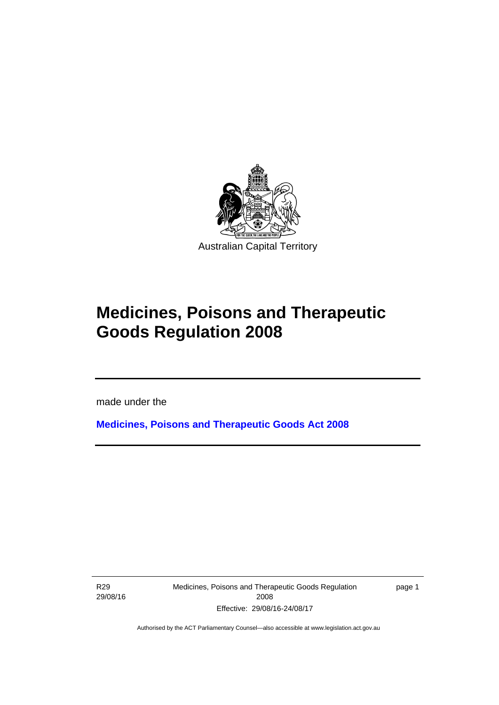

## **Medicines, Poisons and Therapeutic Goods Regulation 2008**

made under the

**[Medicines, Poisons and Therapeutic Goods Act 2008](http://www.legislation.act.gov.au/a/2008-26)**

R29 29/08/16

l

Medicines, Poisons and Therapeutic Goods Regulation 2008 Effective: 29/08/16-24/08/17

page 1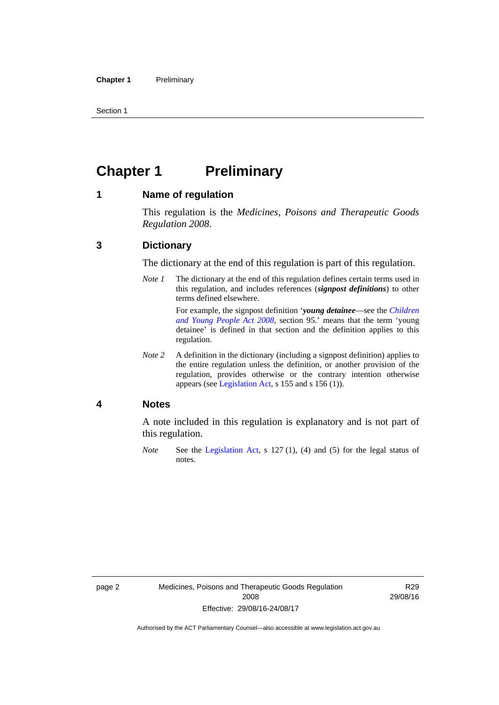Section 1

## <span id="page-25-0"></span>**Chapter 1 Preliminary**

#### <span id="page-25-1"></span>**1 Name of regulation**

This regulation is the *Medicines, Poisons and Therapeutic Goods Regulation 2008*.

#### <span id="page-25-2"></span>**3 Dictionary**

The dictionary at the end of this regulation is part of this regulation.

*Note 1* The dictionary at the end of this regulation defines certain terms used in this regulation, and includes references (*signpost definitions*) to other terms defined elsewhere. For example, the signpost definition '*young detainee*—see the *[Children](http://www.legislation.act.gov.au/a/2008-19)* 

*[and Young People Act 2008](http://www.legislation.act.gov.au/a/2008-19)*, section 95.' means that the term 'young detainee' is defined in that section and the definition applies to this regulation.

*Note 2* A definition in the dictionary (including a signpost definition) applies to the entire regulation unless the definition, or another provision of the regulation, provides otherwise or the contrary intention otherwise appears (see [Legislation Act,](http://www.legislation.act.gov.au/a/2001-14) s 155 and s 156 (1)).

#### <span id="page-25-3"></span>**4 Notes**

A note included in this regulation is explanatory and is not part of this regulation.

*Note* See the [Legislation Act,](http://www.legislation.act.gov.au/a/2001-14) s 127 (1), (4) and (5) for the legal status of notes.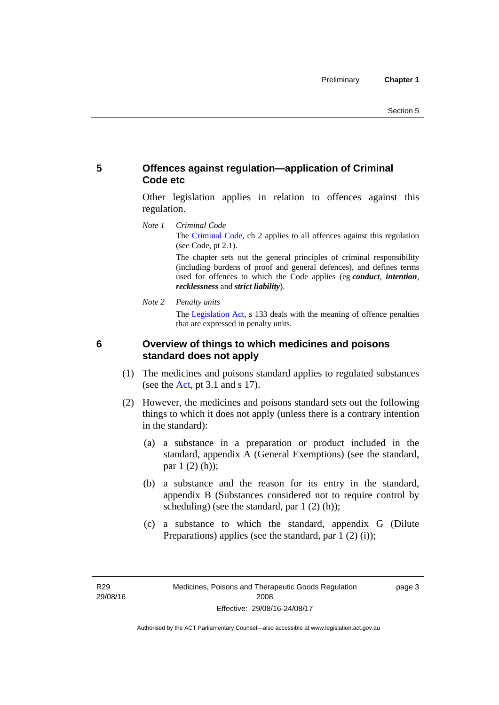#### <span id="page-26-0"></span>**5 Offences against regulation—application of Criminal Code etc**

Other legislation applies in relation to offences against this regulation.

*Note 1 Criminal Code* The [Criminal Code](http://www.legislation.act.gov.au/a/2002-51), ch 2 applies to all offences against this regulation (see Code, pt 2.1).

> The chapter sets out the general principles of criminal responsibility (including burdens of proof and general defences), and defines terms used for offences to which the Code applies (eg *conduct*, *intention*, *recklessness* and *strict liability*).

*Note 2 Penalty units* 

The [Legislation Act](http://www.legislation.act.gov.au/a/2001-14), s 133 deals with the meaning of offence penalties that are expressed in penalty units.

<span id="page-26-1"></span>

#### **6 Overview of things to which medicines and poisons standard does not apply**

- (1) The medicines and poisons standard applies to regulated substances (see the  $Act$ , pt 3.1 and s 17).
- (2) However, the medicines and poisons standard sets out the following things to which it does not apply (unless there is a contrary intention in the standard):
	- (a) a substance in a preparation or product included in the standard, appendix A (General Exemptions) (see the standard, par 1 (2) (h));
	- (b) a substance and the reason for its entry in the standard, appendix B (Substances considered not to require control by scheduling) (see the standard, par 1 (2) (h));
	- (c) a substance to which the standard, appendix G (Dilute Preparations) applies (see the standard, par 1 (2) (i));

R29 29/08/16 page 3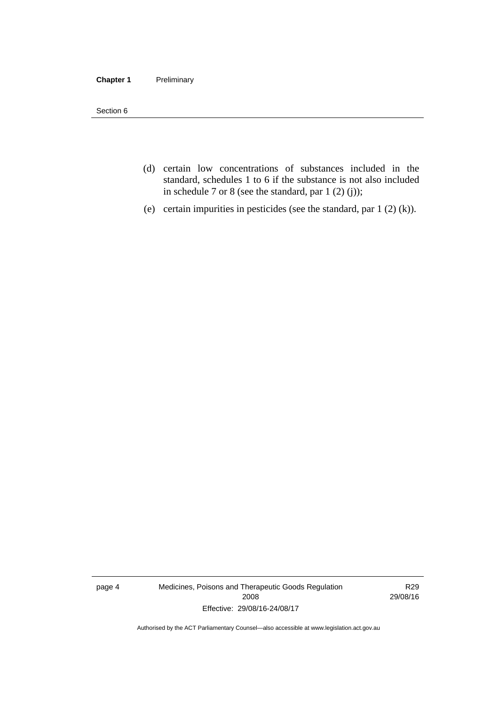#### **Chapter 1** Preliminary

Section 6

- (d) certain low concentrations of substances included in the standard, schedules 1 to 6 if the substance is not also included in schedule 7 or 8 (see the standard, par 1 (2) (j));
- (e) certain impurities in pesticides (see the standard, par 1 (2) (k)).

page 4 Medicines, Poisons and Therapeutic Goods Regulation 2008 Effective: 29/08/16-24/08/17

R29 29/08/16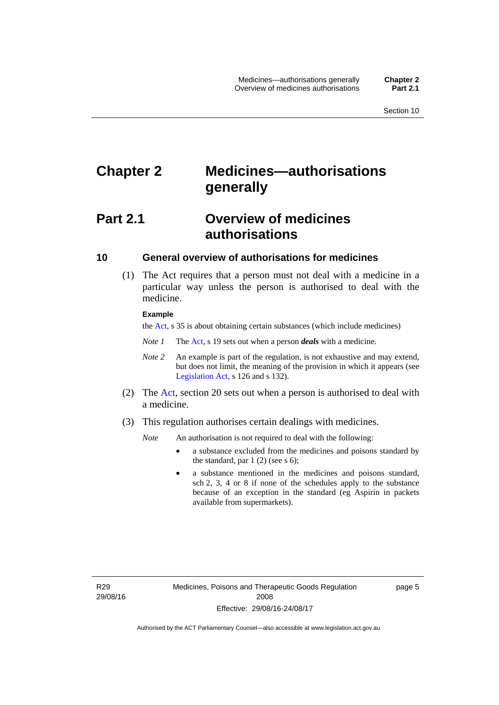## <span id="page-28-0"></span>**Chapter 2 Medicines—authorisations generally**

## <span id="page-28-1"></span>**Part 2.1 Overview of medicines authorisations**

#### <span id="page-28-2"></span>**10 General overview of authorisations for medicines**

 (1) The Act requires that a person must not deal with a medicine in a particular way unless the person is authorised to deal with the medicine.

#### **Example**

the [Act](http://www.legislation.act.gov.au/a/2008-26/default.asp), s 35 is about obtaining certain substances (which include medicines)

- *Note 1* The [Act,](http://www.legislation.act.gov.au/a/2008-26/default.asp) s 19 sets out when a person *deals* with a medicine.
- *Note 2* An example is part of the regulation, is not exhaustive and may extend, but does not limit, the meaning of the provision in which it appears (see [Legislation Act,](http://www.legislation.act.gov.au/a/2001-14) s 126 and s 132).
- (2) The [Act](http://www.legislation.act.gov.au/a/2008-26/default.asp), section 20 sets out when a person is authorised to deal with a medicine.
- (3) This regulation authorises certain dealings with medicines.

*Note* An authorisation is not required to deal with the following:

- a substance excluded from the medicines and poisons standard by the standard, par  $1(2)$  (see s 6);
- a substance mentioned in the medicines and poisons standard, sch 2, 3, 4 or 8 if none of the schedules apply to the substance because of an exception in the standard (eg Aspirin in packets available from supermarkets).

R29 29/08/16 page 5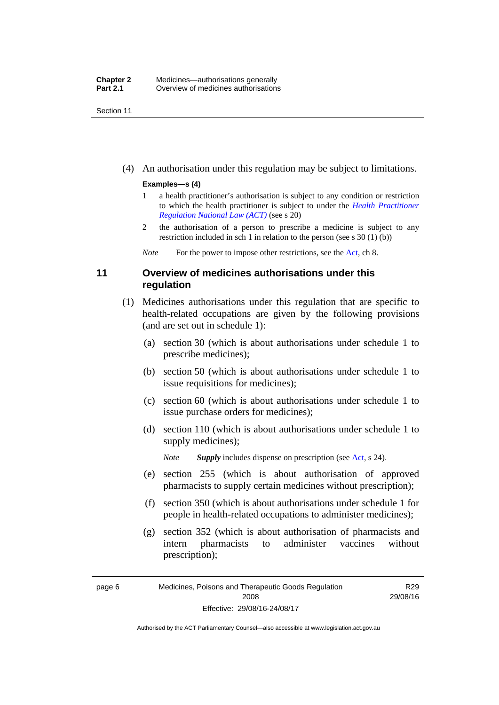Section 11

(4) An authorisation under this regulation may be subject to limitations.

#### **Examples—s (4)**

- 1 a health practitioner's authorisation is subject to any condition or restriction to which the health practitioner is subject to under the *[Health Practitioner](http://www.legislation.act.gov.au/a/db_39269/default.asp)  [Regulation National Law \(ACT\)](http://www.legislation.act.gov.au/a/db_39269/default.asp)* (see s 20)
- 2 the authorisation of a person to prescribe a medicine is subject to any restriction included in sch 1 in relation to the person (see s 30 (1) (b))

*Note* For the power to impose other restrictions, see the [Act](http://www.legislation.act.gov.au/a/2008-26/default.asp), ch 8.

#### <span id="page-29-0"></span>**11 Overview of medicines authorisations under this regulation**

- (1) Medicines authorisations under this regulation that are specific to health-related occupations are given by the following provisions (and are set out in schedule 1):
	- (a) section 30 (which is about authorisations under schedule 1 to prescribe medicines);
	- (b) section 50 (which is about authorisations under schedule 1 to issue requisitions for medicines);
	- (c) section 60 (which is about authorisations under schedule 1 to issue purchase orders for medicines);
	- (d) section 110 (which is about authorisations under schedule 1 to supply medicines);

*Note Supply* includes dispense on prescription (see [Act,](http://www.legislation.act.gov.au/a/2008-26/default.asp) s 24).

- (e) section 255 (which is about authorisation of approved pharmacists to supply certain medicines without prescription);
- (f) section 350 (which is about authorisations under schedule 1 for people in health-related occupations to administer medicines);
- (g) section 352 (which is about authorisation of pharmacists and intern pharmacists to administer vaccines without prescription);

R29 29/08/16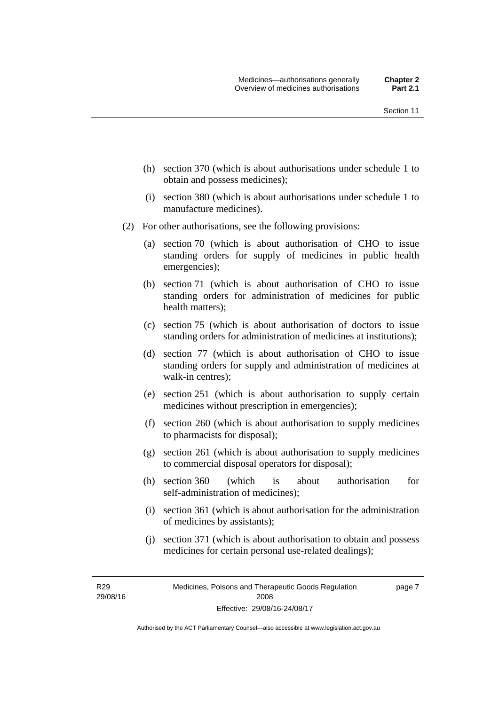- (h) section 370 (which is about authorisations under schedule 1 to obtain and possess medicines);
- (i) section 380 (which is about authorisations under schedule 1 to manufacture medicines).
- (2) For other authorisations, see the following provisions:
	- (a) section 70 (which is about authorisation of CHO to issue standing orders for supply of medicines in public health emergencies);
	- (b) section 71 (which is about authorisation of CHO to issue standing orders for administration of medicines for public health matters);
	- (c) section 75 (which is about authorisation of doctors to issue standing orders for administration of medicines at institutions);
	- (d) section 77 (which is about authorisation of CHO to issue standing orders for supply and administration of medicines at walk-in centres);
	- (e) section 251 (which is about authorisation to supply certain medicines without prescription in emergencies);
	- (f) section 260 (which is about authorisation to supply medicines to pharmacists for disposal);
	- (g) section 261 (which is about authorisation to supply medicines to commercial disposal operators for disposal);
	- (h) section 360 (which is about authorisation for self-administration of medicines);
	- (i) section 361 (which is about authorisation for the administration of medicines by assistants);
	- (j) section 371 (which is about authorisation to obtain and possess medicines for certain personal use-related dealings);

R29 29/08/16 page 7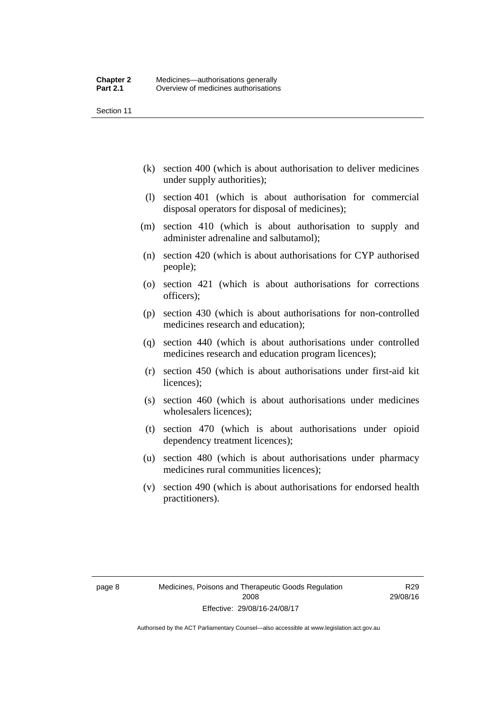Section 11

- (k) section 400 (which is about authorisation to deliver medicines under supply authorities);
- (l) section 401 (which is about authorisation for commercial disposal operators for disposal of medicines);
- (m) section 410 (which is about authorisation to supply and administer adrenaline and salbutamol);
- (n) section 420 (which is about authorisations for CYP authorised people);
- (o) section 421 (which is about authorisations for corrections officers);
- (p) section 430 (which is about authorisations for non-controlled medicines research and education);
- (q) section 440 (which is about authorisations under controlled medicines research and education program licences);
- (r) section 450 (which is about authorisations under first-aid kit licences);
- (s) section 460 (which is about authorisations under medicines wholesalers licences);
- (t) section 470 (which is about authorisations under opioid dependency treatment licences);
- (u) section 480 (which is about authorisations under pharmacy medicines rural communities licences);
- (v) section 490 (which is about authorisations for endorsed health practitioners).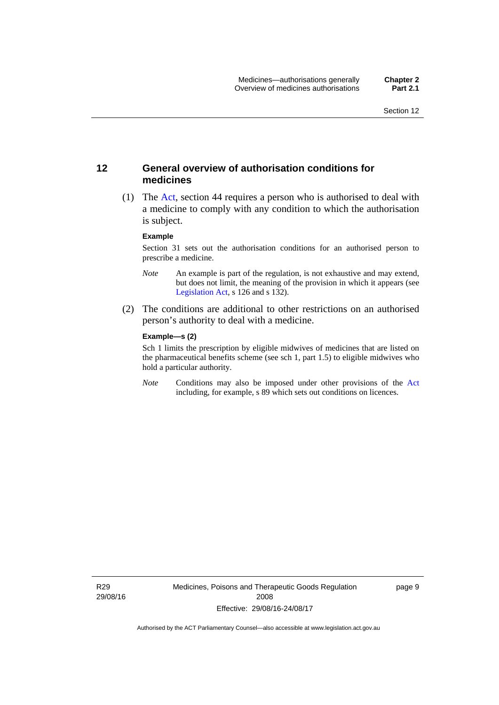#### <span id="page-32-0"></span>**12 General overview of authorisation conditions for medicines**

 (1) The [Act](http://www.legislation.act.gov.au/a/2008-26/default.asp), section 44 requires a person who is authorised to deal with a medicine to comply with any condition to which the authorisation is subject.

#### **Example**

Section 31 sets out the authorisation conditions for an authorised person to prescribe a medicine.

- *Note* An example is part of the regulation, is not exhaustive and may extend, but does not limit, the meaning of the provision in which it appears (see [Legislation Act,](http://www.legislation.act.gov.au/a/2001-14) s 126 and s 132).
- (2) The conditions are additional to other restrictions on an authorised person's authority to deal with a medicine.

#### **Example—s (2)**

Sch 1 limits the prescription by eligible midwives of medicines that are listed on the pharmaceutical benefits scheme (see sch 1, part 1.5) to eligible midwives who hold a particular authority.

*Note* Conditions may also be imposed under other provisions of the [Act](http://www.legislation.act.gov.au/a/2008-26/default.asp) including, for example, s 89 which sets out conditions on licences.

R29 29/08/16 Medicines, Poisons and Therapeutic Goods Regulation 2008 Effective: 29/08/16-24/08/17

page 9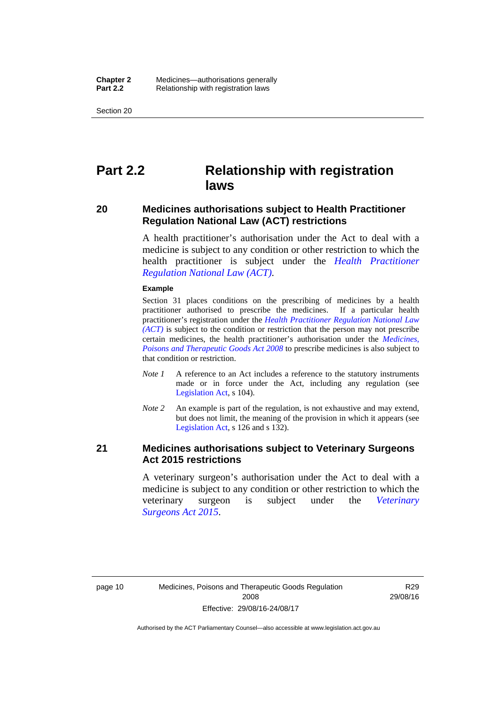Section 20

## <span id="page-33-0"></span>**Part 2.2 Relationship with registration laws**

#### <span id="page-33-1"></span>**20 Medicines authorisations subject to Health Practitioner Regulation National Law (ACT) restrictions**

A health practitioner's authorisation under the Act to deal with a medicine is subject to any condition or other restriction to which the health practitioner is subject under the *[Health Practitioner](http://www.legislation.act.gov.au/a/db_39269/default.asp)  [Regulation National Law \(ACT\)](http://www.legislation.act.gov.au/a/db_39269/default.asp)*.

#### **Example**

Section 31 places conditions on the prescribing of medicines by a health practitioner authorised to prescribe the medicines. If a particular health practitioner's registration under the *[Health Practitioner Regulation National Law](http://www.legislation.act.gov.au/a/db_39269/default.asp)  [\(ACT\)](http://www.legislation.act.gov.au/a/db_39269/default.asp)* is subject to the condition or restriction that the person may not prescribe certain medicines, the health practitioner's authorisation under the *[Medicines,](http://www.legislation.act.gov.au/a/2008-26)  [Poisons and Therapeutic Goods Act 2008](http://www.legislation.act.gov.au/a/2008-26)* to prescribe medicines is also subject to that condition or restriction.

- *Note 1* A reference to an Act includes a reference to the statutory instruments made or in force under the Act, including any regulation (see [Legislation Act,](http://www.legislation.act.gov.au/a/2001-14) s 104).
- *Note 2* An example is part of the regulation, is not exhaustive and may extend, but does not limit, the meaning of the provision in which it appears (see [Legislation Act,](http://www.legislation.act.gov.au/a/2001-14) s 126 and s 132).

#### <span id="page-33-2"></span>**21 Medicines authorisations subject to Veterinary Surgeons Act 2015 restrictions**

A veterinary surgeon's authorisation under the Act to deal with a medicine is subject to any condition or other restriction to which the veterinary surgeon is subject under the *[Veterinary](http://www.legislation.act.gov.au/a/2015-29/default.asp)  [Surgeons Act 2015](http://www.legislation.act.gov.au/a/2015-29/default.asp)*.

R29 29/08/16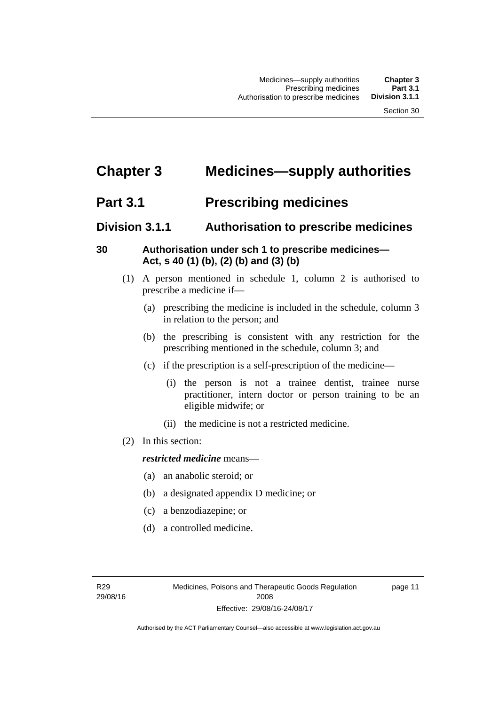# <span id="page-34-0"></span>**Chapter 3 Medicines—supply authorities**

## <span id="page-34-1"></span>**Part 3.1 Prescribing medicines**

#### <span id="page-34-2"></span>**Division 3.1.1 Authorisation to prescribe medicines**

#### <span id="page-34-3"></span>**30 Authorisation under sch 1 to prescribe medicines— Act, s 40 (1) (b), (2) (b) and (3) (b)**

- (1) A person mentioned in schedule 1, column 2 is authorised to prescribe a medicine if—
	- (a) prescribing the medicine is included in the schedule, column 3 in relation to the person; and
	- (b) the prescribing is consistent with any restriction for the prescribing mentioned in the schedule, column 3; and
	- (c) if the prescription is a self-prescription of the medicine—
		- (i) the person is not a trainee dentist, trainee nurse practitioner, intern doctor or person training to be an eligible midwife; or
		- (ii) the medicine is not a restricted medicine.
- (2) In this section:

#### *restricted medicine* means—

- (a) an anabolic steroid; or
- (b) a designated appendix D medicine; or
- (c) a benzodiazepine; or
- (d) a controlled medicine.

page 11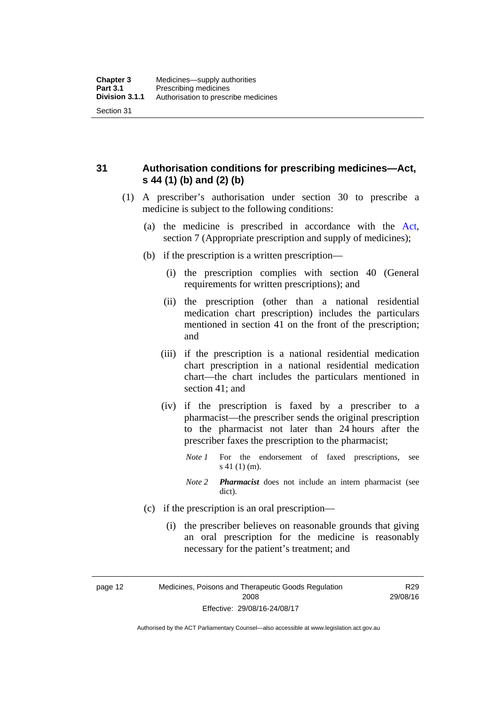<span id="page-35-0"></span>**31 Authorisation conditions for prescribing medicines—Act, s 44 (1) (b) and (2) (b)** 

- (1) A prescriber's authorisation under section 30 to prescribe a medicine is subject to the following conditions:
	- (a) the medicine is prescribed in accordance with the [Act](http://www.legislation.act.gov.au/a/2008-26/default.asp), section 7 (Appropriate prescription and supply of medicines);
	- (b) if the prescription is a written prescription—
		- (i) the prescription complies with section 40 (General requirements for written prescriptions); and
		- (ii) the prescription (other than a national residential medication chart prescription) includes the particulars mentioned in section 41 on the front of the prescription; and
		- (iii) if the prescription is a national residential medication chart prescription in a national residential medication chart––the chart includes the particulars mentioned in section 41; and
		- (iv) if the prescription is faxed by a prescriber to a pharmacist—the prescriber sends the original prescription to the pharmacist not later than 24 hours after the prescriber faxes the prescription to the pharmacist;
			- *Note 1* For the endorsement of faxed prescriptions, see s 41 (1) (m).
			- *Note 2 Pharmacist* does not include an intern pharmacist (see dict).
	- (c) if the prescription is an oral prescription—
		- (i) the prescriber believes on reasonable grounds that giving an oral prescription for the medicine is reasonably necessary for the patient's treatment; and

page 12 Medicines, Poisons and Therapeutic Goods Regulation

2008 Effective: 29/08/16-24/08/17

R29 29/08/16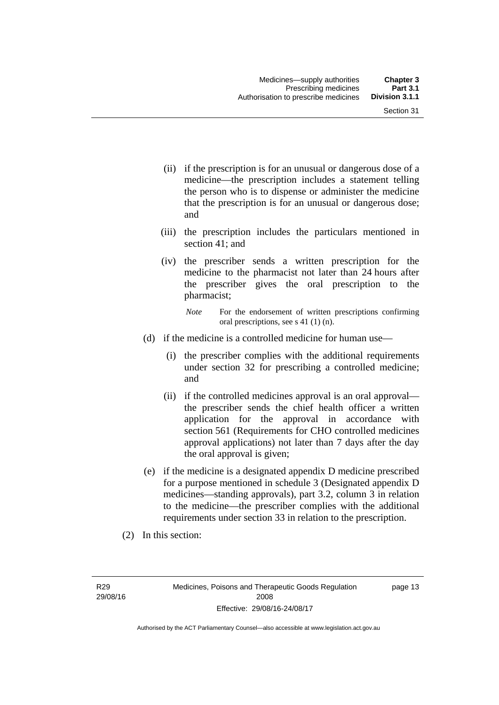- (ii) if the prescription is for an unusual or dangerous dose of a medicine—the prescription includes a statement telling the person who is to dispense or administer the medicine that the prescription is for an unusual or dangerous dose; and
- (iii) the prescription includes the particulars mentioned in section 41; and
- (iv) the prescriber sends a written prescription for the medicine to the pharmacist not later than 24 hours after the prescriber gives the oral prescription to the pharmacist;

- (d) if the medicine is a controlled medicine for human use—
	- (i) the prescriber complies with the additional requirements under section 32 for prescribing a controlled medicine; and
	- (ii) if the controlled medicines approval is an oral approval the prescriber sends the chief health officer a written application for the approval in accordance with section 561 (Requirements for CHO controlled medicines approval applications) not later than 7 days after the day the oral approval is given;
- (e) if the medicine is a designated appendix D medicine prescribed for a purpose mentioned in schedule 3 (Designated appendix D medicines—standing approvals), part 3.2, column 3 in relation to the medicine—the prescriber complies with the additional requirements under section 33 in relation to the prescription.
- (2) In this section:

R29 29/08/16 page 13

*Note* For the endorsement of written prescriptions confirming oral prescriptions, see s 41 (1) (n).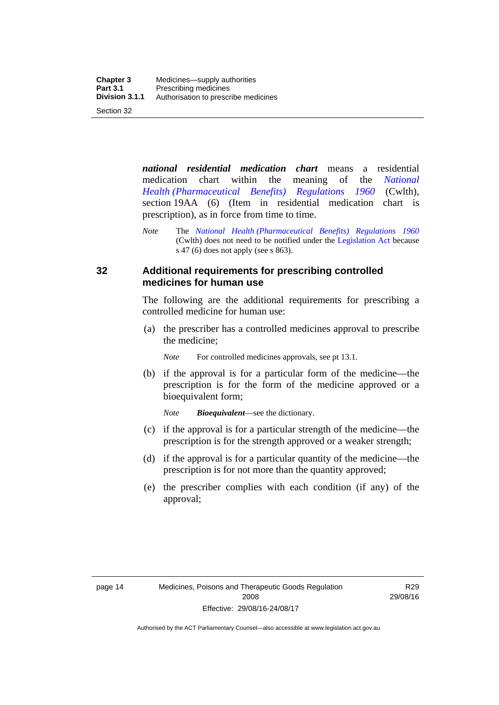*national residential medication chart* means a residential medication chart within the meaning of the *[National](http://www.comlaw.gov.au/Series/F1996B02844)  [Health \(Pharmaceutical Benefits\) Regulations 1960](http://www.comlaw.gov.au/Series/F1996B02844)* (Cwlth), section 19AA (6) (Item in residential medication chart is prescription), as in force from time to time.

### **32 Additional requirements for prescribing controlled medicines for human use**

The following are the additional requirements for prescribing a controlled medicine for human use:

 (a) the prescriber has a controlled medicines approval to prescribe the medicine;

*Note* For controlled medicines approvals, see pt 13.1.

 (b) if the approval is for a particular form of the medicine—the prescription is for the form of the medicine approved or a bioequivalent form;

*Note Bioequivalent*—see the dictionary.

- (c) if the approval is for a particular strength of the medicine—the prescription is for the strength approved or a weaker strength;
- (d) if the approval is for a particular quantity of the medicine—the prescription is for not more than the quantity approved;
- (e) the prescriber complies with each condition (if any) of the approval;

*Note* The *[National Health \(Pharmaceutical Benefits\) Regulations 1960](http://www.comlaw.gov.au/Series/F1996B02844)* (Cwlth) does not need to be notified under the [Legislation Act](http://www.legislation.act.gov.au/a/2001-14) because s 47 (6) does not apply (see s 863).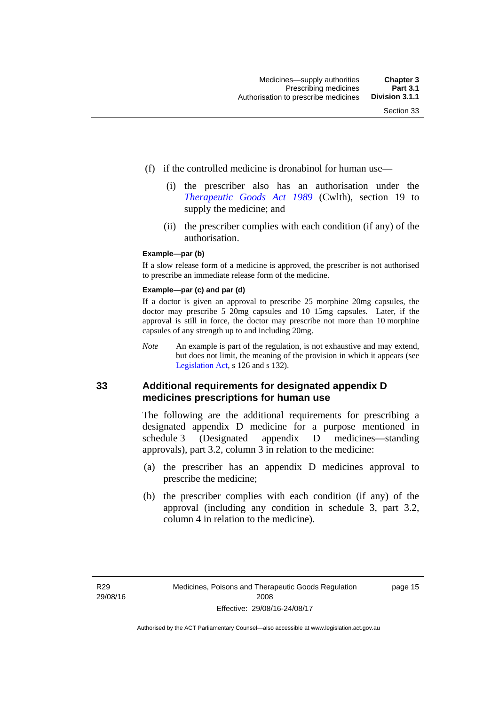- (f) if the controlled medicine is dronabinol for human use—
	- (i) the prescriber also has an authorisation under the *[Therapeutic Goods Act 1989](http://www.comlaw.gov.au/Series/C2004A03952)* (Cwlth), section 19 to supply the medicine; and
	- (ii) the prescriber complies with each condition (if any) of the authorisation.

#### **Example—par (b)**

If a slow release form of a medicine is approved, the prescriber is not authorised to prescribe an immediate release form of the medicine.

#### **Example—par (c) and par (d)**

If a doctor is given an approval to prescribe 25 morphine 20mg capsules, the doctor may prescribe 5 20mg capsules and 10 15mg capsules. Later, if the approval is still in force, the doctor may prescribe not more than 10 morphine capsules of any strength up to and including 20mg.

*Note* An example is part of the regulation, is not exhaustive and may extend, but does not limit, the meaning of the provision in which it appears (see [Legislation Act,](http://www.legislation.act.gov.au/a/2001-14) s 126 and s 132).

#### **33 Additional requirements for designated appendix D medicines prescriptions for human use**

The following are the additional requirements for prescribing a designated appendix D medicine for a purpose mentioned in schedule 3 (Designated appendix D medicines—standing approvals), part 3.2, column 3 in relation to the medicine:

- (a) the prescriber has an appendix D medicines approval to prescribe the medicine;
- (b) the prescriber complies with each condition (if any) of the approval (including any condition in schedule 3, part 3.2, column 4 in relation to the medicine).

page 15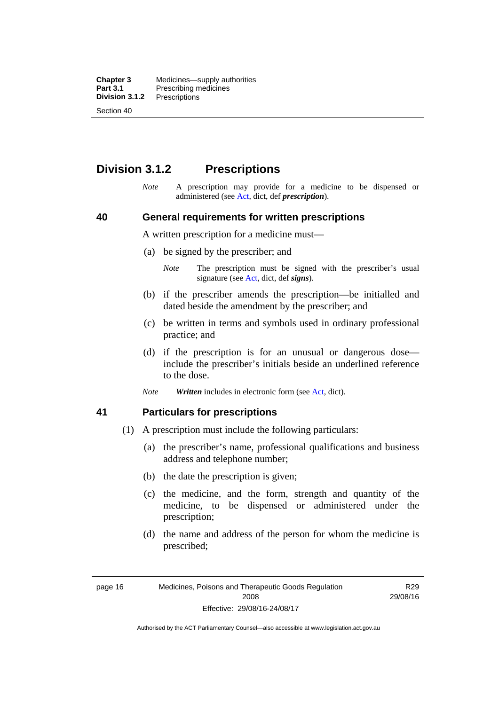**Chapter 3** Medicines—supply authorities<br>**Part 3.1** Prescribing medicines **Part 3.1** Prescribing medicines<br>**Division 3.1.2** Prescriptions **Division 3.1.2** Prescriptions Section 40

# **Division 3.1.2 Prescriptions**

*Note* A prescription may provide for a medicine to be dispensed or administered (see [Act](http://www.legislation.act.gov.au/a/2008-26/default.asp), dict, def *prescription*).

#### **40 General requirements for written prescriptions**

A written prescription for a medicine must—

- (a) be signed by the prescriber; and
	- *Note* The prescription must be signed with the prescriber's usual signature (see [Act](http://www.legislation.act.gov.au/a/2008-26/default.asp), dict, def *signs*).
- (b) if the prescriber amends the prescription—be initialled and dated beside the amendment by the prescriber; and
- (c) be written in terms and symbols used in ordinary professional practice; and
- (d) if the prescription is for an unusual or dangerous dose include the prescriber's initials beside an underlined reference to the dose.
- *Note Written* includes in electronic form (see [Act,](http://www.legislation.act.gov.au/a/2008-26/default.asp) dict).

#### **41 Particulars for prescriptions**

- (1) A prescription must include the following particulars:
	- (a) the prescriber's name, professional qualifications and business address and telephone number;
	- (b) the date the prescription is given;
	- (c) the medicine, and the form, strength and quantity of the medicine, to be dispensed or administered under the prescription;
	- (d) the name and address of the person for whom the medicine is prescribed;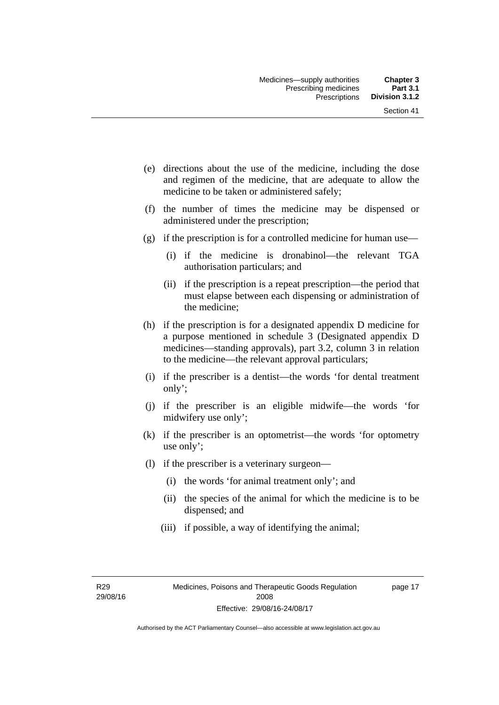- (e) directions about the use of the medicine, including the dose and regimen of the medicine, that are adequate to allow the medicine to be taken or administered safely;
- (f) the number of times the medicine may be dispensed or administered under the prescription;
- (g) if the prescription is for a controlled medicine for human use—
	- (i) if the medicine is dronabinol—the relevant TGA authorisation particulars; and
	- (ii) if the prescription is a repeat prescription—the period that must elapse between each dispensing or administration of the medicine;
- (h) if the prescription is for a designated appendix D medicine for a purpose mentioned in schedule 3 (Designated appendix D medicines—standing approvals), part 3.2, column 3 in relation to the medicine—the relevant approval particulars;
- (i) if the prescriber is a dentist—the words 'for dental treatment only';
- (j) if the prescriber is an eligible midwife—the words 'for midwifery use only';
- (k) if the prescriber is an optometrist—the words 'for optometry use only';
- (l) if the prescriber is a veterinary surgeon—
	- (i) the words 'for animal treatment only'; and
	- (ii) the species of the animal for which the medicine is to be dispensed; and
	- (iii) if possible, a way of identifying the animal;

R29 29/08/16 page 17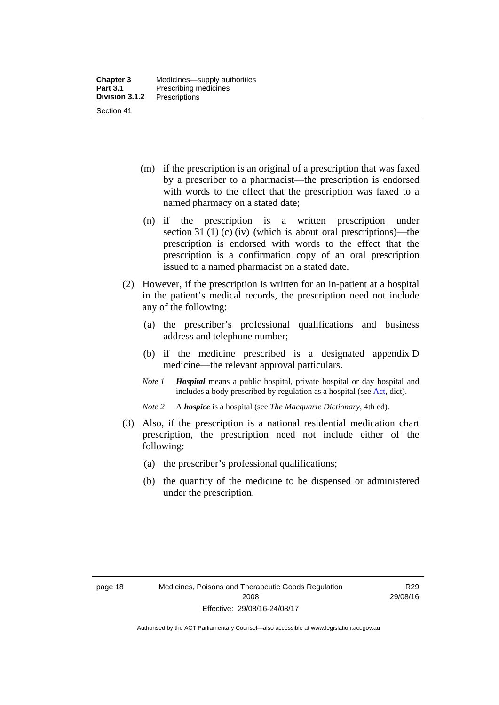- (m) if the prescription is an original of a prescription that was faxed by a prescriber to a pharmacist—the prescription is endorsed with words to the effect that the prescription was faxed to a named pharmacy on a stated date;
- (n) if the prescription is a written prescription under section 31 (1) (c) (iv) (which is about oral prescriptions)—the prescription is endorsed with words to the effect that the prescription is a confirmation copy of an oral prescription issued to a named pharmacist on a stated date.
- (2) However, if the prescription is written for an in-patient at a hospital in the patient's medical records, the prescription need not include any of the following:
	- (a) the prescriber's professional qualifications and business address and telephone number;
	- (b) if the medicine prescribed is a designated appendix D medicine—the relevant approval particulars.
	- *Note 1 Hospital* means a public hospital, private hospital or day hospital and includes a body prescribed by regulation as a hospital (see [Act,](http://www.legislation.act.gov.au/a/2008-26/default.asp) dict).
	- *Note 2* A *hospice* is a hospital (see *The Macquarie Dictionary*, 4th ed).
- (3) Also, if the prescription is a national residential medication chart prescription, the prescription need not include either of the following:
	- (a) the prescriber's professional qualifications;
	- (b) the quantity of the medicine to be dispensed or administered under the prescription.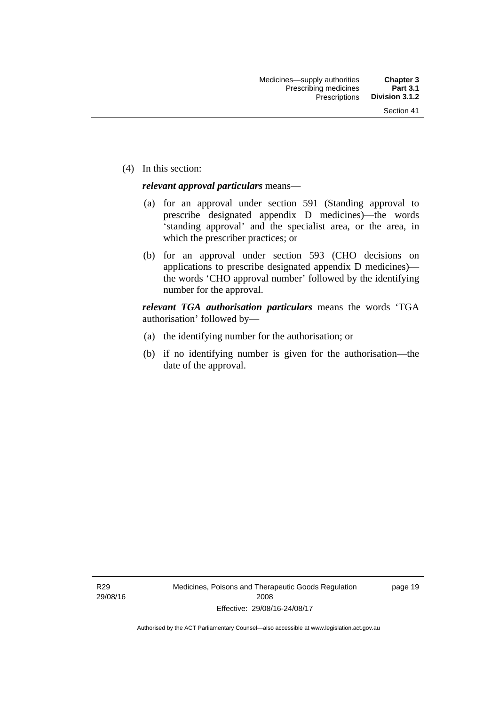(4) In this section:

#### *relevant approval particulars* means—

- (a) for an approval under section 591 (Standing approval to prescribe designated appendix D medicines)—the words 'standing approval' and the specialist area, or the area, in which the prescriber practices; or
- (b) for an approval under section 593 (CHO decisions on applications to prescribe designated appendix D medicines) the words 'CHO approval number' followed by the identifying number for the approval.

*relevant TGA authorisation particulars* means the words 'TGA authorisation' followed by—

- (a) the identifying number for the authorisation; or
- (b) if no identifying number is given for the authorisation—the date of the approval.

R29 29/08/16 page 19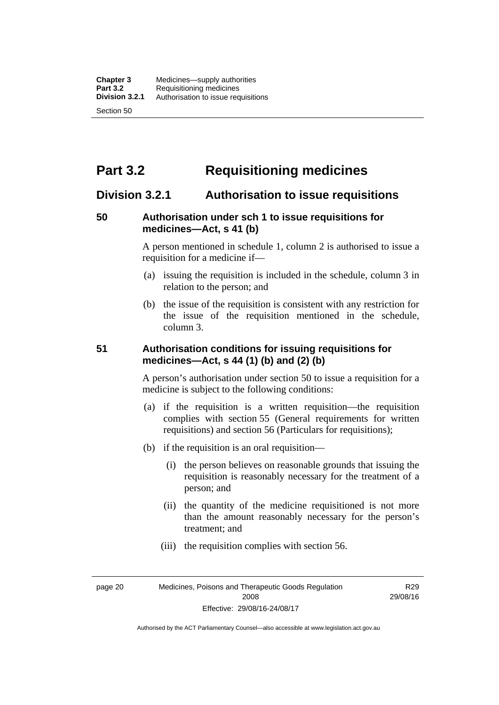# **Part 3.2 Requisitioning medicines**

# **Division 3.2.1 Authorisation to issue requisitions**

## **50 Authorisation under sch 1 to issue requisitions for medicines—Act, s 41 (b)**

A person mentioned in schedule 1, column 2 is authorised to issue a requisition for a medicine if—

- (a) issuing the requisition is included in the schedule, column 3 in relation to the person; and
- (b) the issue of the requisition is consistent with any restriction for the issue of the requisition mentioned in the schedule, column 3.

### **51 Authorisation conditions for issuing requisitions for medicines—Act, s 44 (1) (b) and (2) (b)**

A person's authorisation under section 50 to issue a requisition for a medicine is subject to the following conditions:

- (a) if the requisition is a written requisition—the requisition complies with section 55 (General requirements for written requisitions) and section 56 (Particulars for requisitions);
- (b) if the requisition is an oral requisition—
	- (i) the person believes on reasonable grounds that issuing the requisition is reasonably necessary for the treatment of a person; and
	- (ii) the quantity of the medicine requisitioned is not more than the amount reasonably necessary for the person's treatment; and
	- (iii) the requisition complies with section 56.

page 20 Medicines, Poisons and Therapeutic Goods Regulation 2008 Effective: 29/08/16-24/08/17

R29 29/08/16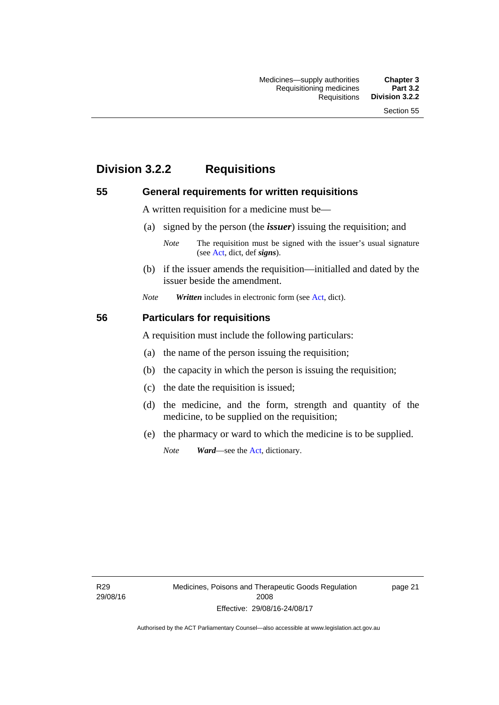# **Division 3.2.2 Requisitions**

#### **55 General requirements for written requisitions**

A written requisition for a medicine must be—

(a) signed by the person (the *issuer*) issuing the requisition; and

 (b) if the issuer amends the requisition—initialled and dated by the issuer beside the amendment.

*Note Written* includes in electronic form (see [Act,](http://www.legislation.act.gov.au/a/2008-26/default.asp) dict).

#### **56 Particulars for requisitions**

A requisition must include the following particulars:

- (a) the name of the person issuing the requisition;
- (b) the capacity in which the person is issuing the requisition;
- (c) the date the requisition is issued;
- (d) the medicine, and the form, strength and quantity of the medicine, to be supplied on the requisition;
- (e) the pharmacy or ward to which the medicine is to be supplied.

*Note Ward*—see the [Act](http://www.legislation.act.gov.au/a/2008-26/default.asp), dictionary.

R29 29/08/16 page 21

*Note* The requisition must be signed with the issuer's usual signature (see [Act](http://www.legislation.act.gov.au/a/2008-26/default.asp), dict, def *signs*).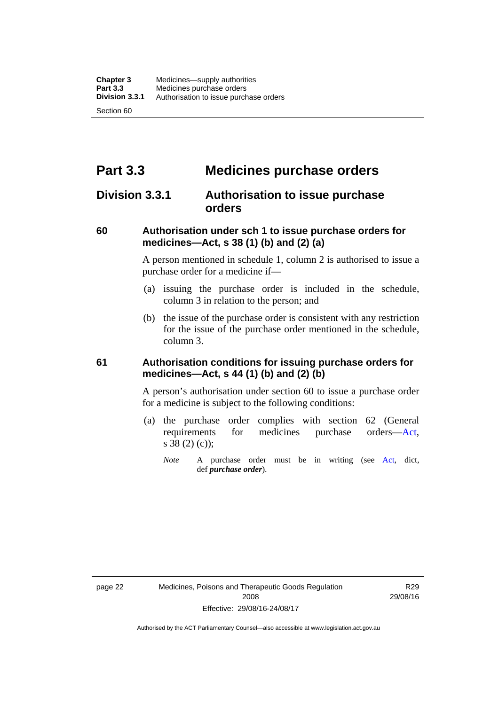# **Part 3.3 Medicines purchase orders**

# **Division 3.3.1 Authorisation to issue purchase orders**

## **60 Authorisation under sch 1 to issue purchase orders for medicines—Act, s 38 (1) (b) and (2) (a)**

A person mentioned in schedule 1, column 2 is authorised to issue a purchase order for a medicine if—

- (a) issuing the purchase order is included in the schedule, column 3 in relation to the person; and
- (b) the issue of the purchase order is consistent with any restriction for the issue of the purchase order mentioned in the schedule, column 3.

### **61 Authorisation conditions for issuing purchase orders for medicines—Act, s 44 (1) (b) and (2) (b)**

A person's authorisation under section 60 to issue a purchase order for a medicine is subject to the following conditions:

- (a) the purchase order complies with section 62 (General requirements for medicines purchase orders[—Act](http://www.legislation.act.gov.au/a/2008-26/default.asp), s 38 (2) (c));
	- *Note* A purchase order must be in writing (see [Act,](http://www.legislation.act.gov.au/a/2008-26/default.asp) dict, def *purchase order*).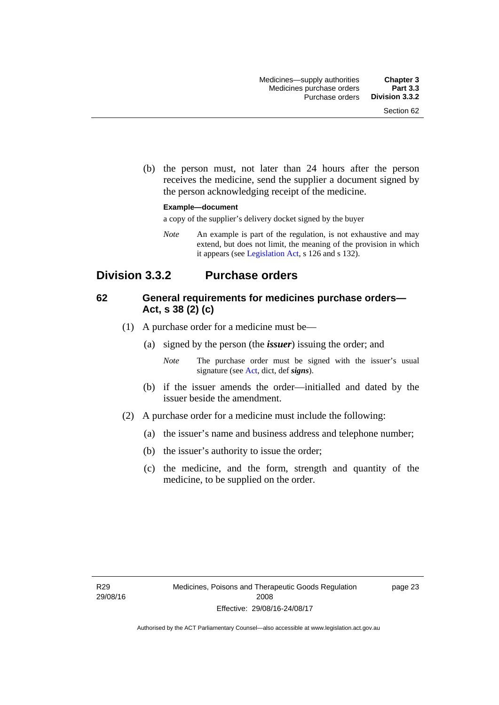(b) the person must, not later than 24 hours after the person receives the medicine, send the supplier a document signed by the person acknowledging receipt of the medicine.

#### **Example—document**

a copy of the supplier's delivery docket signed by the buyer

*Note* An example is part of the regulation, is not exhaustive and may extend, but does not limit, the meaning of the provision in which it appears (see [Legislation Act,](http://www.legislation.act.gov.au/a/2001-14) s 126 and s 132).

# **Division 3.3.2 Purchase orders**

## **62 General requirements for medicines purchase orders— Act, s 38 (2) (c)**

- (1) A purchase order for a medicine must be—
	- (a) signed by the person (the *issuer*) issuing the order; and
		- *Note* The purchase order must be signed with the issuer's usual signature (see [Act](http://www.legislation.act.gov.au/a/2008-26/default.asp), dict, def *signs*).
	- (b) if the issuer amends the order—initialled and dated by the issuer beside the amendment.
- (2) A purchase order for a medicine must include the following:
	- (a) the issuer's name and business address and telephone number;
	- (b) the issuer's authority to issue the order;
	- (c) the medicine, and the form, strength and quantity of the medicine, to be supplied on the order.

page 23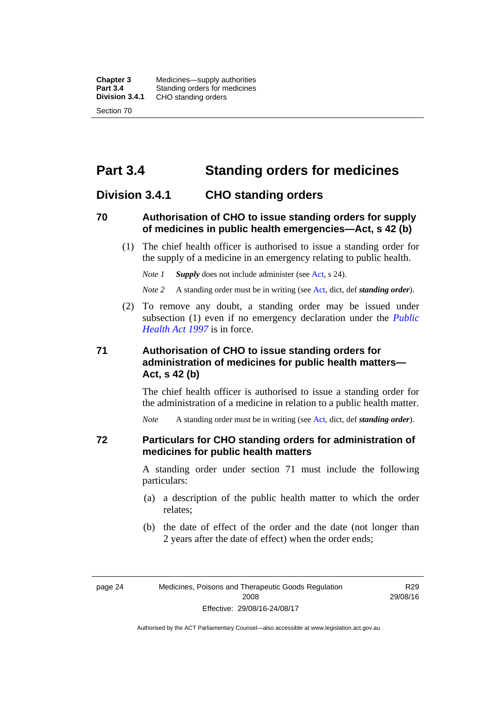**Chapter 3** Medicines—supply authorities<br>**Part 3.4** Standing orders for medicines **Part 3.4 Standing orders for medicines<br>
<b>Division 3.4.1** CHO standing orders **Division 3.4.1** CHO standing orders Section 70

# **Part 3.4 Standing orders for medicines**

## **Division 3.4.1 CHO standing orders**

#### **70 Authorisation of CHO to issue standing orders for supply of medicines in public health emergencies—Act, s 42 (b)**

 (1) The chief health officer is authorised to issue a standing order for the supply of a medicine in an emergency relating to public health.

*Note 1 Supply* does not include administer (see [Act,](http://www.legislation.act.gov.au/a/2008-26/default.asp) s 24).

*Note 2* A standing order must be in writing (see [Act](http://www.legislation.act.gov.au/a/2008-26/default.asp), dict, def *standing order*).

 (2) To remove any doubt, a standing order may be issued under subsection (1) even if no emergency declaration under the *[Public](http://www.legislation.act.gov.au/a/1997-69)  [Health Act 1997](http://www.legislation.act.gov.au/a/1997-69)* is in force.

## **71 Authorisation of CHO to issue standing orders for administration of medicines for public health matters— Act, s 42 (b)**

The chief health officer is authorised to issue a standing order for the administration of a medicine in relation to a public health matter.

*Note* A standing order must be in writing (see [Act](http://www.legislation.act.gov.au/a/2008-26/default.asp), dict, def *standing order*).

#### **72 Particulars for CHO standing orders for administration of medicines for public health matters**

A standing order under section 71 must include the following particulars:

- (a) a description of the public health matter to which the order relates;
- (b) the date of effect of the order and the date (not longer than 2 years after the date of effect) when the order ends;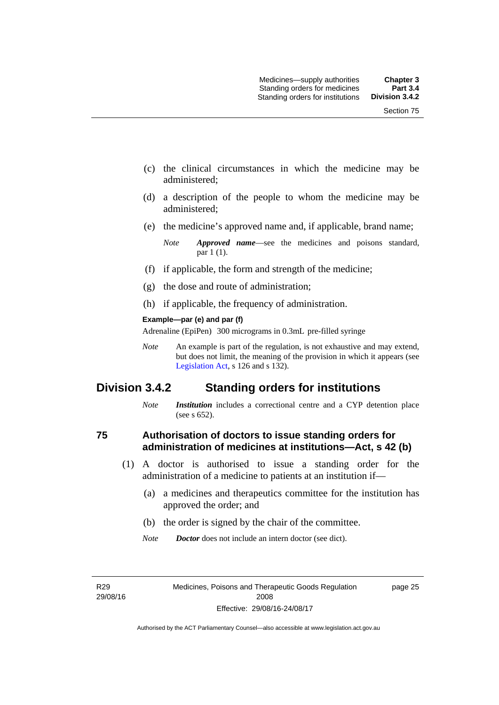- (c) the clinical circumstances in which the medicine may be administered;
- (d) a description of the people to whom the medicine may be administered;
- (e) the medicine's approved name and, if applicable, brand name;

- (f) if applicable, the form and strength of the medicine;
- (g) the dose and route of administration;
- (h) if applicable, the frequency of administration.

#### **Example—par (e) and par (f)**

Adrenaline (EpiPen) 300 micrograms in 0.3mL pre-filled syringe

*Note* An example is part of the regulation, is not exhaustive and may extend, but does not limit, the meaning of the provision in which it appears (see [Legislation Act,](http://www.legislation.act.gov.au/a/2001-14) s 126 and s 132).

# **Division 3.4.2 Standing orders for institutions**

*Note Institution* includes a correctional centre and a CYP detention place (see s 652).

#### **75 Authorisation of doctors to issue standing orders for administration of medicines at institutions—Act, s 42 (b)**

- (1) A doctor is authorised to issue a standing order for the administration of a medicine to patients at an institution if—
	- (a) a medicines and therapeutics committee for the institution has approved the order; and
	- (b) the order is signed by the chair of the committee.
	- *Note Doctor* does not include an intern doctor (see dict).

R29 29/08/16 page 25

*Note Approved name*—see the medicines and poisons standard, par 1 (1).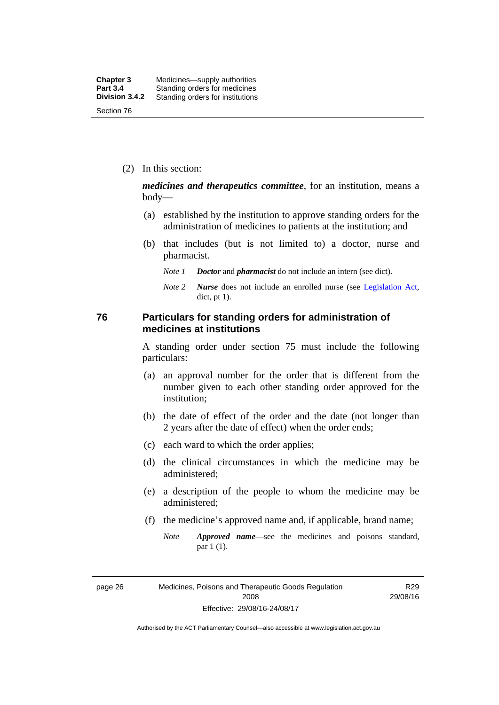(2) In this section:

*medicines and therapeutics committee*, for an institution, means a body—

- (a) established by the institution to approve standing orders for the administration of medicines to patients at the institution; and
- (b) that includes (but is not limited to) a doctor, nurse and pharmacist.
	- *Note 1 Doctor* and *pharmacist* do not include an intern (see dict).
	- *Note 2 Nurse* does not include an enrolled nurse (see [Legislation Act,](http://www.legislation.act.gov.au/a/2001-14) dict, pt 1).

#### **76 Particulars for standing orders for administration of medicines at institutions**

A standing order under section 75 must include the following particulars:

- (a) an approval number for the order that is different from the number given to each other standing order approved for the institution;
- (b) the date of effect of the order and the date (not longer than 2 years after the date of effect) when the order ends;
- (c) each ward to which the order applies;
- (d) the clinical circumstances in which the medicine may be administered;
- (e) a description of the people to whom the medicine may be administered;
- (f) the medicine's approved name and, if applicable, brand name;
	- *Note Approved name*—see the medicines and poisons standard, par 1 (1).

page 26 Medicines, Poisons and Therapeutic Goods Regulation 2008 Effective: 29/08/16-24/08/17

R29 29/08/16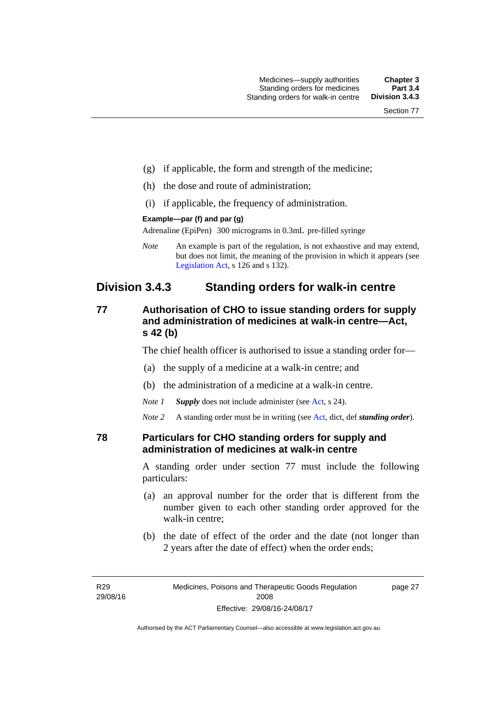- (g) if applicable, the form and strength of the medicine;
- (h) the dose and route of administration;
- (i) if applicable, the frequency of administration.

#### **Example—par (f) and par (g)**

Adrenaline (EpiPen) 300 micrograms in 0.3mL pre-filled syringe

*Note* An example is part of the regulation, is not exhaustive and may extend, but does not limit, the meaning of the provision in which it appears (see [Legislation Act,](http://www.legislation.act.gov.au/a/2001-14) s 126 and s 132).

# **Division 3.4.3 Standing orders for walk-in centre**

## **77 Authorisation of CHO to issue standing orders for supply and administration of medicines at walk-in centre—Act, s 42 (b)**

The chief health officer is authorised to issue a standing order for—

- (a) the supply of a medicine at a walk-in centre; and
- (b) the administration of a medicine at a walk-in centre.

*Note 1 Supply* does not include administer (see [Act,](http://www.legislation.act.gov.au/a/2008-26/default.asp) s 24).

*Note 2* A standing order must be in writing (see [Act](http://www.legislation.act.gov.au/a/2008-26/default.asp), dict, def *standing order*).

#### **78 Particulars for CHO standing orders for supply and administration of medicines at walk-in centre**

A standing order under section 77 must include the following particulars:

- (a) an approval number for the order that is different from the number given to each other standing order approved for the walk-in centre;
- (b) the date of effect of the order and the date (not longer than 2 years after the date of effect) when the order ends;

page 27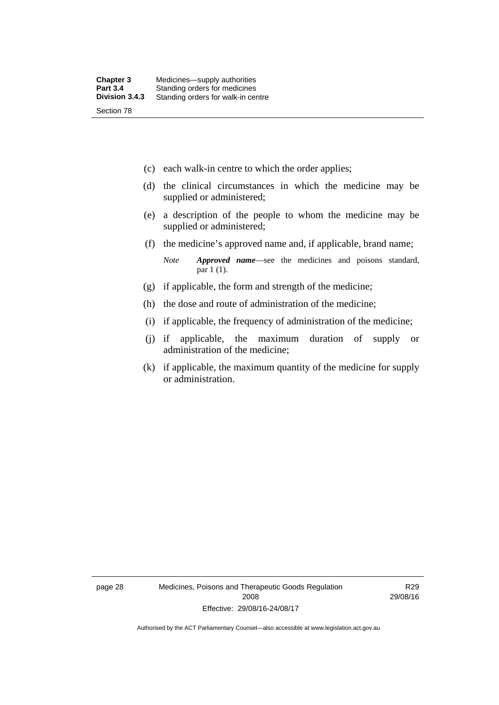- (c) each walk-in centre to which the order applies;
- (d) the clinical circumstances in which the medicine may be supplied or administered;
- (e) a description of the people to whom the medicine may be supplied or administered;
- (f) the medicine's approved name and, if applicable, brand name;

*Note Approved name*—see the medicines and poisons standard, par 1 (1).

- (g) if applicable, the form and strength of the medicine;
- (h) the dose and route of administration of the medicine;
- (i) if applicable, the frequency of administration of the medicine;
- (j) if applicable, the maximum duration of supply or administration of the medicine;
- (k) if applicable, the maximum quantity of the medicine for supply or administration.

page 28 Medicines, Poisons and Therapeutic Goods Regulation 2008 Effective: 29/08/16-24/08/17

R29 29/08/16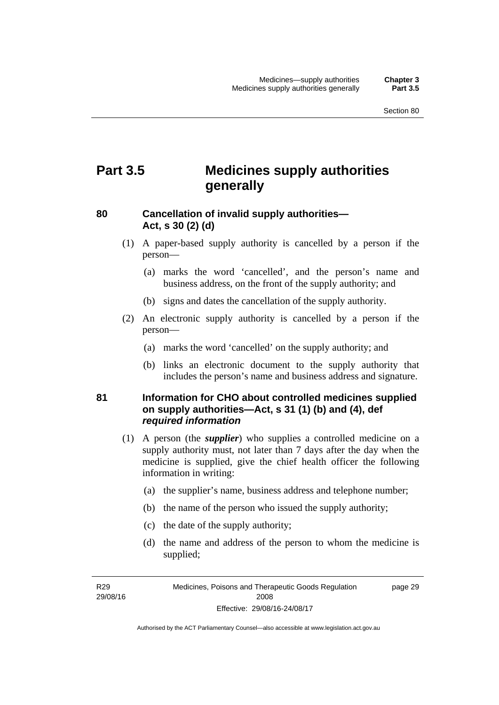# **Part 3.5 Medicines supply authorities generally**

## **80 Cancellation of invalid supply authorities— Act, s 30 (2) (d)**

- (1) A paper-based supply authority is cancelled by a person if the person—
	- (a) marks the word 'cancelled', and the person's name and business address, on the front of the supply authority; and
	- (b) signs and dates the cancellation of the supply authority.
- (2) An electronic supply authority is cancelled by a person if the person—
	- (a) marks the word 'cancelled' on the supply authority; and
	- (b) links an electronic document to the supply authority that includes the person's name and business address and signature.

## **81 Information for CHO about controlled medicines supplied on supply authorities—Act, s 31 (1) (b) and (4), def**  *required information*

- (1) A person (the *supplier*) who supplies a controlled medicine on a supply authority must, not later than 7 days after the day when the medicine is supplied, give the chief health officer the following information in writing:
	- (a) the supplier's name, business address and telephone number;
	- (b) the name of the person who issued the supply authority;
	- (c) the date of the supply authority;
	- (d) the name and address of the person to whom the medicine is supplied;

R29 29/08/16 page 29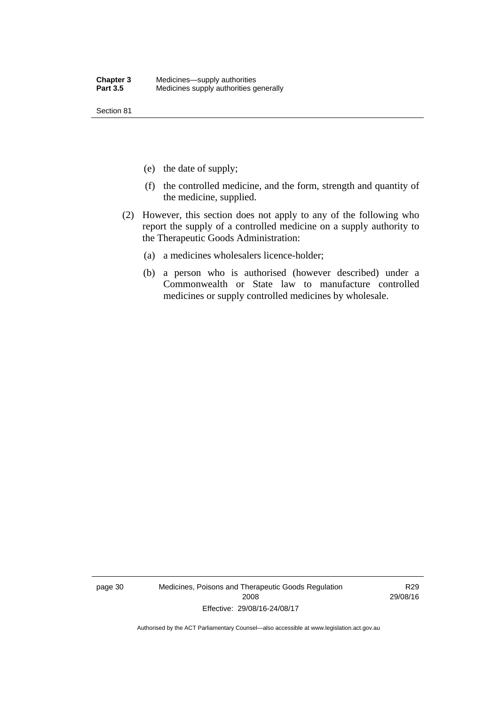Section 81

- (e) the date of supply;
- (f) the controlled medicine, and the form, strength and quantity of the medicine, supplied.
- (2) However, this section does not apply to any of the following who report the supply of a controlled medicine on a supply authority to the Therapeutic Goods Administration:
	- (a) a medicines wholesalers licence-holder;
	- (b) a person who is authorised (however described) under a Commonwealth or State law to manufacture controlled medicines or supply controlled medicines by wholesale.

page 30 Medicines, Poisons and Therapeutic Goods Regulation 2008 Effective: 29/08/16-24/08/17

R29 29/08/16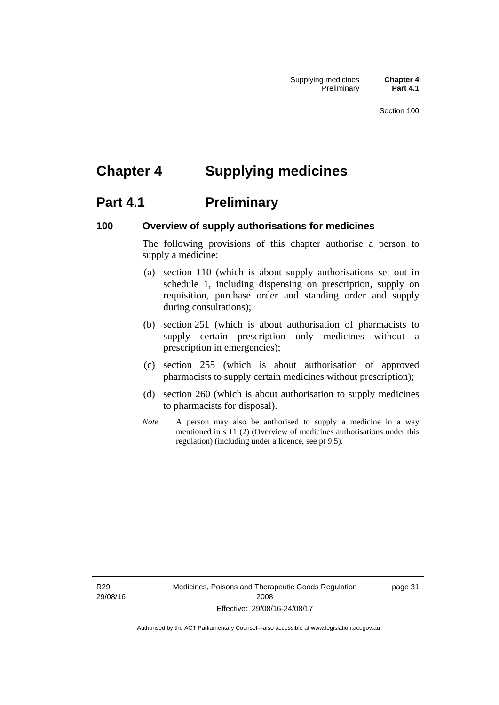# **Chapter 4 Supplying medicines**

# **Part 4.1** Preliminary

#### **100 Overview of supply authorisations for medicines**

The following provisions of this chapter authorise a person to supply a medicine:

- (a) section 110 (which is about supply authorisations set out in schedule 1, including dispensing on prescription, supply on requisition, purchase order and standing order and supply during consultations);
- (b) section 251 (which is about authorisation of pharmacists to supply certain prescription only medicines without a prescription in emergencies);
- (c) section 255 (which is about authorisation of approved pharmacists to supply certain medicines without prescription);
- (d) section 260 (which is about authorisation to supply medicines to pharmacists for disposal).
- *Note* A person may also be authorised to supply a medicine in a way mentioned in s 11 (2) (Overview of medicines authorisations under this regulation) (including under a licence, see pt 9.5).

R29 29/08/16 Medicines, Poisons and Therapeutic Goods Regulation 2008 Effective: 29/08/16-24/08/17

page 31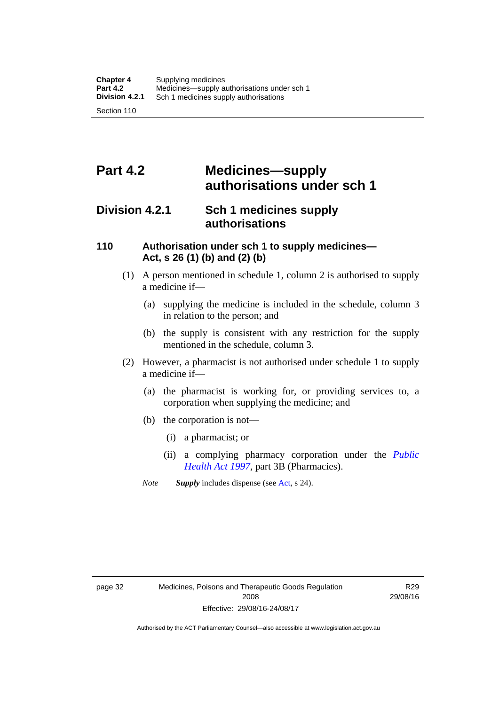# **Part 4.2 Medicines—supply authorisations under sch 1**

# **Division 4.2.1 Sch 1 medicines supply authorisations**

### **110 Authorisation under sch 1 to supply medicines— Act, s 26 (1) (b) and (2) (b)**

- (1) A person mentioned in schedule 1, column 2 is authorised to supply a medicine if—
	- (a) supplying the medicine is included in the schedule, column 3 in relation to the person; and
	- (b) the supply is consistent with any restriction for the supply mentioned in the schedule, column 3.
- (2) However, a pharmacist is not authorised under schedule 1 to supply a medicine if—
	- (a) the pharmacist is working for, or providing services to, a corporation when supplying the medicine; and
	- (b) the corporation is not—
		- (i) a pharmacist; or
		- (ii) a complying pharmacy corporation under the *[Public](http://www.legislation.act.gov.au/a/1997-69)  [Health Act 1997](http://www.legislation.act.gov.au/a/1997-69)*, part 3B (Pharmacies).
	- *Note Supply* includes dispense (see [Act,](http://www.legislation.act.gov.au/a/2008-26/default.asp) s 24).

R29 29/08/16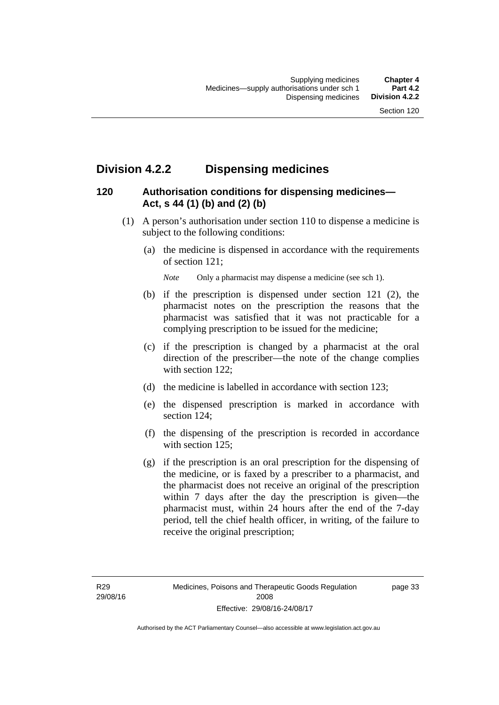# **Division 4.2.2 Dispensing medicines**

## **120 Authorisation conditions for dispensing medicines— Act, s 44 (1) (b) and (2) (b)**

- (1) A person's authorisation under section 110 to dispense a medicine is subject to the following conditions:
	- (a) the medicine is dispensed in accordance with the requirements of section 121;

*Note* Only a pharmacist may dispense a medicine (see sch 1).

- (b) if the prescription is dispensed under section 121 (2), the pharmacist notes on the prescription the reasons that the pharmacist was satisfied that it was not practicable for a complying prescription to be issued for the medicine;
- (c) if the prescription is changed by a pharmacist at the oral direction of the prescriber—the note of the change complies with section 122;
- (d) the medicine is labelled in accordance with section 123;
- (e) the dispensed prescription is marked in accordance with section 124;
- (f) the dispensing of the prescription is recorded in accordance with section 125:
- (g) if the prescription is an oral prescription for the dispensing of the medicine, or is faxed by a prescriber to a pharmacist, and the pharmacist does not receive an original of the prescription within 7 days after the day the prescription is given—the pharmacist must, within 24 hours after the end of the 7-day period, tell the chief health officer, in writing, of the failure to receive the original prescription;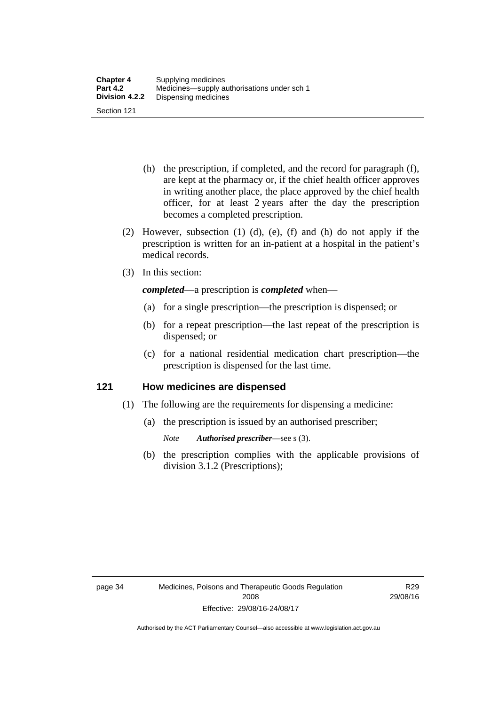- (h) the prescription, if completed, and the record for paragraph (f), are kept at the pharmacy or, if the chief health officer approves in writing another place, the place approved by the chief health officer, for at least 2 years after the day the prescription becomes a completed prescription.
- (2) However, subsection (1) (d), (e), (f) and (h) do not apply if the prescription is written for an in-patient at a hospital in the patient's medical records.
- (3) In this section:

*completed*—a prescription is *completed* when—

- (a) for a single prescription—the prescription is dispensed; or
- (b) for a repeat prescription—the last repeat of the prescription is dispensed; or
- (c) for a national residential medication chart prescription––the prescription is dispensed for the last time.

#### **121 How medicines are dispensed**

- (1) The following are the requirements for dispensing a medicine:
	- (a) the prescription is issued by an authorised prescriber;
		- *Note Authorised prescriber*—see s (3).
	- (b) the prescription complies with the applicable provisions of division 3.1.2 (Prescriptions);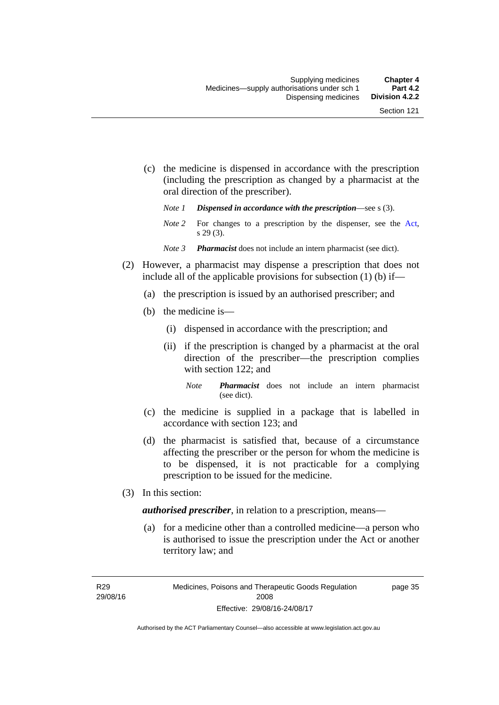- (c) the medicine is dispensed in accordance with the prescription (including the prescription as changed by a pharmacist at the oral direction of the prescriber).
	- *Note 1 Dispensed in accordance with the prescription*—see s (3).
	- *Note* 2 For changes to a prescription by the dispenser, see the [Act,](http://www.legislation.act.gov.au/a/2008-26/default.asp) s 29 (3).
	- *Note 3 Pharmacist* does not include an intern pharmacist (see dict).
- (2) However, a pharmacist may dispense a prescription that does not include all of the applicable provisions for subsection (1) (b) if—
	- (a) the prescription is issued by an authorised prescriber; and
	- (b) the medicine is—
		- (i) dispensed in accordance with the prescription; and
		- (ii) if the prescription is changed by a pharmacist at the oral direction of the prescriber—the prescription complies with section 122; and
			- *Note Pharmacist* does not include an intern pharmacist (see dict).
	- (c) the medicine is supplied in a package that is labelled in accordance with section 123; and
	- (d) the pharmacist is satisfied that, because of a circumstance affecting the prescriber or the person for whom the medicine is to be dispensed, it is not practicable for a complying prescription to be issued for the medicine.
- (3) In this section:

*authorised prescriber*, in relation to a prescription, means—

 (a) for a medicine other than a controlled medicine—a person who is authorised to issue the prescription under the Act or another territory law; and

R29 29/08/16 page 35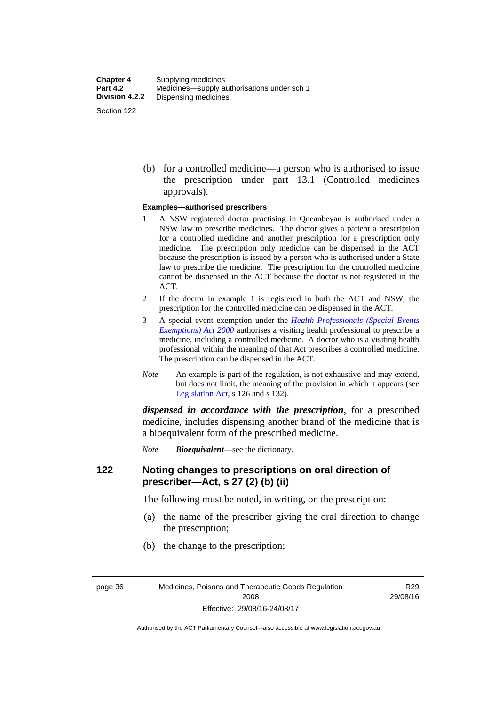(b) for a controlled medicine—a person who is authorised to issue the prescription under part 13.1 (Controlled medicines approvals).

#### **Examples—authorised prescribers**

- 1 A NSW registered doctor practising in Queanbeyan is authorised under a NSW law to prescribe medicines. The doctor gives a patient a prescription for a controlled medicine and another prescription for a prescription only medicine. The prescription only medicine can be dispensed in the ACT because the prescription is issued by a person who is authorised under a State law to prescribe the medicine. The prescription for the controlled medicine cannot be dispensed in the ACT because the doctor is not registered in the ACT.
- 2 If the doctor in example 1 is registered in both the ACT and NSW, the prescription for the controlled medicine can be dispensed in the ACT.
- 3 A special event exemption under the *[Health Professionals \(Special Events](http://www.legislation.act.gov.au/a/2000-25)  [Exemptions\) Act 2000](http://www.legislation.act.gov.au/a/2000-25)* authorises a visiting health professional to prescribe a medicine, including a controlled medicine. A doctor who is a visiting health professional within the meaning of that Act prescribes a controlled medicine. The prescription can be dispensed in the ACT.
- *Note* An example is part of the regulation, is not exhaustive and may extend, but does not limit, the meaning of the provision in which it appears (see [Legislation Act,](http://www.legislation.act.gov.au/a/2001-14) s 126 and s 132).

*dispensed in accordance with the prescription*, for a prescribed medicine, includes dispensing another brand of the medicine that is a bioequivalent form of the prescribed medicine.

*Note Bioequivalent*—see the dictionary.

#### **122 Noting changes to prescriptions on oral direction of prescriber—Act, s 27 (2) (b) (ii)**

The following must be noted, in writing, on the prescription:

- (a) the name of the prescriber giving the oral direction to change the prescription;
- (b) the change to the prescription;

R29 29/08/16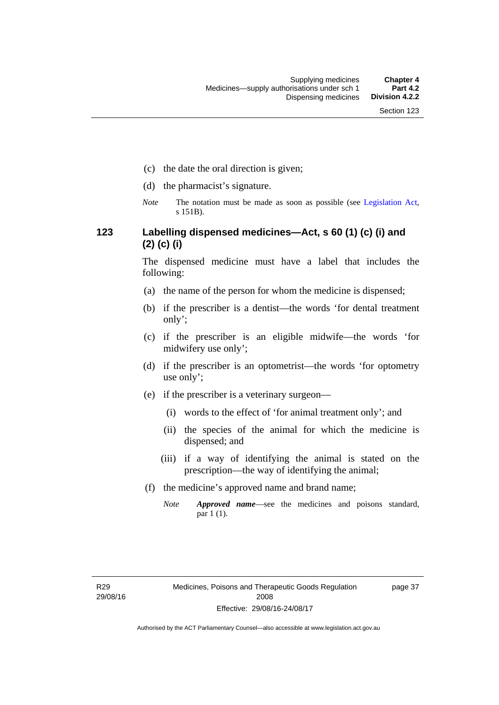- (c) the date the oral direction is given;
- (d) the pharmacist's signature.
- *Note* The notation must be made as soon as possible (see [Legislation Act,](http://www.legislation.act.gov.au/a/2001-14) s 151B).

## **123 Labelling dispensed medicines—Act, s 60 (1) (c) (i) and (2) (c) (i)**

The dispensed medicine must have a label that includes the following:

- (a) the name of the person for whom the medicine is dispensed;
- (b) if the prescriber is a dentist—the words 'for dental treatment only';
- (c) if the prescriber is an eligible midwife—the words 'for midwifery use only';
- (d) if the prescriber is an optometrist—the words 'for optometry use only';
- (e) if the prescriber is a veterinary surgeon—
	- (i) words to the effect of 'for animal treatment only'; and
	- (ii) the species of the animal for which the medicine is dispensed; and
	- (iii) if a way of identifying the animal is stated on the prescription—the way of identifying the animal;
- (f) the medicine's approved name and brand name;
	- *Note Approved name*—see the medicines and poisons standard, par 1 (1).

page 37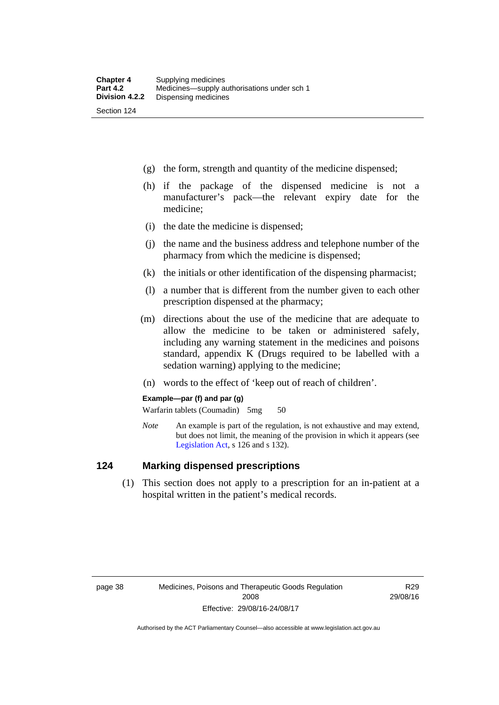- (g) the form, strength and quantity of the medicine dispensed;
- (h) if the package of the dispensed medicine is not a manufacturer's pack—the relevant expiry date for the medicine;
- (i) the date the medicine is dispensed;
- (j) the name and the business address and telephone number of the pharmacy from which the medicine is dispensed;
- (k) the initials or other identification of the dispensing pharmacist;
- (l) a number that is different from the number given to each other prescription dispensed at the pharmacy;
- (m) directions about the use of the medicine that are adequate to allow the medicine to be taken or administered safely, including any warning statement in the medicines and poisons standard, appendix K (Drugs required to be labelled with a sedation warning) applying to the medicine;
- (n) words to the effect of 'keep out of reach of children'.

#### **Example—par (f) and par (g)**

Warfarin tablets (Coumadin) 5mg 50

*Note* An example is part of the regulation, is not exhaustive and may extend, but does not limit, the meaning of the provision in which it appears (see [Legislation Act,](http://www.legislation.act.gov.au/a/2001-14) s 126 and s 132).

#### **124 Marking dispensed prescriptions**

 (1) This section does not apply to a prescription for an in-patient at a hospital written in the patient's medical records.

R29 29/08/16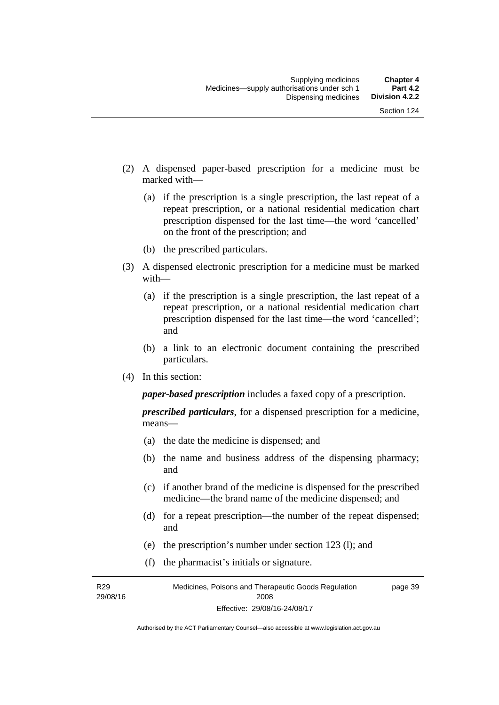- (2) A dispensed paper-based prescription for a medicine must be marked with—
	- (a) if the prescription is a single prescription, the last repeat of a repeat prescription, or a national residential medication chart prescription dispensed for the last time––the word 'cancelled' on the front of the prescription; and
	- (b) the prescribed particulars.
- (3) A dispensed electronic prescription for a medicine must be marked with—
	- (a) if the prescription is a single prescription, the last repeat of a repeat prescription, or a national residential medication chart prescription dispensed for the last time––the word 'cancelled'; and
	- (b) a link to an electronic document containing the prescribed particulars.
- (4) In this section:

*paper-based prescription* includes a faxed copy of a prescription.

*prescribed particulars*, for a dispensed prescription for a medicine, means—

- (a) the date the medicine is dispensed; and
- (b) the name and business address of the dispensing pharmacy; and
- (c) if another brand of the medicine is dispensed for the prescribed medicine—the brand name of the medicine dispensed; and
- (d) for a repeat prescription—the number of the repeat dispensed; and
- (e) the prescription's number under section 123 (l); and
- (f) the pharmacist's initials or signature.

R29 29/08/16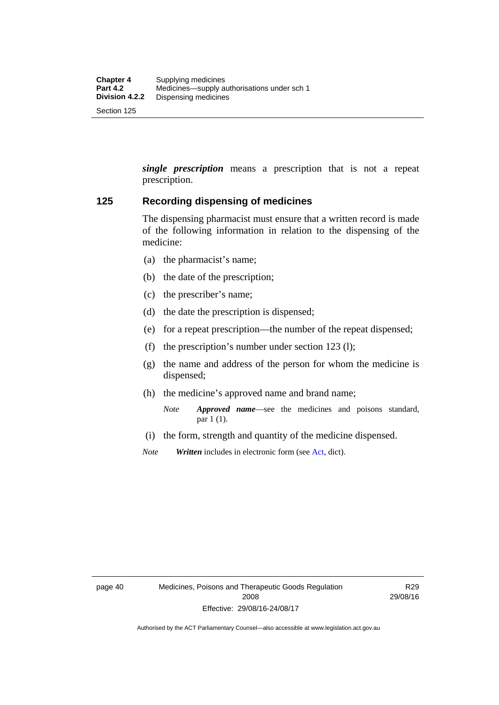*single prescription* means a prescription that is not a repeat prescription.

#### **125 Recording dispensing of medicines**

The dispensing pharmacist must ensure that a written record is made of the following information in relation to the dispensing of the medicine:

- (a) the pharmacist's name;
- (b) the date of the prescription;
- (c) the prescriber's name;
- (d) the date the prescription is dispensed;
- (e) for a repeat prescription—the number of the repeat dispensed;
- (f) the prescription's number under section 123 (l);
- (g) the name and address of the person for whom the medicine is dispensed;
- (h) the medicine's approved name and brand name;
	- *Note Approved name*—see the medicines and poisons standard, par 1 (1).
- (i) the form, strength and quantity of the medicine dispensed.
- *Note Written* includes in electronic form (see [Act,](http://www.legislation.act.gov.au/a/2008-26/default.asp) dict).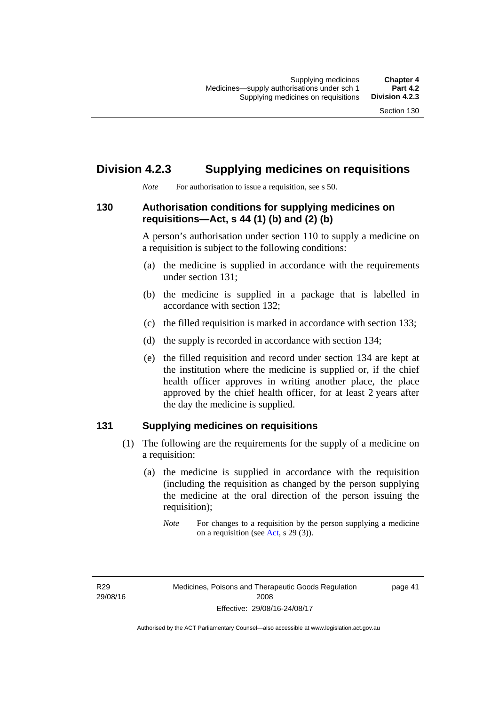# **Division 4.2.3 Supplying medicines on requisitions**

*Note* For authorisation to issue a requisition, see s 50.

### **130 Authorisation conditions for supplying medicines on requisitions—Act, s 44 (1) (b) and (2) (b)**

A person's authorisation under section 110 to supply a medicine on a requisition is subject to the following conditions:

- (a) the medicine is supplied in accordance with the requirements under section 131;
- (b) the medicine is supplied in a package that is labelled in accordance with section 132;
- (c) the filled requisition is marked in accordance with section 133;
- (d) the supply is recorded in accordance with section 134;
- (e) the filled requisition and record under section 134 are kept at the institution where the medicine is supplied or, if the chief health officer approves in writing another place, the place approved by the chief health officer, for at least 2 years after the day the medicine is supplied.

## **131 Supplying medicines on requisitions**

- (1) The following are the requirements for the supply of a medicine on a requisition:
	- (a) the medicine is supplied in accordance with the requisition (including the requisition as changed by the person supplying the medicine at the oral direction of the person issuing the requisition);

R29 29/08/16 page 41

*Note* For changes to a requisition by the person supplying a medicine on a requisition (see [Act,](http://www.legislation.act.gov.au/a/2008-26/default.asp) s 29 (3)).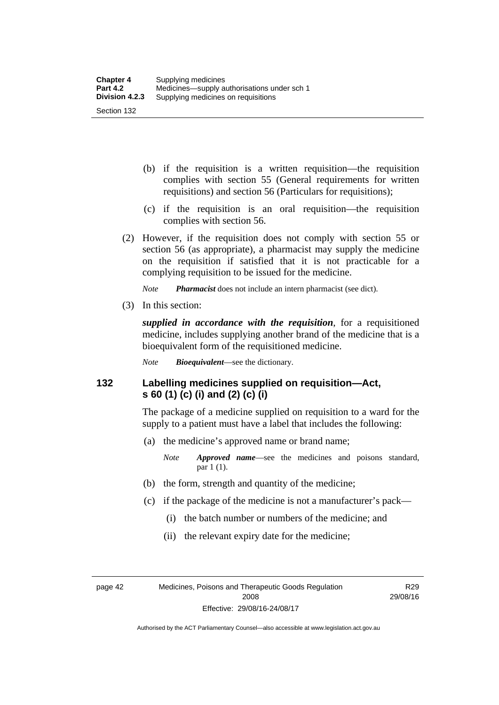- (b) if the requisition is a written requisition—the requisition complies with section 55 (General requirements for written requisitions) and section 56 (Particulars for requisitions);
- (c) if the requisition is an oral requisition—the requisition complies with section 56.
- (2) However, if the requisition does not comply with section 55 or section 56 (as appropriate), a pharmacist may supply the medicine on the requisition if satisfied that it is not practicable for a complying requisition to be issued for the medicine.

*Note Pharmacist* does not include an intern pharmacist (see dict).

(3) In this section:

*supplied in accordance with the requisition*, for a requisitioned medicine, includes supplying another brand of the medicine that is a bioequivalent form of the requisitioned medicine.

*Note Bioequivalent*—see the dictionary.

### **132 Labelling medicines supplied on requisition—Act, s 60 (1) (c) (i) and (2) (c) (i)**

The package of a medicine supplied on requisition to a ward for the supply to a patient must have a label that includes the following:

(a) the medicine's approved name or brand name;

*Note Approved name*—see the medicines and poisons standard, par 1 (1).

- (b) the form, strength and quantity of the medicine;
- (c) if the package of the medicine is not a manufacturer's pack—
	- (i) the batch number or numbers of the medicine; and
	- (ii) the relevant expiry date for the medicine;

page 42 Medicines, Poisons and Therapeutic Goods Regulation 2008 Effective: 29/08/16-24/08/17

R29 29/08/16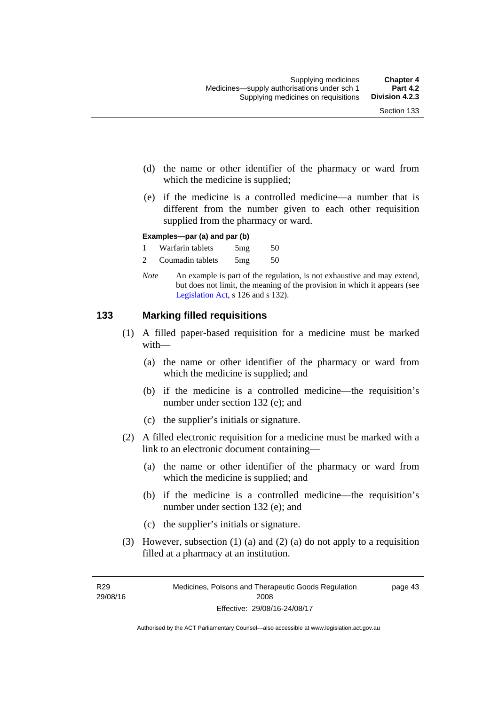- (d) the name or other identifier of the pharmacy or ward from which the medicine is supplied;
- (e) if the medicine is a controlled medicine—a number that is different from the number given to each other requisition supplied from the pharmacy or ward.

#### **Examples—par (a) and par (b)**

- 1 Warfarin tablets 5mg 50
- 2 Coumadin tablets 5mg 50
- *Note* An example is part of the regulation, is not exhaustive and may extend, but does not limit, the meaning of the provision in which it appears (see [Legislation Act,](http://www.legislation.act.gov.au/a/2001-14) s 126 and s 132).

#### **133 Marking filled requisitions**

- (1) A filled paper-based requisition for a medicine must be marked with—
	- (a) the name or other identifier of the pharmacy or ward from which the medicine is supplied; and
	- (b) if the medicine is a controlled medicine—the requisition's number under section 132 (e); and
	- (c) the supplier's initials or signature.
- (2) A filled electronic requisition for a medicine must be marked with a link to an electronic document containing—
	- (a) the name or other identifier of the pharmacy or ward from which the medicine is supplied; and
	- (b) if the medicine is a controlled medicine—the requisition's number under section 132 (e); and
	- (c) the supplier's initials or signature.
- (3) However, subsection (1) (a) and (2) (a) do not apply to a requisition filled at a pharmacy at an institution.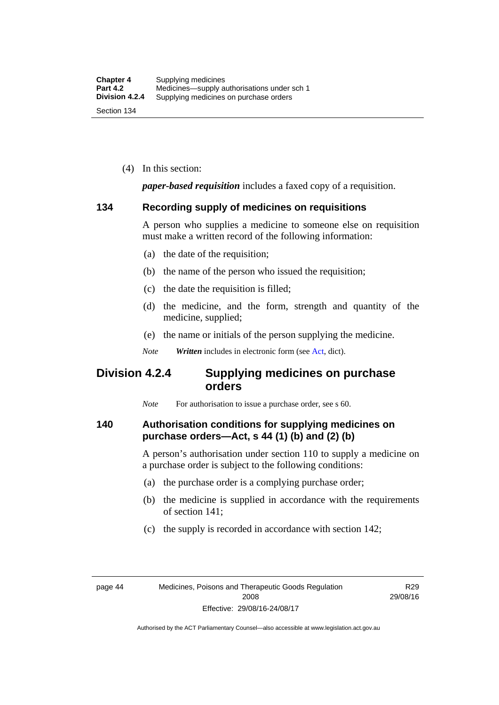(4) In this section:

*paper-based requisition* includes a faxed copy of a requisition.

#### **134 Recording supply of medicines on requisitions**

A person who supplies a medicine to someone else on requisition must make a written record of the following information:

- (a) the date of the requisition;
- (b) the name of the person who issued the requisition;
- (c) the date the requisition is filled;
- (d) the medicine, and the form, strength and quantity of the medicine, supplied;
- (e) the name or initials of the person supplying the medicine.
- *Note Written* includes in electronic form (see [Act,](http://www.legislation.act.gov.au/a/2008-26/default.asp) dict).

# **Division 4.2.4 Supplying medicines on purchase orders**

*Note* For authorisation to issue a purchase order, see s 60.

#### **140 Authorisation conditions for supplying medicines on purchase orders—Act, s 44 (1) (b) and (2) (b)**

A person's authorisation under section 110 to supply a medicine on a purchase order is subject to the following conditions:

- (a) the purchase order is a complying purchase order;
- (b) the medicine is supplied in accordance with the requirements of section 141;
- (c) the supply is recorded in accordance with section 142;

R29 29/08/16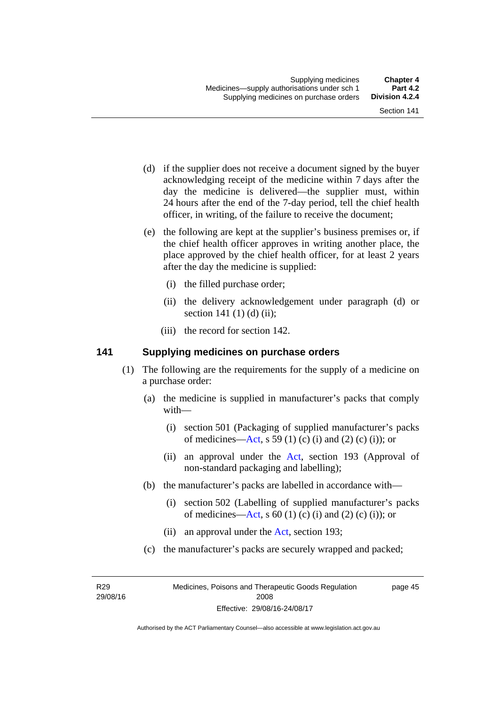- (d) if the supplier does not receive a document signed by the buyer acknowledging receipt of the medicine within 7 days after the day the medicine is delivered—the supplier must, within 24 hours after the end of the 7-day period, tell the chief health officer, in writing, of the failure to receive the document;
- (e) the following are kept at the supplier's business premises or, if the chief health officer approves in writing another place, the place approved by the chief health officer, for at least 2 years after the day the medicine is supplied:
	- (i) the filled purchase order;
	- (ii) the delivery acknowledgement under paragraph (d) or section 141 $(1)$  $(d)$  $(ii)$ ;
	- (iii) the record for section 142.

#### **141 Supplying medicines on purchase orders**

- (1) The following are the requirements for the supply of a medicine on a purchase order:
	- (a) the medicine is supplied in manufacturer's packs that comply with—
		- (i) section 501 (Packaging of supplied manufacturer's packs of medicines—[Act](http://www.legislation.act.gov.au/a/2008-26/default.asp), s 59 (1) (c) (i) and (2) (c) (i)); or
		- (ii) an approval under the [Act](http://www.legislation.act.gov.au/a/2008-26/default.asp), section 193 (Approval of non-standard packaging and labelling);
	- (b) the manufacturer's packs are labelled in accordance with—
		- (i) section 502 (Labelling of supplied manufacturer's packs of medicines—[Act](http://www.legislation.act.gov.au/a/2008-26/default.asp), s  $60(1)$  (c) (i) and (2) (c) (i)); or
		- (ii) an approval under the [Act,](http://www.legislation.act.gov.au/a/2008-26/default.asp) section 193;
	- (c) the manufacturer's packs are securely wrapped and packed;

R29 29/08/16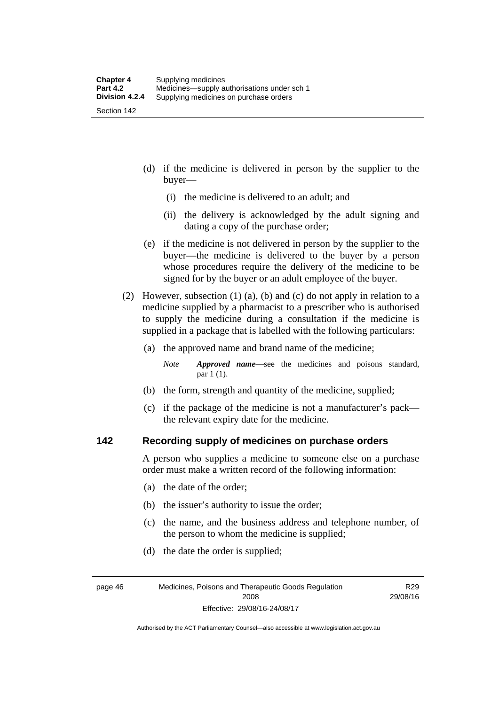(d) if the medicine is delivered in person by the supplier to the buyer—

- (i) the medicine is delivered to an adult; and
- (ii) the delivery is acknowledged by the adult signing and dating a copy of the purchase order;
- (e) if the medicine is not delivered in person by the supplier to the buyer—the medicine is delivered to the buyer by a person whose procedures require the delivery of the medicine to be signed for by the buyer or an adult employee of the buyer.
- (2) However, subsection (1) (a), (b) and (c) do not apply in relation to a medicine supplied by a pharmacist to a prescriber who is authorised to supply the medicine during a consultation if the medicine is supplied in a package that is labelled with the following particulars:
	- (a) the approved name and brand name of the medicine;
		- *Note Approved name*—see the medicines and poisons standard, par 1 (1).
	- (b) the form, strength and quantity of the medicine, supplied;
	- (c) if the package of the medicine is not a manufacturer's pack the relevant expiry date for the medicine.

#### **142 Recording supply of medicines on purchase orders**

A person who supplies a medicine to someone else on a purchase order must make a written record of the following information:

- (a) the date of the order;
- (b) the issuer's authority to issue the order;
- (c) the name, and the business address and telephone number, of the person to whom the medicine is supplied;

R29 29/08/16

(d) the date the order is supplied;

page 46 Medicines, Poisons and Therapeutic Goods Regulation 2008 Effective: 29/08/16-24/08/17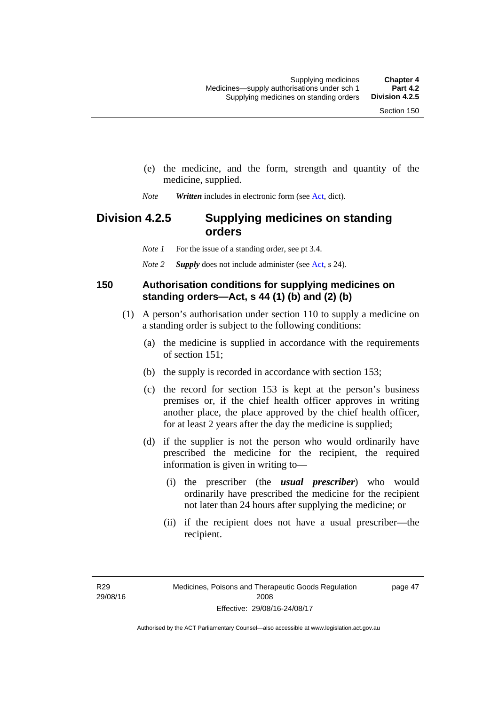- (e) the medicine, and the form, strength and quantity of the medicine, supplied.
- *Note Written* includes in electronic form (see [Act,](http://www.legislation.act.gov.au/a/2008-26/default.asp) dict).

# **Division 4.2.5 Supplying medicines on standing orders**

*Note 1* For the issue of a standing order, see pt 3.4.

*Note 2 Supply* does not include administer (see [Act,](http://www.legislation.act.gov.au/a/2008-26/default.asp) s 24).

#### **150 Authorisation conditions for supplying medicines on standing orders—Act, s 44 (1) (b) and (2) (b)**

- (1) A person's authorisation under section 110 to supply a medicine on a standing order is subject to the following conditions:
	- (a) the medicine is supplied in accordance with the requirements of section 151;
	- (b) the supply is recorded in accordance with section 153;
	- (c) the record for section 153 is kept at the person's business premises or, if the chief health officer approves in writing another place, the place approved by the chief health officer, for at least 2 years after the day the medicine is supplied;
	- (d) if the supplier is not the person who would ordinarily have prescribed the medicine for the recipient, the required information is given in writing to—
		- (i) the prescriber (the *usual prescriber*) who would ordinarily have prescribed the medicine for the recipient not later than 24 hours after supplying the medicine; or
		- (ii) if the recipient does not have a usual prescriber—the recipient.

R29 29/08/16 page 47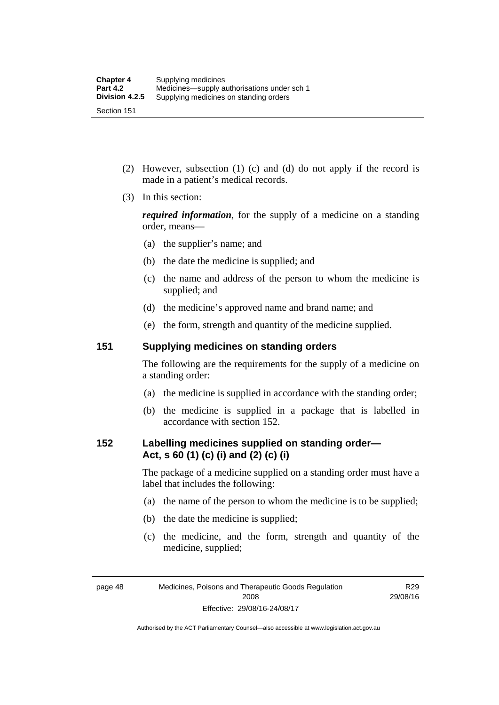Section 151

- (2) However, subsection (1) (c) and (d) do not apply if the record is made in a patient's medical records.
- (3) In this section:

*required information*, for the supply of a medicine on a standing order, means—

- (a) the supplier's name; and
- (b) the date the medicine is supplied; and
- (c) the name and address of the person to whom the medicine is supplied; and
- (d) the medicine's approved name and brand name; and
- (e) the form, strength and quantity of the medicine supplied.

#### **151 Supplying medicines on standing orders**

The following are the requirements for the supply of a medicine on a standing order:

- (a) the medicine is supplied in accordance with the standing order;
- (b) the medicine is supplied in a package that is labelled in accordance with section 152.

### **152 Labelling medicines supplied on standing order— Act, s 60 (1) (c) (i) and (2) (c) (i)**

The package of a medicine supplied on a standing order must have a label that includes the following:

- (a) the name of the person to whom the medicine is to be supplied;
- (b) the date the medicine is supplied;
- (c) the medicine, and the form, strength and quantity of the medicine, supplied;

R29 29/08/16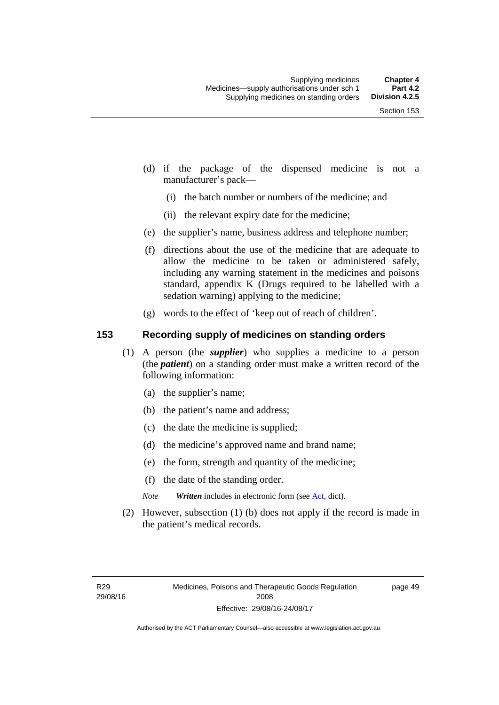- (d) if the package of the dispensed medicine is not a manufacturer's pack—
	- (i) the batch number or numbers of the medicine; and
	- (ii) the relevant expiry date for the medicine;
- (e) the supplier's name, business address and telephone number;
- (f) directions about the use of the medicine that are adequate to allow the medicine to be taken or administered safely, including any warning statement in the medicines and poisons standard, appendix K (Drugs required to be labelled with a sedation warning) applying to the medicine;
- (g) words to the effect of 'keep out of reach of children'.

### **153 Recording supply of medicines on standing orders**

- (1) A person (the *supplier*) who supplies a medicine to a person (the *patient*) on a standing order must make a written record of the following information:
	- (a) the supplier's name;
	- (b) the patient's name and address;
	- (c) the date the medicine is supplied;
	- (d) the medicine's approved name and brand name;
	- (e) the form, strength and quantity of the medicine;
	- (f) the date of the standing order.
	- *Note Written* includes in electronic form (see [Act,](http://www.legislation.act.gov.au/a/2008-26/default.asp) dict).
- (2) However, subsection (1) (b) does not apply if the record is made in the patient's medical records.

page 49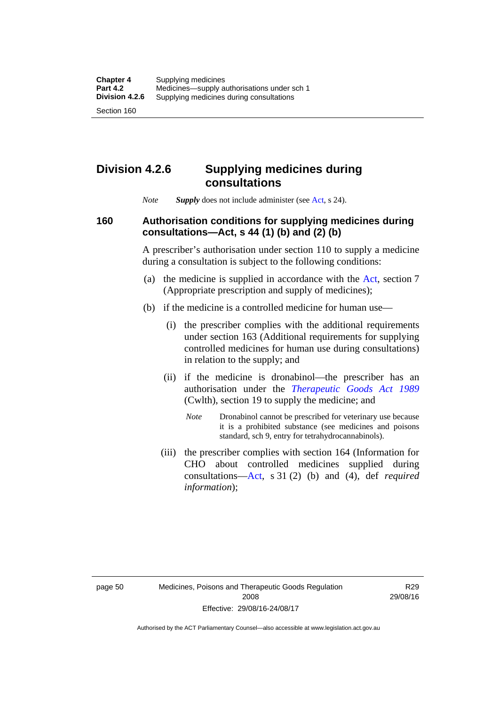## **Division 4.2.6 Supplying medicines during consultations**

*Note Supply* does not include administer (see [Act,](http://www.legislation.act.gov.au/a/2008-26/default.asp) s 24).

### **160 Authorisation conditions for supplying medicines during consultations—Act, s 44 (1) (b) and (2) (b)**

A prescriber's authorisation under section 110 to supply a medicine during a consultation is subject to the following conditions:

- (a) the medicine is supplied in accordance with the [Act](http://www.legislation.act.gov.au/a/2008-26/default.asp), section 7 (Appropriate prescription and supply of medicines);
- (b) if the medicine is a controlled medicine for human use—
	- (i) the prescriber complies with the additional requirements under section 163 (Additional requirements for supplying controlled medicines for human use during consultations) in relation to the supply; and
	- (ii) if the medicine is dronabinol—the prescriber has an authorisation under the *[Therapeutic Goods Act 1989](http://www.comlaw.gov.au/Series/C2004A03952)* (Cwlth), section 19 to supply the medicine; and
		- *Note* Dronabinol cannot be prescribed for veterinary use because it is a prohibited substance (see medicines and poisons standard, sch 9, entry for tetrahydrocannabinols).
	- (iii) the prescriber complies with section 164 (Information for CHO about controlled medicines supplied during consultations[—Act,](http://www.legislation.act.gov.au/a/2008-26/default.asp) s 31 (2) (b) and (4), def *required information*);

R29 29/08/16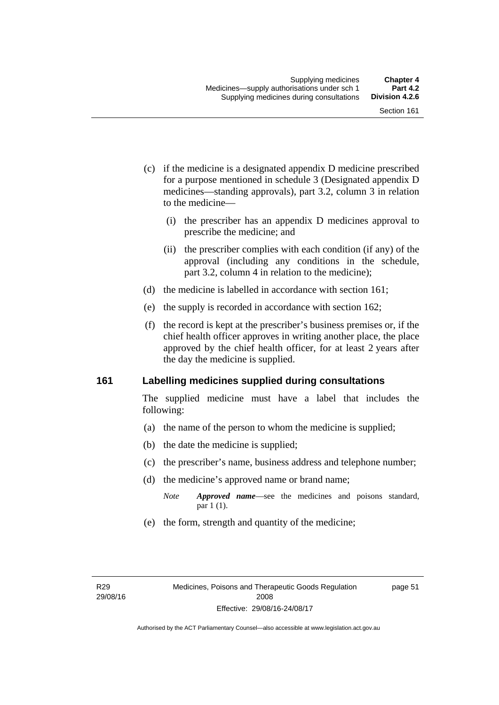- (c) if the medicine is a designated appendix D medicine prescribed for a purpose mentioned in schedule 3 (Designated appendix D medicines—standing approvals), part 3.2, column 3 in relation to the medicine—
	- (i) the prescriber has an appendix D medicines approval to prescribe the medicine; and
	- (ii) the prescriber complies with each condition (if any) of the approval (including any conditions in the schedule, part 3.2, column 4 in relation to the medicine);
- (d) the medicine is labelled in accordance with section 161;
- (e) the supply is recorded in accordance with section 162;
- (f) the record is kept at the prescriber's business premises or, if the chief health officer approves in writing another place, the place approved by the chief health officer, for at least 2 years after the day the medicine is supplied.

### **161 Labelling medicines supplied during consultations**

The supplied medicine must have a label that includes the following:

- (a) the name of the person to whom the medicine is supplied;
- (b) the date the medicine is supplied;
- (c) the prescriber's name, business address and telephone number;
- (d) the medicine's approved name or brand name;
	- *Note Approved name*—see the medicines and poisons standard, par 1 (1).
- (e) the form, strength and quantity of the medicine;

page 51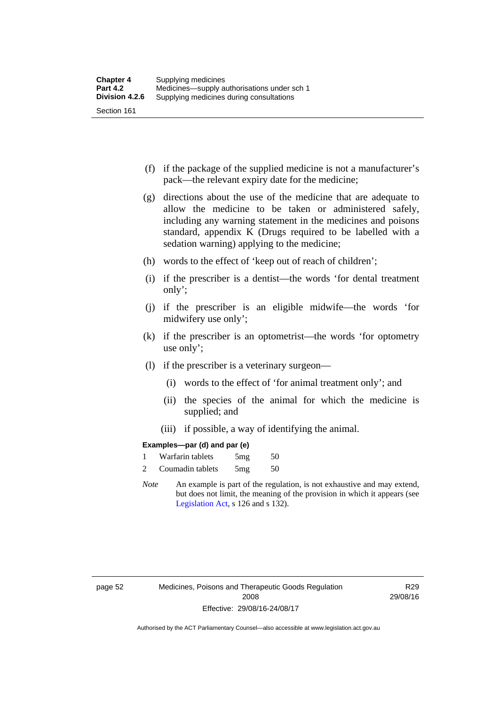- (f) if the package of the supplied medicine is not a manufacturer's pack—the relevant expiry date for the medicine;
- (g) directions about the use of the medicine that are adequate to allow the medicine to be taken or administered safely, including any warning statement in the medicines and poisons standard, appendix K (Drugs required to be labelled with a sedation warning) applying to the medicine;
- (h) words to the effect of 'keep out of reach of children';
- (i) if the prescriber is a dentist—the words 'for dental treatment only';
- (j) if the prescriber is an eligible midwife—the words 'for midwifery use only';
- (k) if the prescriber is an optometrist—the words 'for optometry use only';
- (l) if the prescriber is a veterinary surgeon—
	- (i) words to the effect of 'for animal treatment only'; and
	- (ii) the species of the animal for which the medicine is supplied; and
	- (iii) if possible, a way of identifying the animal.

### **Examples—par (d) and par (e)**

| Warfarin tablets | 5mg | 50 |
|------------------|-----|----|
| Coumadin tablets | 5mg | 50 |

*Note* An example is part of the regulation, is not exhaustive and may extend, but does not limit, the meaning of the provision in which it appears (see [Legislation Act,](http://www.legislation.act.gov.au/a/2001-14) s 126 and s 132).

page 52 Medicines, Poisons and Therapeutic Goods Regulation 2008 Effective: 29/08/16-24/08/17

R29 29/08/16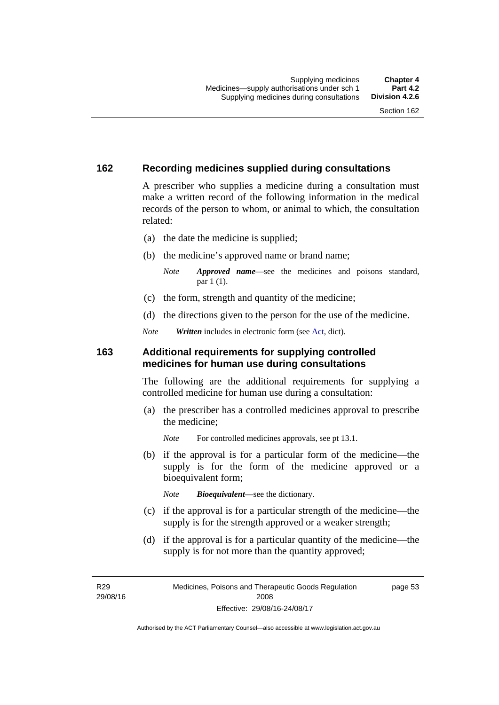### **162 Recording medicines supplied during consultations**

A prescriber who supplies a medicine during a consultation must make a written record of the following information in the medical records of the person to whom, or animal to which, the consultation related:

- (a) the date the medicine is supplied;
- (b) the medicine's approved name or brand name;

*Note Approved name*—see the medicines and poisons standard, par 1 (1).

- (c) the form, strength and quantity of the medicine;
- (d) the directions given to the person for the use of the medicine.

*Note Written* includes in electronic form (see [Act,](http://www.legislation.act.gov.au/a/2008-26/default.asp) dict).

### **163 Additional requirements for supplying controlled medicines for human use during consultations**

The following are the additional requirements for supplying a controlled medicine for human use during a consultation:

- (a) the prescriber has a controlled medicines approval to prescribe the medicine;
	- *Note* For controlled medicines approvals, see pt 13.1.
- (b) if the approval is for a particular form of the medicine—the supply is for the form of the medicine approved or a bioequivalent form;

*Note Bioequivalent*—see the dictionary.

- (c) if the approval is for a particular strength of the medicine—the supply is for the strength approved or a weaker strength;
- (d) if the approval is for a particular quantity of the medicine—the supply is for not more than the quantity approved;

R29 29/08/16 page 53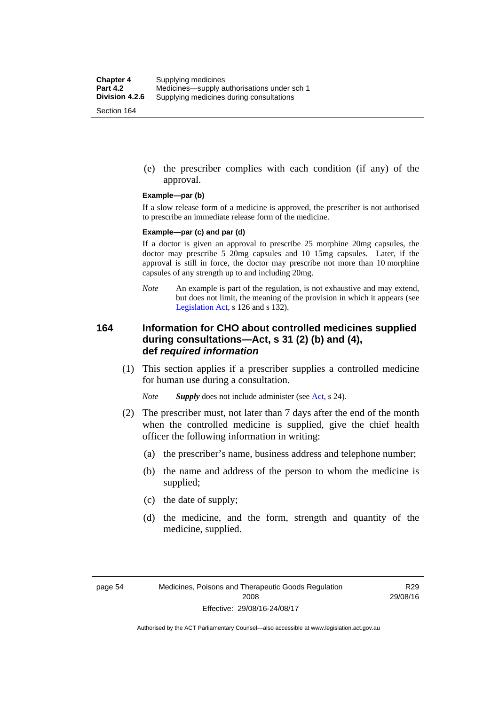(e) the prescriber complies with each condition (if any) of the approval.

#### **Example—par (b)**

If a slow release form of a medicine is approved, the prescriber is not authorised to prescribe an immediate release form of the medicine.

#### **Example—par (c) and par (d)**

If a doctor is given an approval to prescribe 25 morphine 20mg capsules, the doctor may prescribe 5 20mg capsules and 10 15mg capsules. Later, if the approval is still in force, the doctor may prescribe not more than 10 morphine capsules of any strength up to and including 20mg.

*Note* An example is part of the regulation, is not exhaustive and may extend, but does not limit, the meaning of the provision in which it appears (see [Legislation Act,](http://www.legislation.act.gov.au/a/2001-14) s 126 and s 132).

### **164 Information for CHO about controlled medicines supplied during consultations—Act, s 31 (2) (b) and (4), def** *required information*

 (1) This section applies if a prescriber supplies a controlled medicine for human use during a consultation.

*Note Supply* does not include administer (see [Act,](http://www.legislation.act.gov.au/a/2008-26/default.asp) s 24).

- (2) The prescriber must, not later than 7 days after the end of the month when the controlled medicine is supplied, give the chief health officer the following information in writing:
	- (a) the prescriber's name, business address and telephone number;
	- (b) the name and address of the person to whom the medicine is supplied;
	- (c) the date of supply;
	- (d) the medicine, and the form, strength and quantity of the medicine, supplied.

R29 29/08/16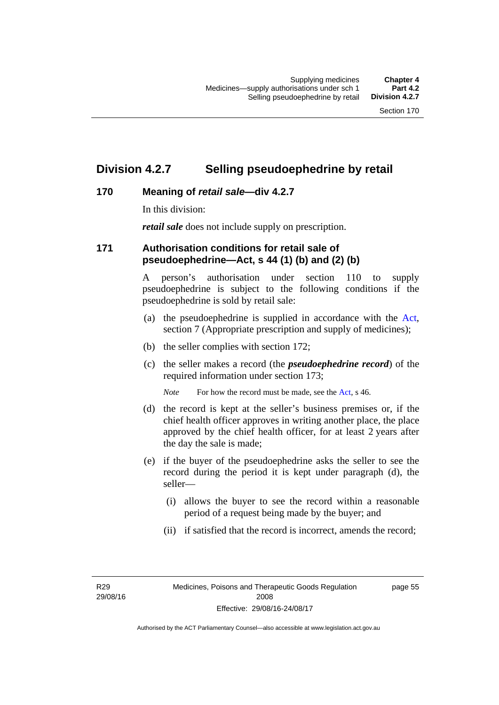## **Division 4.2.7 Selling pseudoephedrine by retail**

## **170 Meaning of** *retail sale***—div 4.2.7**

In this division:

*retail sale* does not include supply on prescription.

### **171 Authorisation conditions for retail sale of pseudoephedrine—Act, s 44 (1) (b) and (2) (b)**

A person's authorisation under section 110 to supply pseudoephedrine is subject to the following conditions if the pseudoephedrine is sold by retail sale:

- (a) the pseudoephedrine is supplied in accordance with the [Act](http://www.legislation.act.gov.au/a/2008-26/default.asp), section 7 (Appropriate prescription and supply of medicines);
- (b) the seller complies with section 172;
- (c) the seller makes a record (the *pseudoephedrine record*) of the required information under section 173;

*Note* For how the record must be made, see the [Act,](http://www.legislation.act.gov.au/a/2008-26/default.asp) s 46.

- (d) the record is kept at the seller's business premises or, if the chief health officer approves in writing another place, the place approved by the chief health officer, for at least 2 years after the day the sale is made;
- (e) if the buyer of the pseudoephedrine asks the seller to see the record during the period it is kept under paragraph (d), the seller—
	- (i) allows the buyer to see the record within a reasonable period of a request being made by the buyer; and
	- (ii) if satisfied that the record is incorrect, amends the record;

R29 29/08/16 page 55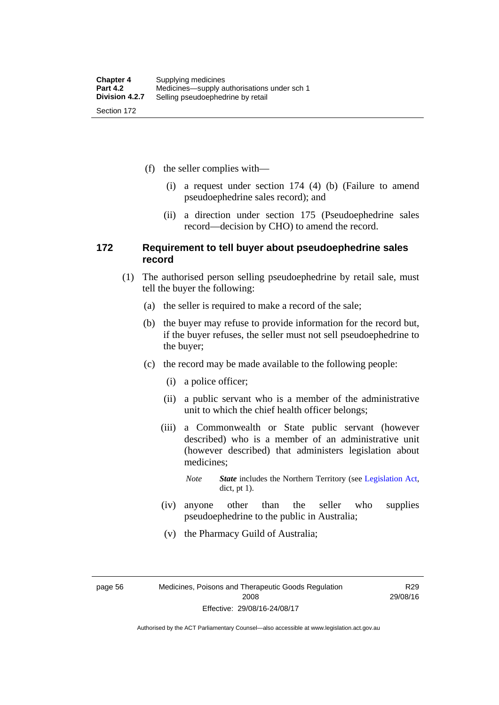(f) the seller complies with—

- (i) a request under section 174 (4) (b) (Failure to amend pseudoephedrine sales record); and
- (ii) a direction under section 175 (Pseudoephedrine sales record—decision by CHO) to amend the record.

### **172 Requirement to tell buyer about pseudoephedrine sales record**

- (1) The authorised person selling pseudoephedrine by retail sale, must tell the buyer the following:
	- (a) the seller is required to make a record of the sale;
	- (b) the buyer may refuse to provide information for the record but, if the buyer refuses, the seller must not sell pseudoephedrine to the buyer;
	- (c) the record may be made available to the following people:
		- (i) a police officer;
		- (ii) a public servant who is a member of the administrative unit to which the chief health officer belongs;
		- (iii) a Commonwealth or State public servant (however described) who is a member of an administrative unit (however described) that administers legislation about medicines;
			- *Note State* includes the Northern Territory (see [Legislation Act,](http://www.legislation.act.gov.au/a/2001-14) dict, pt 1).
		- (iv) anyone other than the seller who supplies pseudoephedrine to the public in Australia;
		- (v) the Pharmacy Guild of Australia;

page 56 Medicines, Poisons and Therapeutic Goods Regulation 2008 Effective: 29/08/16-24/08/17

R29 29/08/16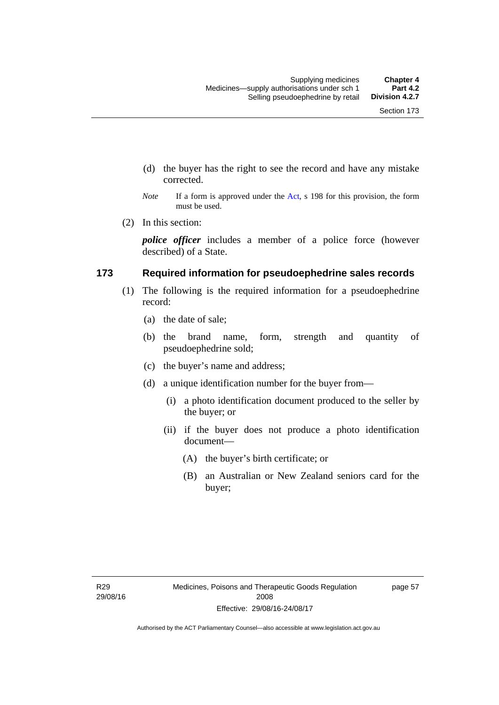- (d) the buyer has the right to see the record and have any mistake corrected.
- *Note* If a form is approved under the [Act](http://www.legislation.act.gov.au/a/2008-26/default.asp), s 198 for this provision, the form must be used.
- (2) In this section:

*police officer* includes a member of a police force (however described) of a State.

### **173 Required information for pseudoephedrine sales records**

- (1) The following is the required information for a pseudoephedrine record:
	- (a) the date of sale;
	- (b) the brand name, form, strength and quantity of pseudoephedrine sold;
	- (c) the buyer's name and address;
	- (d) a unique identification number for the buyer from—
		- (i) a photo identification document produced to the seller by the buyer; or
		- (ii) if the buyer does not produce a photo identification document—
			- (A) the buyer's birth certificate; or
			- (B) an Australian or New Zealand seniors card for the buyer;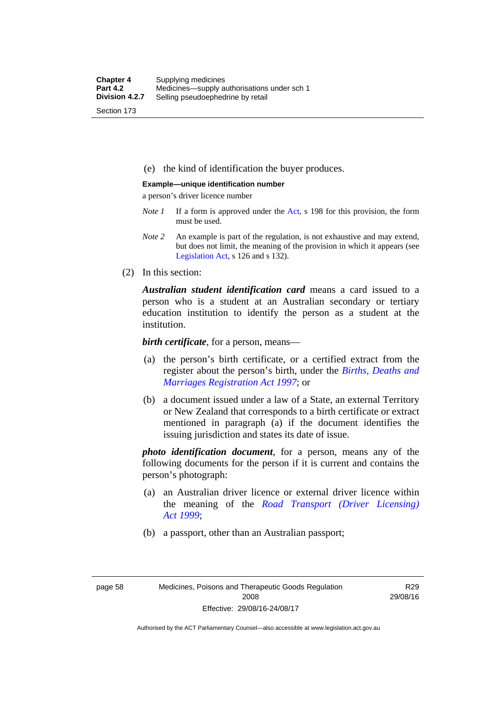(e) the kind of identification the buyer produces.

#### **Example—unique identification number**

a person's driver licence number

- *Note 1* If a form is approved under the [Act](http://www.legislation.act.gov.au/a/2008-26/default.asp), s 198 for this provision, the form must be used.
- *Note 2* An example is part of the regulation, is not exhaustive and may extend, but does not limit, the meaning of the provision in which it appears (see [Legislation Act,](http://www.legislation.act.gov.au/a/2001-14) s 126 and s 132).
- (2) In this section:

*Australian student identification card* means a card issued to a person who is a student at an Australian secondary or tertiary education institution to identify the person as a student at the institution.

*birth certificate*, for a person, means—

- (a) the person's birth certificate, or a certified extract from the register about the person's birth, under the *[Births, Deaths and](http://www.legislation.act.gov.au/a/1997-112)  [Marriages Registration Act 1997](http://www.legislation.act.gov.au/a/1997-112)*; or
- (b) a document issued under a law of a State, an external Territory or New Zealand that corresponds to a birth certificate or extract mentioned in paragraph (a) if the document identifies the issuing jurisdiction and states its date of issue.

*photo identification document*, for a person, means any of the following documents for the person if it is current and contains the person's photograph:

- (a) an Australian driver licence or external driver licence within the meaning of the *[Road Transport \(Driver Licensing\)](http://www.legislation.act.gov.au/a/1999-78)  [Act 1999](http://www.legislation.act.gov.au/a/1999-78)*;
- (b) a passport, other than an Australian passport;

R29 29/08/16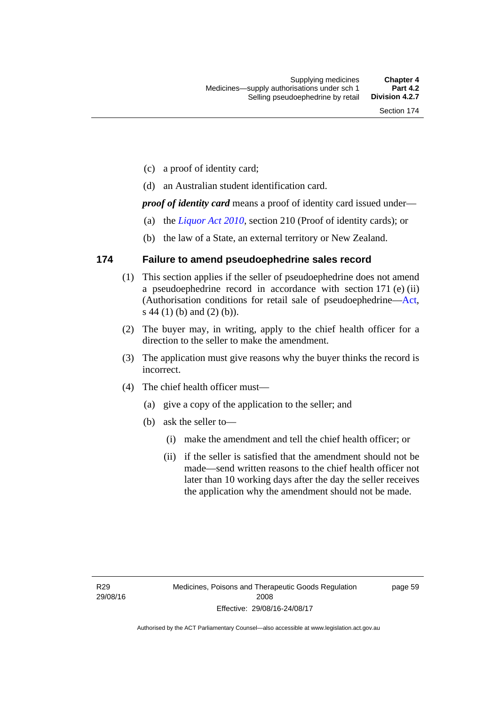- (c) a proof of identity card;
- (d) an Australian student identification card.

*proof of identity card* means a proof of identity card issued under—

- (a) the *[Liquor Act 2010](http://www.legislation.act.gov.au/a/2010-35)*, section 210 (Proof of identity cards); or
- (b) the law of a State, an external territory or New Zealand.

### **174 Failure to amend pseudoephedrine sales record**

- (1) This section applies if the seller of pseudoephedrine does not amend a pseudoephedrine record in accordance with section 171 (e) (ii) (Authorisation conditions for retail sale of pseudoephedrine[—Act](http://www.legislation.act.gov.au/a/2008-26/default.asp), s 44 (1) (b) and (2) (b)).
- (2) The buyer may, in writing, apply to the chief health officer for a direction to the seller to make the amendment.
- (3) The application must give reasons why the buyer thinks the record is incorrect.
- (4) The chief health officer must—
	- (a) give a copy of the application to the seller; and
	- (b) ask the seller to—
		- (i) make the amendment and tell the chief health officer; or
		- (ii) if the seller is satisfied that the amendment should not be made—send written reasons to the chief health officer not later than 10 working days after the day the seller receives the application why the amendment should not be made.

page 59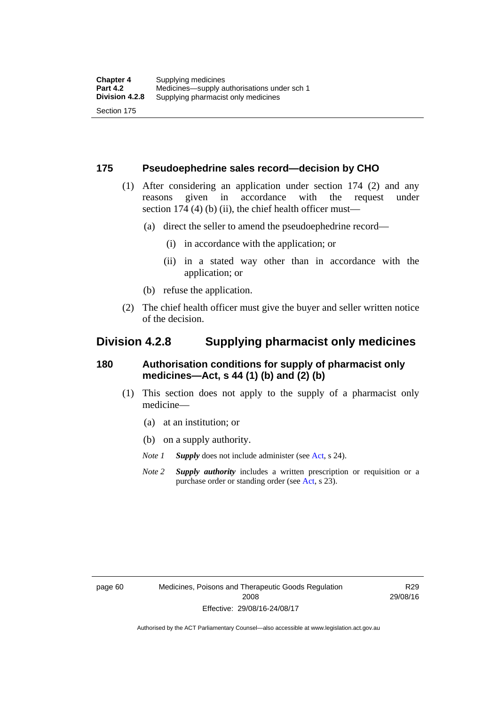### **175 Pseudoephedrine sales record—decision by CHO**

- (1) After considering an application under section 174 (2) and any reasons given in accordance with the request under section 174  $(4)$  (b)  $(ii)$ , the chief health officer must—
	- (a) direct the seller to amend the pseudoephedrine record—
		- (i) in accordance with the application; or
		- (ii) in a stated way other than in accordance with the application; or
	- (b) refuse the application.
- (2) The chief health officer must give the buyer and seller written notice of the decision.

## **Division 4.2.8 Supplying pharmacist only medicines**

### **180 Authorisation conditions for supply of pharmacist only medicines—Act, s 44 (1) (b) and (2) (b)**

- (1) This section does not apply to the supply of a pharmacist only medicine—
	- (a) at an institution; or
	- (b) on a supply authority.
	- *Note 1 Supply* does not include administer (see [Act,](http://www.legislation.act.gov.au/a/2008-26/default.asp) s 24).
	- *Note 2 Supply authority* includes a written prescription or requisition or a purchase order or standing order (see [Act,](http://www.legislation.act.gov.au/a/2008-26/default.asp) s 23).

R29 29/08/16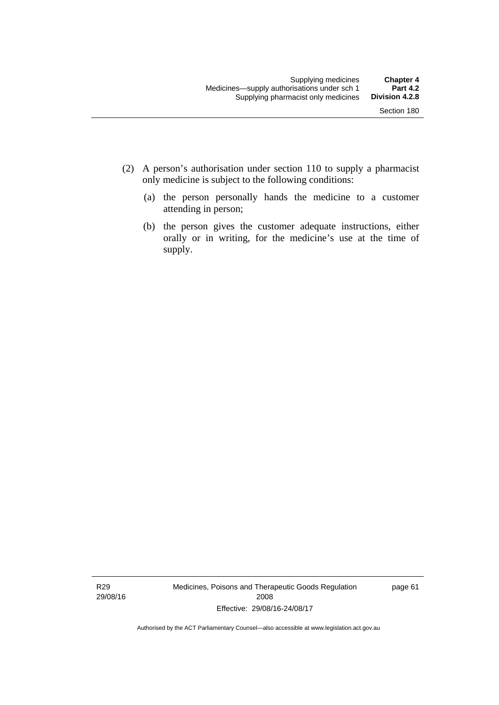- (2) A person's authorisation under section 110 to supply a pharmacist only medicine is subject to the following conditions:
	- (a) the person personally hands the medicine to a customer attending in person;
	- (b) the person gives the customer adequate instructions, either orally or in writing, for the medicine's use at the time of supply.

R29 29/08/16 Medicines, Poisons and Therapeutic Goods Regulation 2008 Effective: 29/08/16-24/08/17

page 61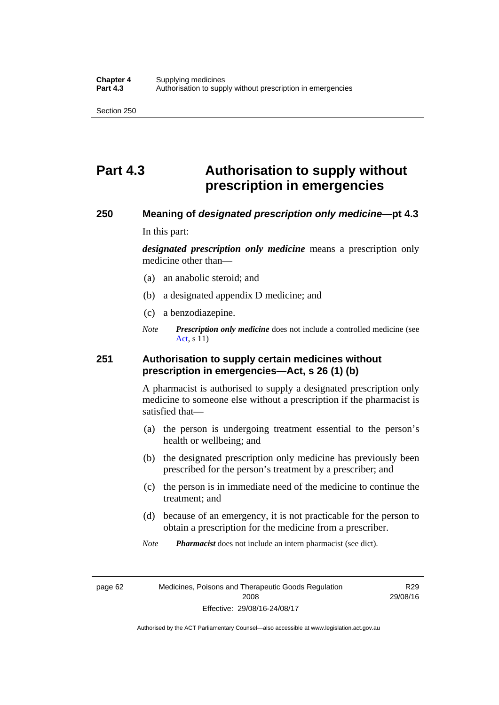# **Part 4.3 Authorisation to supply without prescription in emergencies**

### **250 Meaning of** *designated prescription only medicine***—pt 4.3**

In this part:

*designated prescription only medicine* means a prescription only medicine other than—

- (a) an anabolic steroid; and
- (b) a designated appendix D medicine; and
- (c) a benzodiazepine.
- *Note Prescription only medicine* does not include a controlled medicine (see [Act](http://www.legislation.act.gov.au/a/2008-26/default.asp), s 11)

### **251 Authorisation to supply certain medicines without prescription in emergencies—Act, s 26 (1) (b)**

A pharmacist is authorised to supply a designated prescription only medicine to someone else without a prescription if the pharmacist is satisfied that—

- (a) the person is undergoing treatment essential to the person's health or wellbeing; and
- (b) the designated prescription only medicine has previously been prescribed for the person's treatment by a prescriber; and
- (c) the person is in immediate need of the medicine to continue the treatment; and
- (d) because of an emergency, it is not practicable for the person to obtain a prescription for the medicine from a prescriber.

*Note Pharmacist* does not include an intern pharmacist (see dict).

page 62 Medicines, Poisons and Therapeutic Goods Regulation 2008 Effective: 29/08/16-24/08/17

R29 29/08/16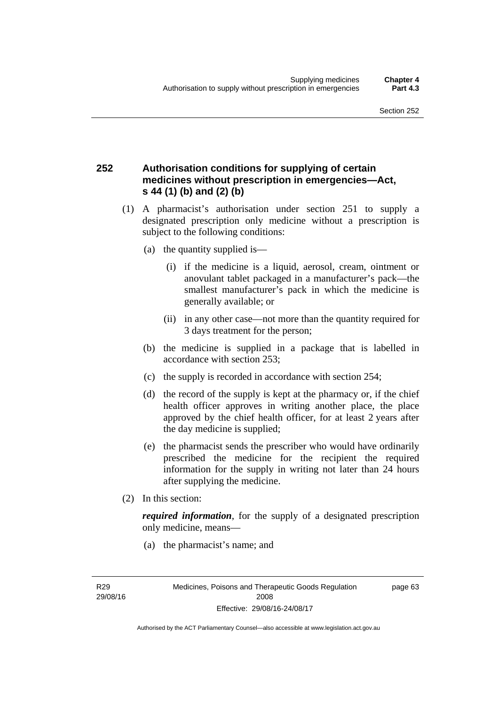### **252 Authorisation conditions for supplying of certain medicines without prescription in emergencies—Act, s 44 (1) (b) and (2) (b)**

- (1) A pharmacist's authorisation under section 251 to supply a designated prescription only medicine without a prescription is subject to the following conditions:
	- (a) the quantity supplied is—
		- (i) if the medicine is a liquid, aerosol, cream, ointment or anovulant tablet packaged in a manufacturer's pack—the smallest manufacturer's pack in which the medicine is generally available; or
		- (ii) in any other case—not more than the quantity required for 3 days treatment for the person;
	- (b) the medicine is supplied in a package that is labelled in accordance with section 253;
	- (c) the supply is recorded in accordance with section 254;
	- (d) the record of the supply is kept at the pharmacy or, if the chief health officer approves in writing another place, the place approved by the chief health officer, for at least 2 years after the day medicine is supplied;
	- (e) the pharmacist sends the prescriber who would have ordinarily prescribed the medicine for the recipient the required information for the supply in writing not later than 24 hours after supplying the medicine.
- (2) In this section:

*required information*, for the supply of a designated prescription only medicine, means—

(a) the pharmacist's name; and

R29 29/08/16 page 63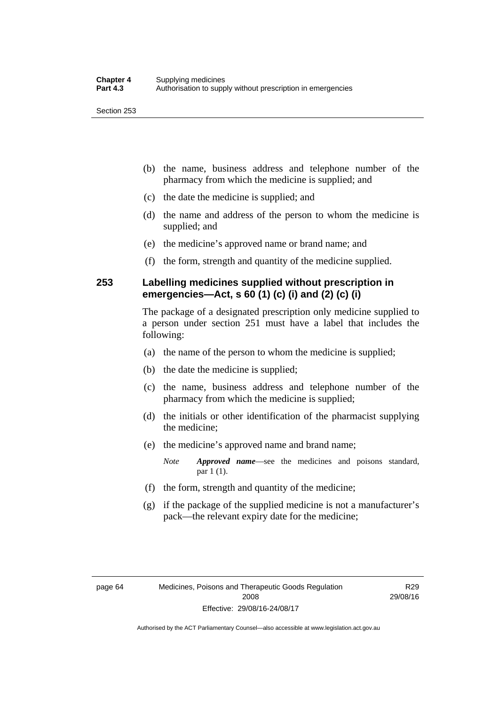- (b) the name, business address and telephone number of the pharmacy from which the medicine is supplied; and
- (c) the date the medicine is supplied; and
- (d) the name and address of the person to whom the medicine is supplied; and
- (e) the medicine's approved name or brand name; and
- (f) the form, strength and quantity of the medicine supplied.

### **253 Labelling medicines supplied without prescription in emergencies—Act, s 60 (1) (c) (i) and (2) (c) (i)**

The package of a designated prescription only medicine supplied to a person under section 251 must have a label that includes the following:

- (a) the name of the person to whom the medicine is supplied;
- (b) the date the medicine is supplied;
- (c) the name, business address and telephone number of the pharmacy from which the medicine is supplied;
- (d) the initials or other identification of the pharmacist supplying the medicine;
- (e) the medicine's approved name and brand name;

*Note Approved name*—see the medicines and poisons standard, par 1 (1).

- (f) the form, strength and quantity of the medicine;
- (g) if the package of the supplied medicine is not a manufacturer's pack—the relevant expiry date for the medicine;

R29 29/08/16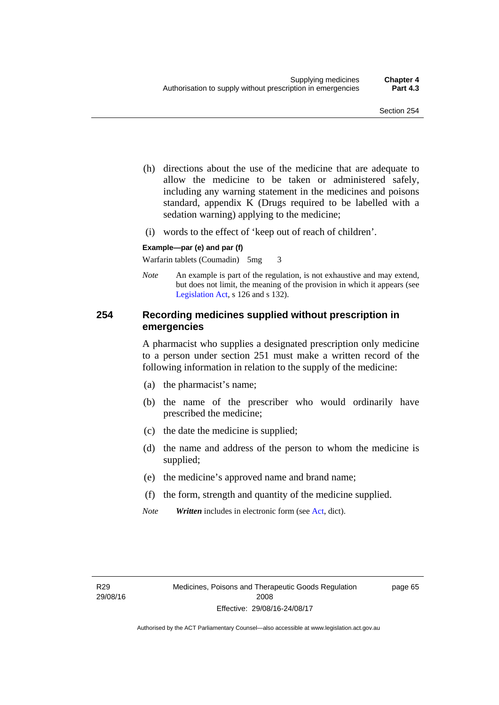- (h) directions about the use of the medicine that are adequate to allow the medicine to be taken or administered safely, including any warning statement in the medicines and poisons standard, appendix K (Drugs required to be labelled with a sedation warning) applying to the medicine;
- (i) words to the effect of 'keep out of reach of children'.

### **Example—par (e) and par (f)**

Warfarin tablets (Coumadin) 5mg 3

*Note* An example is part of the regulation, is not exhaustive and may extend, but does not limit, the meaning of the provision in which it appears (see [Legislation Act,](http://www.legislation.act.gov.au/a/2001-14) s 126 and s 132).

### **254 Recording medicines supplied without prescription in emergencies**

A pharmacist who supplies a designated prescription only medicine to a person under section 251 must make a written record of the following information in relation to the supply of the medicine:

- (a) the pharmacist's name;
- (b) the name of the prescriber who would ordinarily have prescribed the medicine;
- (c) the date the medicine is supplied;
- (d) the name and address of the person to whom the medicine is supplied;
- (e) the medicine's approved name and brand name;
- (f) the form, strength and quantity of the medicine supplied.
- *Note Written* includes in electronic form (see [Act,](http://www.legislation.act.gov.au/a/2008-26/default.asp) dict).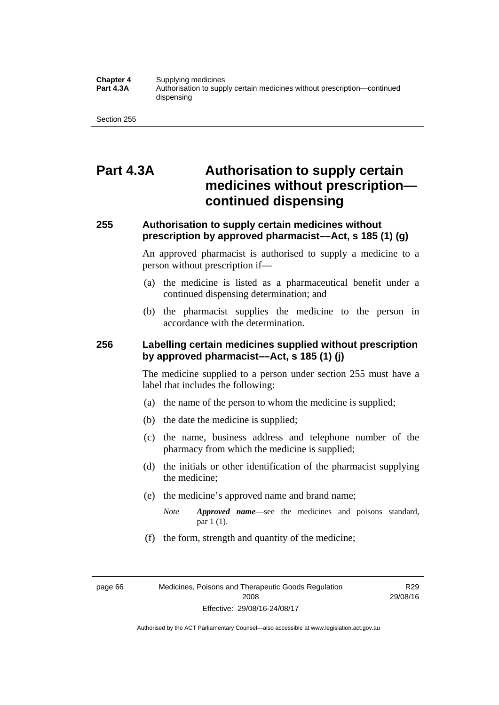#### **Chapter 4** Supplying medicines<br>**Part 4.3A** Authorisation to supp **Part 4.3A** Authorisation to supply certain medicines without prescription—continued dispensing

Section 255

## **Part 4.3A Authorisation to supply certain medicines without prescription continued dispensing**

### **255 Authorisation to supply certain medicines without prescription by approved pharmacist––Act, s 185 (1) (g)**

An approved pharmacist is authorised to supply a medicine to a person without prescription if––

- (a) the medicine is listed as a pharmaceutical benefit under a continued dispensing determination; and
- (b) the pharmacist supplies the medicine to the person in accordance with the determination.

### **256 Labelling certain medicines supplied without prescription by approved pharmacist––Act, s 185 (1) (j)**

The medicine supplied to a person under section 255 must have a label that includes the following:

- (a) the name of the person to whom the medicine is supplied;
- (b) the date the medicine is supplied;
- (c) the name, business address and telephone number of the pharmacy from which the medicine is supplied;
- (d) the initials or other identification of the pharmacist supplying the medicine;
- (e) the medicine's approved name and brand name;
	- *Note Approved name––*see the medicines and poisons standard, par 1 (1).
- (f) the form, strength and quantity of the medicine;

page 66 Medicines, Poisons and Therapeutic Goods Regulation 2008 Effective: 29/08/16-24/08/17

R29 29/08/16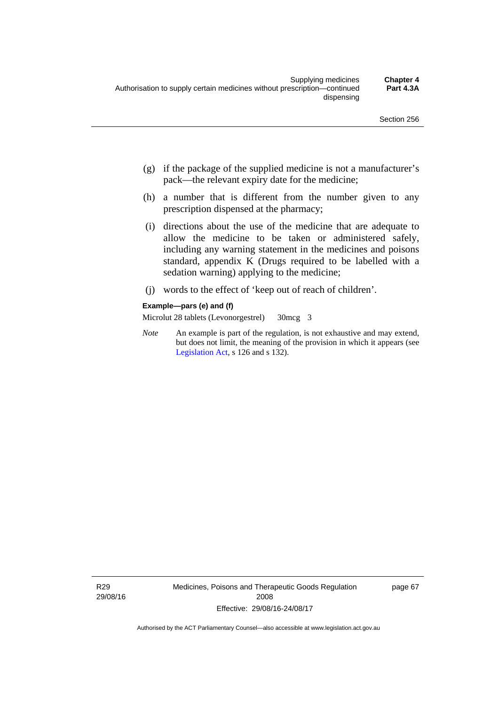- (g) if the package of the supplied medicine is not a manufacturer's pack—the relevant expiry date for the medicine;
- (h) a number that is different from the number given to any prescription dispensed at the pharmacy;
- (i) directions about the use of the medicine that are adequate to allow the medicine to be taken or administered safely, including any warning statement in the medicines and poisons standard, appendix K (Drugs required to be labelled with a sedation warning) applying to the medicine;
- (j) words to the effect of 'keep out of reach of children'.

#### **Example—pars (e) and (f)**

Microlut 28 tablets (Levonorgestrel) 30mcg 3

*Note* An example is part of the regulation, is not exhaustive and may extend, but does not limit, the meaning of the provision in which it appears (see [Legislation Act,](http://www.legislation.act.gov.au/a/2001-14) s 126 and s 132).

R29 29/08/16 Medicines, Poisons and Therapeutic Goods Regulation 2008 Effective: 29/08/16-24/08/17

page 67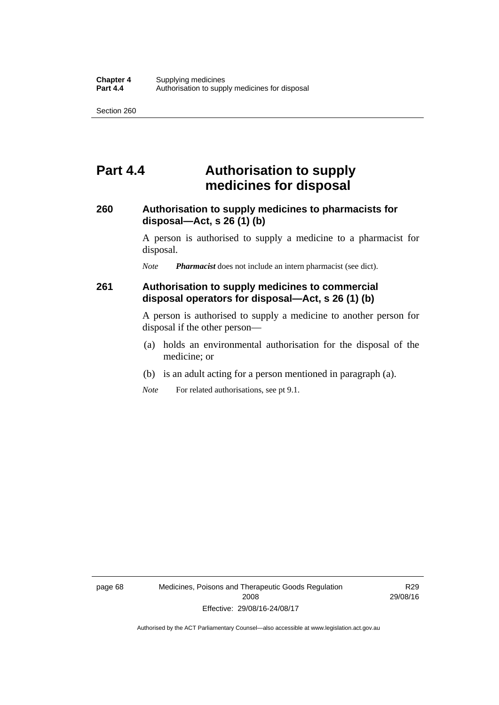## **Part 4.4 Authorisation to supply medicines for disposal**

### **260 Authorisation to supply medicines to pharmacists for disposal—Act, s 26 (1) (b)**

A person is authorised to supply a medicine to a pharmacist for disposal.

*Note Pharmacist* does not include an intern pharmacist (see dict).

### **261 Authorisation to supply medicines to commercial disposal operators for disposal—Act, s 26 (1) (b)**

A person is authorised to supply a medicine to another person for disposal if the other person—

- (a) holds an environmental authorisation for the disposal of the medicine; or
- (b) is an adult acting for a person mentioned in paragraph (a).
- *Note* For related authorisations, see pt 9.1.

page 68 Medicines, Poisons and Therapeutic Goods Regulation 2008 Effective: 29/08/16-24/08/17

R29 29/08/16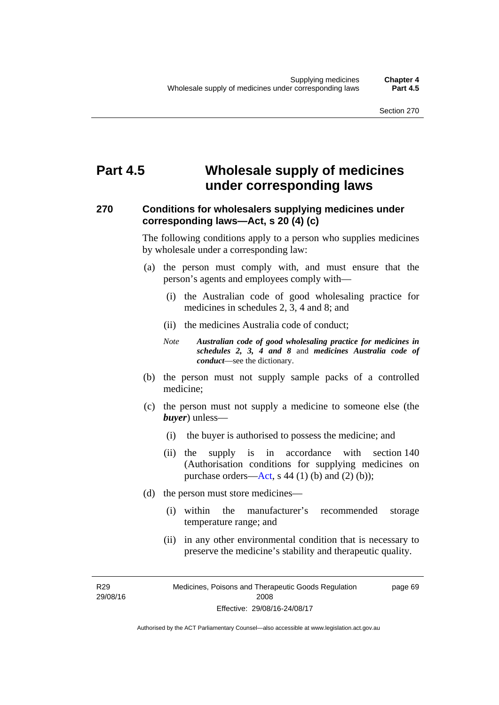# **Part 4.5 Wholesale supply of medicines under corresponding laws**

### **270 Conditions for wholesalers supplying medicines under corresponding laws—Act, s 20 (4) (c)**

The following conditions apply to a person who supplies medicines by wholesale under a corresponding law:

- (a) the person must comply with, and must ensure that the person's agents and employees comply with—
	- (i) the Australian code of good wholesaling practice for medicines in schedules 2, 3, 4 and 8; and
	- (ii) the medicines Australia code of conduct;
	- *Note Australian code of good wholesaling practice for medicines in schedules 2, 3, 4 and 8* and *medicines Australia code of conduct*—see the dictionary.
- (b) the person must not supply sample packs of a controlled medicine;
- (c) the person must not supply a medicine to someone else (the *buyer*) unless—
	- (i) the buyer is authorised to possess the medicine; and
	- (ii) the supply is in accordance with section 140 (Authorisation conditions for supplying medicines on purchase orders—[Act,](http://www.legislation.act.gov.au/a/2008-26/default.asp) s 44 (1) (b) and (2) (b));
- (d) the person must store medicines—
	- (i) within the manufacturer's recommended storage temperature range; and
	- (ii) in any other environmental condition that is necessary to preserve the medicine's stability and therapeutic quality.

R29 29/08/16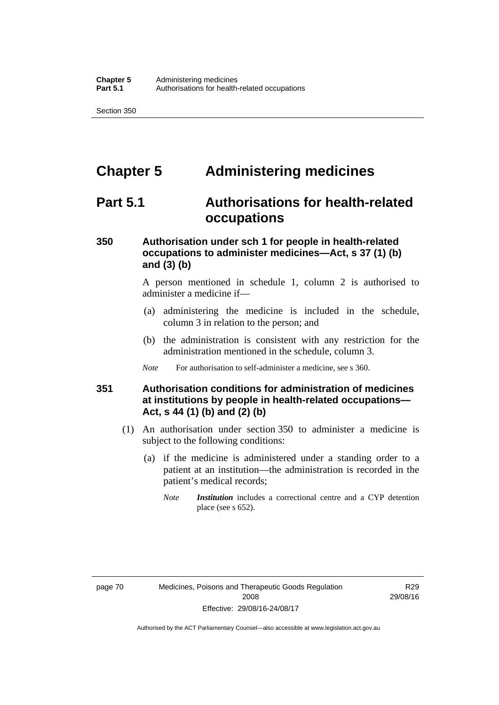# **Chapter 5 Administering medicines**

## **Part 5.1 Authorisations for health-related occupations**

### **350 Authorisation under sch 1 for people in health-related occupations to administer medicines—Act, s 37 (1) (b) and (3) (b)**

A person mentioned in schedule 1, column 2 is authorised to administer a medicine if—

- (a) administering the medicine is included in the schedule, column 3 in relation to the person; and
- (b) the administration is consistent with any restriction for the administration mentioned in the schedule, column 3.
- *Note* For authorisation to self-administer a medicine, see s 360.

### **351 Authorisation conditions for administration of medicines at institutions by people in health-related occupations— Act, s 44 (1) (b) and (2) (b)**

- (1) An authorisation under section 350 to administer a medicine is subject to the following conditions:
	- (a) if the medicine is administered under a standing order to a patient at an institution—the administration is recorded in the patient's medical records;
		- *Note Institution* includes a correctional centre and a CYP detention place (see s 652).

R29 29/08/16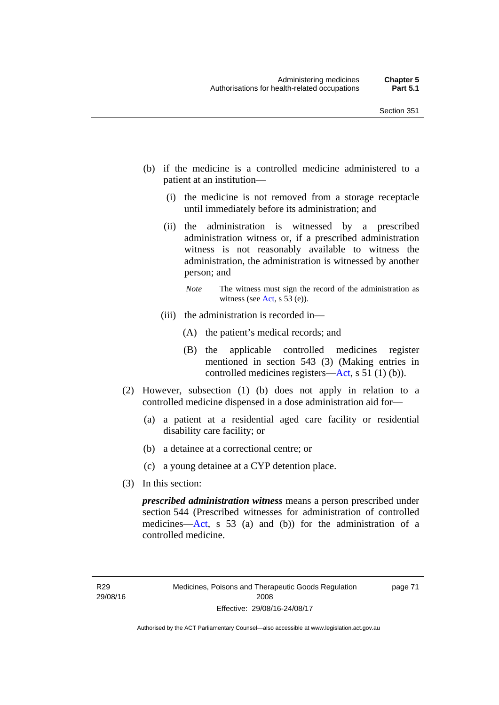- (b) if the medicine is a controlled medicine administered to a patient at an institution—
	- (i) the medicine is not removed from a storage receptacle until immediately before its administration; and
	- (ii) the administration is witnessed by a prescribed administration witness or, if a prescribed administration witness is not reasonably available to witness the administration, the administration is witnessed by another person; and
		- *Note* The witness must sign the record of the administration as witness (see [Act,](http://www.legislation.act.gov.au/a/2008-26/default.asp) s 53 (e)).
	- (iii) the administration is recorded in—
		- (A) the patient's medical records; and
		- (B) the applicable controlled medicines register mentioned in section 543 (3) (Making entries in controlled medicines registers[—Act](http://www.legislation.act.gov.au/a/2008-26/default.asp), s 51 (1) (b)).
- (2) However, subsection (1) (b) does not apply in relation to a controlled medicine dispensed in a dose administration aid for—
	- (a) a patient at a residential aged care facility or residential disability care facility; or
	- (b) a detainee at a correctional centre; or
	- (c) a young detainee at a CYP detention place.
- (3) In this section:

*prescribed administration witness* means a person prescribed under section 544 (Prescribed witnesses for administration of controlled medicines—[Act](http://www.legislation.act.gov.au/a/2008-26/default.asp), s 53 (a) and (b)) for the administration of a controlled medicine.

R29 29/08/16 page 71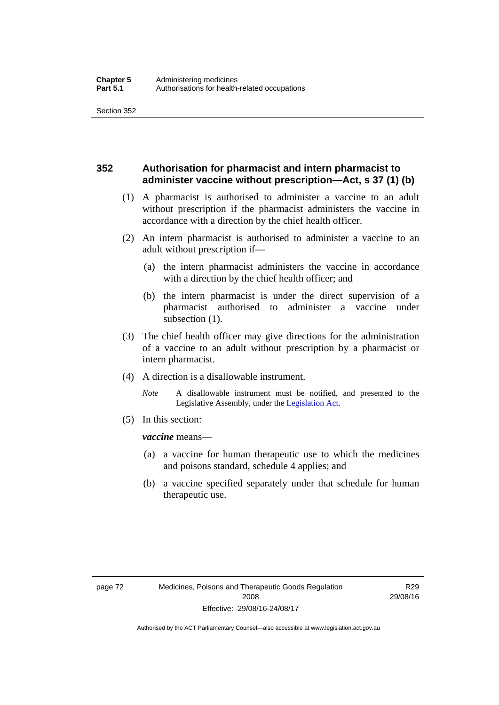### **352 Authorisation for pharmacist and intern pharmacist to administer vaccine without prescription—Act, s 37 (1) (b)**

- (1) A pharmacist is authorised to administer a vaccine to an adult without prescription if the pharmacist administers the vaccine in accordance with a direction by the chief health officer.
- (2) An intern pharmacist is authorised to administer a vaccine to an adult without prescription if—
	- (a) the intern pharmacist administers the vaccine in accordance with a direction by the chief health officer; and
	- (b) the intern pharmacist is under the direct supervision of a pharmacist authorised to administer a vaccine under subsection (1).
- (3) The chief health officer may give directions for the administration of a vaccine to an adult without prescription by a pharmacist or intern pharmacist.
- (4) A direction is a disallowable instrument.
	- *Note* A disallowable instrument must be notified, and presented to the Legislative Assembly, under the [Legislation Act.](http://www.legislation.act.gov.au/a/2001-14)
- (5) In this section:

*vaccine* means—

- (a) a vaccine for human therapeutic use to which the medicines and poisons standard, schedule 4 applies; and
- (b) a vaccine specified separately under that schedule for human therapeutic use.

R29 29/08/16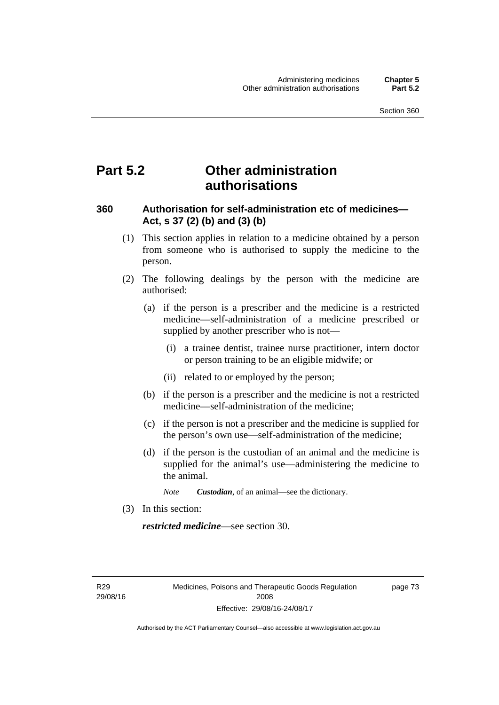## **Part 5.2 Other administration authorisations**

### **360 Authorisation for self-administration etc of medicines— Act, s 37 (2) (b) and (3) (b)**

- (1) This section applies in relation to a medicine obtained by a person from someone who is authorised to supply the medicine to the person.
- (2) The following dealings by the person with the medicine are authorised:
	- (a) if the person is a prescriber and the medicine is a restricted medicine—self-administration of a medicine prescribed or supplied by another prescriber who is not—
		- (i) a trainee dentist, trainee nurse practitioner, intern doctor or person training to be an eligible midwife; or
		- (ii) related to or employed by the person;
	- (b) if the person is a prescriber and the medicine is not a restricted medicine—self-administration of the medicine;
	- (c) if the person is not a prescriber and the medicine is supplied for the person's own use—self-administration of the medicine;
	- (d) if the person is the custodian of an animal and the medicine is supplied for the animal's use—administering the medicine to the animal.
		- *Note Custodian*, of an animal—see the dictionary.
- (3) In this section:

*restricted medicine*—see section 30.

R29 29/08/16 page 73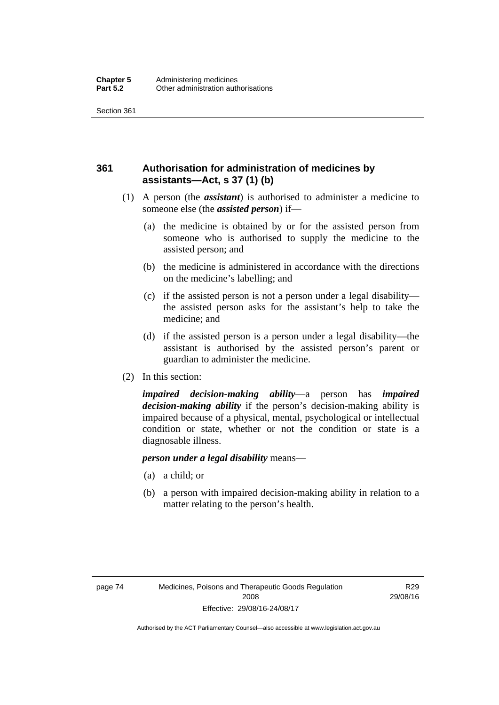## **361 Authorisation for administration of medicines by assistants—Act, s 37 (1) (b)**

- (1) A person (the *assistant*) is authorised to administer a medicine to someone else (the *assisted person*) if—
	- (a) the medicine is obtained by or for the assisted person from someone who is authorised to supply the medicine to the assisted person; and
	- (b) the medicine is administered in accordance with the directions on the medicine's labelling; and
	- (c) if the assisted person is not a person under a legal disability the assisted person asks for the assistant's help to take the medicine; and
	- (d) if the assisted person is a person under a legal disability—the assistant is authorised by the assisted person's parent or guardian to administer the medicine.
- (2) In this section:

*impaired decision-making ability*—a person has *impaired decision-making ability* if the person's decision-making ability is impaired because of a physical, mental, psychological or intellectual condition or state, whether or not the condition or state is a diagnosable illness.

### *person under a legal disability* means—

- (a) a child; or
- (b) a person with impaired decision-making ability in relation to a matter relating to the person's health.

R29 29/08/16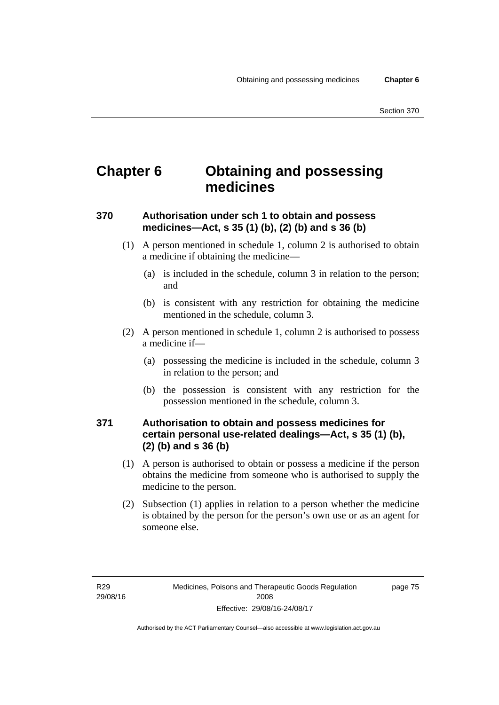# **Chapter 6 Obtaining and possessing medicines**

## **370 Authorisation under sch 1 to obtain and possess medicines—Act, s 35 (1) (b), (2) (b) and s 36 (b)**

- (1) A person mentioned in schedule 1, column 2 is authorised to obtain a medicine if obtaining the medicine—
	- (a) is included in the schedule, column 3 in relation to the person; and
	- (b) is consistent with any restriction for obtaining the medicine mentioned in the schedule, column 3.
- (2) A person mentioned in schedule 1, column 2 is authorised to possess a medicine if—
	- (a) possessing the medicine is included in the schedule, column 3 in relation to the person; and
	- (b) the possession is consistent with any restriction for the possession mentioned in the schedule, column 3.

### **371 Authorisation to obtain and possess medicines for certain personal use-related dealings—Act, s 35 (1) (b), (2) (b) and s 36 (b)**

- (1) A person is authorised to obtain or possess a medicine if the person obtains the medicine from someone who is authorised to supply the medicine to the person.
- (2) Subsection (1) applies in relation to a person whether the medicine is obtained by the person for the person's own use or as an agent for someone else.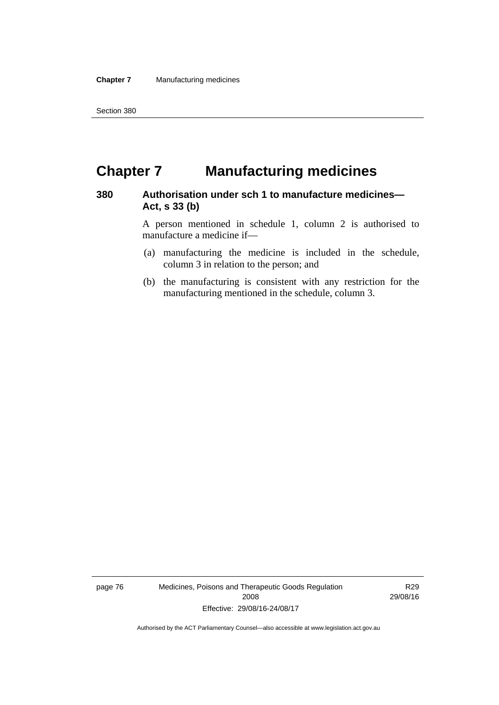# **Chapter 7 Manufacturing medicines**

### **380 Authorisation under sch 1 to manufacture medicines— Act, s 33 (b)**

A person mentioned in schedule 1, column 2 is authorised to manufacture a medicine if—

- (a) manufacturing the medicine is included in the schedule, column 3 in relation to the person; and
- (b) the manufacturing is consistent with any restriction for the manufacturing mentioned in the schedule, column 3.

page 76 Medicines, Poisons and Therapeutic Goods Regulation 2008 Effective: 29/08/16-24/08/17

R29 29/08/16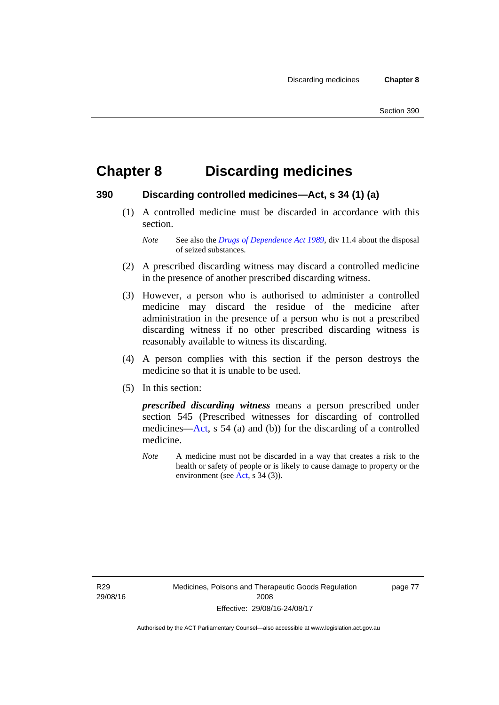# **Chapter 8 Discarding medicines**

### **390 Discarding controlled medicines—Act, s 34 (1) (a)**

 (1) A controlled medicine must be discarded in accordance with this section.

*Note* See also the *[Drugs of Dependence Act 1989](http://www.legislation.act.gov.au/a/alt_a1989-11co)*, div 11.4 about the disposal of seized substances.

- (2) A prescribed discarding witness may discard a controlled medicine in the presence of another prescribed discarding witness.
- (3) However, a person who is authorised to administer a controlled medicine may discard the residue of the medicine after administration in the presence of a person who is not a prescribed discarding witness if no other prescribed discarding witness is reasonably available to witness its discarding.
- (4) A person complies with this section if the person destroys the medicine so that it is unable to be used.
- (5) In this section:

*prescribed discarding witness* means a person prescribed under section 545 (Prescribed witnesses for discarding of controlled medicines—[Act](http://www.legislation.act.gov.au/a/2008-26/default.asp), s 54 (a) and (b)) for the discarding of a controlled medicine.

*Note* A medicine must not be discarded in a way that creates a risk to the health or safety of people or is likely to cause damage to property or the environment (see [Act](http://www.legislation.act.gov.au/a/2008-26/default.asp), s 34 (3)).

R29 29/08/16 page 77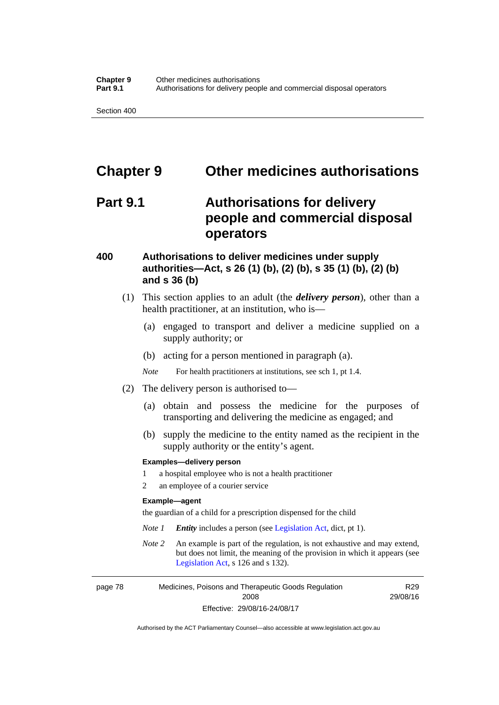# **Chapter 9 Other medicines authorisations**

## **Part 9.1 Authorisations for delivery people and commercial disposal operators**

### **400 Authorisations to deliver medicines under supply authorities—Act, s 26 (1) (b), (2) (b), s 35 (1) (b), (2) (b) and s 36 (b)**

- (1) This section applies to an adult (the *delivery person*), other than a health practitioner, at an institution, who is—
	- (a) engaged to transport and deliver a medicine supplied on a supply authority; or
	- (b) acting for a person mentioned in paragraph (a).
	- *Note* For health practitioners at institutions, see sch 1, pt 1.4.
- (2) The delivery person is authorised to—
	- (a) obtain and possess the medicine for the purposes of transporting and delivering the medicine as engaged; and
	- (b) supply the medicine to the entity named as the recipient in the supply authority or the entity's agent.

#### **Examples—delivery person**

- 1 a hospital employee who is not a health practitioner
- 2 an employee of a courier service

#### **Example—agent**

the guardian of a child for a prescription dispensed for the child

- *Note 1 Entity* includes a person (see [Legislation Act,](http://www.legislation.act.gov.au/a/2001-14) dict, pt 1).
- *Note 2* An example is part of the regulation, is not exhaustive and may extend, but does not limit, the meaning of the provision in which it appears (see [Legislation Act,](http://www.legislation.act.gov.au/a/2001-14) s 126 and s 132).

page 78 Medicines, Poisons and Therapeutic Goods Regulation 2008 Effective: 29/08/16-24/08/17

R29 29/08/16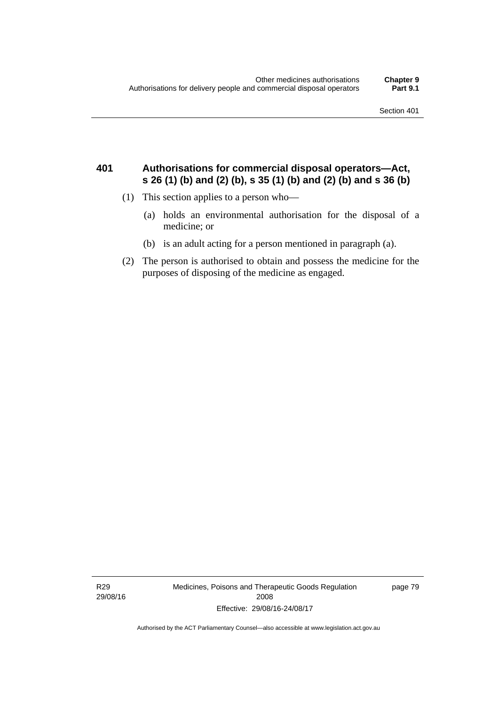### **401 Authorisations for commercial disposal operators—Act, s 26 (1) (b) and (2) (b), s 35 (1) (b) and (2) (b) and s 36 (b)**

- (1) This section applies to a person who—
	- (a) holds an environmental authorisation for the disposal of a medicine; or
	- (b) is an adult acting for a person mentioned in paragraph (a).
- (2) The person is authorised to obtain and possess the medicine for the purposes of disposing of the medicine as engaged.

R29 29/08/16 Medicines, Poisons and Therapeutic Goods Regulation 2008 Effective: 29/08/16-24/08/17

page 79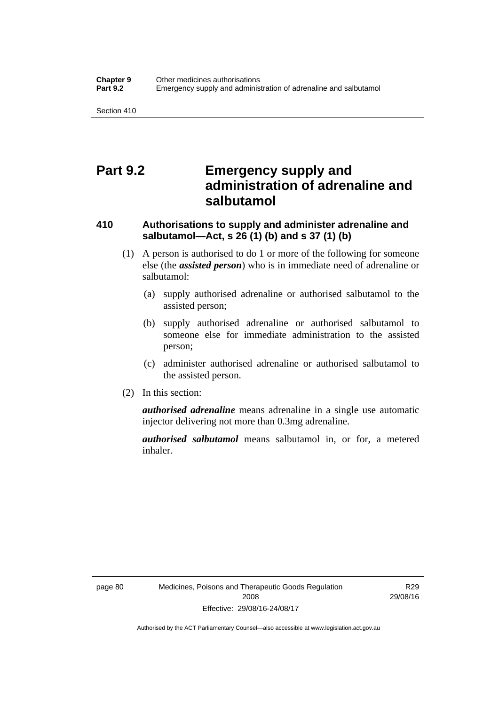## **Part 9.2 Emergency supply and administration of adrenaline and salbutamol**

## **410 Authorisations to supply and administer adrenaline and salbutamol—Act, s 26 (1) (b) and s 37 (1) (b)**

- (1) A person is authorised to do 1 or more of the following for someone else (the *assisted person*) who is in immediate need of adrenaline or salbutamol:
	- (a) supply authorised adrenaline or authorised salbutamol to the assisted person;
	- (b) supply authorised adrenaline or authorised salbutamol to someone else for immediate administration to the assisted person;
	- (c) administer authorised adrenaline or authorised salbutamol to the assisted person.
- (2) In this section:

*authorised adrenaline* means adrenaline in a single use automatic injector delivering not more than 0.3mg adrenaline.

*authorised salbutamol* means salbutamol in, or for, a metered inhaler.

R29 29/08/16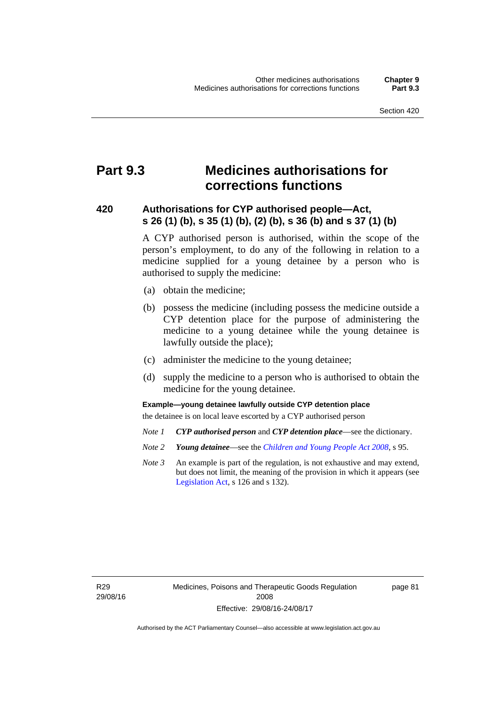# **Part 9.3 Medicines authorisations for corrections functions**

### **420 Authorisations for CYP authorised people—Act, s 26 (1) (b), s 35 (1) (b), (2) (b), s 36 (b) and s 37 (1) (b)**

A CYP authorised person is authorised, within the scope of the person's employment, to do any of the following in relation to a medicine supplied for a young detainee by a person who is authorised to supply the medicine:

- (a) obtain the medicine;
- (b) possess the medicine (including possess the medicine outside a CYP detention place for the purpose of administering the medicine to a young detainee while the young detainee is lawfully outside the place);
- (c) administer the medicine to the young detainee;
- (d) supply the medicine to a person who is authorised to obtain the medicine for the young detainee.

### **Example—young detainee lawfully outside CYP detention place**

the detainee is on local leave escorted by a CYP authorised person

- *Note 1 CYP authorised person* and *CYP detention place*—see the dictionary.
- *Note 2 Young detainee*—see the *[Children and Young People Act 2008](http://www.legislation.act.gov.au/a/2008-19)*, s 95.
- *Note 3* An example is part of the regulation, is not exhaustive and may extend, but does not limit, the meaning of the provision in which it appears (see [Legislation Act,](http://www.legislation.act.gov.au/a/2001-14) s 126 and s 132).

R29 29/08/16 page 81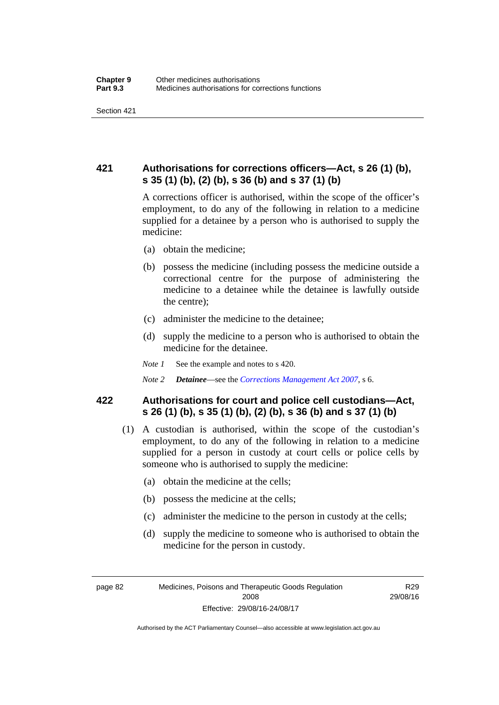## **421 Authorisations for corrections officers—Act, s 26 (1) (b), s 35 (1) (b), (2) (b), s 36 (b) and s 37 (1) (b)**

A corrections officer is authorised, within the scope of the officer's employment, to do any of the following in relation to a medicine supplied for a detainee by a person who is authorised to supply the medicine:

- (a) obtain the medicine;
- (b) possess the medicine (including possess the medicine outside a correctional centre for the purpose of administering the medicine to a detainee while the detainee is lawfully outside the centre);
- (c) administer the medicine to the detainee;
- (d) supply the medicine to a person who is authorised to obtain the medicine for the detainee.
- *Note 1* See the example and notes to s 420.
- *Note 2 Detainee*—see the *[Corrections Management Act 2007](http://www.legislation.act.gov.au/a/2007-15)*, s 6.

### **422 Authorisations for court and police cell custodians—Act, s 26 (1) (b), s 35 (1) (b), (2) (b), s 36 (b) and s 37 (1) (b)**

- (1) A custodian is authorised, within the scope of the custodian's employment, to do any of the following in relation to a medicine supplied for a person in custody at court cells or police cells by someone who is authorised to supply the medicine:
	- (a) obtain the medicine at the cells;
	- (b) possess the medicine at the cells;
	- (c) administer the medicine to the person in custody at the cells;
	- (d) supply the medicine to someone who is authorised to obtain the medicine for the person in custody.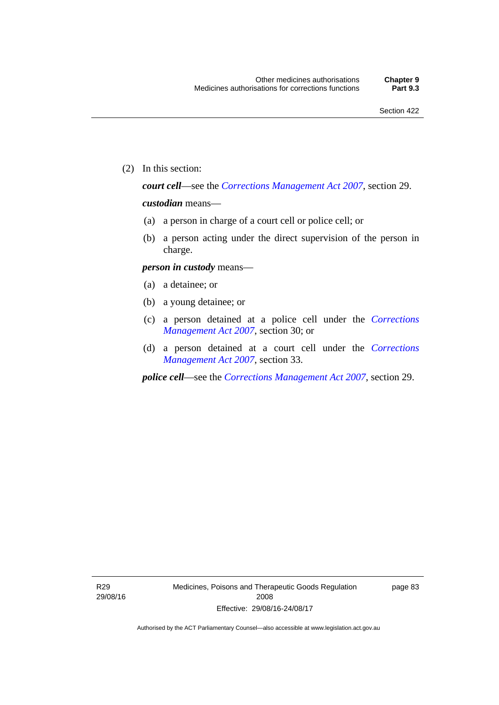(2) In this section:

*court cell*—see the *[Corrections Management Act 2007](http://www.legislation.act.gov.au/a/2007-15)*, section 29.

### *custodian* means—

- (a) a person in charge of a court cell or police cell; or
- (b) a person acting under the direct supervision of the person in charge.

#### *person in custody* means—

- (a) a detainee; or
- (b) a young detainee; or
- (c) a person detained at a police cell under the *[Corrections](http://www.legislation.act.gov.au/a/2007-15)  [Management Act 2007](http://www.legislation.act.gov.au/a/2007-15)*, section 30; or
- (d) a person detained at a court cell under the *[Corrections](http://www.legislation.act.gov.au/a/2007-15)  [Management Act 2007](http://www.legislation.act.gov.au/a/2007-15)*, section 33.

*police cell*—see the *[Corrections Management Act 2007](http://www.legislation.act.gov.au/a/2007-15)*, section 29.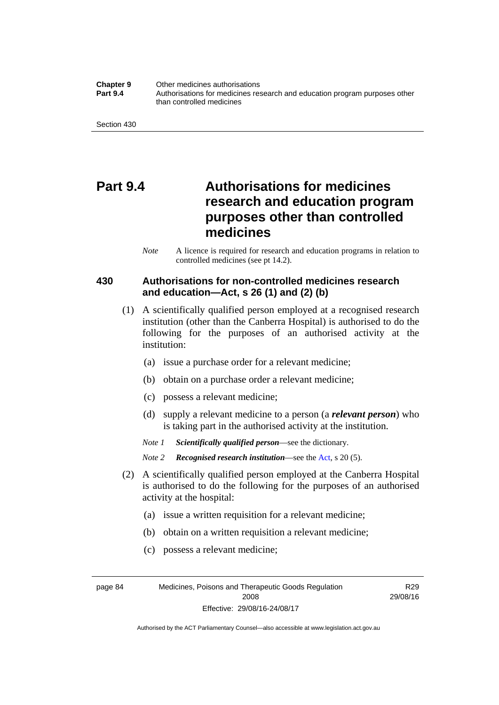**Chapter 9** Other medicines authorisations **Part 9.4** • **Authorisations for medicines research and education program purposes other** than controlled medicines

Section 430

# **Part 9.4 Authorisations for medicines research and education program purposes other than controlled medicines**

*Note* A licence is required for research and education programs in relation to controlled medicines (see pt 14.2).

### **430 Authorisations for non-controlled medicines research and education—Act, s 26 (1) and (2) (b)**

- (1) A scientifically qualified person employed at a recognised research institution (other than the Canberra Hospital) is authorised to do the following for the purposes of an authorised activity at the institution:
	- (a) issue a purchase order for a relevant medicine;
	- (b) obtain on a purchase order a relevant medicine;
	- (c) possess a relevant medicine;
	- (d) supply a relevant medicine to a person (a *relevant person*) who is taking part in the authorised activity at the institution.
	- *Note 1 Scientifically qualified person*—see the dictionary.

*Note 2 Recognised research institution*—see the [Act](http://www.legislation.act.gov.au/a/2008-26/default.asp), s 20 (5).

- (2) A scientifically qualified person employed at the Canberra Hospital is authorised to do the following for the purposes of an authorised activity at the hospital:
	- (a) issue a written requisition for a relevant medicine;
	- (b) obtain on a written requisition a relevant medicine;
	- (c) possess a relevant medicine;

page 84 Medicines, Poisons and Therapeutic Goods Regulation 2008 Effective: 29/08/16-24/08/17

R29 29/08/16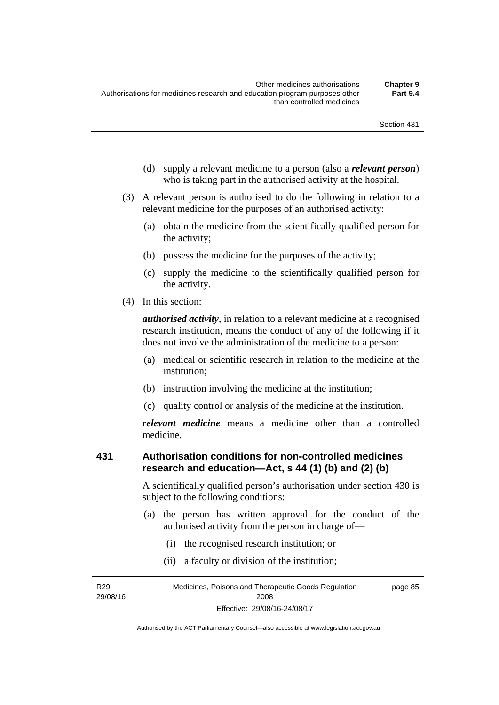- (d) supply a relevant medicine to a person (also a *relevant person*) who is taking part in the authorised activity at the hospital.
- (3) A relevant person is authorised to do the following in relation to a relevant medicine for the purposes of an authorised activity:
	- (a) obtain the medicine from the scientifically qualified person for the activity;
	- (b) possess the medicine for the purposes of the activity;
	- (c) supply the medicine to the scientifically qualified person for the activity.
- (4) In this section:

*authorised activity*, in relation to a relevant medicine at a recognised research institution, means the conduct of any of the following if it does not involve the administration of the medicine to a person:

- (a) medical or scientific research in relation to the medicine at the institution;
- (b) instruction involving the medicine at the institution;
- (c) quality control or analysis of the medicine at the institution.

*relevant medicine* means a medicine other than a controlled medicine.

### **431 Authorisation conditions for non-controlled medicines research and education—Act, s 44 (1) (b) and (2) (b)**

A scientifically qualified person's authorisation under section 430 is subject to the following conditions:

- (a) the person has written approval for the conduct of the authorised activity from the person in charge of—
	- (i) the recognised research institution; or
	- (ii) a faculty or division of the institution;

R29 29/08/16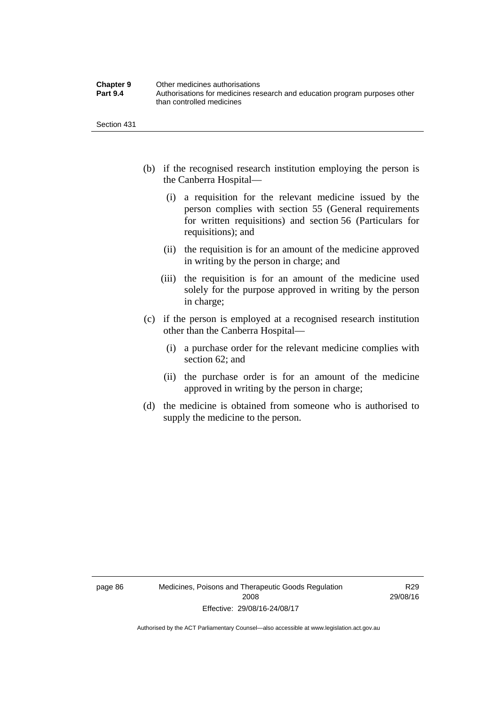| <b>Chapter 9</b> | Other medicines authorisations                                             |
|------------------|----------------------------------------------------------------------------|
| <b>Part 9.4</b>  | Authorisations for medicines research and education program purposes other |
|                  | than controlled medicines                                                  |

Section 431

- (b) if the recognised research institution employing the person is the Canberra Hospital—
	- (i) a requisition for the relevant medicine issued by the person complies with section 55 (General requirements for written requisitions) and section 56 (Particulars for requisitions); and
	- (ii) the requisition is for an amount of the medicine approved in writing by the person in charge; and
	- (iii) the requisition is for an amount of the medicine used solely for the purpose approved in writing by the person in charge;
- (c) if the person is employed at a recognised research institution other than the Canberra Hospital—
	- (i) a purchase order for the relevant medicine complies with section 62; and
	- (ii) the purchase order is for an amount of the medicine approved in writing by the person in charge;
- (d) the medicine is obtained from someone who is authorised to supply the medicine to the person.

R29 29/08/16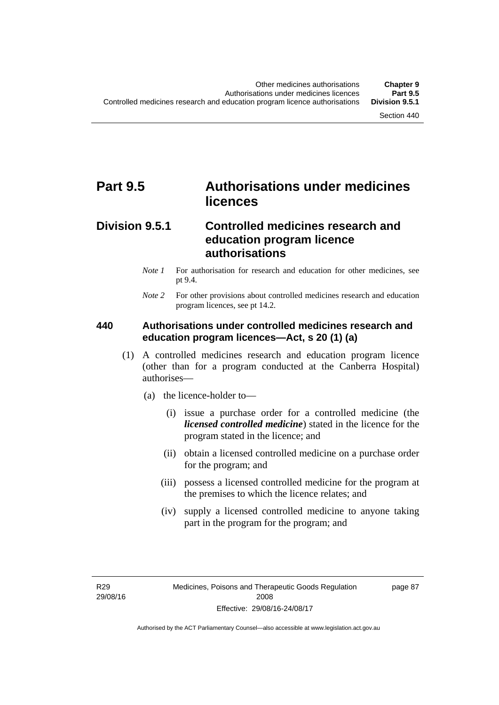# **Part 9.5 Authorisations under medicines licences**

### **Division 9.5.1 Controlled medicines research and education program licence authorisations**

- *Note 1* For authorisation for research and education for other medicines, see pt 9.4.
- *Note 2* For other provisions about controlled medicines research and education program licences, see pt 14.2.

### **440 Authorisations under controlled medicines research and education program licences—Act, s 20 (1) (a)**

- (1) A controlled medicines research and education program licence (other than for a program conducted at the Canberra Hospital) authorises—
	- (a) the licence-holder to—
		- (i) issue a purchase order for a controlled medicine (the *licensed controlled medicine*) stated in the licence for the program stated in the licence; and
		- (ii) obtain a licensed controlled medicine on a purchase order for the program; and
		- (iii) possess a licensed controlled medicine for the program at the premises to which the licence relates; and
		- (iv) supply a licensed controlled medicine to anyone taking part in the program for the program; and

R29 29/08/16 page 87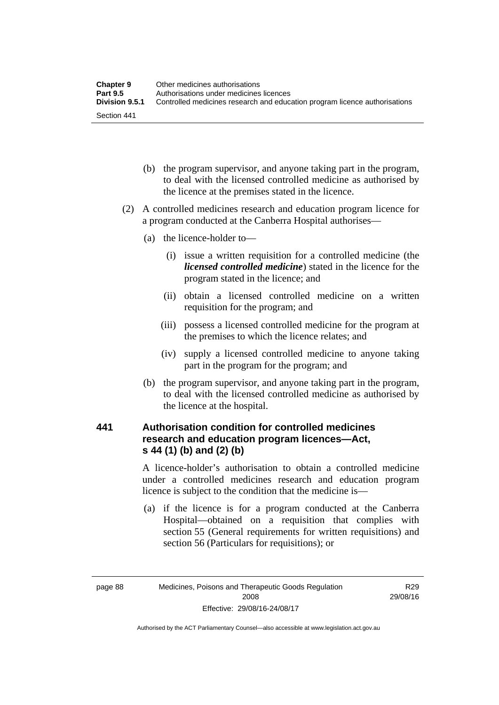| <b>Chapter 9</b> | Other medicines authorisations                                             |
|------------------|----------------------------------------------------------------------------|
| <b>Part 9.5</b>  | Authorisations under medicines licences                                    |
| Division 9.5.1   | Controlled medicines research and education program licence authorisations |
| Section 441      |                                                                            |

- (b) the program supervisor, and anyone taking part in the program, to deal with the licensed controlled medicine as authorised by the licence at the premises stated in the licence.
- (2) A controlled medicines research and education program licence for a program conducted at the Canberra Hospital authorises—
	- (a) the licence-holder to—
		- (i) issue a written requisition for a controlled medicine (the *licensed controlled medicine*) stated in the licence for the program stated in the licence; and
		- (ii) obtain a licensed controlled medicine on a written requisition for the program; and
		- (iii) possess a licensed controlled medicine for the program at the premises to which the licence relates; and
		- (iv) supply a licensed controlled medicine to anyone taking part in the program for the program; and
	- (b) the program supervisor, and anyone taking part in the program, to deal with the licensed controlled medicine as authorised by the licence at the hospital.

### **441 Authorisation condition for controlled medicines research and education program licences—Act, s 44 (1) (b) and (2) (b)**

A licence-holder's authorisation to obtain a controlled medicine under a controlled medicines research and education program licence is subject to the condition that the medicine is—

 (a) if the licence is for a program conducted at the Canberra Hospital—obtained on a requisition that complies with section 55 (General requirements for written requisitions) and section 56 (Particulars for requisitions); or

R29 29/08/16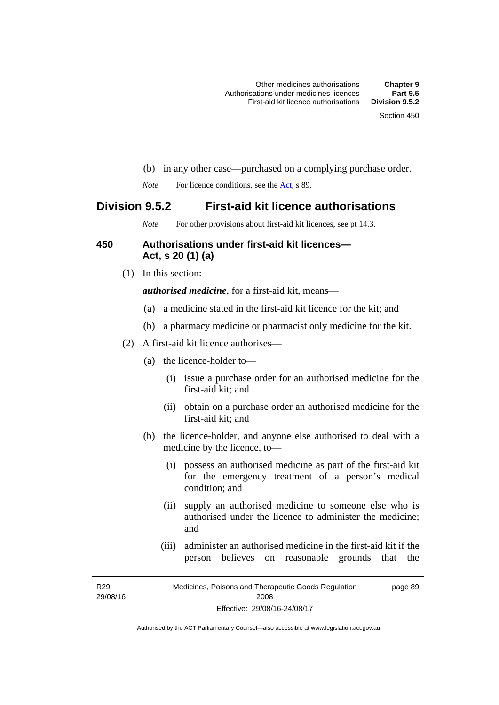- (b) in any other case—purchased on a complying purchase order.
- *Note* For licence conditions, see the [Act](http://www.legislation.act.gov.au/a/2008-26/default.asp), s 89.

### **Division 9.5.2 First-aid kit licence authorisations**

*Note* For other provisions about first-aid kit licences, see pt 14.3.

### **450 Authorisations under first-aid kit licences— Act, s 20 (1) (a)**

(1) In this section:

*authorised medicine*, for a first-aid kit, means—

- (a) a medicine stated in the first-aid kit licence for the kit; and
- (b) a pharmacy medicine or pharmacist only medicine for the kit.
- (2) A first-aid kit licence authorises—
	- (a) the licence-holder to—
		- (i) issue a purchase order for an authorised medicine for the first-aid kit; and
		- (ii) obtain on a purchase order an authorised medicine for the first-aid kit; and
	- (b) the licence-holder, and anyone else authorised to deal with a medicine by the licence, to—
		- (i) possess an authorised medicine as part of the first-aid kit for the emergency treatment of a person's medical condition; and
		- (ii) supply an authorised medicine to someone else who is authorised under the licence to administer the medicine; and
		- (iii) administer an authorised medicine in the first-aid kit if the person believes on reasonable grounds that the

R29 29/08/16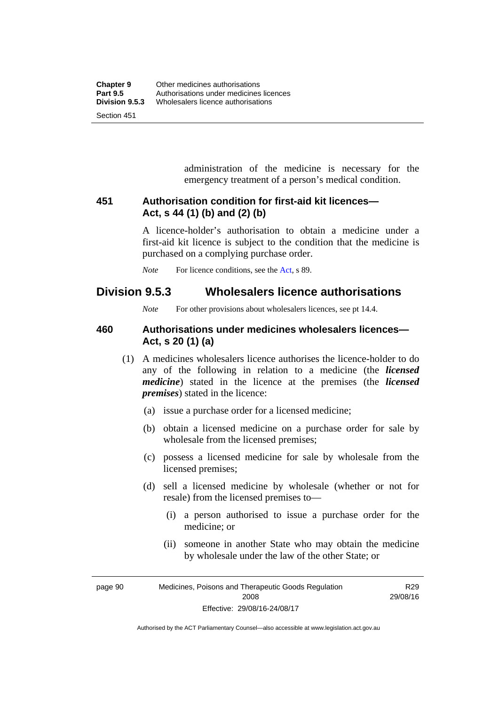administration of the medicine is necessary for the emergency treatment of a person's medical condition.

### **451 Authorisation condition for first-aid kit licences— Act, s 44 (1) (b) and (2) (b)**

A licence-holder's authorisation to obtain a medicine under a first-aid kit licence is subject to the condition that the medicine is purchased on a complying purchase order.

*Note* For licence conditions, see the [Act](http://www.legislation.act.gov.au/a/2008-26/default.asp), s 89.

### **Division 9.5.3 Wholesalers licence authorisations**

*Note* For other provisions about wholesalers licences, see pt 14.4.

### **460 Authorisations under medicines wholesalers licences— Act, s 20 (1) (a)**

- (1) A medicines wholesalers licence authorises the licence-holder to do any of the following in relation to a medicine (the *licensed medicine*) stated in the licence at the premises (the *licensed premises*) stated in the licence:
	- (a) issue a purchase order for a licensed medicine;
	- (b) obtain a licensed medicine on a purchase order for sale by wholesale from the licensed premises;
	- (c) possess a licensed medicine for sale by wholesale from the licensed premises;
	- (d) sell a licensed medicine by wholesale (whether or not for resale) from the licensed premises to—
		- (i) a person authorised to issue a purchase order for the medicine; or
		- (ii) someone in another State who may obtain the medicine by wholesale under the law of the other State; or

page 90 Medicines, Poisons and Therapeutic Goods Regulation 2008 Effective: 29/08/16-24/08/17

R29 29/08/16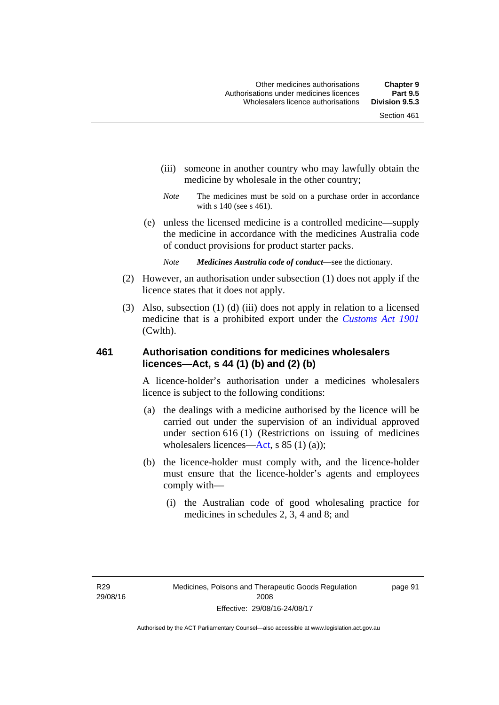- (iii) someone in another country who may lawfully obtain the medicine by wholesale in the other country;
- *Note* The medicines must be sold on a purchase order in accordance with s 140 (see s 461).
- (e) unless the licensed medicine is a controlled medicine—supply the medicine in accordance with the medicines Australia code of conduct provisions for product starter packs.
	- *Note Medicines Australia code of conduct*—see the dictionary.
- (2) However, an authorisation under subsection (1) does not apply if the licence states that it does not apply.
- (3) Also, subsection (1) (d) (iii) does not apply in relation to a licensed medicine that is a prohibited export under the *[Customs Act 1901](http://www.comlaw.gov.au/Series/C1901A00006)* (Cwlth).

### **461 Authorisation conditions for medicines wholesalers licences—Act, s 44 (1) (b) and (2) (b)**

A licence-holder's authorisation under a medicines wholesalers licence is subject to the following conditions:

- (a) the dealings with a medicine authorised by the licence will be carried out under the supervision of an individual approved under section 616 (1) (Restrictions on issuing of medicines wholesalers licences[—Act,](http://www.legislation.act.gov.au/a/2008-26/default.asp) s 85 (1) (a));
- (b) the licence-holder must comply with, and the licence-holder must ensure that the licence-holder's agents and employees comply with—
	- (i) the Australian code of good wholesaling practice for medicines in schedules 2, 3, 4 and 8; and

page 91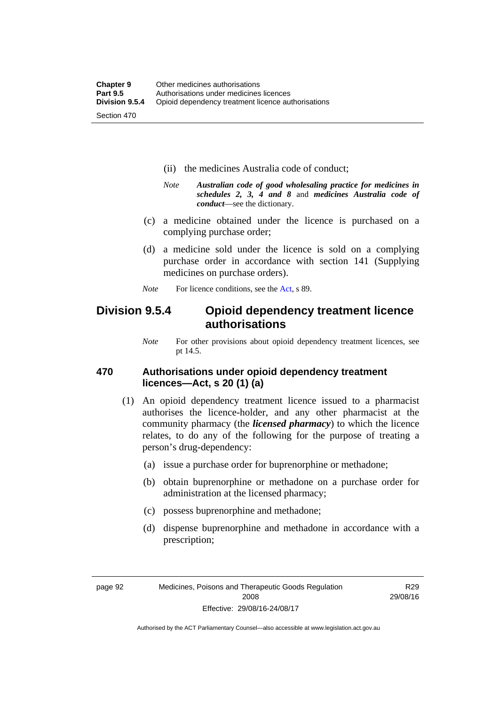- (ii) the medicines Australia code of conduct;
- *Note Australian code of good wholesaling practice for medicines in schedules 2, 3, 4 and 8* and *medicines Australia code of conduct*—see the dictionary.
- (c) a medicine obtained under the licence is purchased on a complying purchase order;
- (d) a medicine sold under the licence is sold on a complying purchase order in accordance with section 141 (Supplying medicines on purchase orders).
- *Note* For licence conditions, see the [Act](http://www.legislation.act.gov.au/a/2008-26/default.asp), s 89.

### **Division 9.5.4 Opioid dependency treatment licence authorisations**

*Note* For other provisions about opioid dependency treatment licences, see pt 14.5.

### **470 Authorisations under opioid dependency treatment licences—Act, s 20 (1) (a)**

- (1) An opioid dependency treatment licence issued to a pharmacist authorises the licence-holder, and any other pharmacist at the community pharmacy (the *licensed pharmacy*) to which the licence relates, to do any of the following for the purpose of treating a person's drug-dependency:
	- (a) issue a purchase order for buprenorphine or methadone;
	- (b) obtain buprenorphine or methadone on a purchase order for administration at the licensed pharmacy;
	- (c) possess buprenorphine and methadone;
	- (d) dispense buprenorphine and methadone in accordance with a prescription;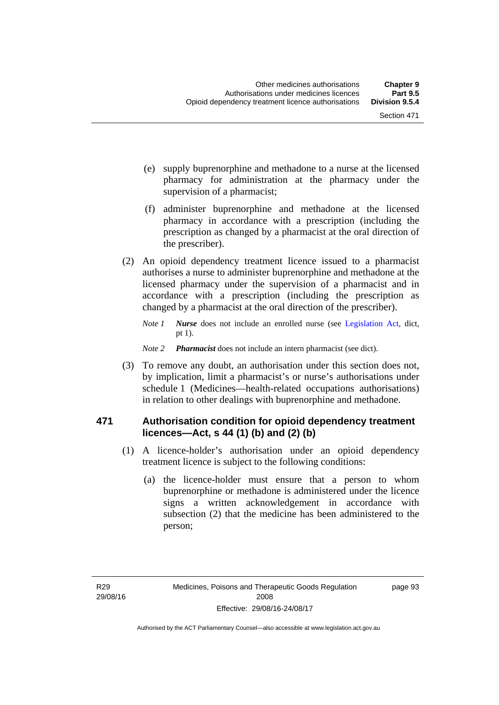- (e) supply buprenorphine and methadone to a nurse at the licensed pharmacy for administration at the pharmacy under the supervision of a pharmacist;
- (f) administer buprenorphine and methadone at the licensed pharmacy in accordance with a prescription (including the prescription as changed by a pharmacist at the oral direction of the prescriber).
- (2) An opioid dependency treatment licence issued to a pharmacist authorises a nurse to administer buprenorphine and methadone at the licensed pharmacy under the supervision of a pharmacist and in accordance with a prescription (including the prescription as changed by a pharmacist at the oral direction of the prescriber).
	- *Note 1 Nurse* does not include an enrolled nurse (see [Legislation Act,](http://www.legislation.act.gov.au/a/2001-14) dict, pt 1).
	- *Note 2 Pharmacist* does not include an intern pharmacist (see dict).
- (3) To remove any doubt, an authorisation under this section does not, by implication, limit a pharmacist's or nurse's authorisations under schedule 1 (Medicines—health-related occupations authorisations) in relation to other dealings with buprenorphine and methadone.

### **471 Authorisation condition for opioid dependency treatment licences—Act, s 44 (1) (b) and (2) (b)**

- (1) A licence-holder's authorisation under an opioid dependency treatment licence is subject to the following conditions:
	- (a) the licence-holder must ensure that a person to whom buprenorphine or methadone is administered under the licence signs a written acknowledgement in accordance with subsection (2) that the medicine has been administered to the person;

page 93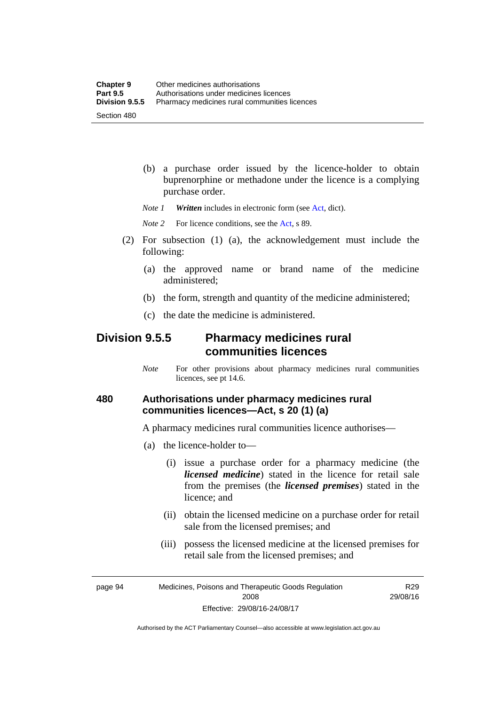(b) a purchase order issued by the licence-holder to obtain buprenorphine or methadone under the licence is a complying purchase order.

*Note 1 Written* includes in electronic form (see [Act,](http://www.legislation.act.gov.au/a/2008-26/default.asp) dict).

*Note* 2 For licence conditions, see the [Act](http://www.legislation.act.gov.au/a/2008-26/default.asp), s 89.

- (2) For subsection (1) (a), the acknowledgement must include the following:
	- (a) the approved name or brand name of the medicine administered;
	- (b) the form, strength and quantity of the medicine administered;
	- (c) the date the medicine is administered.

### **Division 9.5.5 Pharmacy medicines rural communities licences**

*Note* For other provisions about pharmacy medicines rural communities licences, see pt 14.6.

### **480 Authorisations under pharmacy medicines rural communities licences—Act, s 20 (1) (a)**

A pharmacy medicines rural communities licence authorises—

- (a) the licence-holder to—
	- (i) issue a purchase order for a pharmacy medicine (the *licensed medicine*) stated in the licence for retail sale from the premises (the *licensed premises*) stated in the licence; and
	- (ii) obtain the licensed medicine on a purchase order for retail sale from the licensed premises; and
	- (iii) possess the licensed medicine at the licensed premises for retail sale from the licensed premises; and

page 94 Medicines, Poisons and Therapeutic Goods Regulation 2008 Effective: 29/08/16-24/08/17

R29 29/08/16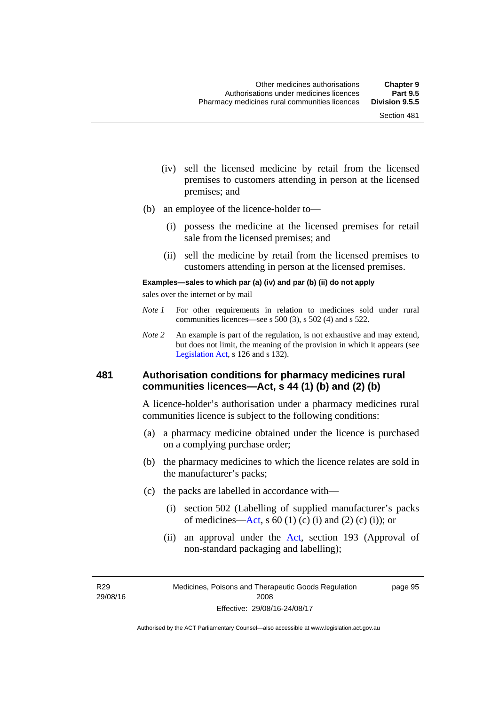- (iv) sell the licensed medicine by retail from the licensed premises to customers attending in person at the licensed premises; and
- (b) an employee of the licence-holder to—
	- (i) possess the medicine at the licensed premises for retail sale from the licensed premises; and
	- (ii) sell the medicine by retail from the licensed premises to customers attending in person at the licensed premises.

#### **Examples—sales to which par (a) (iv) and par (b) (ii) do not apply**

sales over the internet or by mail

- *Note 1* For other requirements in relation to medicines sold under rural communities licences—see s 500 (3), s 502 (4) and s 522.
- *Note 2* An example is part of the regulation, is not exhaustive and may extend, but does not limit, the meaning of the provision in which it appears (see [Legislation Act,](http://www.legislation.act.gov.au/a/2001-14) s 126 and s 132).

### **481 Authorisation conditions for pharmacy medicines rural communities licences—Act, s 44 (1) (b) and (2) (b)**

A licence-holder's authorisation under a pharmacy medicines rural communities licence is subject to the following conditions:

- (a) a pharmacy medicine obtained under the licence is purchased on a complying purchase order;
- (b) the pharmacy medicines to which the licence relates are sold in the manufacturer's packs;
- (c) the packs are labelled in accordance with—
	- (i) section 502 (Labelling of supplied manufacturer's packs of medicines—[Act](http://www.legislation.act.gov.au/a/2008-26/default.asp), s  $60(1)$  (c) (i) and (2) (c) (i)); or
	- (ii) an approval under the [Act](http://www.legislation.act.gov.au/a/2008-26/default.asp), section 193 (Approval of non-standard packaging and labelling);

R29 29/08/16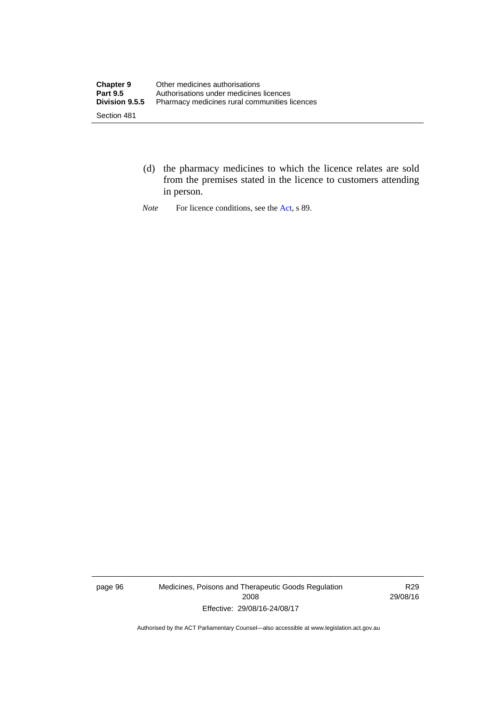- (d) the pharmacy medicines to which the licence relates are sold from the premises stated in the licence to customers attending in person.
- *Note* For licence conditions, see the [Act](http://www.legislation.act.gov.au/a/2008-26/default.asp), s 89.

page 96 Medicines, Poisons and Therapeutic Goods Regulation 2008 Effective: 29/08/16-24/08/17

R29 29/08/16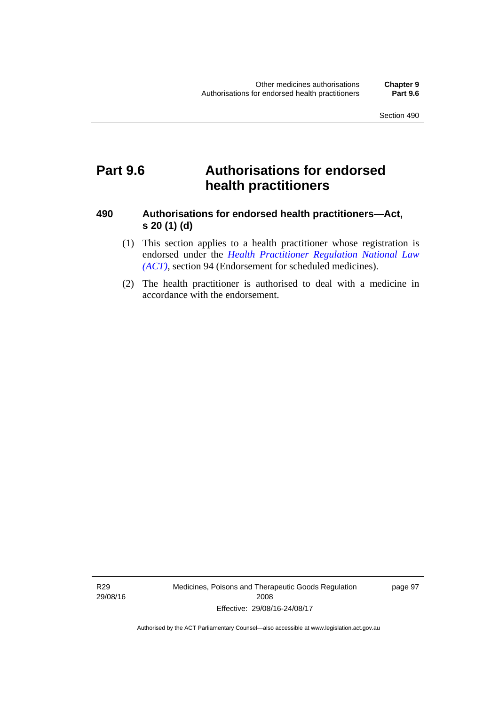# **Part 9.6 Authorisations for endorsed health practitioners**

### **490 Authorisations for endorsed health practitioners—Act, s 20 (1) (d)**

- (1) This section applies to a health practitioner whose registration is endorsed under the 5*[Health Practitioner Regulation National Law](#page-45-0)  (ACT)*[, section 94 \(Endorsement for scheduled medicines\).](#page-45-0)
- (2) The health practitioner is authorised to deal with a medicine in accordance with the endorsement.

R29 29/08/16 Medicines, Poisons and Therapeutic Goods Regulation 2008 Effective: 29/08/16-24/08/17

page 97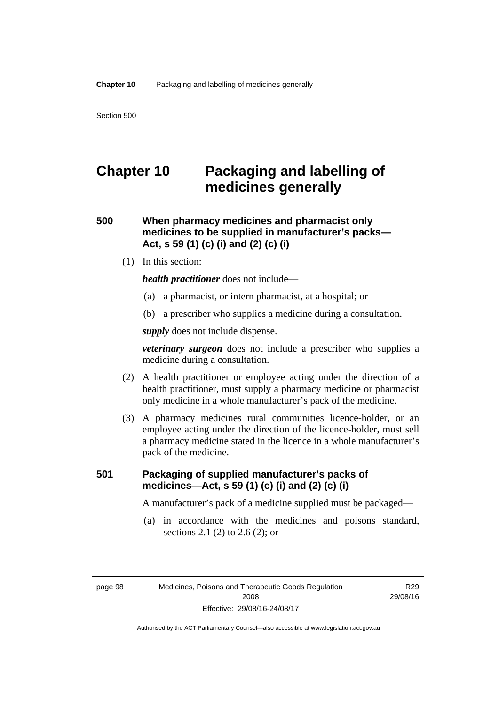# **Chapter 10 Packaging and labelling of medicines generally**

**500 When pharmacy medicines and pharmacist only medicines to be supplied in manufacturer's packs— Act, s 59 (1) (c) (i) and (2) (c) (i)** 

(1) In this section:

*health practitioner* does not include—

- (a) a pharmacist, or intern pharmacist, at a hospital; or
- (b) a prescriber who supplies a medicine during a consultation.

*supply* does not include dispense.

*veterinary surgeon* does not include a prescriber who supplies a medicine during a consultation.

- (2) A health practitioner or employee acting under the direction of a health practitioner, must supply a pharmacy medicine or pharmacist only medicine in a whole manufacturer's pack of the medicine.
- (3) A pharmacy medicines rural communities licence-holder, or an employee acting under the direction of the licence-holder, must sell a pharmacy medicine stated in the licence in a whole manufacturer's pack of the medicine.

### **501 Packaging of supplied manufacturer's packs of medicines—Act, s 59 (1) (c) (i) and (2) (c) (i)**

A manufacturer's pack of a medicine supplied must be packaged—

 (a) in accordance with the medicines and poisons standard, sections 2.1 (2) to 2.6 (2); or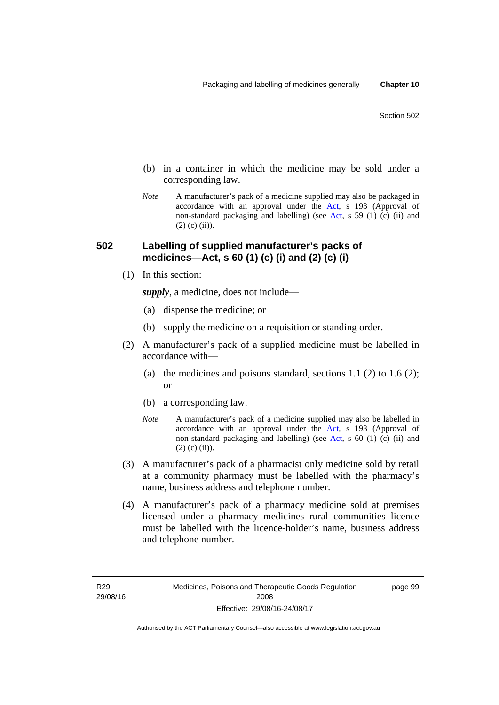- (b) in a container in which the medicine may be sold under a corresponding law.
- *Note* A manufacturer's pack of a medicine supplied may also be packaged in accordance with an approval under the [Act](http://www.legislation.act.gov.au/a/2008-26/default.asp), s 193 (Approval of non-standard packaging and labelling) (see [Act](http://www.legislation.act.gov.au/a/2008-26/default.asp), s 59 (1) (c) (ii) and  $(2)$  (c) (ii)).

### **502 Labelling of supplied manufacturer's packs of medicines—Act, s 60 (1) (c) (i) and (2) (c) (i)**

(1) In this section:

*supply*, a medicine, does not include—

- (a) dispense the medicine; or
- (b) supply the medicine on a requisition or standing order.
- (2) A manufacturer's pack of a supplied medicine must be labelled in accordance with—
	- (a) the medicines and poisons standard, sections  $1.1$  (2) to  $1.6$  (2); or
	- (b) a corresponding law.
	- *Note* A manufacturer's pack of a medicine supplied may also be labelled in accordance with an approval under the [Act](http://www.legislation.act.gov.au/a/2008-26/default.asp), s 193 (Approval of non-standard packaging and labelling) (see [Act](http://www.legislation.act.gov.au/a/2008-26/default.asp), s 60 (1) (c) (ii) and  $(2)$  (c) (ii)).
- (3) A manufacturer's pack of a pharmacist only medicine sold by retail at a community pharmacy must be labelled with the pharmacy's name, business address and telephone number.
- (4) A manufacturer's pack of a pharmacy medicine sold at premises licensed under a pharmacy medicines rural communities licence must be labelled with the licence-holder's name, business address and telephone number.

page 99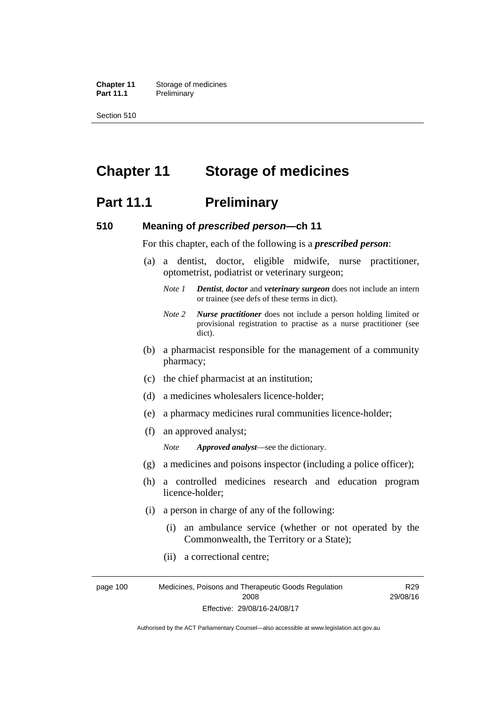**Chapter 11** Storage of medicines Part 11.1 Preliminary

Section 510

# **Chapter 11 Storage of medicines**

### **Part 11.1** Preliminary

### **510 Meaning of** *prescribed person***—ch 11**

For this chapter, each of the following is a *prescribed person*:

- (a) a dentist, doctor, eligible midwife, nurse practitioner, optometrist, podiatrist or veterinary surgeon;
	- *Note 1 Dentist*, *doctor* and *veterinary surgeon* does not include an intern or trainee (see defs of these terms in dict).
	- *Note 2 Nurse practitioner* does not include a person holding limited or provisional registration to practise as a nurse practitioner (see dict).
- (b) a pharmacist responsible for the management of a community pharmacy;
- (c) the chief pharmacist at an institution;
- (d) a medicines wholesalers licence-holder;
- (e) a pharmacy medicines rural communities licence-holder;
- (f) an approved analyst;

*Note Approved analyst*—see the dictionary.

- (g) a medicines and poisons inspector (including a police officer);
- (h) a controlled medicines research and education program licence-holder;
- (i) a person in charge of any of the following:
	- (i) an ambulance service (whether or not operated by the Commonwealth, the Territory or a State);

R29

(ii) a correctional centre;

page 100 Medicines, Poisons and Therapeutic Goods Regulation 2008 Effective: 29/08/16-24/08/17 29/08/16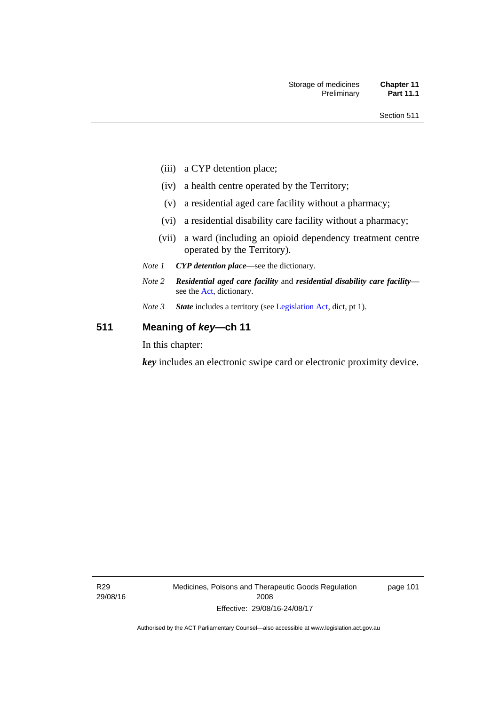- (iii) a CYP detention place;
- (iv) a health centre operated by the Territory;
- (v) a residential aged care facility without a pharmacy;
- (vi) a residential disability care facility without a pharmacy;
- (vii) a ward (including an opioid dependency treatment centre operated by the Territory).
- *Note 1 CYP detention place*—see the dictionary.
- *Note 2 Residential aged care facility* and *residential disability care facility* see the [Act](http://www.legislation.act.gov.au/a/2008-26/default.asp), dictionary.
- *Note 3 State* includes a territory (see [Legislation Act,](http://www.legislation.act.gov.au/a/2001-14) dict, pt 1).

### **511 Meaning of** *key***—ch 11**

In this chapter:

*key* includes an electronic swipe card or electronic proximity device.

R29 29/08/16 Medicines, Poisons and Therapeutic Goods Regulation 2008 Effective: 29/08/16-24/08/17

page 101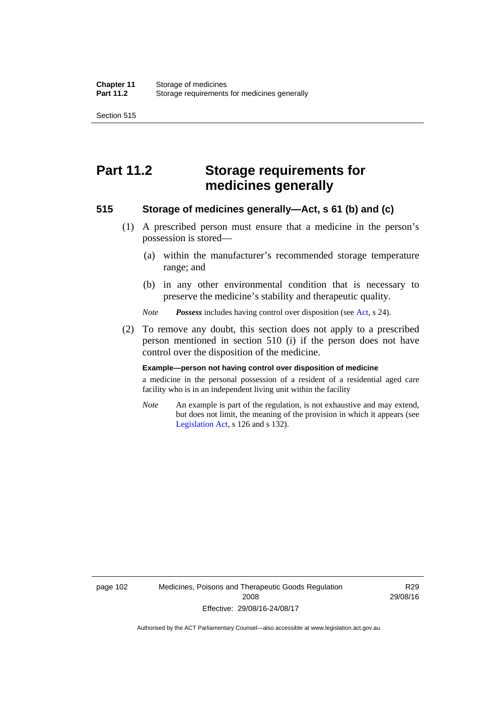Section 515

# **Part 11.2 Storage requirements for medicines generally**

### **515 Storage of medicines generally—Act, s 61 (b) and (c)**

- (1) A prescribed person must ensure that a medicine in the person's possession is stored—
	- (a) within the manufacturer's recommended storage temperature range; and
	- (b) in any other environmental condition that is necessary to preserve the medicine's stability and therapeutic quality.

*Note Possess* includes having control over disposition (see [Act,](http://www.legislation.act.gov.au/a/2008-26/default.asp) s 24).

 (2) To remove any doubt, this section does not apply to a prescribed person mentioned in section 510 (i) if the person does not have control over the disposition of the medicine.

#### **Example—person not having control over disposition of medicine**

a medicine in the personal possession of a resident of a residential aged care facility who is in an independent living unit within the facility

*Note* An example is part of the regulation, is not exhaustive and may extend, but does not limit, the meaning of the provision in which it appears (see [Legislation Act,](http://www.legislation.act.gov.au/a/2001-14) s 126 and s 132).

page 102 Medicines, Poisons and Therapeutic Goods Regulation 2008 Effective: 29/08/16-24/08/17

R29 29/08/16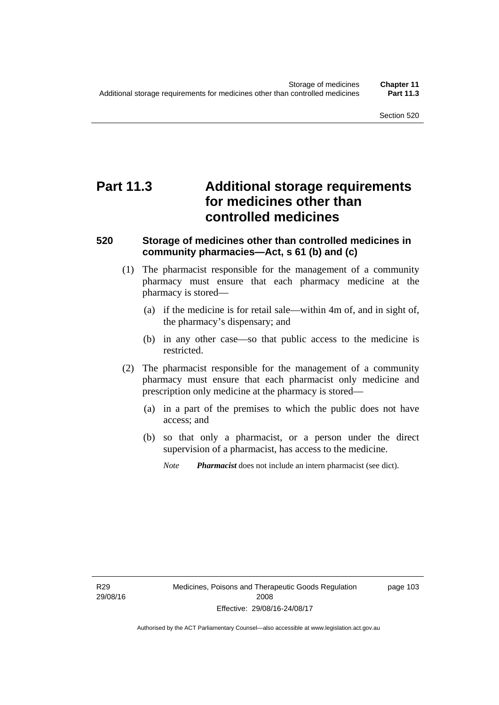# **Part 11.3 Additional storage requirements for medicines other than controlled medicines**

### **520 Storage of medicines other than controlled medicines in community pharmacies—Act, s 61 (b) and (c)**

- (1) The pharmacist responsible for the management of a community pharmacy must ensure that each pharmacy medicine at the pharmacy is stored—
	- (a) if the medicine is for retail sale—within 4m of, and in sight of, the pharmacy's dispensary; and
	- (b) in any other case—so that public access to the medicine is restricted.
- (2) The pharmacist responsible for the management of a community pharmacy must ensure that each pharmacist only medicine and prescription only medicine at the pharmacy is stored—
	- (a) in a part of the premises to which the public does not have access; and
	- (b) so that only a pharmacist, or a person under the direct supervision of a pharmacist, has access to the medicine.

*Note Pharmacist* does not include an intern pharmacist (see dict).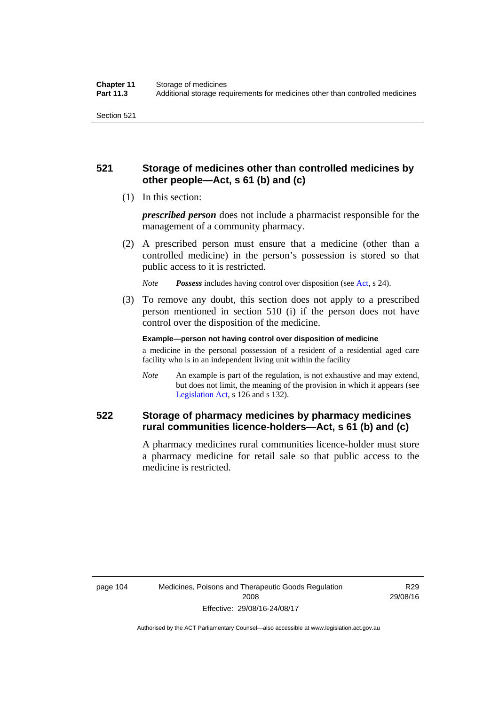### **521 Storage of medicines other than controlled medicines by other people—Act, s 61 (b) and (c)**

(1) In this section:

*prescribed person* does not include a pharmacist responsible for the management of a community pharmacy.

 (2) A prescribed person must ensure that a medicine (other than a controlled medicine) in the person's possession is stored so that public access to it is restricted.

*Note Possess* includes having control over disposition (see [Act,](http://www.legislation.act.gov.au/a/2008-26/default.asp) s 24).

 (3) To remove any doubt, this section does not apply to a prescribed person mentioned in section 510 (i) if the person does not have control over the disposition of the medicine.

**Example—person not having control over disposition of medicine** 

a medicine in the personal possession of a resident of a residential aged care facility who is in an independent living unit within the facility

*Note* An example is part of the regulation, is not exhaustive and may extend, but does not limit, the meaning of the provision in which it appears (see [Legislation Act,](http://www.legislation.act.gov.au/a/2001-14) s 126 and s 132).

### **522 Storage of pharmacy medicines by pharmacy medicines rural communities licence-holders—Act, s 61 (b) and (c)**

A pharmacy medicines rural communities licence-holder must store a pharmacy medicine for retail sale so that public access to the medicine is restricted.

R29 29/08/16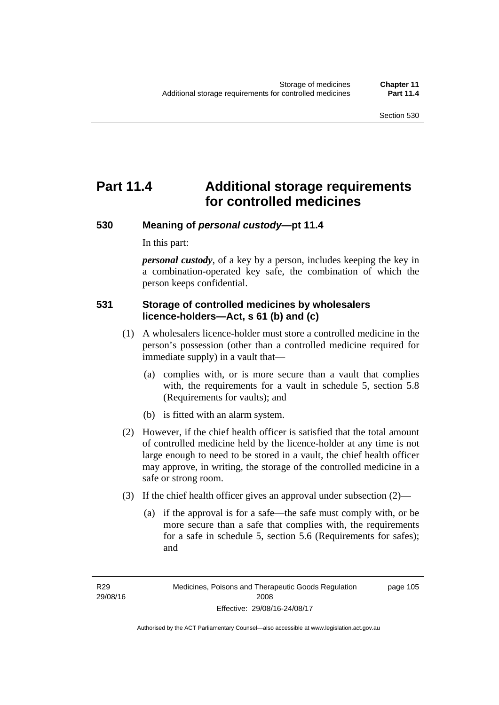# **Part 11.4 Additional storage requirements for controlled medicines**

### **530 Meaning of** *personal custody***—pt 11.4**

In this part:

*personal custody*, of a key by a person, includes keeping the key in a combination-operated key safe, the combination of which the person keeps confidential.

### **531 Storage of controlled medicines by wholesalers licence-holders—Act, s 61 (b) and (c)**

- (1) A wholesalers licence-holder must store a controlled medicine in the person's possession (other than a controlled medicine required for immediate supply) in a vault that—
	- (a) complies with, or is more secure than a vault that complies with, the requirements for a vault in schedule 5, section 5.8 (Requirements for vaults); and
	- (b) is fitted with an alarm system.
- (2) However, if the chief health officer is satisfied that the total amount of controlled medicine held by the licence-holder at any time is not large enough to need to be stored in a vault, the chief health officer may approve, in writing, the storage of the controlled medicine in a safe or strong room.
- (3) If the chief health officer gives an approval under subsection (2)—
	- (a) if the approval is for a safe—the safe must comply with, or be more secure than a safe that complies with, the requirements for a safe in schedule 5, section 5.6 (Requirements for safes); and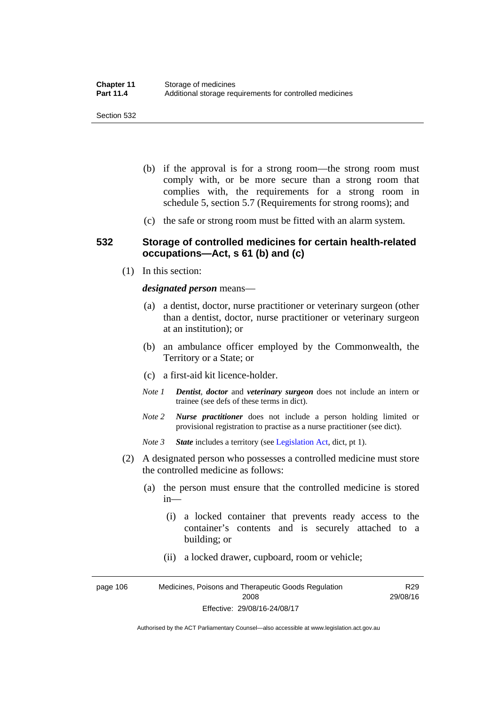- (b) if the approval is for a strong room—the strong room must comply with, or be more secure than a strong room that complies with, the requirements for a strong room in schedule 5, section 5.7 (Requirements for strong rooms); and
- (c) the safe or strong room must be fitted with an alarm system.

### **532 Storage of controlled medicines for certain health-related occupations—Act, s 61 (b) and (c)**

(1) In this section:

#### *designated person* means—

- (a) a dentist, doctor, nurse practitioner or veterinary surgeon (other than a dentist, doctor, nurse practitioner or veterinary surgeon at an institution); or
- (b) an ambulance officer employed by the Commonwealth, the Territory or a State; or
- (c) a first-aid kit licence-holder.
- *Note 1 Dentist*, *doctor* and *veterinary surgeon* does not include an intern or trainee (see defs of these terms in dict).
- *Note 2 Nurse practitioner* does not include a person holding limited or provisional registration to practise as a nurse practitioner (see dict).
- *Note 3 State* includes a territory (see [Legislation Act,](http://www.legislation.act.gov.au/a/2001-14) dict, pt 1).
- (2) A designated person who possesses a controlled medicine must store the controlled medicine as follows:
	- (a) the person must ensure that the controlled medicine is stored in—
		- (i) a locked container that prevents ready access to the container's contents and is securely attached to a building; or
		- (ii) a locked drawer, cupboard, room or vehicle;

page 106 Medicines, Poisons and Therapeutic Goods Regulation 2008 Effective: 29/08/16-24/08/17 R29 29/08/16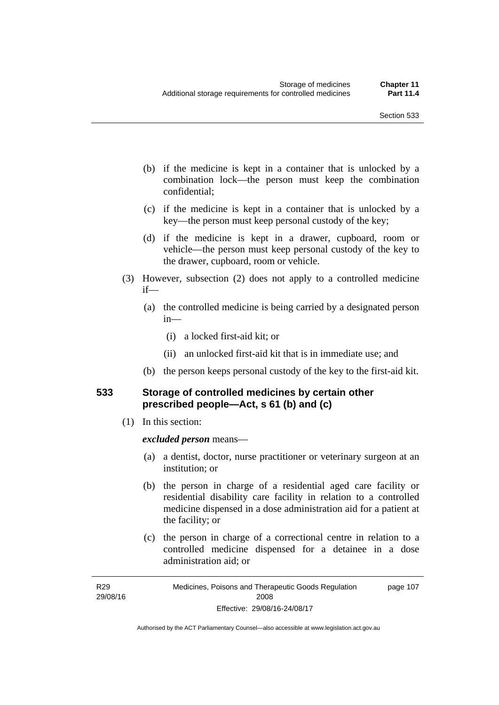- (b) if the medicine is kept in a container that is unlocked by a combination lock—the person must keep the combination confidential;
- (c) if the medicine is kept in a container that is unlocked by a key—the person must keep personal custody of the key;
- (d) if the medicine is kept in a drawer, cupboard, room or vehicle—the person must keep personal custody of the key to the drawer, cupboard, room or vehicle.
- (3) However, subsection (2) does not apply to a controlled medicine if—
	- (a) the controlled medicine is being carried by a designated person in—
		- (i) a locked first-aid kit; or
		- (ii) an unlocked first-aid kit that is in immediate use; and
	- (b) the person keeps personal custody of the key to the first-aid kit.

### **533 Storage of controlled medicines by certain other prescribed people—Act, s 61 (b) and (c)**

(1) In this section:

#### *excluded person* means—

- (a) a dentist, doctor, nurse practitioner or veterinary surgeon at an institution; or
- (b) the person in charge of a residential aged care facility or residential disability care facility in relation to a controlled medicine dispensed in a dose administration aid for a patient at the facility; or
- (c) the person in charge of a correctional centre in relation to a controlled medicine dispensed for a detainee in a dose administration aid; or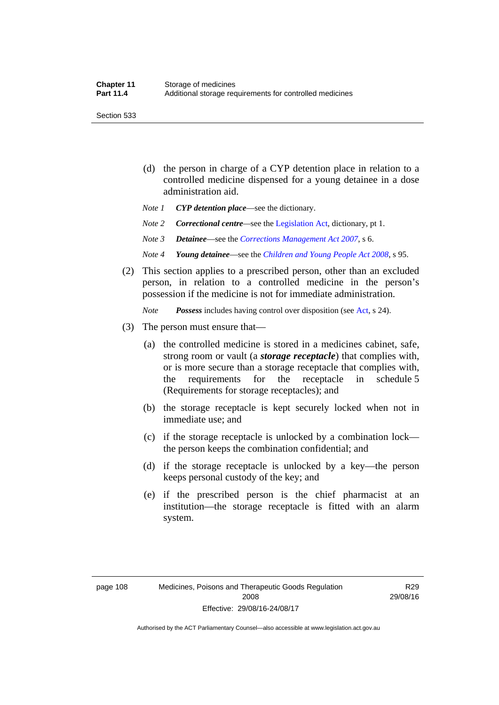Section 533

- (d) the person in charge of a CYP detention place in relation to a controlled medicine dispensed for a young detainee in a dose administration aid.
- *Note 1 CYP detention place*—see the dictionary.
- *Note 2 Correctional centre—see the [Legislation Act](http://www.legislation.act.gov.au/a/2001-14), dictionary, pt 1.*
- *Note 3 Detainee*—see the *[Corrections Management Act 2007](http://www.legislation.act.gov.au/a/2007-15)*, s 6.
- *Note 4 Young detainee*—see the *[Children and Young People Act 2008](http://www.legislation.act.gov.au/a/2008-19)*, s 95.
- (2) This section applies to a prescribed person, other than an excluded person, in relation to a controlled medicine in the person's possession if the medicine is not for immediate administration.

*Note Possess* includes having control over disposition (see [Act,](http://www.legislation.act.gov.au/a/2008-26/default.asp) s 24).

- (3) The person must ensure that—
	- (a) the controlled medicine is stored in a medicines cabinet, safe, strong room or vault (a *storage receptacle*) that complies with, or is more secure than a storage receptacle that complies with, the requirements for the receptacle in schedule 5 (Requirements for storage receptacles); and
	- (b) the storage receptacle is kept securely locked when not in immediate use; and
	- (c) if the storage receptacle is unlocked by a combination lock the person keeps the combination confidential; and
	- (d) if the storage receptacle is unlocked by a key—the person keeps personal custody of the key; and
	- (e) if the prescribed person is the chief pharmacist at an institution—the storage receptacle is fitted with an alarm system.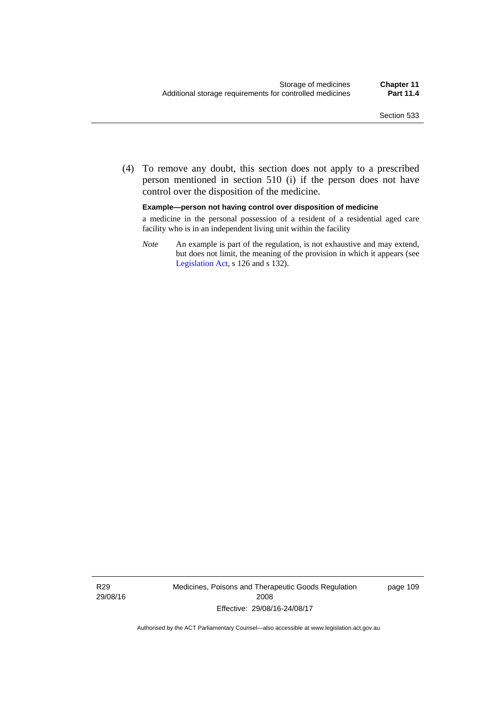(4) To remove any doubt, this section does not apply to a prescribed person mentioned in section 510 (i) if the person does not have control over the disposition of the medicine.

#### **Example—person not having control over disposition of medicine**

a medicine in the personal possession of a resident of a residential aged care facility who is in an independent living unit within the facility

*Note* An example is part of the regulation, is not exhaustive and may extend, but does not limit, the meaning of the provision in which it appears (see [Legislation Act,](http://www.legislation.act.gov.au/a/2001-14) s 126 and s 132).

R29 29/08/16 Medicines, Poisons and Therapeutic Goods Regulation 2008 Effective: 29/08/16-24/08/17

page 109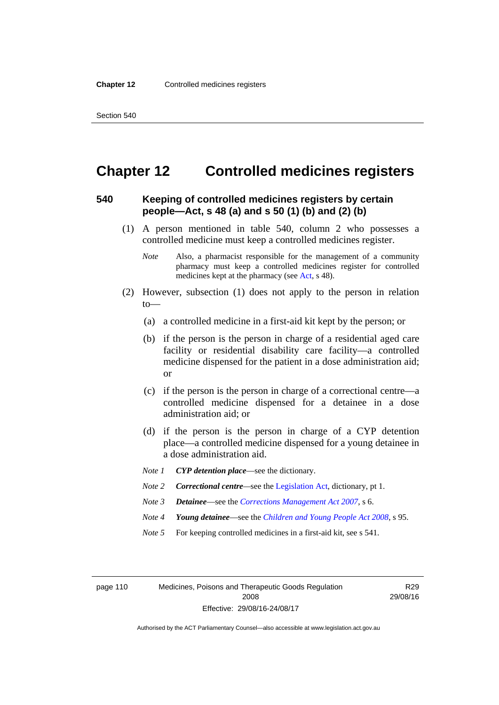### **Chapter 12 Controlled medicines registers**

### **540 Keeping of controlled medicines registers by certain people—Act, s 48 (a) and s 50 (1) (b) and (2) (b)**

- (1) A person mentioned in table 540, column 2 who possesses a controlled medicine must keep a controlled medicines register.
	- *Note* Also, a pharmacist responsible for the management of a community pharmacy must keep a controlled medicines register for controlled medicines kept at the pharmacy (see [Act](http://www.legislation.act.gov.au/a/2008-26/default.asp), s 48).
- (2) However, subsection (1) does not apply to the person in relation  $to$ —
	- (a) a controlled medicine in a first-aid kit kept by the person; or
	- (b) if the person is the person in charge of a residential aged care facility or residential disability care facility—a controlled medicine dispensed for the patient in a dose administration aid; or
	- (c) if the person is the person in charge of a correctional centre—a controlled medicine dispensed for a detainee in a dose administration aid; or
	- (d) if the person is the person in charge of a CYP detention place—a controlled medicine dispensed for a young detainee in a dose administration aid.
	- *Note 1 CYP detention place*—see the dictionary.
	- *Note 2 Correctional centre—see the [Legislation Act](http://www.legislation.act.gov.au/a/2001-14), dictionary, pt 1.*
	- *Note 3 Detainee*—see the *[Corrections Management Act 2007](http://www.legislation.act.gov.au/a/2007-15)*, s 6.
	- *Note 4 Young detainee*—see the *[Children and Young People Act 2008](http://www.legislation.act.gov.au/a/2008-19)*, s 95.
	- *Note* 5 For keeping controlled medicines in a first-aid kit, see s 541.

page 110 Medicines, Poisons and Therapeutic Goods Regulation 2008 Effective: 29/08/16-24/08/17

R29 29/08/16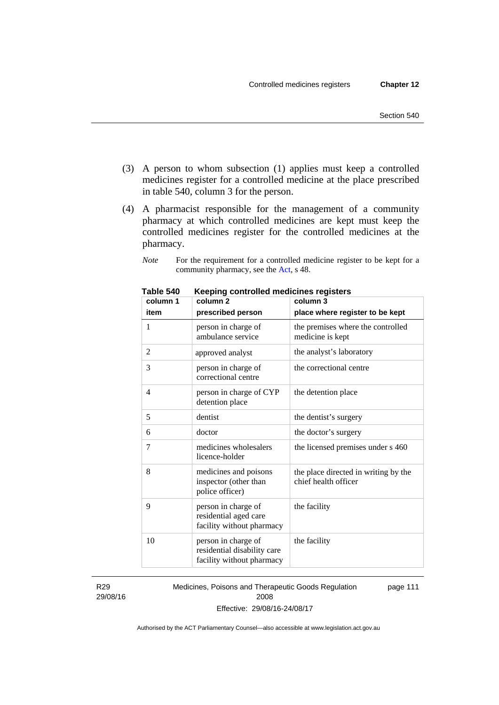- (3) A person to whom subsection (1) applies must keep a controlled medicines register for a controlled medicine at the place prescribed in table 540, column 3 for the person.
- (4) A pharmacist responsible for the management of a community pharmacy at which controlled medicines are kept must keep the controlled medicines register for the controlled medicines at the pharmacy.
	- *Note* For the requirement for a controlled medicine register to be kept for a community pharmacy, see the [Act,](http://www.legislation.act.gov.au/a/2008-26/default.asp) s 48.

| column 1       | column <sub>2</sub>                                                             | column 3                                                     |
|----------------|---------------------------------------------------------------------------------|--------------------------------------------------------------|
| item           | prescribed person                                                               | place where register to be kept                              |
| 1              | person in charge of<br>ambulance service                                        | the premises where the controlled<br>medicine is kept        |
| $\overline{2}$ | approved analyst                                                                | the analyst's laboratory                                     |
| 3              | person in charge of<br>correctional centre                                      | the correctional centre                                      |
| 4              | person in charge of CYP<br>detention place                                      | the detention place                                          |
| 5              | dentist                                                                         | the dentist's surgery                                        |
| 6              | doctor                                                                          | the doctor's surgery                                         |
| 7              | medicines wholesalers<br>licence-holder                                         | the licensed premises under s 460                            |
| 8              | medicines and poisons<br>inspector (other than<br>police officer)               | the place directed in writing by the<br>chief health officer |
| 9              | person in charge of<br>residential aged care<br>facility without pharmacy       | the facility                                                 |
| 10             | person in charge of<br>residential disability care<br>facility without pharmacy | the facility                                                 |

**Table 540 Keeping controlled medicines registers** 

R29 29/08/16 Medicines, Poisons and Therapeutic Goods Regulation 2008 Effective: 29/08/16-24/08/17 page 111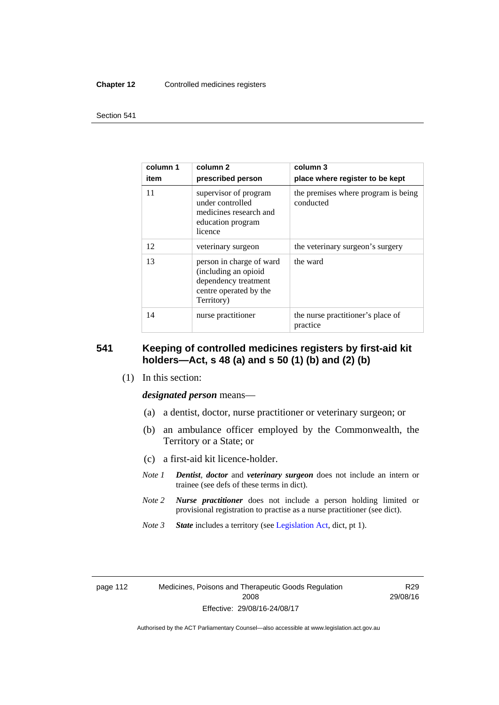#### **Chapter 12** Controlled medicines registers

#### Section 541

| column 1<br>item | column 2<br>prescribed person                                                                                    | column 3<br>place where register to be kept      |
|------------------|------------------------------------------------------------------------------------------------------------------|--------------------------------------------------|
| 11               | supervisor of program<br>under controlled<br>medicines research and<br>education program<br>licence              | the premises where program is being<br>conducted |
| 12               | veterinary surgeon                                                                                               | the veterinary surgeon's surgery                 |
| 13               | person in charge of ward<br>(including an opioid<br>dependency treatment<br>centre operated by the<br>Territory) | the ward                                         |
| 14               | nurse practitioner                                                                                               | the nurse practitioner's place of<br>practice    |

### **541 Keeping of controlled medicines registers by first-aid kit holders—Act, s 48 (a) and s 50 (1) (b) and (2) (b)**

(1) In this section:

*designated person* means—

- (a) a dentist, doctor, nurse practitioner or veterinary surgeon; or
- (b) an ambulance officer employed by the Commonwealth, the Territory or a State; or
- (c) a first-aid kit licence-holder.
- *Note 1 Dentist*, *doctor* and *veterinary surgeon* does not include an intern or trainee (see defs of these terms in dict).
- *Note 2 Nurse practitioner* does not include a person holding limited or provisional registration to practise as a nurse practitioner (see dict).
- *Note 3 State* includes a territory (see [Legislation Act,](http://www.legislation.act.gov.au/a/2001-14) dict, pt 1).

| page TTZ |  |
|----------|--|
|----------|--|

R29 29/08/16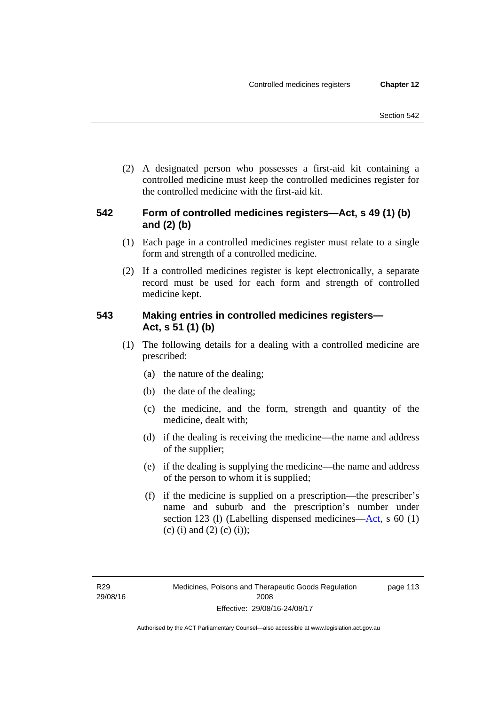(2) A designated person who possesses a first-aid kit containing a controlled medicine must keep the controlled medicines register for the controlled medicine with the first-aid kit.

### **542 Form of controlled medicines registers—Act, s 49 (1) (b) and (2) (b)**

- (1) Each page in a controlled medicines register must relate to a single form and strength of a controlled medicine.
- (2) If a controlled medicines register is kept electronically, a separate record must be used for each form and strength of controlled medicine kept.

### **543 Making entries in controlled medicines registers— Act, s 51 (1) (b)**

- (1) The following details for a dealing with a controlled medicine are prescribed:
	- (a) the nature of the dealing;
	- (b) the date of the dealing;
	- (c) the medicine, and the form, strength and quantity of the medicine, dealt with;
	- (d) if the dealing is receiving the medicine—the name and address of the supplier;
	- (e) if the dealing is supplying the medicine—the name and address of the person to whom it is supplied;
	- (f) if the medicine is supplied on a prescription—the prescriber's name and suburb and the prescription's number under section 123 (l) (Labelling dispensed medicines[—Act,](http://www.legislation.act.gov.au/a/2008-26/default.asp) s 60 (1) (c) (i) and (2) (c) (i));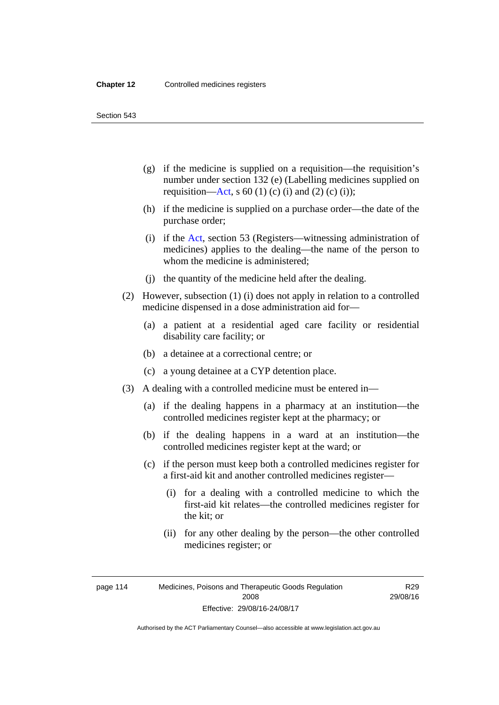Section 543

- (g) if the medicine is supplied on a requisition—the requisition's number under section 132 (e) (Labelling medicines supplied on requisition[—Act,](http://www.legislation.act.gov.au/a/2008-26/default.asp) s 60 (1) (c) (i) and (2) (c) (i));
- (h) if the medicine is supplied on a purchase order—the date of the purchase order;
- (i) if the [Act,](http://www.legislation.act.gov.au/a/2008-26/default.asp) section 53 (Registers—witnessing administration of medicines) applies to the dealing—the name of the person to whom the medicine is administered;
- (j) the quantity of the medicine held after the dealing.
- (2) However, subsection (1) (i) does not apply in relation to a controlled medicine dispensed in a dose administration aid for—
	- (a) a patient at a residential aged care facility or residential disability care facility; or
	- (b) a detainee at a correctional centre; or
	- (c) a young detainee at a CYP detention place.
- (3) A dealing with a controlled medicine must be entered in—
	- (a) if the dealing happens in a pharmacy at an institution—the controlled medicines register kept at the pharmacy; or
	- (b) if the dealing happens in a ward at an institution—the controlled medicines register kept at the ward; or
	- (c) if the person must keep both a controlled medicines register for a first-aid kit and another controlled medicines register—
		- (i) for a dealing with a controlled medicine to which the first-aid kit relates—the controlled medicines register for the kit; or
		- (ii) for any other dealing by the person—the other controlled medicines register; or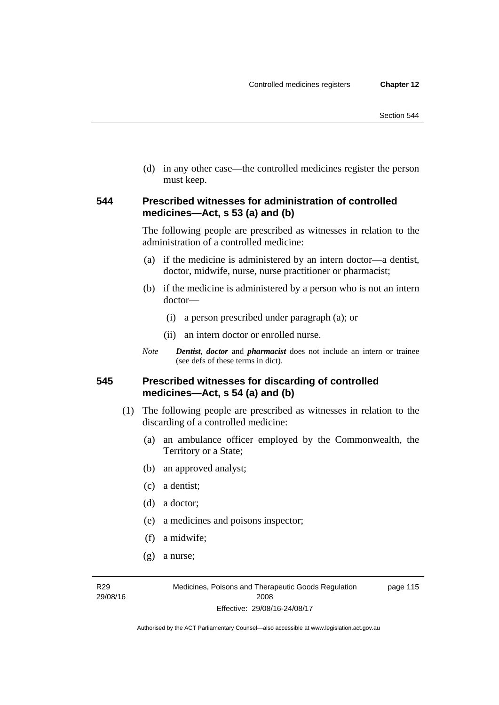(d) in any other case—the controlled medicines register the person must keep.

### **544 Prescribed witnesses for administration of controlled medicines—Act, s 53 (a) and (b)**

The following people are prescribed as witnesses in relation to the administration of a controlled medicine:

- (a) if the medicine is administered by an intern doctor—a dentist, doctor, midwife, nurse, nurse practitioner or pharmacist;
- (b) if the medicine is administered by a person who is not an intern doctor—
	- (i) a person prescribed under paragraph (a); or
	- (ii) an intern doctor or enrolled nurse.
- *Note Dentist*, *doctor* and *pharmacist* does not include an intern or trainee (see defs of these terms in dict).

### **545 Prescribed witnesses for discarding of controlled medicines—Act, s 54 (a) and (b)**

- (1) The following people are prescribed as witnesses in relation to the discarding of a controlled medicine:
	- (a) an ambulance officer employed by the Commonwealth, the Territory or a State;
	- (b) an approved analyst;
	- (c) a dentist;
	- (d) a doctor;
	- (e) a medicines and poisons inspector;
	- (f) a midwife;
	- (g) a nurse;

R29 29/08/16 page 115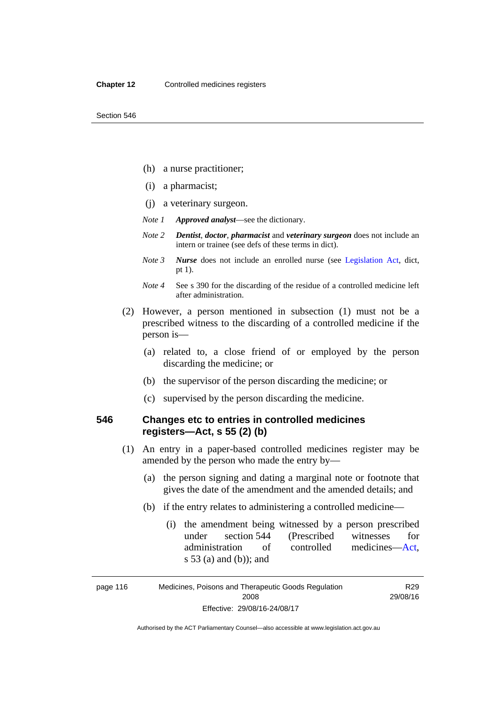- (h) a nurse practitioner;
- (i) a pharmacist;
- (j) a veterinary surgeon.
- *Note 1 Approved analyst*—see the dictionary.
- *Note 2 Dentist*, *doctor*, *pharmacist* and *veterinary surgeon* does not include an intern or trainee (see defs of these terms in dict).
- *Note 3 Nurse* does not include an enrolled nurse (see [Legislation Act,](http://www.legislation.act.gov.au/a/2001-14) dict, pt 1).
- *Note 4* See s 390 for the discarding of the residue of a controlled medicine left after administration.
- (2) However, a person mentioned in subsection (1) must not be a prescribed witness to the discarding of a controlled medicine if the person is—
	- (a) related to, a close friend of or employed by the person discarding the medicine; or
	- (b) the supervisor of the person discarding the medicine; or
	- (c) supervised by the person discarding the medicine.

### **546 Changes etc to entries in controlled medicines registers—Act, s 55 (2) (b)**

- (1) An entry in a paper-based controlled medicines register may be amended by the person who made the entry by—
	- (a) the person signing and dating a marginal note or footnote that gives the date of the amendment and the amended details; and
	- (b) if the entry relates to administering a controlled medicine—
		- (i) the amendment being witnessed by a person prescribed under section 544 (Prescribed witnesses for administration of controlled medicines[—Act](http://www.legislation.act.gov.au/a/2008-26/default.asp), s 53 (a) and (b)); and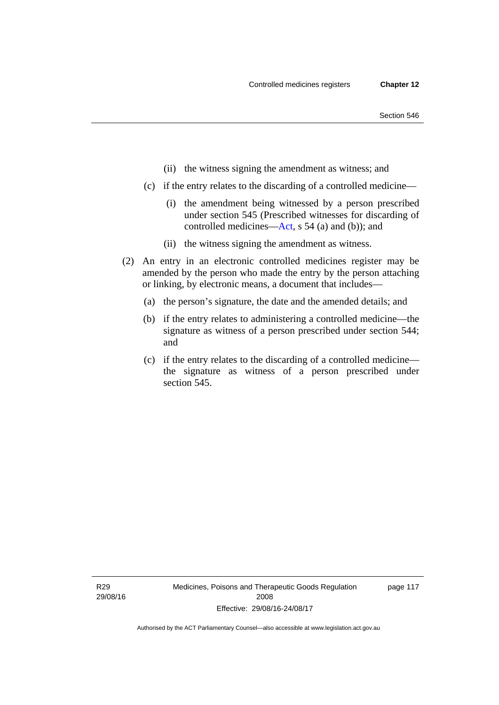- (ii) the witness signing the amendment as witness; and
- (c) if the entry relates to the discarding of a controlled medicine—
	- (i) the amendment being witnessed by a person prescribed under section 545 (Prescribed witnesses for discarding of controlled medicines[—Act,](http://www.legislation.act.gov.au/a/2008-26/default.asp) s 54 (a) and (b)); and
	- (ii) the witness signing the amendment as witness.
- (2) An entry in an electronic controlled medicines register may be amended by the person who made the entry by the person attaching or linking, by electronic means, a document that includes—
	- (a) the person's signature, the date and the amended details; and
	- (b) if the entry relates to administering a controlled medicine—the signature as witness of a person prescribed under section 544; and
	- (c) if the entry relates to the discarding of a controlled medicine the signature as witness of a person prescribed under section 545.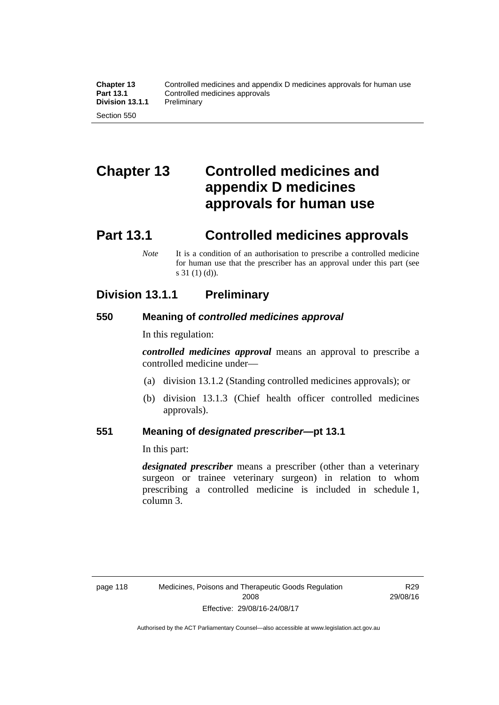# **Chapter 13 Controlled medicines and appendix D medicines approvals for human use**

## **Part 13.1 Controlled medicines approvals**

*Note* It is a condition of an authorisation to prescribe a controlled medicine for human use that the prescriber has an approval under this part (see s 31 (1) (d)).

### **Division 13.1.1 Preliminary**

### **550 Meaning of** *controlled medicines approval*

In this regulation:

*controlled medicines approval* means an approval to prescribe a controlled medicine under—

- (a) division 13.1.2 (Standing controlled medicines approvals); or
- (b) division 13.1.3 (Chief health officer controlled medicines approvals).

### **551 Meaning of** *designated prescriber***—pt 13.1**

In this part:

*designated prescriber* means a prescriber (other than a veterinary surgeon or trainee veterinary surgeon) in relation to whom prescribing a controlled medicine is included in schedule 1, column 3.

R29 29/08/16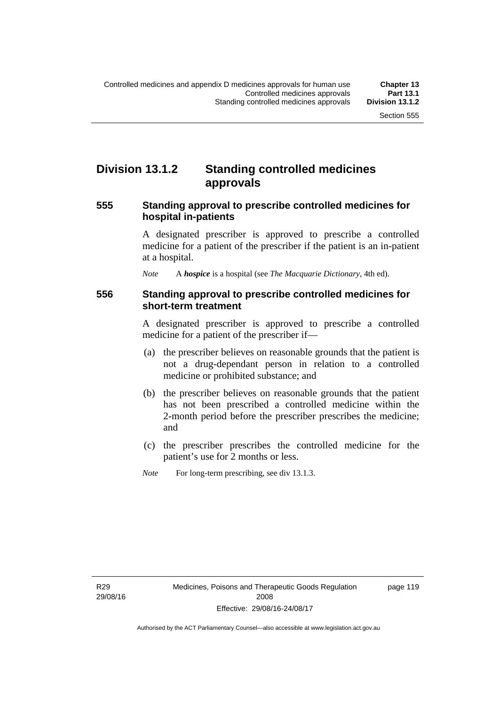### **Division 13.1.2 Standing controlled medicines approvals**

### **555 Standing approval to prescribe controlled medicines for hospital in-patients**

A designated prescriber is approved to prescribe a controlled medicine for a patient of the prescriber if the patient is an in-patient at a hospital.

*Note* A *hospice* is a hospital (see *The Macquarie Dictionary*, 4th ed).

### **556 Standing approval to prescribe controlled medicines for short-term treatment**

A designated prescriber is approved to prescribe a controlled medicine for a patient of the prescriber if—

- (a) the prescriber believes on reasonable grounds that the patient is not a drug-dependant person in relation to a controlled medicine or prohibited substance; and
- (b) the prescriber believes on reasonable grounds that the patient has not been prescribed a controlled medicine within the 2-month period before the prescriber prescribes the medicine; and
- (c) the prescriber prescribes the controlled medicine for the patient's use for 2 months or less.
- *Note* For long-term prescribing, see div 13.1.3.

R29 29/08/16 page 119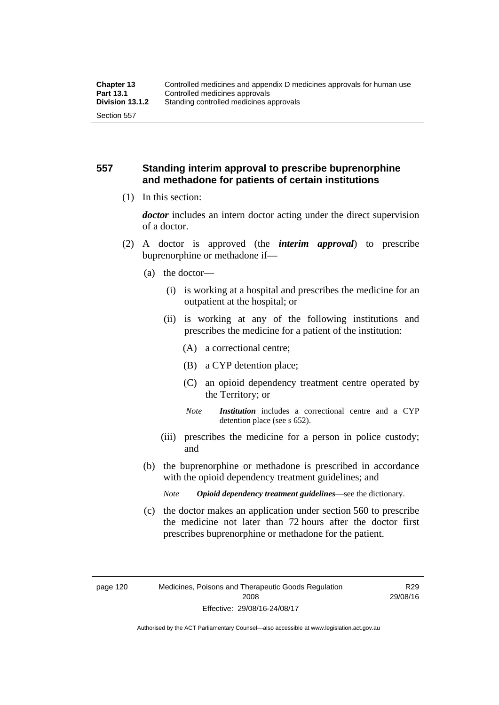### **557 Standing interim approval to prescribe buprenorphine and methadone for patients of certain institutions**

(1) In this section:

*doctor* includes an intern doctor acting under the direct supervision of a doctor.

- (2) A doctor is approved (the *interim approval*) to prescribe buprenorphine or methadone if—
	- (a) the doctor—
		- (i) is working at a hospital and prescribes the medicine for an outpatient at the hospital; or
		- (ii) is working at any of the following institutions and prescribes the medicine for a patient of the institution:
			- (A) a correctional centre;
			- (B) a CYP detention place;
			- (C) an opioid dependency treatment centre operated by the Territory; or
			- *Note Institution* includes a correctional centre and a CYP detention place (see s 652).
		- (iii) prescribes the medicine for a person in police custody; and
	- (b) the buprenorphine or methadone is prescribed in accordance with the opioid dependency treatment guidelines; and
		- *Note Opioid dependency treatment guidelines*—see the dictionary.
	- (c) the doctor makes an application under section 560 to prescribe the medicine not later than 72 hours after the doctor first prescribes buprenorphine or methadone for the patient.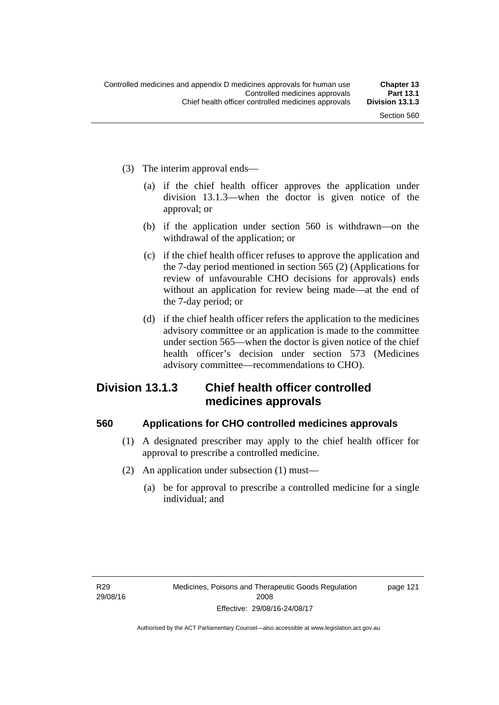- (3) The interim approval ends—
	- (a) if the chief health officer approves the application under division 13.1.3—when the doctor is given notice of the approval; or
	- (b) if the application under section 560 is withdrawn—on the withdrawal of the application; or
	- (c) if the chief health officer refuses to approve the application and the 7-day period mentioned in section 565 (2) (Applications for review of unfavourable CHO decisions for approvals) ends without an application for review being made—at the end of the 7-day period; or
	- (d) if the chief health officer refers the application to the medicines advisory committee or an application is made to the committee under section 565—when the doctor is given notice of the chief health officer's decision under section 573 (Medicines advisory committee—recommendations to CHO).

### **Division 13.1.3 Chief health officer controlled medicines approvals**

#### **560 Applications for CHO controlled medicines approvals**

- (1) A designated prescriber may apply to the chief health officer for approval to prescribe a controlled medicine.
- (2) An application under subsection (1) must—
	- (a) be for approval to prescribe a controlled medicine for a single individual; and

page 121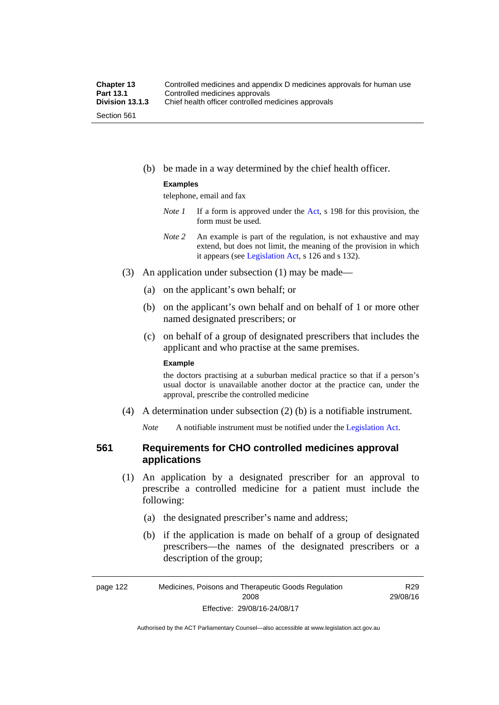(b) be made in a way determined by the chief health officer.

#### **Examples**

telephone, email and fax

- *Note 1* If a form is approved under the [Act](http://www.legislation.act.gov.au/a/2008-26/default.asp), s 198 for this provision, the form must be used.
- *Note 2* An example is part of the regulation, is not exhaustive and may extend, but does not limit, the meaning of the provision in which it appears (see [Legislation Act,](http://www.legislation.act.gov.au/a/2001-14) s 126 and s 132).
- (3) An application under subsection (1) may be made—
	- (a) on the applicant's own behalf; or
	- (b) on the applicant's own behalf and on behalf of 1 or more other named designated prescribers; or
	- (c) on behalf of a group of designated prescribers that includes the applicant and who practise at the same premises.

#### **Example**

the doctors practising at a suburban medical practice so that if a person's usual doctor is unavailable another doctor at the practice can, under the approval, prescribe the controlled medicine

(4) A determination under subsection (2) (b) is a notifiable instrument.

*Note* A notifiable instrument must be notified under the [Legislation Act](http://www.legislation.act.gov.au/a/2001-14).

### **561 Requirements for CHO controlled medicines approval applications**

- (1) An application by a designated prescriber for an approval to prescribe a controlled medicine for a patient must include the following:
	- (a) the designated prescriber's name and address;
	- (b) if the application is made on behalf of a group of designated prescribers—the names of the designated prescribers or a description of the group;

R29 29/08/16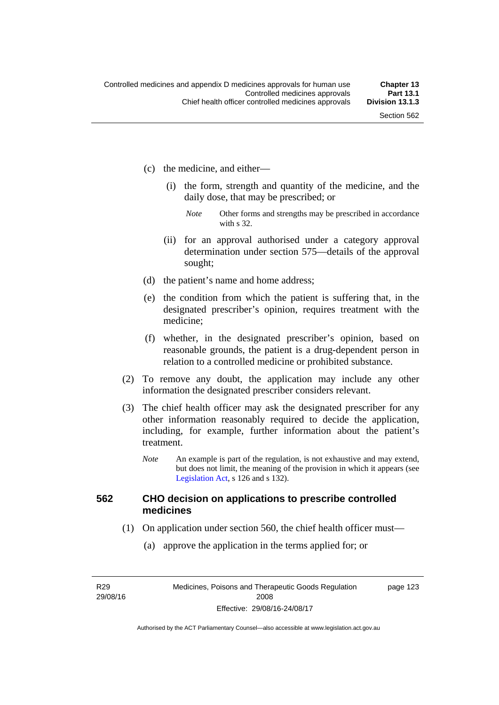- (c) the medicine, and either—
	- (i) the form, strength and quantity of the medicine, and the daily dose, that may be prescribed; or
		- *Note* Other forms and strengths may be prescribed in accordance with s 32.
	- (ii) for an approval authorised under a category approval determination under section 575—details of the approval sought;
- (d) the patient's name and home address;
- (e) the condition from which the patient is suffering that, in the designated prescriber's opinion, requires treatment with the medicine;
- (f) whether, in the designated prescriber's opinion, based on reasonable grounds, the patient is a drug-dependent person in relation to a controlled medicine or prohibited substance.
- (2) To remove any doubt, the application may include any other information the designated prescriber considers relevant.
- (3) The chief health officer may ask the designated prescriber for any other information reasonably required to decide the application, including, for example, further information about the patient's treatment.
	- *Note* An example is part of the regulation, is not exhaustive and may extend, but does not limit, the meaning of the provision in which it appears (see [Legislation Act,](http://www.legislation.act.gov.au/a/2001-14) s 126 and s 132).

#### **562 CHO decision on applications to prescribe controlled medicines**

- (1) On application under section 560, the chief health officer must—
	- (a) approve the application in the terms applied for; or

R29 29/08/16 page 123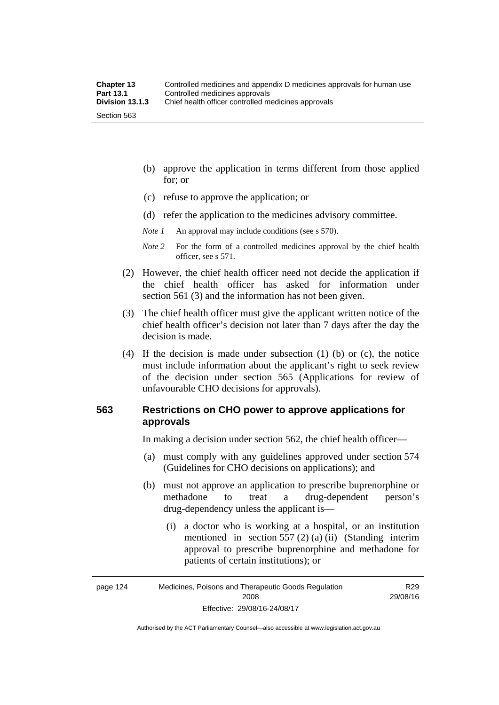- (b) approve the application in terms different from those applied for; or
- (c) refuse to approve the application; or
- (d) refer the application to the medicines advisory committee.

*Note 1* An approval may include conditions (see s 570).

*Note 2* For the form of a controlled medicines approval by the chief health officer, see s 571.

- (2) However, the chief health officer need not decide the application if the chief health officer has asked for information under section 561 (3) and the information has not been given.
- (3) The chief health officer must give the applicant written notice of the chief health officer's decision not later than 7 days after the day the decision is made.
- (4) If the decision is made under subsection (1) (b) or (c), the notice must include information about the applicant's right to seek review of the decision under section 565 (Applications for review of unfavourable CHO decisions for approvals).

#### **563 Restrictions on CHO power to approve applications for approvals**

In making a decision under section 562, the chief health officer—

- (a) must comply with any guidelines approved under section 574 (Guidelines for CHO decisions on applications); and
- (b) must not approve an application to prescribe buprenorphine or methadone to treat a drug-dependent person's drug-dependency unless the applicant is—
	- (i) a doctor who is working at a hospital, or an institution mentioned in section 557 (2) (a) (ii) (Standing interim approval to prescribe buprenorphine and methadone for patients of certain institutions); or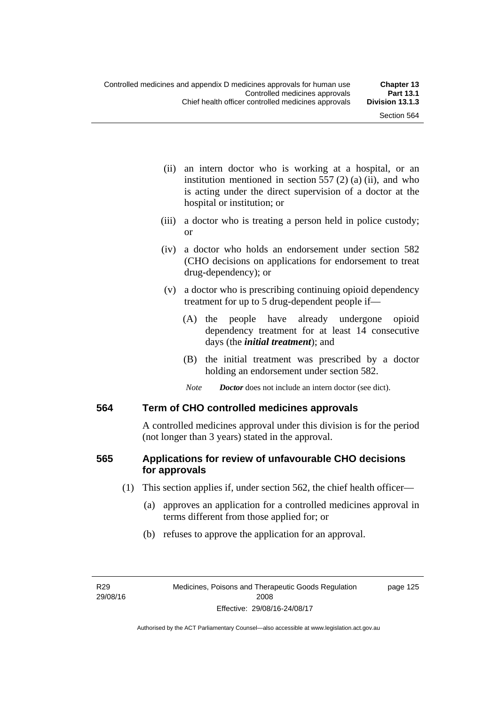- (ii) an intern doctor who is working at a hospital, or an institution mentioned in section  $557(2)(a)$  (ii), and who is acting under the direct supervision of a doctor at the hospital or institution; or
- (iii) a doctor who is treating a person held in police custody; or
- (iv) a doctor who holds an endorsement under section 582 (CHO decisions on applications for endorsement to treat drug-dependency); or
- (v) a doctor who is prescribing continuing opioid dependency treatment for up to 5 drug-dependent people if—
	- (A) the people have already undergone opioid dependency treatment for at least 14 consecutive days (the *initial treatment*); and
	- (B) the initial treatment was prescribed by a doctor holding an endorsement under section 582.
	- *Note Doctor* does not include an intern doctor (see dict).

#### **564 Term of CHO controlled medicines approvals**

A controlled medicines approval under this division is for the period (not longer than 3 years) stated in the approval.

### **565 Applications for review of unfavourable CHO decisions for approvals**

- (1) This section applies if, under section 562, the chief health officer—
	- (a) approves an application for a controlled medicines approval in terms different from those applied for; or
	- (b) refuses to approve the application for an approval.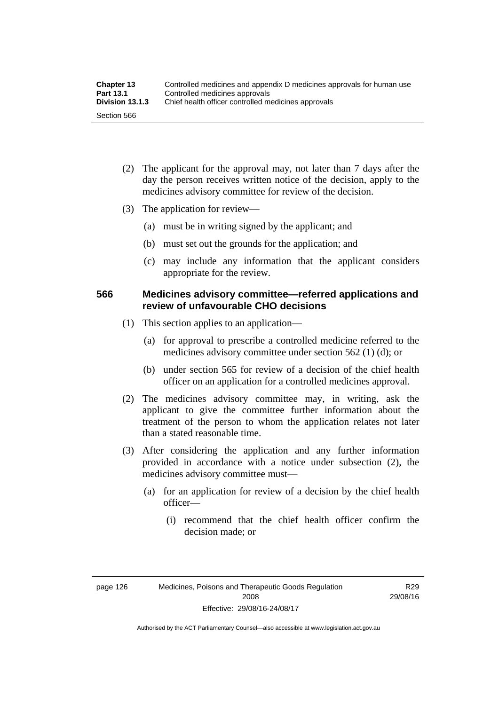| <b>Chapter 13</b> | Controlled medicines and appendix D medicines approvals for human use |  |
|-------------------|-----------------------------------------------------------------------|--|
| <b>Part 13.1</b>  | Controlled medicines approvals                                        |  |
| Division 13.1.3   | Chief health officer controlled medicines approvals                   |  |
| Section 566       |                                                                       |  |

- (2) The applicant for the approval may, not later than 7 days after the day the person receives written notice of the decision, apply to the medicines advisory committee for review of the decision.
- (3) The application for review—
	- (a) must be in writing signed by the applicant; and
	- (b) must set out the grounds for the application; and
	- (c) may include any information that the applicant considers appropriate for the review.

#### **566 Medicines advisory committee—referred applications and review of unfavourable CHO decisions**

- (1) This section applies to an application—
	- (a) for approval to prescribe a controlled medicine referred to the medicines advisory committee under section 562 (1) (d); or
	- (b) under section 565 for review of a decision of the chief health officer on an application for a controlled medicines approval.
- (2) The medicines advisory committee may, in writing, ask the applicant to give the committee further information about the treatment of the person to whom the application relates not later than a stated reasonable time.
- (3) After considering the application and any further information provided in accordance with a notice under subsection (2), the medicines advisory committee must—
	- (a) for an application for review of a decision by the chief health officer—
		- (i) recommend that the chief health officer confirm the decision made; or

R29 29/08/16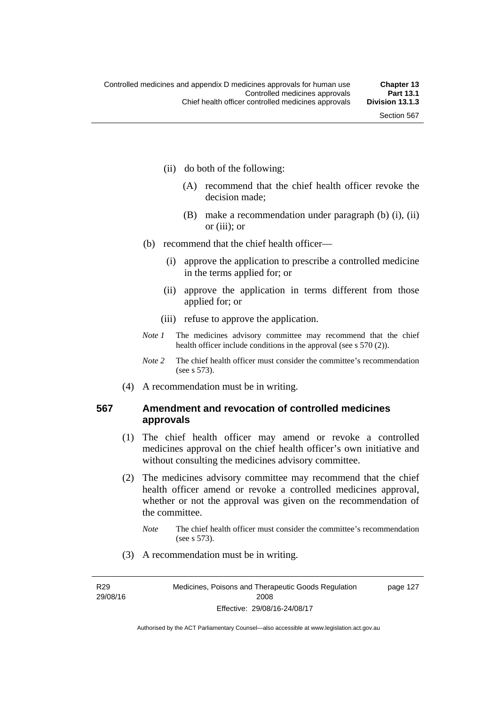- (ii) do both of the following:
	- (A) recommend that the chief health officer revoke the decision made;
	- (B) make a recommendation under paragraph (b) (i), (ii) or (iii); or
- (b) recommend that the chief health officer—
	- (i) approve the application to prescribe a controlled medicine in the terms applied for; or
	- (ii) approve the application in terms different from those applied for; or
	- (iii) refuse to approve the application.
- *Note 1* The medicines advisory committee may recommend that the chief health officer include conditions in the approval (see s 570 (2)).
- *Note 2* The chief health officer must consider the committee's recommendation (see s 573).
- (4) A recommendation must be in writing.

#### **567 Amendment and revocation of controlled medicines approvals**

- (1) The chief health officer may amend or revoke a controlled medicines approval on the chief health officer's own initiative and without consulting the medicines advisory committee.
- (2) The medicines advisory committee may recommend that the chief health officer amend or revoke a controlled medicines approval, whether or not the approval was given on the recommendation of the committee.
	- *Note* The chief health officer must consider the committee's recommendation (see s 573).
- (3) A recommendation must be in writing.

R29 29/08/16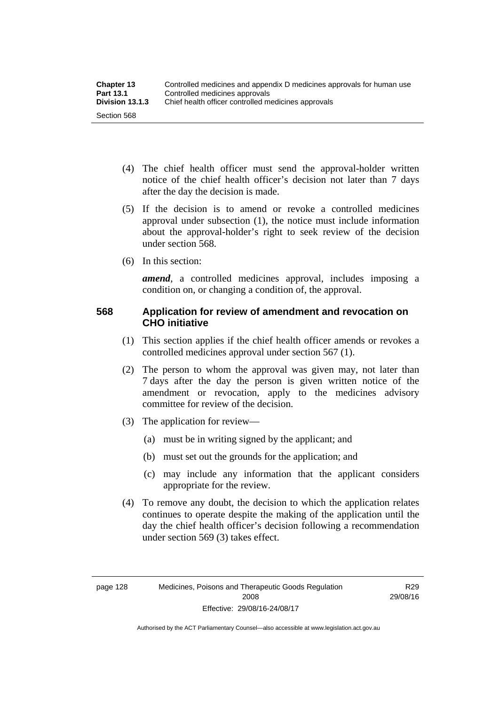- (4) The chief health officer must send the approval-holder written notice of the chief health officer's decision not later than 7 days after the day the decision is made.
- (5) If the decision is to amend or revoke a controlled medicines approval under subsection (1), the notice must include information about the approval-holder's right to seek review of the decision under section 568.
- (6) In this section:

*amend*, a controlled medicines approval, includes imposing a condition on, or changing a condition of, the approval.

### **568 Application for review of amendment and revocation on CHO initiative**

- (1) This section applies if the chief health officer amends or revokes a controlled medicines approval under section 567 (1).
- (2) The person to whom the approval was given may, not later than 7 days after the day the person is given written notice of the amendment or revocation, apply to the medicines advisory committee for review of the decision.
- (3) The application for review—
	- (a) must be in writing signed by the applicant; and
	- (b) must set out the grounds for the application; and
	- (c) may include any information that the applicant considers appropriate for the review.
- (4) To remove any doubt, the decision to which the application relates continues to operate despite the making of the application until the day the chief health officer's decision following a recommendation under section 569 (3) takes effect.

R29 29/08/16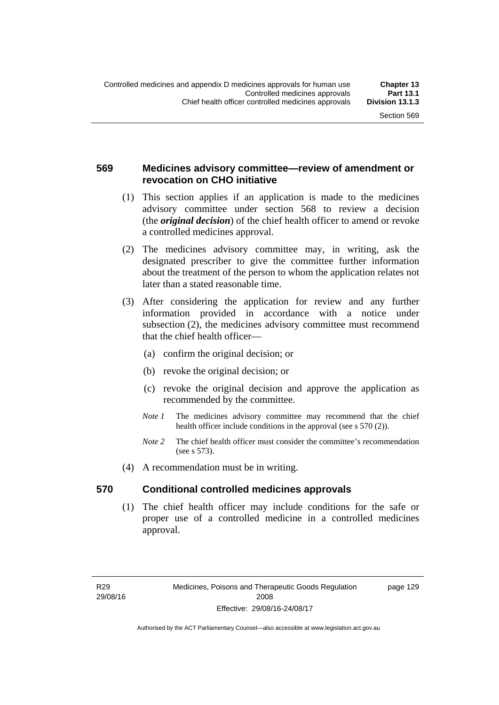### **569 Medicines advisory committee—review of amendment or revocation on CHO initiative**

- (1) This section applies if an application is made to the medicines advisory committee under section 568 to review a decision (the *original decision*) of the chief health officer to amend or revoke a controlled medicines approval.
- (2) The medicines advisory committee may, in writing, ask the designated prescriber to give the committee further information about the treatment of the person to whom the application relates not later than a stated reasonable time.
- (3) After considering the application for review and any further information provided in accordance with a notice under subsection (2), the medicines advisory committee must recommend that the chief health officer—
	- (a) confirm the original decision; or
	- (b) revoke the original decision; or
	- (c) revoke the original decision and approve the application as recommended by the committee.
	- *Note 1* The medicines advisory committee may recommend that the chief health officer include conditions in the approval (see s 570 (2)).
	- *Note 2* The chief health officer must consider the committee's recommendation (see s 573).
- (4) A recommendation must be in writing.

#### **570 Conditional controlled medicines approvals**

(1) The chief health officer may include conditions for the safe or proper use of a controlled medicine in a controlled medicines approval.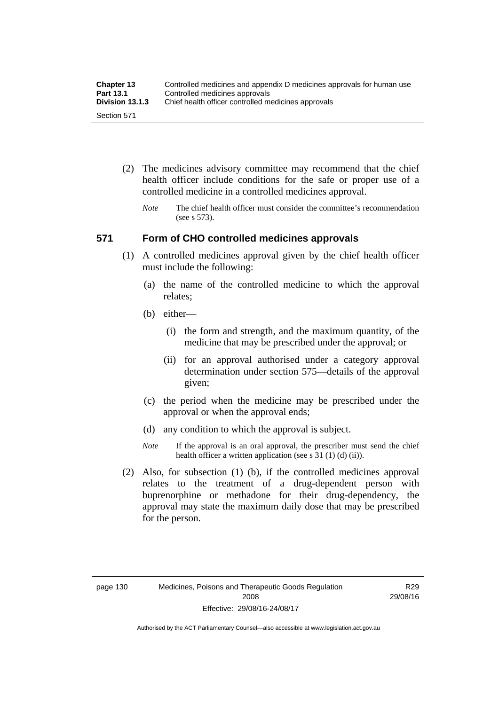| <b>Chapter 13</b> | Controlled medicines and appendix D medicines approvals for human use |  |
|-------------------|-----------------------------------------------------------------------|--|
| Part 13.1         | Controlled medicines approvals                                        |  |
| Division 13.1.3   | Chief health officer controlled medicines approvals                   |  |
| Section 571       |                                                                       |  |

- (2) The medicines advisory committee may recommend that the chief health officer include conditions for the safe or proper use of a controlled medicine in a controlled medicines approval.
	- *Note* The chief health officer must consider the committee's recommendation (see s 573).

#### **571 Form of CHO controlled medicines approvals**

- (1) A controlled medicines approval given by the chief health officer must include the following:
	- (a) the name of the controlled medicine to which the approval relates;
	- (b) either—
		- (i) the form and strength, and the maximum quantity, of the medicine that may be prescribed under the approval; or
		- (ii) for an approval authorised under a category approval determination under section 575—details of the approval given;
	- (c) the period when the medicine may be prescribed under the approval or when the approval ends;
	- (d) any condition to which the approval is subject.
	- *Note* If the approval is an oral approval, the prescriber must send the chief health officer a written application (see s 31 (1) (d) (ii)).
- (2) Also, for subsection (1) (b), if the controlled medicines approval relates to the treatment of a drug-dependent person with buprenorphine or methadone for their drug-dependency, the approval may state the maximum daily dose that may be prescribed for the person.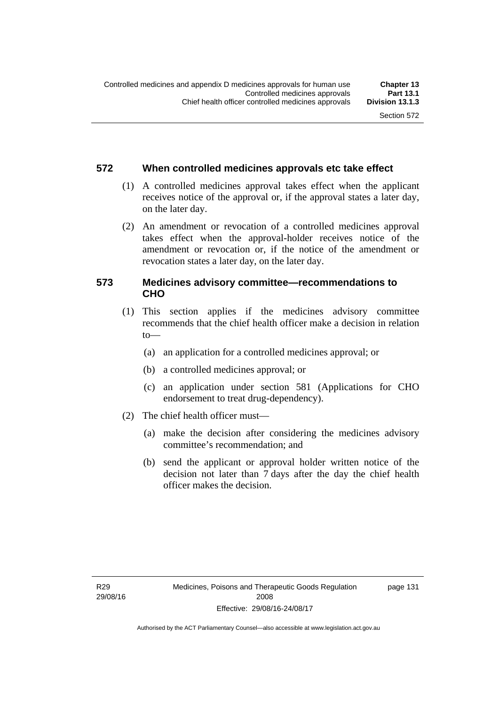### **572 When controlled medicines approvals etc take effect**

- (1) A controlled medicines approval takes effect when the applicant receives notice of the approval or, if the approval states a later day, on the later day.
- (2) An amendment or revocation of a controlled medicines approval takes effect when the approval-holder receives notice of the amendment or revocation or, if the notice of the amendment or revocation states a later day, on the later day.

### **573 Medicines advisory committee—recommendations to CHO**

- (1) This section applies if the medicines advisory committee recommends that the chief health officer make a decision in relation  $to$ 
	- (a) an application for a controlled medicines approval; or
	- (b) a controlled medicines approval; or
	- (c) an application under section 581 (Applications for CHO endorsement to treat drug-dependency).
- (2) The chief health officer must—
	- (a) make the decision after considering the medicines advisory committee's recommendation; and
	- (b) send the applicant or approval holder written notice of the decision not later than 7 days after the day the chief health officer makes the decision.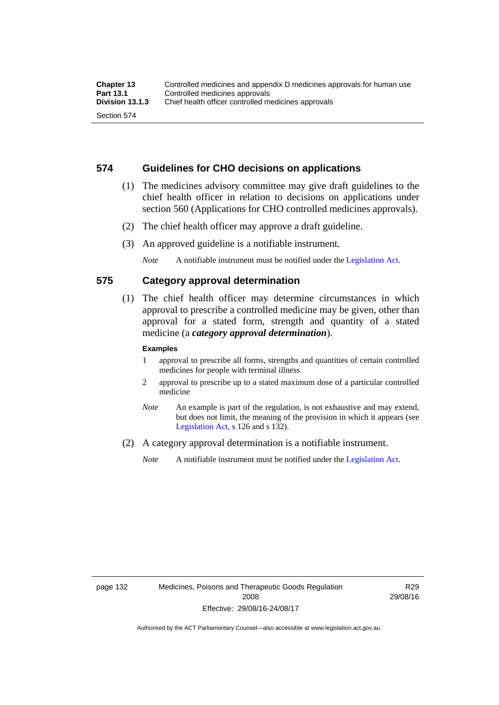#### **574 Guidelines for CHO decisions on applications**

- (1) The medicines advisory committee may give draft guidelines to the chief health officer in relation to decisions on applications under section 560 (Applications for CHO controlled medicines approvals).
- (2) The chief health officer may approve a draft guideline.
- (3) An approved guideline is a notifiable instrument.

*Note* A notifiable instrument must be notified under the [Legislation Act](http://www.legislation.act.gov.au/a/2001-14).

#### **575 Category approval determination**

 (1) The chief health officer may determine circumstances in which approval to prescribe a controlled medicine may be given, other than approval for a stated form, strength and quantity of a stated medicine (a *category approval determination*).

#### **Examples**

- 1 approval to prescribe all forms, strengths and quantities of certain controlled medicines for people with terminal illness
- 2 approval to prescribe up to a stated maximum dose of a particular controlled medicine
- *Note* An example is part of the regulation, is not exhaustive and may extend, but does not limit, the meaning of the provision in which it appears (see [Legislation Act,](http://www.legislation.act.gov.au/a/2001-14) s 126 and s 132).
- (2) A category approval determination is a notifiable instrument.

*Note* A notifiable instrument must be notified under the [Legislation Act](http://www.legislation.act.gov.au/a/2001-14).

R29 29/08/16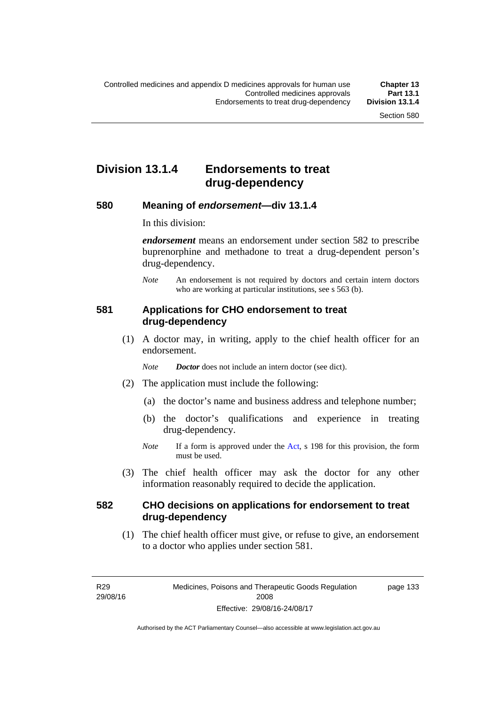## **Division 13.1.4 Endorsements to treat drug-dependency**

#### **580 Meaning of** *endorsement***—div 13.1.4**

In this division:

*endorsement* means an endorsement under section 582 to prescribe buprenorphine and methadone to treat a drug-dependent person's drug-dependency.

*Note* An endorsement is not required by doctors and certain intern doctors who are working at particular institutions, see s 563 (b).

#### **581 Applications for CHO endorsement to treat drug-dependency**

 (1) A doctor may, in writing, apply to the chief health officer for an endorsement.

*Note Doctor* does not include an intern doctor (see dict).

- (2) The application must include the following:
	- (a) the doctor's name and business address and telephone number;
	- (b) the doctor's qualifications and experience in treating drug-dependency.
	- *Note* If a form is approved under the [Act](http://www.legislation.act.gov.au/a/2008-26/default.asp), s 198 for this provision, the form must be used.
- (3) The chief health officer may ask the doctor for any other information reasonably required to decide the application.

### **582 CHO decisions on applications for endorsement to treat drug-dependency**

(1) The chief health officer must give, or refuse to give, an endorsement to a doctor who applies under section 581.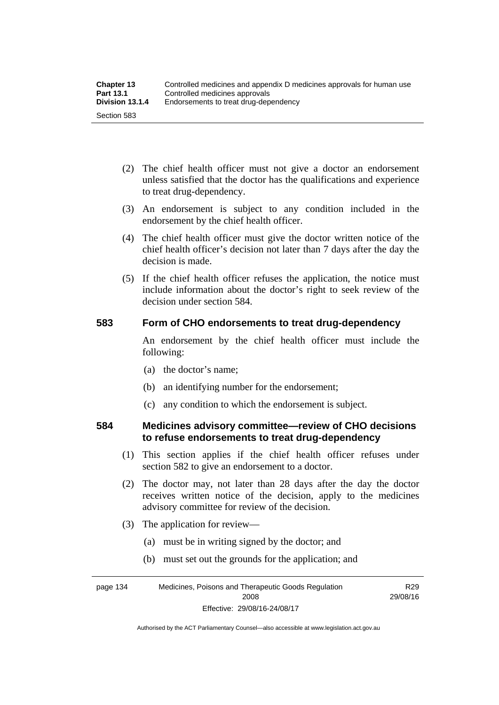- (2) The chief health officer must not give a doctor an endorsement unless satisfied that the doctor has the qualifications and experience to treat drug-dependency.
- (3) An endorsement is subject to any condition included in the endorsement by the chief health officer.
- (4) The chief health officer must give the doctor written notice of the chief health officer's decision not later than 7 days after the day the decision is made.
- (5) If the chief health officer refuses the application, the notice must include information about the doctor's right to seek review of the decision under section 584.

### **583 Form of CHO endorsements to treat drug-dependency**

An endorsement by the chief health officer must include the following:

- (a) the doctor's name;
- (b) an identifying number for the endorsement;
- (c) any condition to which the endorsement is subject.

#### **584 Medicines advisory committee—review of CHO decisions to refuse endorsements to treat drug-dependency**

- (1) This section applies if the chief health officer refuses under section 582 to give an endorsement to a doctor.
- (2) The doctor may, not later than 28 days after the day the doctor receives written notice of the decision, apply to the medicines advisory committee for review of the decision.
- (3) The application for review—
	- (a) must be in writing signed by the doctor; and
	- (b) must set out the grounds for the application; and

page 134 Medicines, Poisons and Therapeutic Goods Regulation 2008 Effective: 29/08/16-24/08/17

R29 29/08/16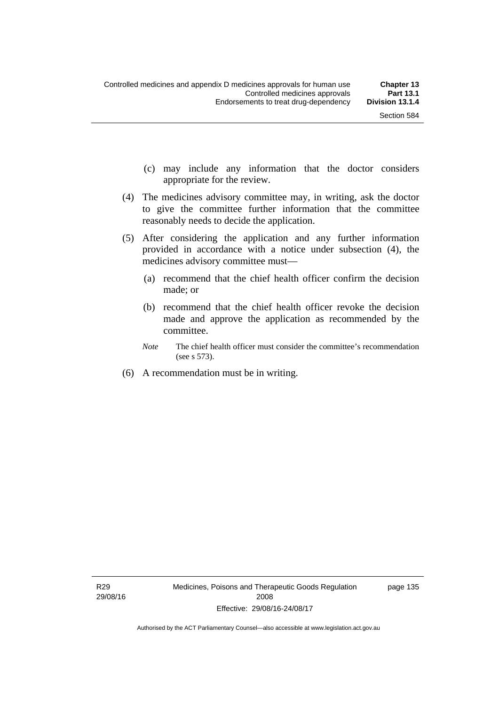- (c) may include any information that the doctor considers appropriate for the review.
- (4) The medicines advisory committee may, in writing, ask the doctor to give the committee further information that the committee reasonably needs to decide the application.
- (5) After considering the application and any further information provided in accordance with a notice under subsection (4), the medicines advisory committee must—
	- (a) recommend that the chief health officer confirm the decision made; or
	- (b) recommend that the chief health officer revoke the decision made and approve the application as recommended by the committee.
	- *Note* The chief health officer must consider the committee's recommendation (see s 573).
- (6) A recommendation must be in writing.

page 135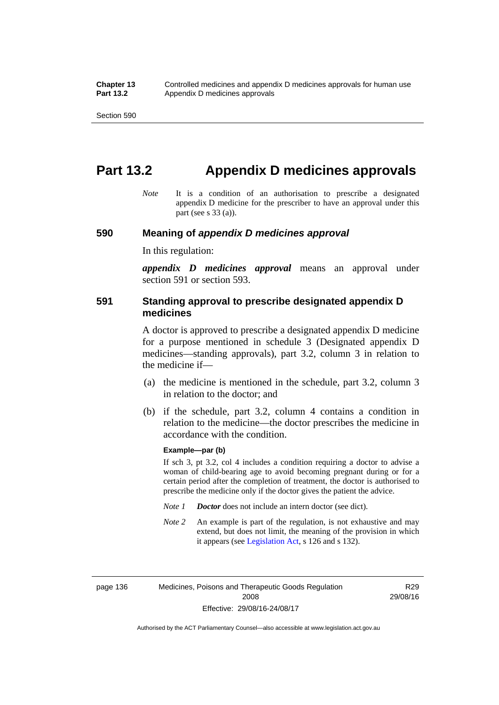# **Part 13.2 Appendix D medicines approvals**

*Note* It is a condition of an authorisation to prescribe a designated appendix D medicine for the prescriber to have an approval under this part (see s 33 (a)).

#### **590 Meaning of** *appendix D medicines approval*

In this regulation:

*appendix D medicines approval* means an approval under section 591 or section 593.

#### **591 Standing approval to prescribe designated appendix D medicines**

A doctor is approved to prescribe a designated appendix D medicine for a purpose mentioned in schedule 3 (Designated appendix D medicines—standing approvals), part 3.2, column 3 in relation to the medicine if—

- (a) the medicine is mentioned in the schedule, part 3.2, column 3 in relation to the doctor; and
- (b) if the schedule, part 3.2, column 4 contains a condition in relation to the medicine—the doctor prescribes the medicine in accordance with the condition.

#### **Example—par (b)**

If sch 3, pt 3.2, col 4 includes a condition requiring a doctor to advise a woman of child-bearing age to avoid becoming pregnant during or for a certain period after the completion of treatment, the doctor is authorised to prescribe the medicine only if the doctor gives the patient the advice.

- *Note 1 Doctor* does not include an intern doctor (see dict).
- *Note 2* An example is part of the regulation, is not exhaustive and may extend, but does not limit, the meaning of the provision in which it appears (see [Legislation Act,](http://www.legislation.act.gov.au/a/2001-14) s 126 and s 132).

page 136 Medicines, Poisons and Therapeutic Goods Regulation 2008 Effective: 29/08/16-24/08/17

R29 29/08/16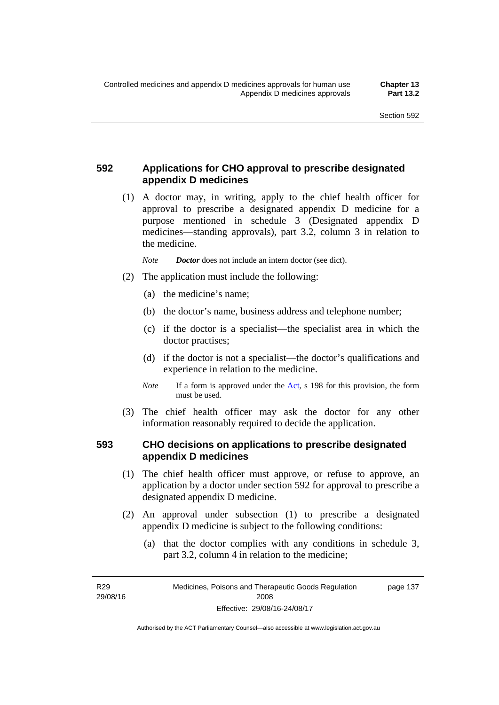### **592 Applications for CHO approval to prescribe designated appendix D medicines**

 (1) A doctor may, in writing, apply to the chief health officer for approval to prescribe a designated appendix D medicine for a purpose mentioned in schedule 3 (Designated appendix D medicines—standing approvals), part 3.2, column 3 in relation to the medicine.

*Note Doctor* does not include an intern doctor (see dict).

- (2) The application must include the following:
	- (a) the medicine's name;
	- (b) the doctor's name, business address and telephone number;
	- (c) if the doctor is a specialist—the specialist area in which the doctor practises;
	- (d) if the doctor is not a specialist—the doctor's qualifications and experience in relation to the medicine.
	- *Note* If a form is approved under the [Act](http://www.legislation.act.gov.au/a/2008-26/default.asp), s 198 for this provision, the form must be used.
- (3) The chief health officer may ask the doctor for any other information reasonably required to decide the application.

#### **593 CHO decisions on applications to prescribe designated appendix D medicines**

- (1) The chief health officer must approve, or refuse to approve, an application by a doctor under section 592 for approval to prescribe a designated appendix D medicine.
- (2) An approval under subsection (1) to prescribe a designated appendix D medicine is subject to the following conditions:
	- (a) that the doctor complies with any conditions in schedule 3, part 3.2, column 4 in relation to the medicine;

R29 29/08/16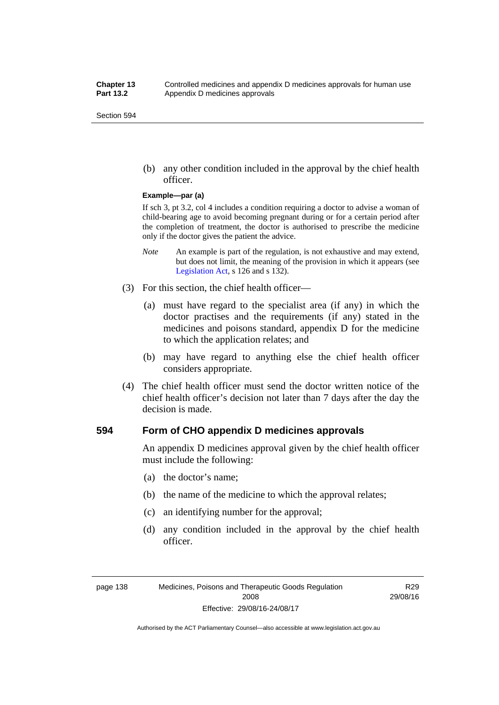(b) any other condition included in the approval by the chief health officer.

#### **Example—par (a)**

If sch 3, pt 3.2, col 4 includes a condition requiring a doctor to advise a woman of child-bearing age to avoid becoming pregnant during or for a certain period after the completion of treatment, the doctor is authorised to prescribe the medicine only if the doctor gives the patient the advice.

- *Note* An example is part of the regulation, is not exhaustive and may extend, but does not limit, the meaning of the provision in which it appears (see [Legislation Act,](http://www.legislation.act.gov.au/a/2001-14) s 126 and s 132).
- (3) For this section, the chief health officer—
	- (a) must have regard to the specialist area (if any) in which the doctor practises and the requirements (if any) stated in the medicines and poisons standard, appendix D for the medicine to which the application relates; and
	- (b) may have regard to anything else the chief health officer considers appropriate.
- (4) The chief health officer must send the doctor written notice of the chief health officer's decision not later than 7 days after the day the decision is made.

#### **594 Form of CHO appendix D medicines approvals**

An appendix D medicines approval given by the chief health officer must include the following:

- (a) the doctor's name;
- (b) the name of the medicine to which the approval relates;
- (c) an identifying number for the approval;
- (d) any condition included in the approval by the chief health officer.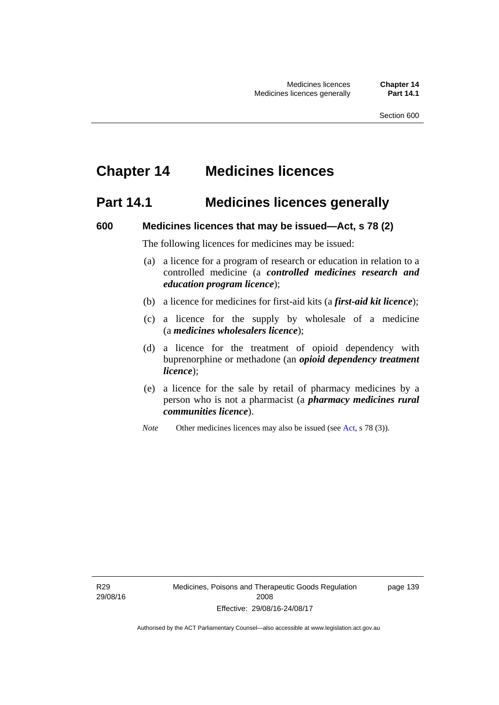## **Chapter 14 Medicines licences**

### **Part 14.1 Medicines licences generally**

#### **600 Medicines licences that may be issued—Act, s 78 (2)**

The following licences for medicines may be issued:

- (a) a licence for a program of research or education in relation to a controlled medicine (a *controlled medicines research and education program licence*);
- (b) a licence for medicines for first-aid kits (a *first-aid kit licence*);
- (c) a licence for the supply by wholesale of a medicine (a *medicines wholesalers licence*);
- (d) a licence for the treatment of opioid dependency with buprenorphine or methadone (an *opioid dependency treatment licence*);
- (e) a licence for the sale by retail of pharmacy medicines by a person who is not a pharmacist (a *pharmacy medicines rural communities licence*).
- *Note* Other medicines licences may also be issued (see [Act,](http://www.legislation.act.gov.au/a/2008-26/default.asp) s 78 (3)).

R29 29/08/16 page 139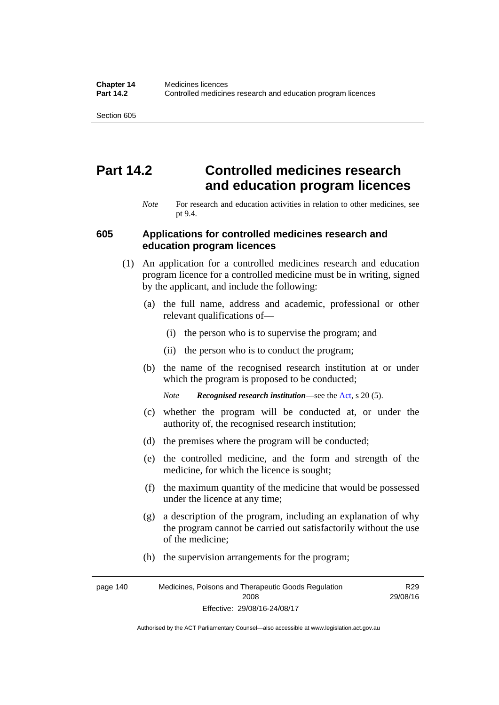## **Part 14.2 Controlled medicines research and education program licences**

*Note* For research and education activities in relation to other medicines, see pt 9.4.

#### **605 Applications for controlled medicines research and education program licences**

- (1) An application for a controlled medicines research and education program licence for a controlled medicine must be in writing, signed by the applicant, and include the following:
	- (a) the full name, address and academic, professional or other relevant qualifications of—
		- (i) the person who is to supervise the program; and
		- (ii) the person who is to conduct the program;
	- (b) the name of the recognised research institution at or under which the program is proposed to be conducted;
		- *Note Recognised research institution*—see the [Act](http://www.legislation.act.gov.au/a/2008-26/default.asp), s 20 (5).
	- (c) whether the program will be conducted at, or under the authority of, the recognised research institution;
	- (d) the premises where the program will be conducted;
	- (e) the controlled medicine, and the form and strength of the medicine, for which the licence is sought;
	- (f) the maximum quantity of the medicine that would be possessed under the licence at any time;
	- (g) a description of the program, including an explanation of why the program cannot be carried out satisfactorily without the use of the medicine;
	- (h) the supervision arrangements for the program;

page 140 Medicines, Poisons and Therapeutic Goods Regulation 2008 Effective: 29/08/16-24/08/17 R29 29/08/16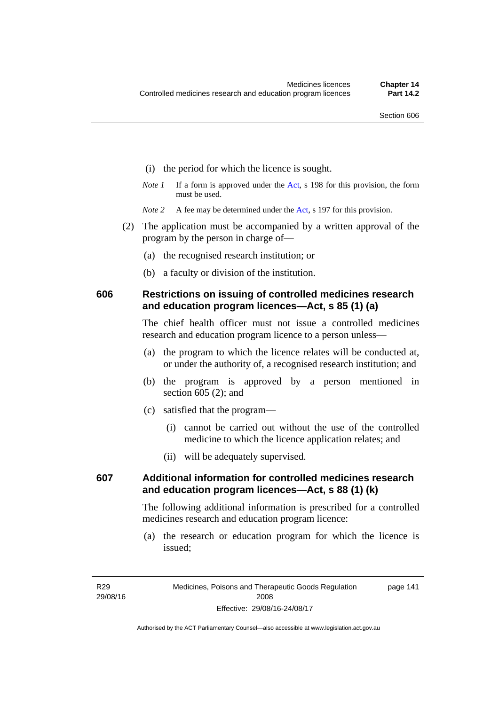- (i) the period for which the licence is sought.
- *Note 1* If a form is approved under the [Act](http://www.legislation.act.gov.au/a/2008-26/default.asp), s 198 for this provision, the form must be used.
- *Note* 2 A fee may be determined under the [Act,](http://www.legislation.act.gov.au/a/2008-26/default.asp) s 197 for this provision.
- (2) The application must be accompanied by a written approval of the program by the person in charge of—
	- (a) the recognised research institution; or
	- (b) a faculty or division of the institution.

#### **606 Restrictions on issuing of controlled medicines research and education program licences—Act, s 85 (1) (a)**

The chief health officer must not issue a controlled medicines research and education program licence to a person unless—

- (a) the program to which the licence relates will be conducted at, or under the authority of, a recognised research institution; and
- (b) the program is approved by a person mentioned in section 605 (2); and
- (c) satisfied that the program—
	- (i) cannot be carried out without the use of the controlled medicine to which the licence application relates; and
	- (ii) will be adequately supervised.

### **607 Additional information for controlled medicines research and education program licences—Act, s 88 (1) (k)**

The following additional information is prescribed for a controlled medicines research and education program licence:

 (a) the research or education program for which the licence is issued;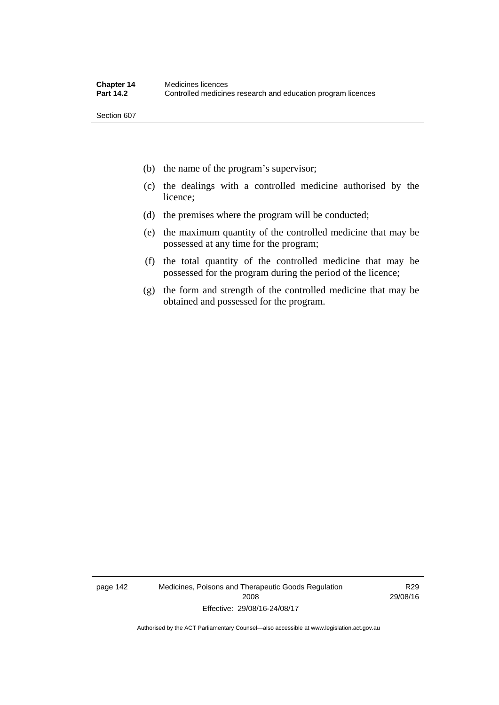- (b) the name of the program's supervisor;
- (c) the dealings with a controlled medicine authorised by the licence;
- (d) the premises where the program will be conducted;
- (e) the maximum quantity of the controlled medicine that may be possessed at any time for the program;
- (f) the total quantity of the controlled medicine that may be possessed for the program during the period of the licence;
- (g) the form and strength of the controlled medicine that may be obtained and possessed for the program.

page 142 Medicines, Poisons and Therapeutic Goods Regulation 2008 Effective: 29/08/16-24/08/17

R29 29/08/16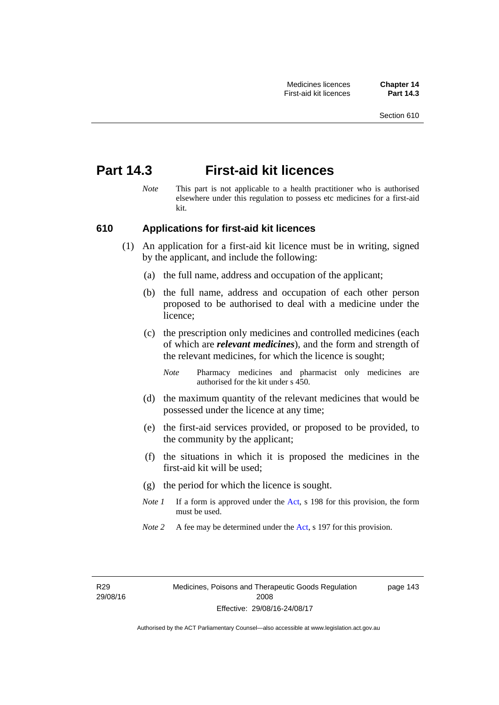## **Part 14.3 First-aid kit licences**

*Note* This part is not applicable to a health practitioner who is authorised elsewhere under this regulation to possess etc medicines for a first-aid kit.

### **610 Applications for first-aid kit licences**

- (1) An application for a first-aid kit licence must be in writing, signed by the applicant, and include the following:
	- (a) the full name, address and occupation of the applicant;
	- (b) the full name, address and occupation of each other person proposed to be authorised to deal with a medicine under the licence;
	- (c) the prescription only medicines and controlled medicines (each of which are *relevant medicines*), and the form and strength of the relevant medicines, for which the licence is sought;
		- *Note* Pharmacy medicines and pharmacist only medicines are authorised for the kit under s 450.
	- (d) the maximum quantity of the relevant medicines that would be possessed under the licence at any time;
	- (e) the first-aid services provided, or proposed to be provided, to the community by the applicant;
	- (f) the situations in which it is proposed the medicines in the first-aid kit will be used;
	- (g) the period for which the licence is sought.
	- *Note 1* If a form is approved under the [Act](http://www.legislation.act.gov.au/a/2008-26/default.asp), s 198 for this provision, the form must be used.
	- *Note 2* A fee may be determined under the [Act,](http://www.legislation.act.gov.au/a/2008-26/default.asp) s 197 for this provision.

R29 29/08/16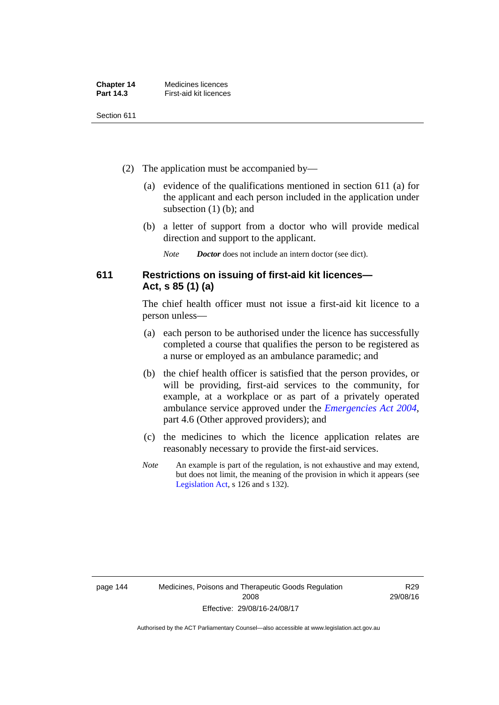| <b>Chapter 14</b> | Medicines licences     |
|-------------------|------------------------|
| Part 14.3         | First-aid kit licences |

- (2) The application must be accompanied by—
	- (a) evidence of the qualifications mentioned in section 611 (a) for the applicant and each person included in the application under subsection (1) (b); and
	- (b) a letter of support from a doctor who will provide medical direction and support to the applicant.
		- *Note Doctor* does not include an intern doctor (see dict).

### **611 Restrictions on issuing of first-aid kit licences— Act, s 85 (1) (a)**

The chief health officer must not issue a first-aid kit licence to a person unless—

- (a) each person to be authorised under the licence has successfully completed a course that qualifies the person to be registered as a nurse or employed as an ambulance paramedic; and
- (b) the chief health officer is satisfied that the person provides, or will be providing, first-aid services to the community, for example, at a workplace or as part of a privately operated ambulance service approved under the *[Emergencies Act 2004](http://www.legislation.act.gov.au/a/2004-28)*, part 4.6 (Other approved providers); and
- (c) the medicines to which the licence application relates are reasonably necessary to provide the first-aid services.
- *Note* An example is part of the regulation, is not exhaustive and may extend, but does not limit, the meaning of the provision in which it appears (see [Legislation Act,](http://www.legislation.act.gov.au/a/2001-14) s 126 and s 132).

R29 29/08/16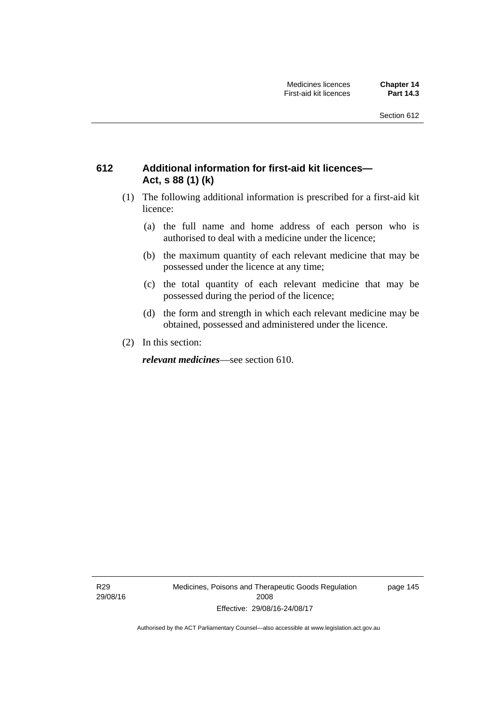### **612 Additional information for first-aid kit licences— Act, s 88 (1) (k)**

- (1) The following additional information is prescribed for a first-aid kit licence:
	- (a) the full name and home address of each person who is authorised to deal with a medicine under the licence;
	- (b) the maximum quantity of each relevant medicine that may be possessed under the licence at any time;
	- (c) the total quantity of each relevant medicine that may be possessed during the period of the licence;
	- (d) the form and strength in which each relevant medicine may be obtained, possessed and administered under the licence.
- (2) In this section:

*relevant medicines*—see section 610.

R29 29/08/16 Medicines, Poisons and Therapeutic Goods Regulation 2008 Effective: 29/08/16-24/08/17

page 145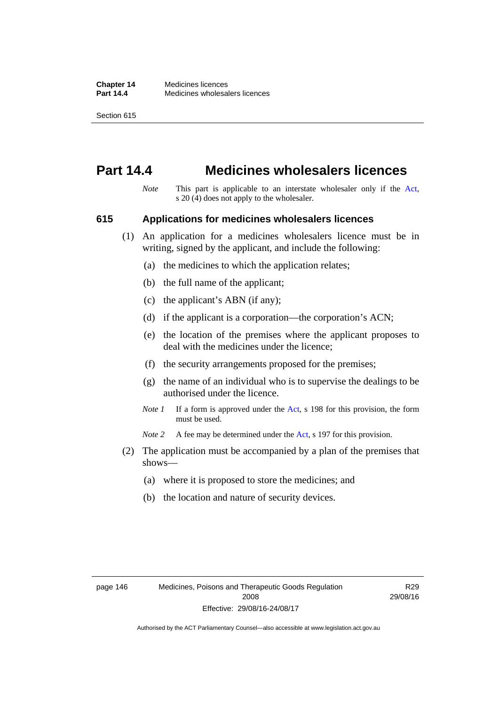## **Part 14.4 Medicines wholesalers licences**

*Note* This part is applicable to an interstate wholesaler only if the [Act,](http://www.legislation.act.gov.au/a/2008-26/default.asp) s 20 (4) does not apply to the wholesaler.

#### **615 Applications for medicines wholesalers licences**

- (1) An application for a medicines wholesalers licence must be in writing, signed by the applicant, and include the following:
	- (a) the medicines to which the application relates;
	- (b) the full name of the applicant;
	- (c) the applicant's ABN (if any);
	- (d) if the applicant is a corporation—the corporation's ACN;
	- (e) the location of the premises where the applicant proposes to deal with the medicines under the licence;
	- (f) the security arrangements proposed for the premises;
	- (g) the name of an individual who is to supervise the dealings to be authorised under the licence.
	- *Note 1* If a form is approved under the [Act](http://www.legislation.act.gov.au/a/2008-26/default.asp), s 198 for this provision, the form must be used.

*Note* 2 A fee may be determined under the [Act,](http://www.legislation.act.gov.au/a/2008-26/default.asp) s 197 for this provision.

- (2) The application must be accompanied by a plan of the premises that shows—
	- (a) where it is proposed to store the medicines; and
	- (b) the location and nature of security devices.

R29 29/08/16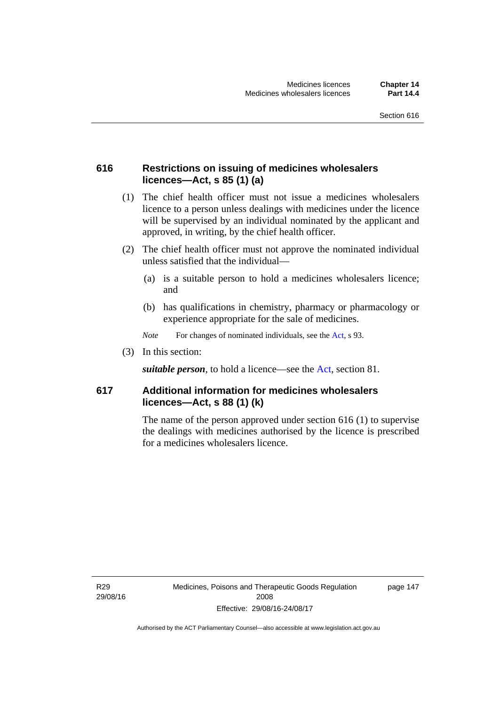### **616 Restrictions on issuing of medicines wholesalers licences—Act, s 85 (1) (a)**

- (1) The chief health officer must not issue a medicines wholesalers licence to a person unless dealings with medicines under the licence will be supervised by an individual nominated by the applicant and approved, in writing, by the chief health officer.
- (2) The chief health officer must not approve the nominated individual unless satisfied that the individual—
	- (a) is a suitable person to hold a medicines wholesalers licence; and
	- (b) has qualifications in chemistry, pharmacy or pharmacology or experience appropriate for the sale of medicines.
	- *Note* For changes of nominated individuals, see the [Act,](http://www.legislation.act.gov.au/a/2008-26/default.asp) s 93.
- (3) In this section:

*suitable person*, to hold a licence—see the [Act](http://www.legislation.act.gov.au/a/2008-26/default.asp), section 81.

### **617 Additional information for medicines wholesalers licences—Act, s 88 (1) (k)**

The name of the person approved under section 616 (1) to supervise the dealings with medicines authorised by the licence is prescribed for a medicines wholesalers licence.

R29 29/08/16 page 147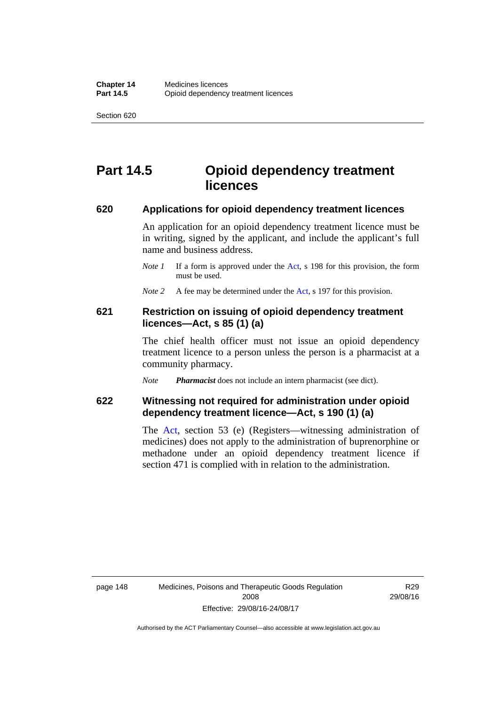## **Part 14.5 Opioid dependency treatment licences**

#### **620 Applications for opioid dependency treatment licences**

An application for an opioid dependency treatment licence must be in writing, signed by the applicant, and include the applicant's full name and business address.

- *Note 1* If a form is approved under the [Act](http://www.legislation.act.gov.au/a/2008-26/default.asp), s 198 for this provision, the form must be used.
- *Note 2* A fee may be determined under the [Act,](http://www.legislation.act.gov.au/a/2008-26/default.asp) s 197 for this provision.

#### **621 Restriction on issuing of opioid dependency treatment licences—Act, s 85 (1) (a)**

The chief health officer must not issue an opioid dependency treatment licence to a person unless the person is a pharmacist at a community pharmacy.

*Note Pharmacist* does not include an intern pharmacist (see dict).

### **622 Witnessing not required for administration under opioid dependency treatment licence—Act, s 190 (1) (a)**

The [Act,](http://www.legislation.act.gov.au/a/2008-26/default.asp) section 53 (e) (Registers—witnessing administration of medicines) does not apply to the administration of buprenorphine or methadone under an opioid dependency treatment licence if section 471 is complied with in relation to the administration.

R29 29/08/16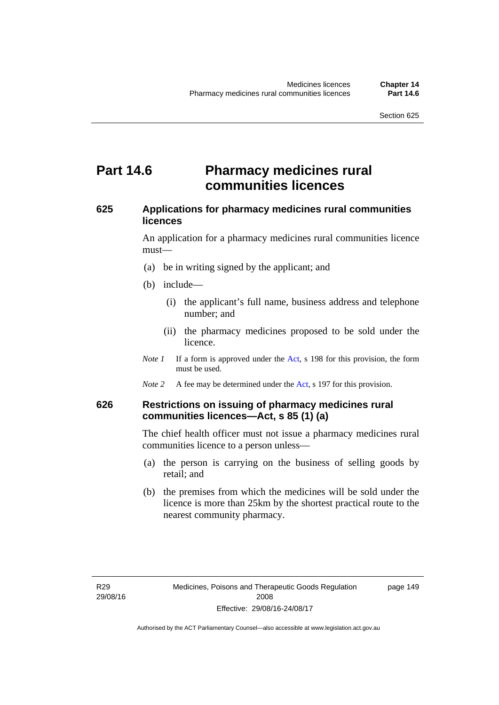## **Part 14.6 Pharmacy medicines rural communities licences**

### **625 Applications for pharmacy medicines rural communities licences**

An application for a pharmacy medicines rural communities licence must—

- (a) be in writing signed by the applicant; and
- (b) include—
	- (i) the applicant's full name, business address and telephone number; and
	- (ii) the pharmacy medicines proposed to be sold under the licence.
- *Note 1* If a form is approved under the [Act](http://www.legislation.act.gov.au/a/2008-26/default.asp), s 198 for this provision, the form must be used.
- *Note 2* A fee may be determined under the [Act,](http://www.legislation.act.gov.au/a/2008-26/default.asp) s 197 for this provision.

### **626 Restrictions on issuing of pharmacy medicines rural communities licences—Act, s 85 (1) (a)**

The chief health officer must not issue a pharmacy medicines rural communities licence to a person unless—

- (a) the person is carrying on the business of selling goods by retail; and
- (b) the premises from which the medicines will be sold under the licence is more than 25km by the shortest practical route to the nearest community pharmacy.

page 149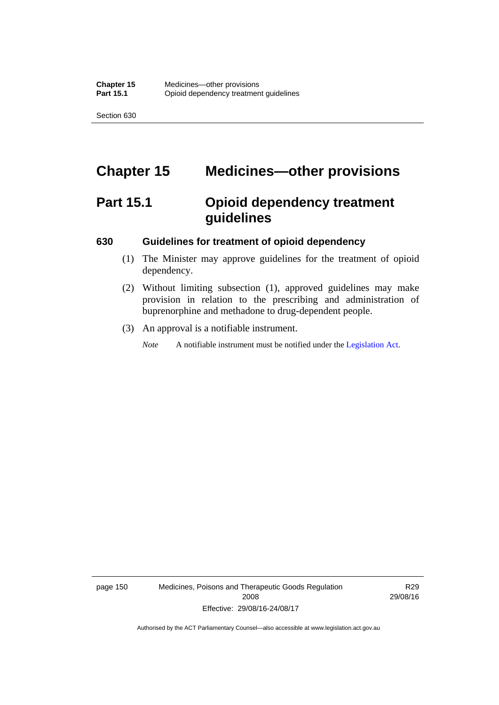# **Chapter 15 Medicines—other provisions**

# **Part 15.1 Opioid dependency treatment guidelines**

#### **630 Guidelines for treatment of opioid dependency**

- (1) The Minister may approve guidelines for the treatment of opioid dependency.
- (2) Without limiting subsection (1), approved guidelines may make provision in relation to the prescribing and administration of buprenorphine and methadone to drug-dependent people.
- (3) An approval is a notifiable instrument.

*Note* A notifiable instrument must be notified under the [Legislation Act](http://www.legislation.act.gov.au/a/2001-14).

page 150 Medicines, Poisons and Therapeutic Goods Regulation 2008 Effective: 29/08/16-24/08/17

R29 29/08/16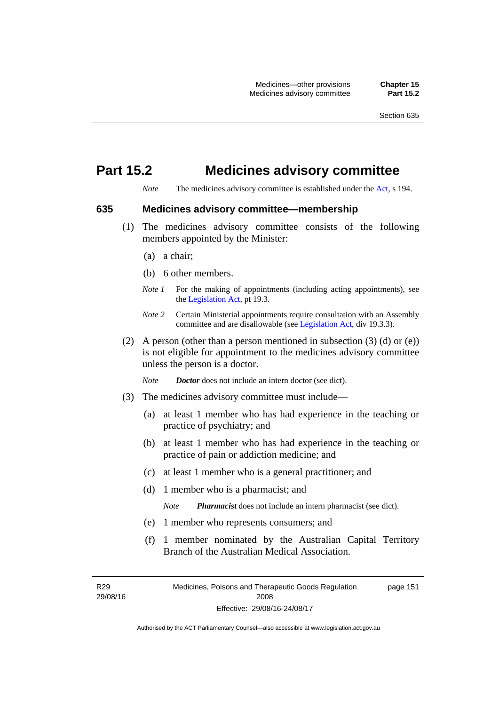## **Part 15.2 Medicines advisory committee**

*Note* The medicines advisory committee is established under the [Act](http://www.legislation.act.gov.au/a/2008-26/default.asp), s 194.

#### **635 Medicines advisory committee—membership**

- (1) The medicines advisory committee consists of the following members appointed by the Minister:
	- (a) a chair;
	- (b) 6 other members.
	- *Note 1* For the making of appointments (including acting appointments), see the [Legislation Act,](http://www.legislation.act.gov.au/a/2001-14) pt 19.3.
	- *Note 2* Certain Ministerial appointments require consultation with an Assembly committee and are disallowable (see [Legislation Act,](http://www.legislation.act.gov.au/a/2001-14) div 19.3.3).
- (2) A person (other than a person mentioned in subsection  $(3)$  (d) or  $(e)$ ) is not eligible for appointment to the medicines advisory committee unless the person is a doctor.

*Note Doctor* does not include an intern doctor (see dict).

- (3) The medicines advisory committee must include—
	- (a) at least 1 member who has had experience in the teaching or practice of psychiatry; and
	- (b) at least 1 member who has had experience in the teaching or practice of pain or addiction medicine; and
	- (c) at least 1 member who is a general practitioner; and
	- (d) 1 member who is a pharmacist; and

*Note Pharmacist* does not include an intern pharmacist (see dict).

- (e) 1 member who represents consumers; and
- (f) 1 member nominated by the Australian Capital Territory Branch of the Australian Medical Association.

R29 29/08/16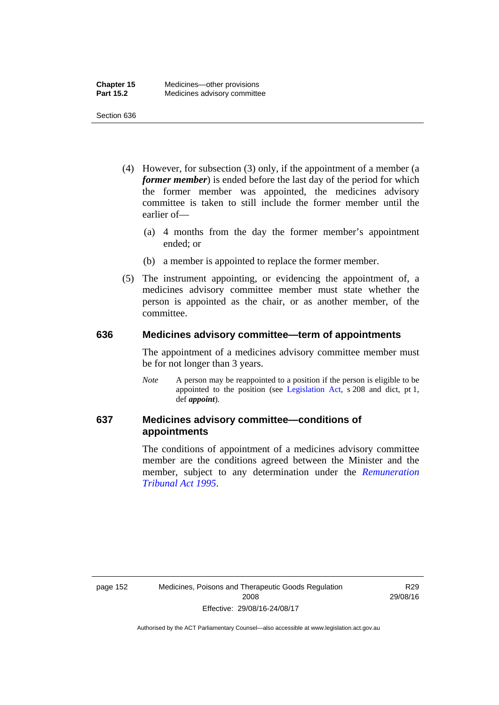- (4) However, for subsection (3) only, if the appointment of a member (a *former member*) is ended before the last day of the period for which the former member was appointed, the medicines advisory committee is taken to still include the former member until the earlier of—
	- (a) 4 months from the day the former member's appointment ended; or
	- (b) a member is appointed to replace the former member.
- (5) The instrument appointing, or evidencing the appointment of, a medicines advisory committee member must state whether the person is appointed as the chair, or as another member, of the committee.

#### **636 Medicines advisory committee—term of appointments**

The appointment of a medicines advisory committee member must be for not longer than 3 years.

*Note* A person may be reappointed to a position if the person is eligible to be appointed to the position (see [Legislation Act,](http://www.legislation.act.gov.au/a/2001-14) s 208 and dict, pt 1, def *appoint*).

### **637 Medicines advisory committee—conditions of appointments**

The conditions of appointment of a medicines advisory committee member are the conditions agreed between the Minister and the member, subject to any determination under the *[Remuneration](http://www.legislation.act.gov.au/a/1995-55)  [Tribunal Act 1995](http://www.legislation.act.gov.au/a/1995-55)*.

R29 29/08/16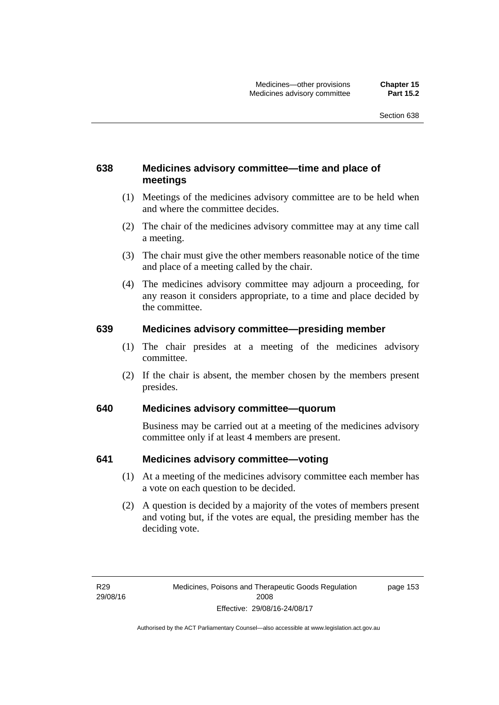### **638 Medicines advisory committee—time and place of meetings**

- (1) Meetings of the medicines advisory committee are to be held when and where the committee decides.
- (2) The chair of the medicines advisory committee may at any time call a meeting.
- (3) The chair must give the other members reasonable notice of the time and place of a meeting called by the chair.
- (4) The medicines advisory committee may adjourn a proceeding, for any reason it considers appropriate, to a time and place decided by the committee.

#### **639 Medicines advisory committee—presiding member**

- (1) The chair presides at a meeting of the medicines advisory committee.
- (2) If the chair is absent, the member chosen by the members present presides.

### **640 Medicines advisory committee—quorum**

Business may be carried out at a meeting of the medicines advisory committee only if at least 4 members are present.

#### **641 Medicines advisory committee—voting**

- (1) At a meeting of the medicines advisory committee each member has a vote on each question to be decided.
- (2) A question is decided by a majority of the votes of members present and voting but, if the votes are equal, the presiding member has the deciding vote.

page 153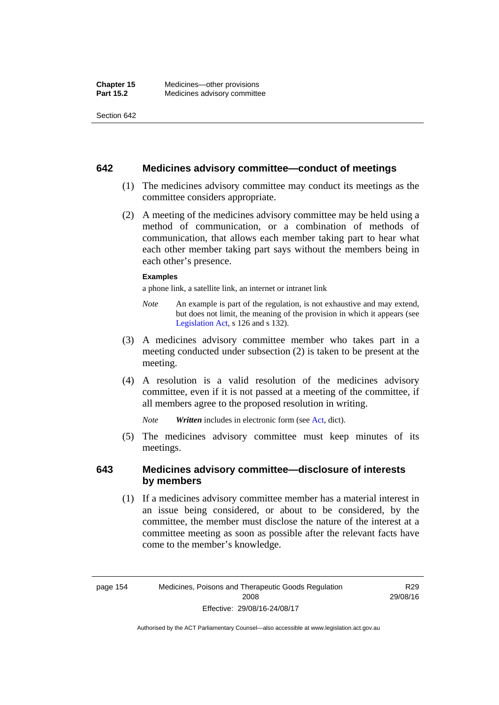#### **642 Medicines advisory committee—conduct of meetings**

- (1) The medicines advisory committee may conduct its meetings as the committee considers appropriate.
- (2) A meeting of the medicines advisory committee may be held using a method of communication, or a combination of methods of communication, that allows each member taking part to hear what each other member taking part says without the members being in each other's presence.

#### **Examples**

a phone link, a satellite link, an internet or intranet link

- *Note* An example is part of the regulation, is not exhaustive and may extend, but does not limit, the meaning of the provision in which it appears (see [Legislation Act,](http://www.legislation.act.gov.au/a/2001-14) s 126 and s 132).
- (3) A medicines advisory committee member who takes part in a meeting conducted under subsection (2) is taken to be present at the meeting.
- (4) A resolution is a valid resolution of the medicines advisory committee, even if it is not passed at a meeting of the committee, if all members agree to the proposed resolution in writing.

*Note Written* includes in electronic form (see [Act,](http://www.legislation.act.gov.au/a/2008-26/default.asp) dict).

 (5) The medicines advisory committee must keep minutes of its meetings.

#### **643 Medicines advisory committee—disclosure of interests by members**

 (1) If a medicines advisory committee member has a material interest in an issue being considered, or about to be considered, by the committee, the member must disclose the nature of the interest at a committee meeting as soon as possible after the relevant facts have come to the member's knowledge.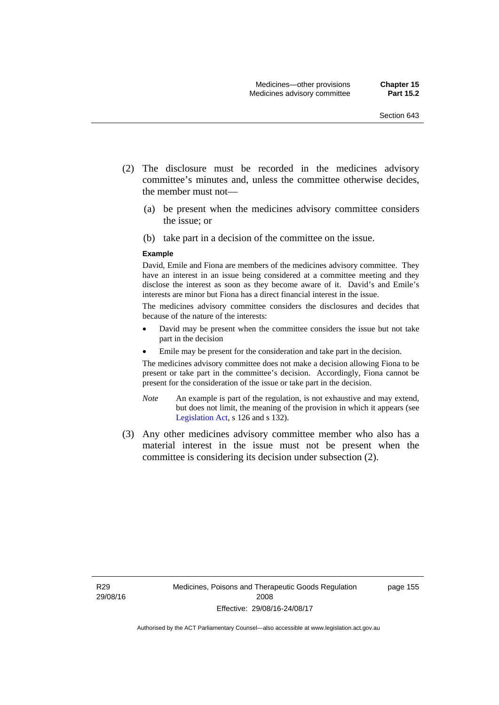- (2) The disclosure must be recorded in the medicines advisory committee's minutes and, unless the committee otherwise decides, the member must not—
	- (a) be present when the medicines advisory committee considers the issue; or
	- (b) take part in a decision of the committee on the issue.

#### **Example**

David, Emile and Fiona are members of the medicines advisory committee. They have an interest in an issue being considered at a committee meeting and they disclose the interest as soon as they become aware of it. David's and Emile's interests are minor but Fiona has a direct financial interest in the issue.

The medicines advisory committee considers the disclosures and decides that because of the nature of the interests:

- David may be present when the committee considers the issue but not take part in the decision
- Emile may be present for the consideration and take part in the decision.

The medicines advisory committee does not make a decision allowing Fiona to be present or take part in the committee's decision. Accordingly, Fiona cannot be present for the consideration of the issue or take part in the decision.

- *Note* An example is part of the regulation, is not exhaustive and may extend, but does not limit, the meaning of the provision in which it appears (see [Legislation Act,](http://www.legislation.act.gov.au/a/2001-14) s 126 and s 132).
- (3) Any other medicines advisory committee member who also has a material interest in the issue must not be present when the committee is considering its decision under subsection (2).

page 155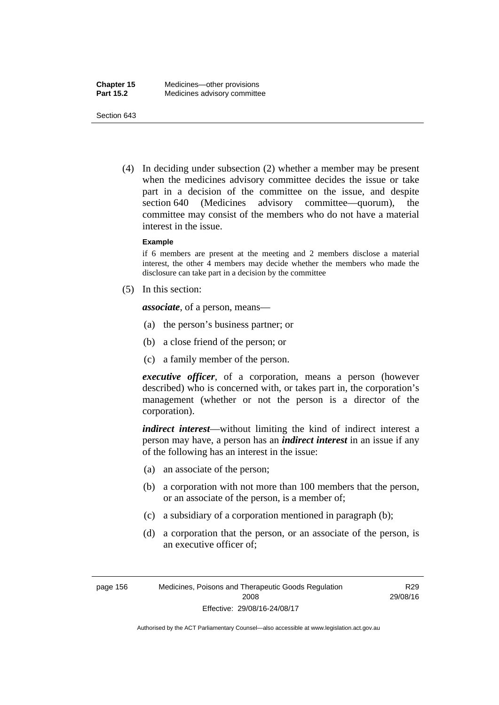(4) In deciding under subsection (2) whether a member may be present when the medicines advisory committee decides the issue or take part in a decision of the committee on the issue, and despite section 640 (Medicines advisory committee—quorum), the committee may consist of the members who do not have a material interest in the issue.

#### **Example**

if 6 members are present at the meeting and 2 members disclose a material interest, the other 4 members may decide whether the members who made the disclosure can take part in a decision by the committee

(5) In this section:

*associate*, of a person, means—

- (a) the person's business partner; or
- (b) a close friend of the person; or
- (c) a family member of the person.

*executive officer*, of a corporation, means a person (however described) who is concerned with, or takes part in, the corporation's management (whether or not the person is a director of the corporation).

*indirect interest*—without limiting the kind of indirect interest a person may have, a person has an *indirect interest* in an issue if any of the following has an interest in the issue:

- (a) an associate of the person;
- (b) a corporation with not more than 100 members that the person, or an associate of the person, is a member of;
- (c) a subsidiary of a corporation mentioned in paragraph (b);
- (d) a corporation that the person, or an associate of the person, is an executive officer of;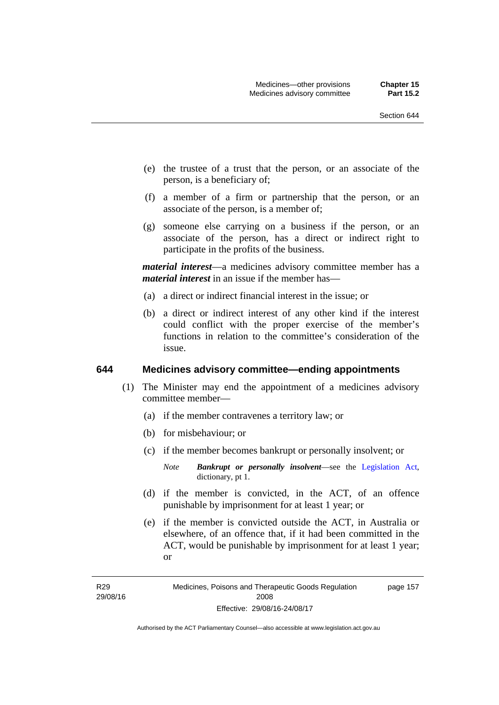- (e) the trustee of a trust that the person, or an associate of the person, is a beneficiary of;
- (f) a member of a firm or partnership that the person, or an associate of the person, is a member of;
- (g) someone else carrying on a business if the person, or an associate of the person, has a direct or indirect right to participate in the profits of the business.

*material interest*—a medicines advisory committee member has a *material interest* in an issue if the member has—

- (a) a direct or indirect financial interest in the issue; or
- (b) a direct or indirect interest of any other kind if the interest could conflict with the proper exercise of the member's functions in relation to the committee's consideration of the issue.

#### **644 Medicines advisory committee—ending appointments**

- (1) The Minister may end the appointment of a medicines advisory committee member—
	- (a) if the member contravenes a territory law; or
	- (b) for misbehaviour; or
	- (c) if the member becomes bankrupt or personally insolvent; or
		- *Note Bankrupt or personally insolvent*—see the [Legislation Act,](http://www.legislation.act.gov.au/a/2001-14) dictionary, pt 1.
	- (d) if the member is convicted, in the ACT, of an offence punishable by imprisonment for at least 1 year; or
	- (e) if the member is convicted outside the ACT, in Australia or elsewhere, of an offence that, if it had been committed in the ACT, would be punishable by imprisonment for at least 1 year; or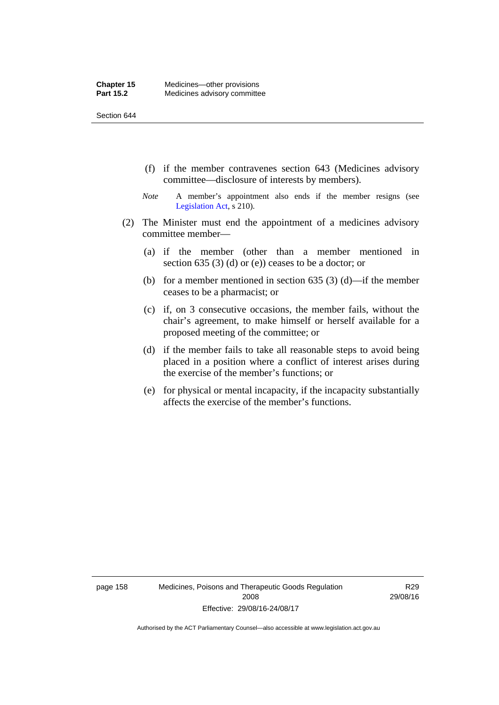- (f) if the member contravenes section 643 (Medicines advisory committee—disclosure of interests by members).
- *Note* A member's appointment also ends if the member resigns (see [Legislation Act,](http://www.legislation.act.gov.au/a/2001-14) s 210).
- (2) The Minister must end the appointment of a medicines advisory committee member—
	- (a) if the member (other than a member mentioned in section 635 (3) (d) or (e)) ceases to be a doctor; or
	- (b) for a member mentioned in section 635 (3) (d)—if the member ceases to be a pharmacist; or
	- (c) if, on 3 consecutive occasions, the member fails, without the chair's agreement, to make himself or herself available for a proposed meeting of the committee; or
	- (d) if the member fails to take all reasonable steps to avoid being placed in a position where a conflict of interest arises during the exercise of the member's functions; or
	- (e) for physical or mental incapacity, if the incapacity substantially affects the exercise of the member's functions.

page 158 Medicines, Poisons and Therapeutic Goods Regulation 2008 Effective: 29/08/16-24/08/17

R29 29/08/16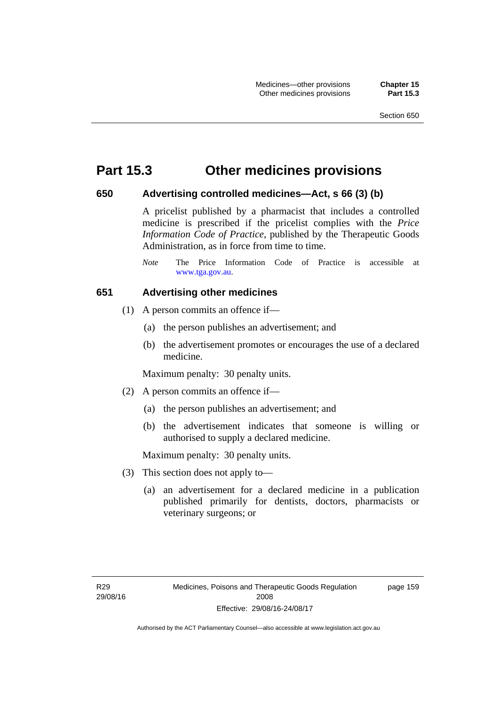### **Part 15.3 Other medicines provisions**

#### **650 Advertising controlled medicines—Act, s 66 (3) (b)**

A pricelist published by a pharmacist that includes a controlled medicine is prescribed if the pricelist complies with the *Price Information Code of Practice*, published by the Therapeutic Goods Administration, as in force from time to time.

#### **651 Advertising other medicines**

- (1) A person commits an offence if—
	- (a) the person publishes an advertisement; and
	- (b) the advertisement promotes or encourages the use of a declared medicine.

Maximum penalty: 30 penalty units.

- (2) A person commits an offence if—
	- (a) the person publishes an advertisement; and
	- (b) the advertisement indicates that someone is willing or authorised to supply a declared medicine.

Maximum penalty: 30 penalty units.

- (3) This section does not apply to—
	- (a) an advertisement for a declared medicine in a publication published primarily for dentists, doctors, pharmacists or veterinary surgeons; or

*Note* The Price Information Code of Practice is accessible at [www.tga.gov.au.](http://www.tga.gov.au/)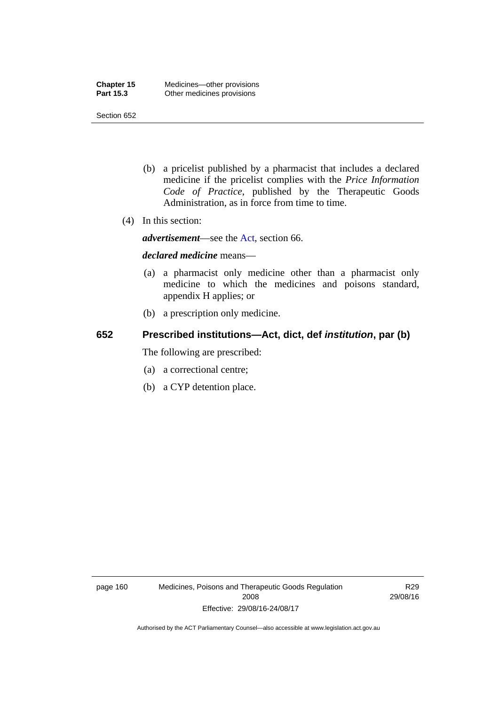- (b) a pricelist published by a pharmacist that includes a declared medicine if the pricelist complies with the *Price Information Code of Practice*, published by the Therapeutic Goods Administration, as in force from time to time.
- (4) In this section:

*advertisement*—see the [Act,](http://www.legislation.act.gov.au/a/2008-26/default.asp) section 66.

#### *declared medicine* means—

- (a) a pharmacist only medicine other than a pharmacist only medicine to which the medicines and poisons standard, appendix H applies; or
- (b) a prescription only medicine.

### **652 Prescribed institutions—Act, dict, def** *institution***, par (b)**

The following are prescribed:

- (a) a correctional centre;
- (b) a CYP detention place.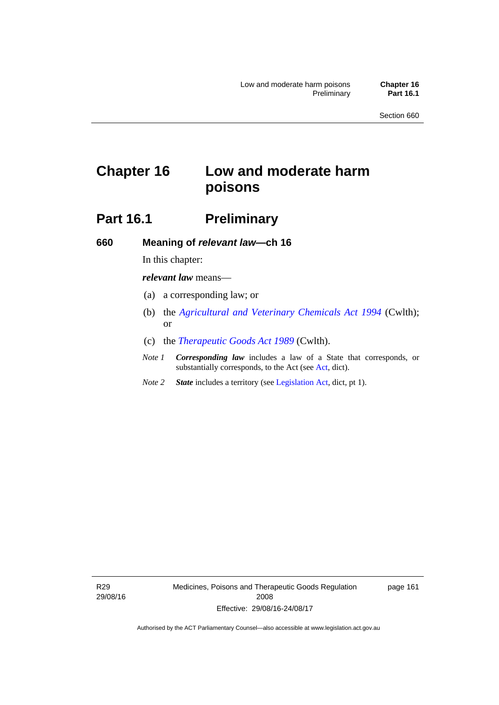# **Chapter 16 Low and moderate harm poisons**

# **Part 16.1** Preliminary

**660 Meaning of** *relevant law***—ch 16** 

In this chapter:

*relevant law* means—

- (a) a corresponding law; or
- (b) the *[Agricultural and Veterinary Chemicals Act 1994](http://www.comlaw.gov.au/Series/C2004A04712)* (Cwlth); or
- (c) the *[Therapeutic Goods Act 1989](http://www.comlaw.gov.au/Series/C2004A03952)* (Cwlth).
- *Note 1 Corresponding law* includes a law of a State that corresponds, or substantially corresponds, to the Act (see [Act](http://www.legislation.act.gov.au/a/2008-26/default.asp), dict).
- *Note 2 State* includes a territory (see [Legislation Act,](http://www.legislation.act.gov.au/a/2001-14) dict, pt 1).

R29 29/08/16 Medicines, Poisons and Therapeutic Goods Regulation 2008 Effective: 29/08/16-24/08/17

page 161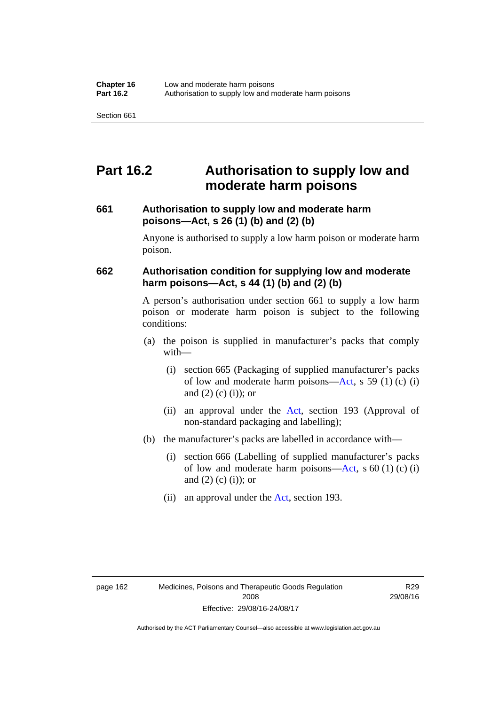## **Part 16.2 Authorisation to supply low and moderate harm poisons**

#### **661 Authorisation to supply low and moderate harm poisons—Act, s 26 (1) (b) and (2) (b)**

Anyone is authorised to supply a low harm poison or moderate harm poison.

#### **662 Authorisation condition for supplying low and moderate harm poisons—Act, s 44 (1) (b) and (2) (b)**

A person's authorisation under section 661 to supply a low harm poison or moderate harm poison is subject to the following conditions:

- (a) the poison is supplied in manufacturer's packs that comply with—
	- (i) section 665 (Packaging of supplied manufacturer's packs of low and moderate harm poisons—[Act](http://www.legislation.act.gov.au/a/2008-26/default.asp), s 59 (1) (c) (i) and  $(2)$  (c) (i)); or
	- (ii) an approval under the [Act](http://www.legislation.act.gov.au/a/2008-26/default.asp), section 193 (Approval of non-standard packaging and labelling);
- (b) the manufacturer's packs are labelled in accordance with—
	- (i) section 666 (Labelling of supplied manufacturer's packs of low and moderate harm poisons—[Act](http://www.legislation.act.gov.au/a/2008-26/default.asp), s  $60(1)(c)(i)$ and  $(2)$  (c)  $(i)$ ; or
	- (ii) an approval under the [Act,](http://www.legislation.act.gov.au/a/2008-26/default.asp) section 193.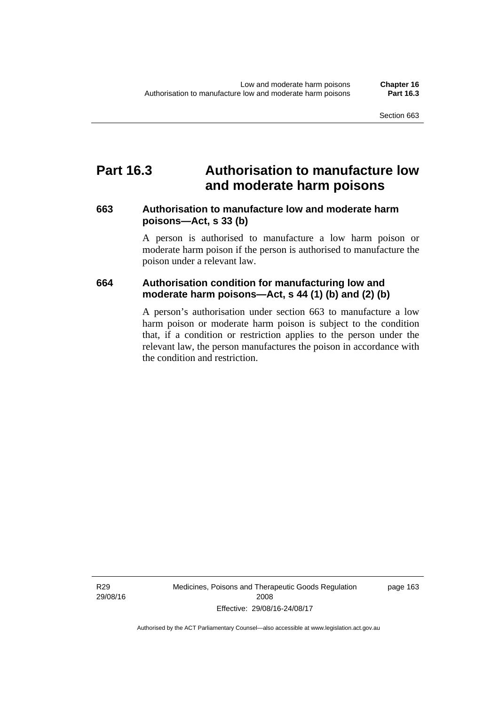## **Part 16.3 Authorisation to manufacture low and moderate harm poisons**

#### **663 Authorisation to manufacture low and moderate harm poisons—Act, s 33 (b)**

A person is authorised to manufacture a low harm poison or moderate harm poison if the person is authorised to manufacture the poison under a relevant law.

#### **664 Authorisation condition for manufacturing low and moderate harm poisons—Act, s 44 (1) (b) and (2) (b)**

A person's authorisation under section 663 to manufacture a low harm poison or moderate harm poison is subject to the condition that, if a condition or restriction applies to the person under the relevant law, the person manufactures the poison in accordance with the condition and restriction.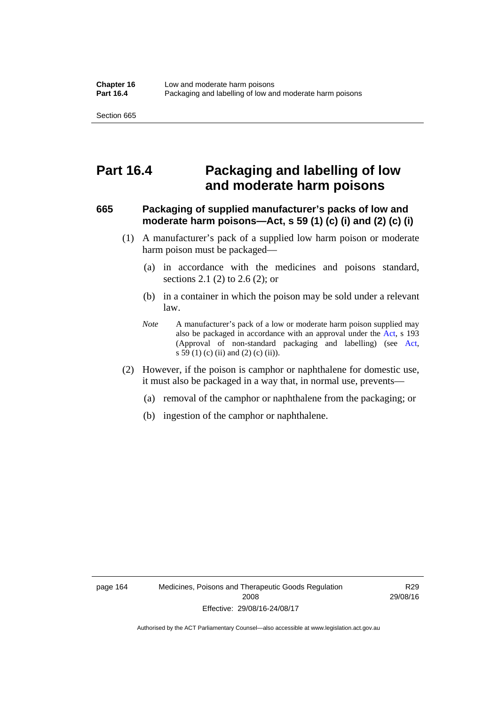## **Part 16.4 Packaging and labelling of low and moderate harm poisons**

#### **665 Packaging of supplied manufacturer's packs of low and moderate harm poisons—Act, s 59 (1) (c) (i) and (2) (c) (i)**

- (1) A manufacturer's pack of a supplied low harm poison or moderate harm poison must be packaged—
	- (a) in accordance with the medicines and poisons standard, sections 2.1 (2) to 2.6 (2); or
	- (b) in a container in which the poison may be sold under a relevant law.
	- *Note* A manufacturer's pack of a low or moderate harm poison supplied may also be packaged in accordance with an approval under the [Act](http://www.legislation.act.gov.au/a/2008-26/default.asp), s 193 (Approval of non-standard packaging and labelling) (see [Act,](http://www.legislation.act.gov.au/a/2008-26/default.asp) s 59 (1) (c) (ii) and (2) (c) (ii)).
- (2) However, if the poison is camphor or naphthalene for domestic use, it must also be packaged in a way that, in normal use, prevents—
	- (a) removal of the camphor or naphthalene from the packaging; or
	- (b) ingestion of the camphor or naphthalene.

R29 29/08/16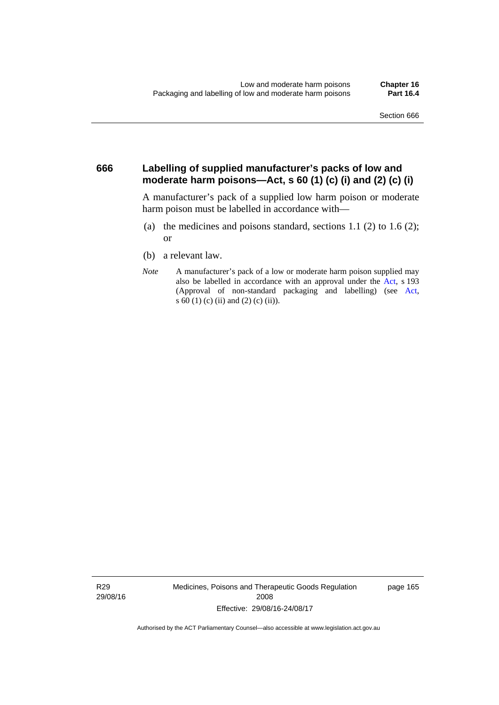#### **666 Labelling of supplied manufacturer's packs of low and moderate harm poisons—Act, s 60 (1) (c) (i) and (2) (c) (i)**

A manufacturer's pack of a supplied low harm poison or moderate harm poison must be labelled in accordance with—

- (a) the medicines and poisons standard, sections  $1.1$  (2) to  $1.6$  (2); or
- (b) a relevant law.
- *Note* A manufacturer's pack of a low or moderate harm poison supplied may also be labelled in accordance with an approval under the [Act](http://www.legislation.act.gov.au/a/2008-26/default.asp), s 193 (Approval of non-standard packaging and labelling) (see [Act,](http://www.legislation.act.gov.au/a/2008-26/default.asp) s 60 (1) (c) (ii) and (2) (c) (ii)).

R29 29/08/16 Medicines, Poisons and Therapeutic Goods Regulation 2008 Effective: 29/08/16-24/08/17

page 165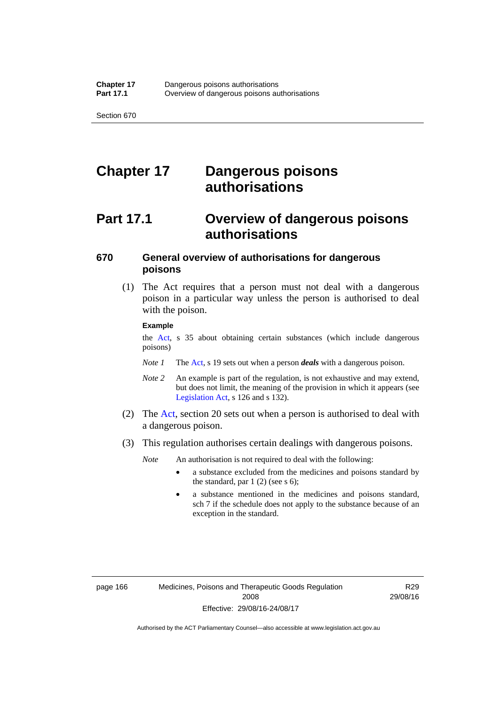# **Chapter 17 Dangerous poisons authorisations**

# **Part 17.1 Overview of dangerous poisons authorisations**

### **670 General overview of authorisations for dangerous poisons**

 (1) The Act requires that a person must not deal with a dangerous poison in a particular way unless the person is authorised to deal with the poison.

#### **Example**

the [Act,](http://www.legislation.act.gov.au/a/2008-26/default.asp) s 35 about obtaining certain substances (which include dangerous poisons)

- *Note 1* The [Act,](http://www.legislation.act.gov.au/a/2008-26/default.asp) s 19 sets out when a person *deals* with a dangerous poison.
- *Note 2* An example is part of the regulation, is not exhaustive and may extend, but does not limit, the meaning of the provision in which it appears (see [Legislation Act,](http://www.legislation.act.gov.au/a/2001-14) s 126 and s 132).
- (2) The [Act](http://www.legislation.act.gov.au/a/2008-26/default.asp), section 20 sets out when a person is authorised to deal with a dangerous poison.
- (3) This regulation authorises certain dealings with dangerous poisons.

*Note* An authorisation is not required to deal with the following:

- a substance excluded from the medicines and poisons standard by the standard, par  $1(2)$  (see s 6);
- a substance mentioned in the medicines and poisons standard, sch 7 if the schedule does not apply to the substance because of an exception in the standard.

R29 29/08/16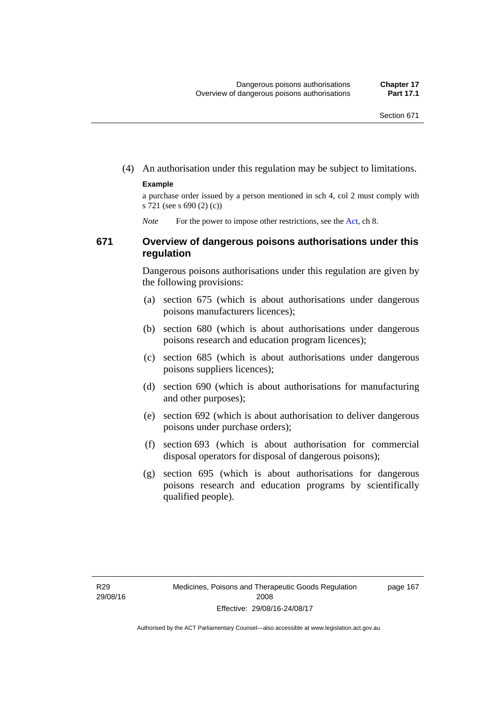(4) An authorisation under this regulation may be subject to limitations.

#### **Example**

a purchase order issued by a person mentioned in sch 4, col 2 must comply with s 721 (see s 690 (2) (c))

*Note* For the power to impose other restrictions, see the [Act](http://www.legislation.act.gov.au/a/2008-26/default.asp), ch 8.

#### **671 Overview of dangerous poisons authorisations under this regulation**

Dangerous poisons authorisations under this regulation are given by the following provisions:

- (a) section 675 (which is about authorisations under dangerous poisons manufacturers licences);
- (b) section 680 (which is about authorisations under dangerous poisons research and education program licences);
- (c) section 685 (which is about authorisations under dangerous poisons suppliers licences);
- (d) section 690 (which is about authorisations for manufacturing and other purposes);
- (e) section 692 (which is about authorisation to deliver dangerous poisons under purchase orders);
- (f) section 693 (which is about authorisation for commercial disposal operators for disposal of dangerous poisons);
- (g) section 695 (which is about authorisations for dangerous poisons research and education programs by scientifically qualified people).

page 167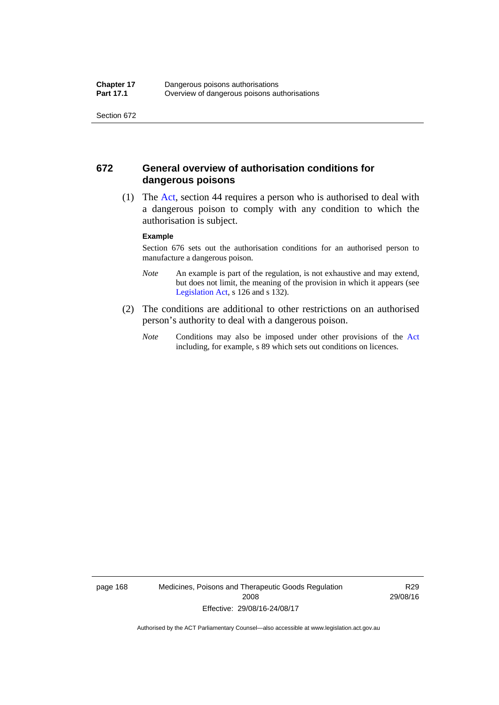#### **672 General overview of authorisation conditions for dangerous poisons**

 (1) The [Act](http://www.legislation.act.gov.au/a/2008-26/default.asp), section 44 requires a person who is authorised to deal with a dangerous poison to comply with any condition to which the authorisation is subject.

#### **Example**

Section 676 sets out the authorisation conditions for an authorised person to manufacture a dangerous poison.

- *Note* An example is part of the regulation, is not exhaustive and may extend, but does not limit, the meaning of the provision in which it appears (see [Legislation Act,](http://www.legislation.act.gov.au/a/2001-14) s 126 and s 132).
- (2) The conditions are additional to other restrictions on an authorised person's authority to deal with a dangerous poison.
	- *Note* Conditions may also be imposed under other provisions of the [Act](http://www.legislation.act.gov.au/a/2008-26/default.asp) including, for example, s 89 which sets out conditions on licences.

page 168 Medicines, Poisons and Therapeutic Goods Regulation 2008 Effective: 29/08/16-24/08/17

R29 29/08/16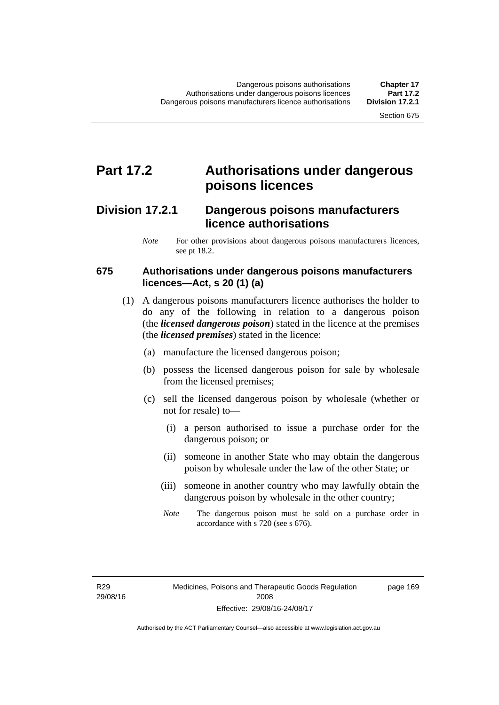## **Part 17.2 Authorisations under dangerous poisons licences**

### **Division 17.2.1 Dangerous poisons manufacturers licence authorisations**

*Note* For other provisions about dangerous poisons manufacturers licences, see pt 18.2.

#### **675 Authorisations under dangerous poisons manufacturers licences—Act, s 20 (1) (a)**

- (1) A dangerous poisons manufacturers licence authorises the holder to do any of the following in relation to a dangerous poison (the *licensed dangerous poison*) stated in the licence at the premises (the *licensed premises*) stated in the licence:
	- (a) manufacture the licensed dangerous poison;
	- (b) possess the licensed dangerous poison for sale by wholesale from the licensed premises;
	- (c) sell the licensed dangerous poison by wholesale (whether or not for resale) to—
		- (i) a person authorised to issue a purchase order for the dangerous poison; or
		- (ii) someone in another State who may obtain the dangerous poison by wholesale under the law of the other State; or
		- (iii) someone in another country who may lawfully obtain the dangerous poison by wholesale in the other country;
		- *Note* The dangerous poison must be sold on a purchase order in accordance with s 720 (see s 676).

R29 29/08/16 page 169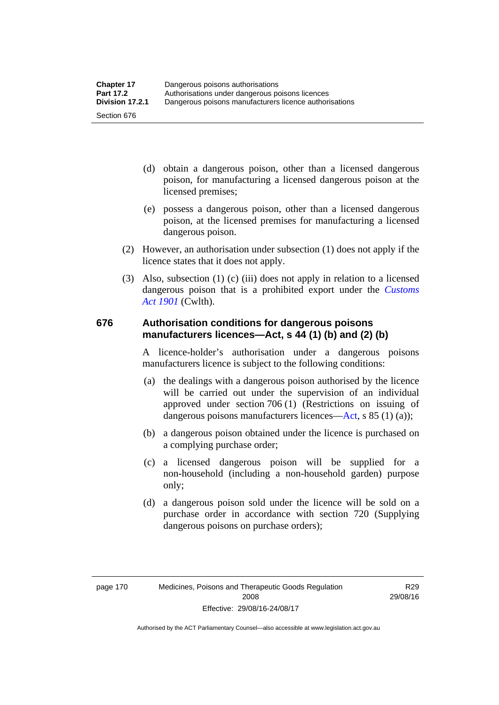- (d) obtain a dangerous poison, other than a licensed dangerous poison, for manufacturing a licensed dangerous poison at the licensed premises;
- (e) possess a dangerous poison, other than a licensed dangerous poison, at the licensed premises for manufacturing a licensed dangerous poison.
- (2) However, an authorisation under subsection (1) does not apply if the licence states that it does not apply.
- (3) Also, subsection (1) (c) (iii) does not apply in relation to a licensed dangerous poison that is a prohibited export under the *[Customs](http://www.comlaw.gov.au/Series/C1901A00006)  [Act 1901](http://www.comlaw.gov.au/Series/C1901A00006)* (Cwlth).

#### **676 Authorisation conditions for dangerous poisons manufacturers licences—Act, s 44 (1) (b) and (2) (b)**

A licence-holder's authorisation under a dangerous poisons manufacturers licence is subject to the following conditions:

- (a) the dealings with a dangerous poison authorised by the licence will be carried out under the supervision of an individual approved under section 706 (1) (Restrictions on issuing of dangerous poisons manufacturers licences[—Act,](http://www.legislation.act.gov.au/a/2008-26/default.asp) s 85 (1) (a));
- (b) a dangerous poison obtained under the licence is purchased on a complying purchase order;
- (c) a licensed dangerous poison will be supplied for a non-household (including a non-household garden) purpose only;
- (d) a dangerous poison sold under the licence will be sold on a purchase order in accordance with section 720 (Supplying dangerous poisons on purchase orders);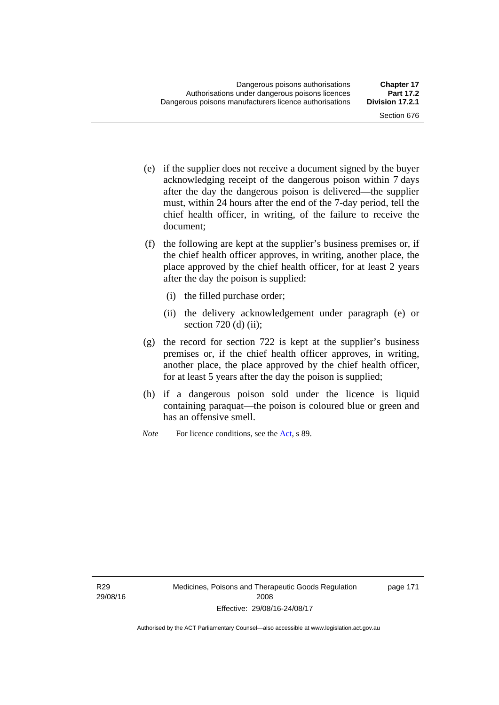- (e) if the supplier does not receive a document signed by the buyer acknowledging receipt of the dangerous poison within 7 days after the day the dangerous poison is delivered—the supplier must, within 24 hours after the end of the 7-day period, tell the chief health officer, in writing, of the failure to receive the document;
- (f) the following are kept at the supplier's business premises or, if the chief health officer approves, in writing, another place, the place approved by the chief health officer, for at least 2 years after the day the poison is supplied:
	- (i) the filled purchase order;
	- (ii) the delivery acknowledgement under paragraph (e) or section 720 (d) (ii);
- (g) the record for section 722 is kept at the supplier's business premises or, if the chief health officer approves, in writing, another place, the place approved by the chief health officer, for at least 5 years after the day the poison is supplied;
- (h) if a dangerous poison sold under the licence is liquid containing paraquat—the poison is coloured blue or green and has an offensive smell.
- *Note* For licence conditions, see the [Act](http://www.legislation.act.gov.au/a/2008-26/default.asp), s 89.

R29 29/08/16 page 171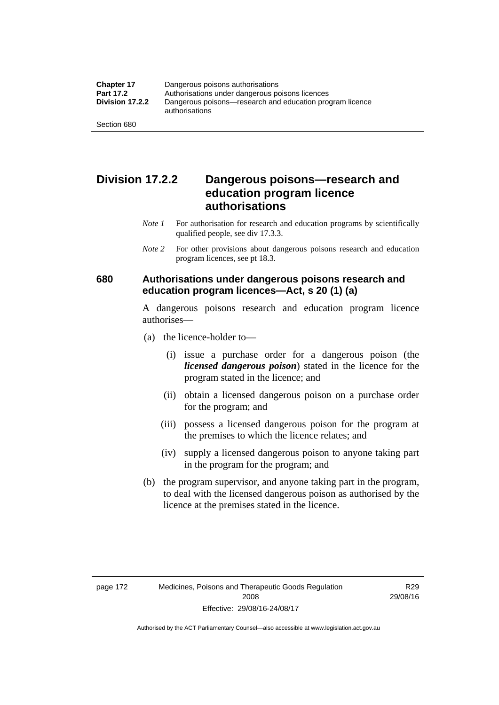### **Division 17.2.2 Dangerous poisons—research and education program licence authorisations**

- *Note 1* For authorisation for research and education programs by scientifically qualified people, see div 17.3.3.
- *Note 2* For other provisions about dangerous poisons research and education program licences, see pt 18.3.

#### **680 Authorisations under dangerous poisons research and education program licences—Act, s 20 (1) (a)**

A dangerous poisons research and education program licence authorises—

- (a) the licence-holder to—
	- (i) issue a purchase order for a dangerous poison (the *licensed dangerous poison*) stated in the licence for the program stated in the licence; and
	- (ii) obtain a licensed dangerous poison on a purchase order for the program; and
	- (iii) possess a licensed dangerous poison for the program at the premises to which the licence relates; and
	- (iv) supply a licensed dangerous poison to anyone taking part in the program for the program; and
- (b) the program supervisor, and anyone taking part in the program, to deal with the licensed dangerous poison as authorised by the licence at the premises stated in the licence.

Authorised by the ACT Parliamentary Counsel—also accessible at www.legislation.act.gov.au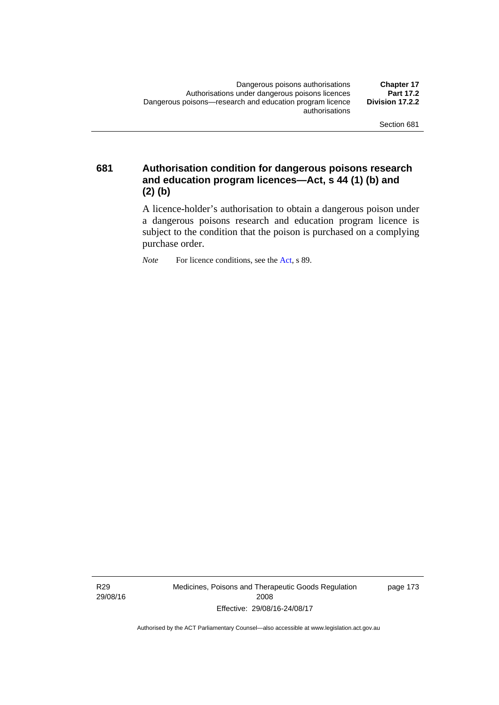**681 Authorisation condition for dangerous poisons research and education program licences—Act, s 44 (1) (b) and (2) (b)** 

> A licence-holder's authorisation to obtain a dangerous poison under a dangerous poisons research and education program licence is subject to the condition that the poison is purchased on a complying purchase order.

*Note* For licence conditions, see the [Act](http://www.legislation.act.gov.au/a/2008-26/default.asp), s 89.

R29 29/08/16 Medicines, Poisons and Therapeutic Goods Regulation 2008 Effective: 29/08/16-24/08/17

page 173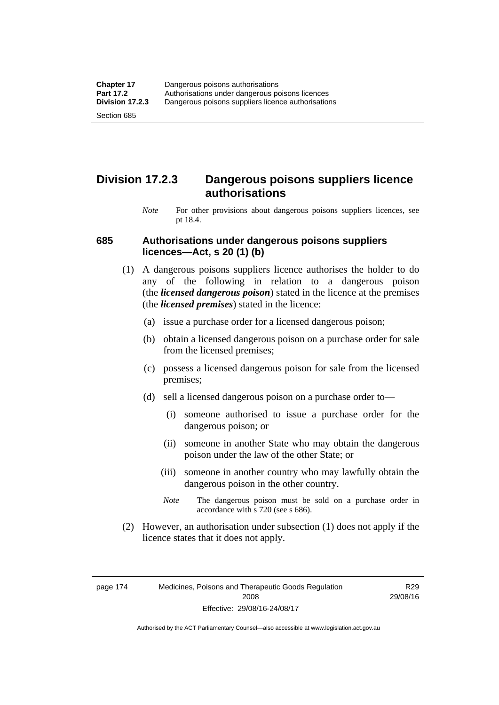### **Division 17.2.3 Dangerous poisons suppliers licence authorisations**

*Note* For other provisions about dangerous poisons suppliers licences, see pt 18.4.

#### **685 Authorisations under dangerous poisons suppliers licences—Act, s 20 (1) (b)**

- (1) A dangerous poisons suppliers licence authorises the holder to do any of the following in relation to a dangerous poison (the *licensed dangerous poison*) stated in the licence at the premises (the *licensed premises*) stated in the licence:
	- (a) issue a purchase order for a licensed dangerous poison;
	- (b) obtain a licensed dangerous poison on a purchase order for sale from the licensed premises;
	- (c) possess a licensed dangerous poison for sale from the licensed premises;
	- (d) sell a licensed dangerous poison on a purchase order to—
		- (i) someone authorised to issue a purchase order for the dangerous poison; or
		- (ii) someone in another State who may obtain the dangerous poison under the law of the other State; or
		- (iii) someone in another country who may lawfully obtain the dangerous poison in the other country.
		- *Note* The dangerous poison must be sold on a purchase order in accordance with s 720 (see s 686).
- (2) However, an authorisation under subsection (1) does not apply if the licence states that it does not apply.

page 174 Medicines, Poisons and Therapeutic Goods Regulation 2008 Effective: 29/08/16-24/08/17

R29 29/08/16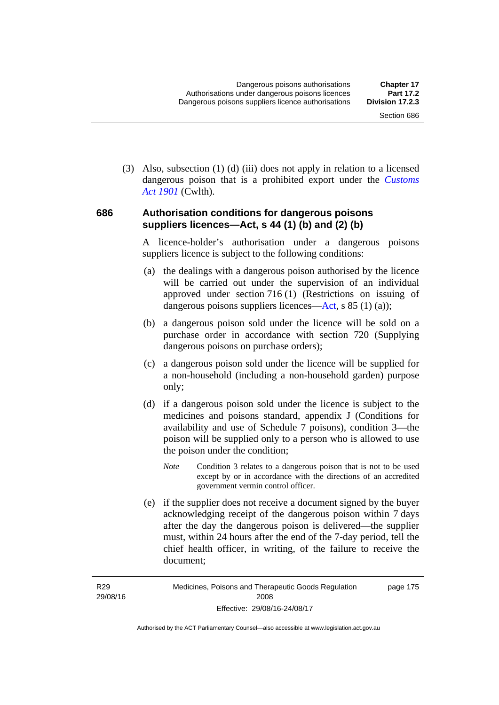(3) Also, subsection (1) (d) (iii) does not apply in relation to a licensed dangerous poison that is a prohibited export under the *[Customs](http://www.comlaw.gov.au/Series/C1901A00006)  [Act 1901](http://www.comlaw.gov.au/Series/C1901A00006)* (Cwlth).

#### **686 Authorisation conditions for dangerous poisons suppliers licences—Act, s 44 (1) (b) and (2) (b)**

A licence-holder's authorisation under a dangerous poisons suppliers licence is subject to the following conditions:

- (a) the dealings with a dangerous poison authorised by the licence will be carried out under the supervision of an individual approved under section 716 (1) (Restrictions on issuing of dangerous poisons suppliers licences—[Act](http://www.legislation.act.gov.au/a/2008-26/default.asp), s 85 (1) (a));
- (b) a dangerous poison sold under the licence will be sold on a purchase order in accordance with section 720 (Supplying dangerous poisons on purchase orders);
- (c) a dangerous poison sold under the licence will be supplied for a non-household (including a non-household garden) purpose only;
- (d) if a dangerous poison sold under the licence is subject to the medicines and poisons standard, appendix J (Conditions for availability and use of Schedule 7 poisons), condition 3—the poison will be supplied only to a person who is allowed to use the poison under the condition;
	- *Note* Condition 3 relates to a dangerous poison that is not to be used except by or in accordance with the directions of an accredited government vermin control officer.
- (e) if the supplier does not receive a document signed by the buyer acknowledging receipt of the dangerous poison within 7 days after the day the dangerous poison is delivered—the supplier must, within 24 hours after the end of the 7-day period, tell the chief health officer, in writing, of the failure to receive the document;

R29 29/08/16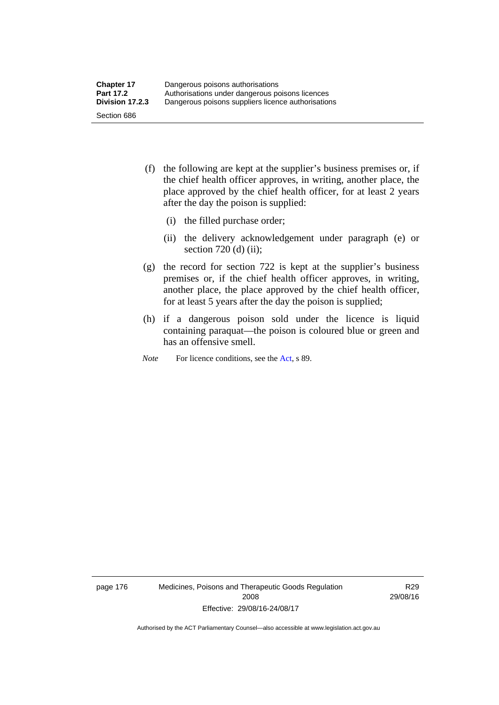- (f) the following are kept at the supplier's business premises or, if the chief health officer approves, in writing, another place, the place approved by the chief health officer, for at least 2 years after the day the poison is supplied:
	- (i) the filled purchase order;
	- (ii) the delivery acknowledgement under paragraph (e) or section 720 (d) (ii);
- (g) the record for section 722 is kept at the supplier's business premises or, if the chief health officer approves, in writing, another place, the place approved by the chief health officer, for at least 5 years after the day the poison is supplied;
- (h) if a dangerous poison sold under the licence is liquid containing paraquat—the poison is coloured blue or green and has an offensive smell.
- *Note* For licence conditions, see the [Act](http://www.legislation.act.gov.au/a/2008-26/default.asp), s 89.

page 176 Medicines, Poisons and Therapeutic Goods Regulation 2008 Effective: 29/08/16-24/08/17

R29 29/08/16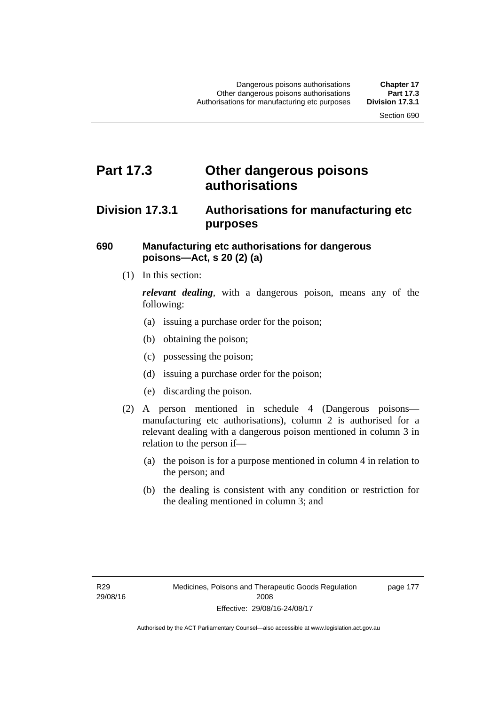## **Part 17.3 Other dangerous poisons authorisations**

### **Division 17.3.1 Authorisations for manufacturing etc purposes**

#### **690 Manufacturing etc authorisations for dangerous poisons—Act, s 20 (2) (a)**

(1) In this section:

*relevant dealing*, with a dangerous poison, means any of the following:

- (a) issuing a purchase order for the poison;
- (b) obtaining the poison;
- (c) possessing the poison;
- (d) issuing a purchase order for the poison;
- (e) discarding the poison.
- (2) A person mentioned in schedule 4 (Dangerous poisons manufacturing etc authorisations), column 2 is authorised for a relevant dealing with a dangerous poison mentioned in column 3 in relation to the person if—
	- (a) the poison is for a purpose mentioned in column 4 in relation to the person; and
	- (b) the dealing is consistent with any condition or restriction for the dealing mentioned in column 3; and

page 177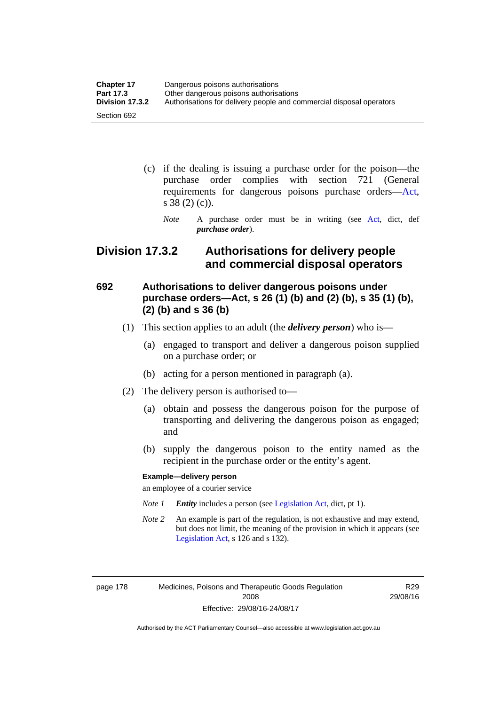| <b>Chapter 17</b> | Dangerous poisons authorisations                                     |
|-------------------|----------------------------------------------------------------------|
| <b>Part 17.3</b>  | Other dangerous poisons authorisations                               |
| Division 17.3.2   | Authorisations for delivery people and commercial disposal operators |
| Section 692       |                                                                      |

- (c) if the dealing is issuing a purchase order for the poison—the purchase order complies with section 721 (General requirements for dangerous poisons purchase orders[—Act](http://www.legislation.act.gov.au/a/2008-26/default.asp), s 38 (2) (c)).
	- *Note* A purchase order must be in writing (see [Act](http://www.legislation.act.gov.au/a/2008-26/default.asp), dict, def *purchase order*).

### **Division 17.3.2 Authorisations for delivery people and commercial disposal operators**

### **692 Authorisations to deliver dangerous poisons under purchase orders—Act, s 26 (1) (b) and (2) (b), s 35 (1) (b), (2) (b) and s 36 (b)**

- (1) This section applies to an adult (the *delivery person*) who is—
	- (a) engaged to transport and deliver a dangerous poison supplied on a purchase order; or
	- (b) acting for a person mentioned in paragraph (a).
- (2) The delivery person is authorised to—
	- (a) obtain and possess the dangerous poison for the purpose of transporting and delivering the dangerous poison as engaged; and
	- (b) supply the dangerous poison to the entity named as the recipient in the purchase order or the entity's agent.

#### **Example—delivery person**

an employee of a courier service

- *Note 1 Entity* includes a person (see [Legislation Act,](http://www.legislation.act.gov.au/a/2001-14) dict, pt 1).
- *Note 2* An example is part of the regulation, is not exhaustive and may extend, but does not limit, the meaning of the provision in which it appears (see [Legislation Act,](http://www.legislation.act.gov.au/a/2001-14) s 126 and s 132).

page 178 Medicines, Poisons and Therapeutic Goods Regulation 2008 Effective: 29/08/16-24/08/17

R29 29/08/16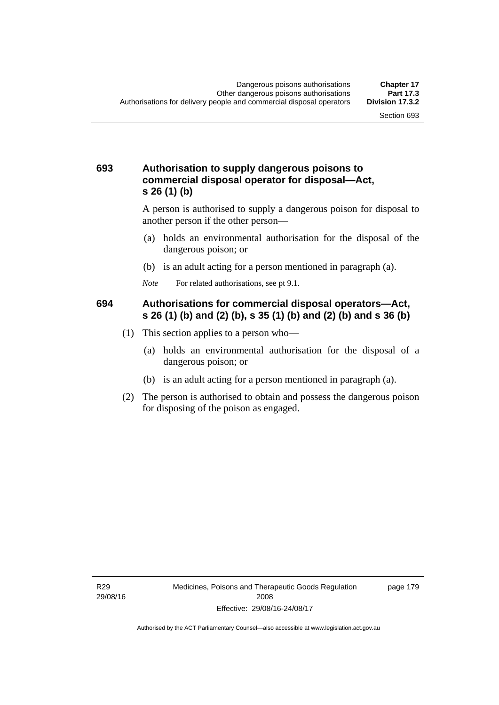#### **693 Authorisation to supply dangerous poisons to commercial disposal operator for disposal—Act, s 26 (1) (b)**

A person is authorised to supply a dangerous poison for disposal to another person if the other person—

- (a) holds an environmental authorisation for the disposal of the dangerous poison; or
- (b) is an adult acting for a person mentioned in paragraph (a).
- *Note* For related authorisations, see pt 9.1.

#### **694 Authorisations for commercial disposal operators—Act, s 26 (1) (b) and (2) (b), s 35 (1) (b) and (2) (b) and s 36 (b)**

- (1) This section applies to a person who—
	- (a) holds an environmental authorisation for the disposal of a dangerous poison; or
	- (b) is an adult acting for a person mentioned in paragraph (a).
- (2) The person is authorised to obtain and possess the dangerous poison for disposing of the poison as engaged.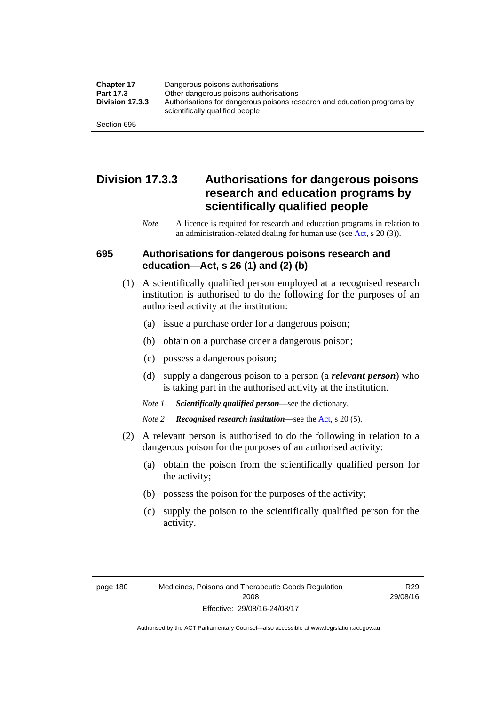| <b>Chapter 17</b> | Dangerous poisons authorisations                                                                           |
|-------------------|------------------------------------------------------------------------------------------------------------|
| Part 17.3         | Other dangerous poisons authorisations                                                                     |
| Division 17.3.3   | Authorisations for dangerous poisons research and education programs by<br>scientifically qualified people |
| Section 695       |                                                                                                            |

### **Division 17.3.3 Authorisations for dangerous poisons research and education programs by scientifically qualified people**

*Note* A licence is required for research and education programs in relation to an administration-related dealing for human use (see [Act](http://www.legislation.act.gov.au/a/2008-26/default.asp), s 20 (3)).

#### **695 Authorisations for dangerous poisons research and education—Act, s 26 (1) and (2) (b)**

- (1) A scientifically qualified person employed at a recognised research institution is authorised to do the following for the purposes of an authorised activity at the institution:
	- (a) issue a purchase order for a dangerous poison;
	- (b) obtain on a purchase order a dangerous poison;
	- (c) possess a dangerous poison;
	- (d) supply a dangerous poison to a person (a *relevant person*) who is taking part in the authorised activity at the institution.
	- *Note 1 Scientifically qualified person*—see the dictionary.
	- *Note 2 Recognised research institution*—see the [Act](http://www.legislation.act.gov.au/a/2008-26/default.asp), s 20 (5).
- (2) A relevant person is authorised to do the following in relation to a dangerous poison for the purposes of an authorised activity:
	- (a) obtain the poison from the scientifically qualified person for the activity;
	- (b) possess the poison for the purposes of the activity;
	- (c) supply the poison to the scientifically qualified person for the activity.

R29 29/08/16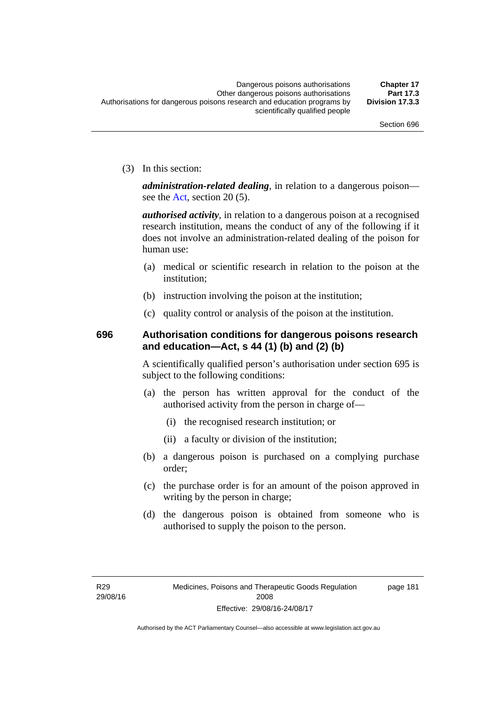(3) In this section:

*administration-related dealing*, in relation to a dangerous poison— see the [Act](http://www.legislation.act.gov.au/a/2008-26/default.asp), section 20 (5).

*authorised activity*, in relation to a dangerous poison at a recognised research institution, means the conduct of any of the following if it does not involve an administration-related dealing of the poison for human use:

- (a) medical or scientific research in relation to the poison at the institution;
- (b) instruction involving the poison at the institution;
- (c) quality control or analysis of the poison at the institution.

### **696 Authorisation conditions for dangerous poisons research and education—Act, s 44 (1) (b) and (2) (b)**

A scientifically qualified person's authorisation under section 695 is subject to the following conditions:

- (a) the person has written approval for the conduct of the authorised activity from the person in charge of—
	- (i) the recognised research institution; or
	- (ii) a faculty or division of the institution;
- (b) a dangerous poison is purchased on a complying purchase order;
- (c) the purchase order is for an amount of the poison approved in writing by the person in charge;
- (d) the dangerous poison is obtained from someone who is authorised to supply the poison to the person.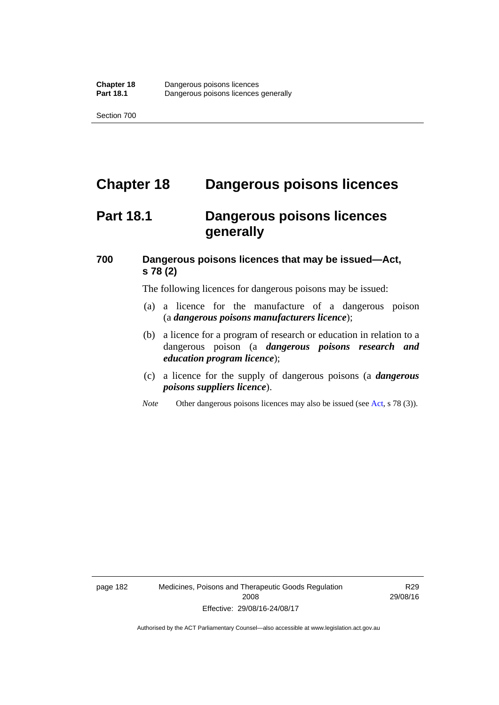# **Chapter 18 Dangerous poisons licences**

## **Part 18.1 Dangerous poisons licences generally**

### **700 Dangerous poisons licences that may be issued—Act, s 78 (2)**

The following licences for dangerous poisons may be issued:

- (a) a licence for the manufacture of a dangerous poison (a *dangerous poisons manufacturers licence*);
- (b) a licence for a program of research or education in relation to a dangerous poison (a *dangerous poisons research and education program licence*);
- (c) a licence for the supply of dangerous poisons (a *dangerous poisons suppliers licence*).
- *Note* Other dangerous poisons licences may also be issued (see [Act](http://www.legislation.act.gov.au/a/2008-26/default.asp), s 78 (3)).

page 182 Medicines, Poisons and Therapeutic Goods Regulation 2008 Effective: 29/08/16-24/08/17

R29 29/08/16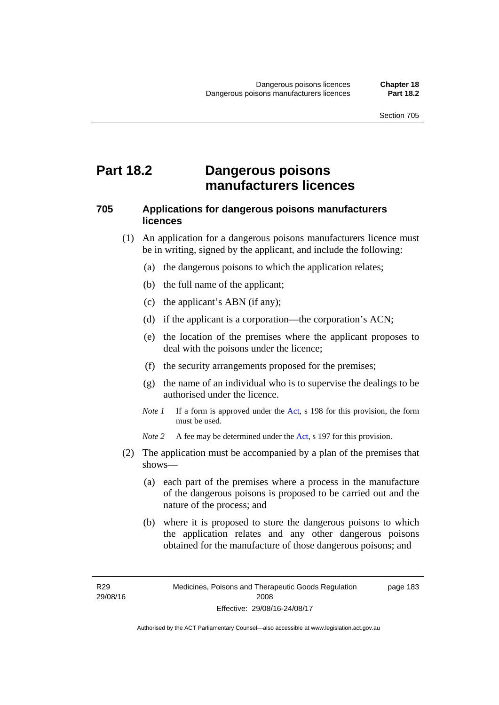## **Part 18.2 Dangerous poisons manufacturers licences**

#### **705 Applications for dangerous poisons manufacturers licences**

- (1) An application for a dangerous poisons manufacturers licence must be in writing, signed by the applicant, and include the following:
	- (a) the dangerous poisons to which the application relates;
	- (b) the full name of the applicant;
	- (c) the applicant's ABN (if any);
	- (d) if the applicant is a corporation—the corporation's ACN;
	- (e) the location of the premises where the applicant proposes to deal with the poisons under the licence;
	- (f) the security arrangements proposed for the premises;
	- (g) the name of an individual who is to supervise the dealings to be authorised under the licence.
	- *Note 1* If a form is approved under the [Act](http://www.legislation.act.gov.au/a/2008-26/default.asp), s 198 for this provision, the form must be used.

*Note 2* A fee may be determined under the [Act,](http://www.legislation.act.gov.au/a/2008-26/default.asp) s 197 for this provision.

- (2) The application must be accompanied by a plan of the premises that shows—
	- (a) each part of the premises where a process in the manufacture of the dangerous poisons is proposed to be carried out and the nature of the process; and
	- (b) where it is proposed to store the dangerous poisons to which the application relates and any other dangerous poisons obtained for the manufacture of those dangerous poisons; and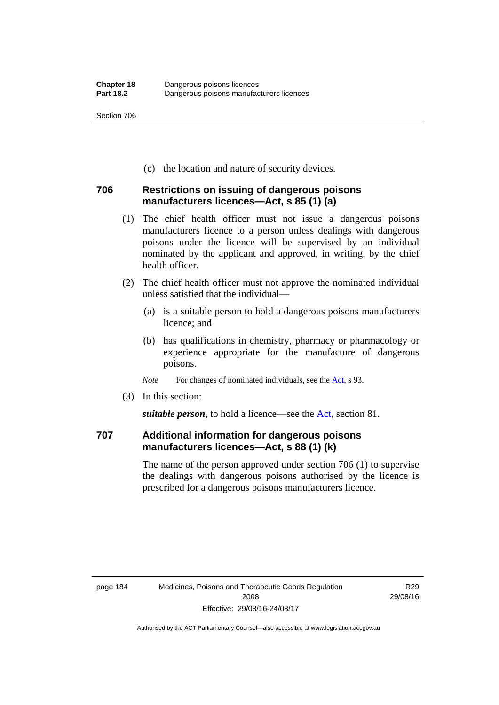(c) the location and nature of security devices.

#### **706 Restrictions on issuing of dangerous poisons manufacturers licences—Act, s 85 (1) (a)**

- (1) The chief health officer must not issue a dangerous poisons manufacturers licence to a person unless dealings with dangerous poisons under the licence will be supervised by an individual nominated by the applicant and approved, in writing, by the chief health officer.
- (2) The chief health officer must not approve the nominated individual unless satisfied that the individual—
	- (a) is a suitable person to hold a dangerous poisons manufacturers licence; and
	- (b) has qualifications in chemistry, pharmacy or pharmacology or experience appropriate for the manufacture of dangerous poisons.
	- *Note* For changes of nominated individuals, see the [Act,](http://www.legislation.act.gov.au/a/2008-26/default.asp) s 93.
- (3) In this section:

*suitable person*, to hold a licence—see the [Act](http://www.legislation.act.gov.au/a/2008-26/default.asp), section 81.

### **707 Additional information for dangerous poisons manufacturers licences—Act, s 88 (1) (k)**

The name of the person approved under section 706 (1) to supervise the dealings with dangerous poisons authorised by the licence is prescribed for a dangerous poisons manufacturers licence.

R29 29/08/16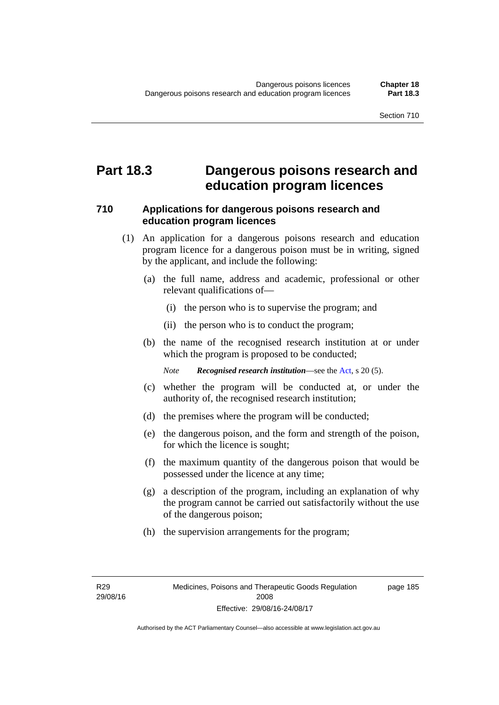## **Part 18.3 Dangerous poisons research and education program licences**

#### **710 Applications for dangerous poisons research and education program licences**

- (1) An application for a dangerous poisons research and education program licence for a dangerous poison must be in writing, signed by the applicant, and include the following:
	- (a) the full name, address and academic, professional or other relevant qualifications of—
		- (i) the person who is to supervise the program; and
		- (ii) the person who is to conduct the program;
	- (b) the name of the recognised research institution at or under which the program is proposed to be conducted;

*Note Recognised research institution*—see the [Act](http://www.legislation.act.gov.au/a/2008-26/default.asp), s 20 (5).

- (c) whether the program will be conducted at, or under the authority of, the recognised research institution;
- (d) the premises where the program will be conducted;
- (e) the dangerous poison, and the form and strength of the poison, for which the licence is sought;
- (f) the maximum quantity of the dangerous poison that would be possessed under the licence at any time;
- (g) a description of the program, including an explanation of why the program cannot be carried out satisfactorily without the use of the dangerous poison;
- (h) the supervision arrangements for the program;

page 185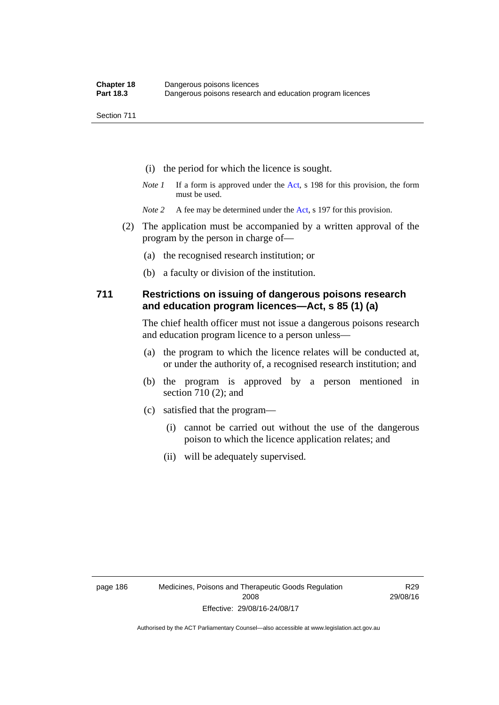- (i) the period for which the licence is sought.
- *Note 1* If a form is approved under the [Act](http://www.legislation.act.gov.au/a/2008-26/default.asp), s 198 for this provision, the form must be used.
- *Note* 2 A fee may be determined under the [Act,](http://www.legislation.act.gov.au/a/2008-26/default.asp) s 197 for this provision.
- (2) The application must be accompanied by a written approval of the program by the person in charge of—
	- (a) the recognised research institution; or
	- (b) a faculty or division of the institution.

#### **711 Restrictions on issuing of dangerous poisons research and education program licences—Act, s 85 (1) (a)**

The chief health officer must not issue a dangerous poisons research and education program licence to a person unless—

- (a) the program to which the licence relates will be conducted at, or under the authority of, a recognised research institution; and
- (b) the program is approved by a person mentioned in section 710 (2); and
- (c) satisfied that the program—
	- (i) cannot be carried out without the use of the dangerous poison to which the licence application relates; and
	- (ii) will be adequately supervised.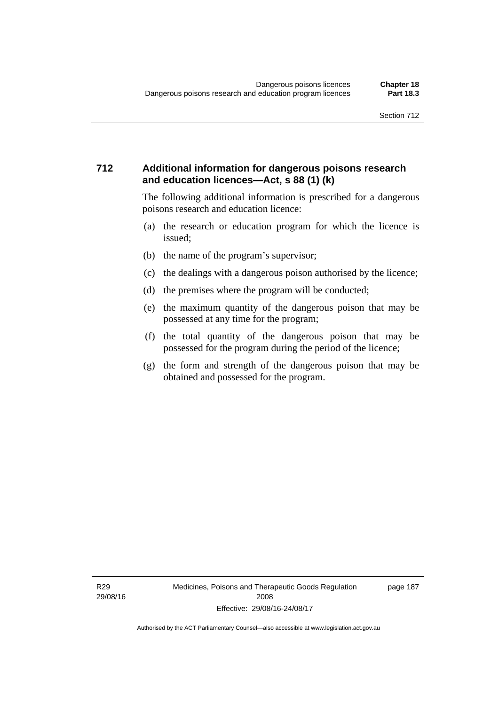#### **712 Additional information for dangerous poisons research and education licences—Act, s 88 (1) (k)**

The following additional information is prescribed for a dangerous poisons research and education licence:

- (a) the research or education program for which the licence is issued;
- (b) the name of the program's supervisor;
- (c) the dealings with a dangerous poison authorised by the licence;
- (d) the premises where the program will be conducted;
- (e) the maximum quantity of the dangerous poison that may be possessed at any time for the program;
- (f) the total quantity of the dangerous poison that may be possessed for the program during the period of the licence;
- (g) the form and strength of the dangerous poison that may be obtained and possessed for the program.

R29 29/08/16 page 187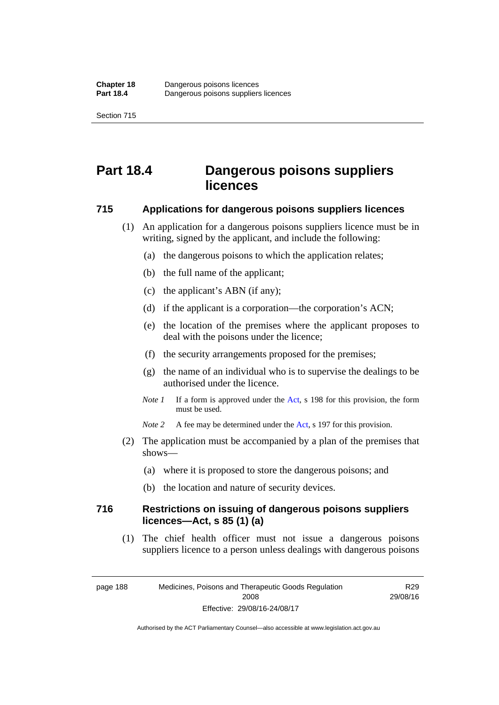# **Part 18.4 Dangerous poisons suppliers licences**

#### **715 Applications for dangerous poisons suppliers licences**

- (1) An application for a dangerous poisons suppliers licence must be in writing, signed by the applicant, and include the following:
	- (a) the dangerous poisons to which the application relates;
	- (b) the full name of the applicant;
	- (c) the applicant's ABN (if any);
	- (d) if the applicant is a corporation—the corporation's ACN;
	- (e) the location of the premises where the applicant proposes to deal with the poisons under the licence;
	- (f) the security arrangements proposed for the premises;
	- (g) the name of an individual who is to supervise the dealings to be authorised under the licence.
	- *Note 1* If a form is approved under the [Act](http://www.legislation.act.gov.au/a/2008-26/default.asp), s 198 for this provision, the form must be used.
	- *Note* 2 A fee may be determined under the [Act,](http://www.legislation.act.gov.au/a/2008-26/default.asp) s 197 for this provision.
- (2) The application must be accompanied by a plan of the premises that shows—
	- (a) where it is proposed to store the dangerous poisons; and
	- (b) the location and nature of security devices.

#### **716 Restrictions on issuing of dangerous poisons suppliers licences—Act, s 85 (1) (a)**

(1) The chief health officer must not issue a dangerous poisons suppliers licence to a person unless dealings with dangerous poisons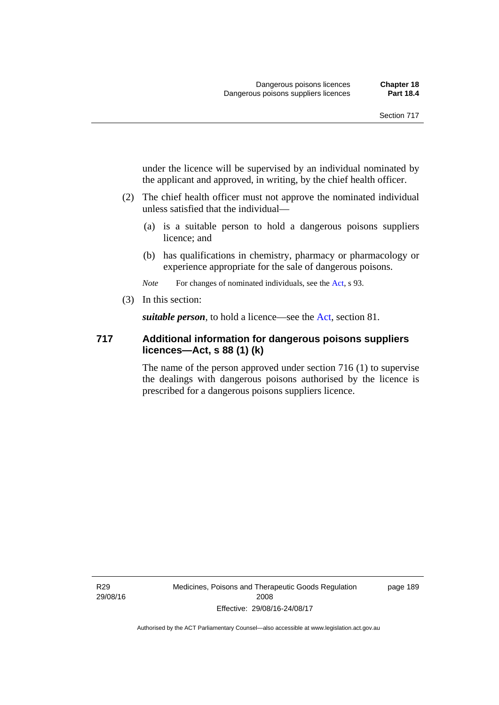under the licence will be supervised by an individual nominated by the applicant and approved, in writing, by the chief health officer.

- (2) The chief health officer must not approve the nominated individual unless satisfied that the individual—
	- (a) is a suitable person to hold a dangerous poisons suppliers licence; and
	- (b) has qualifications in chemistry, pharmacy or pharmacology or experience appropriate for the sale of dangerous poisons.

*Note* For changes of nominated individuals, see the [Act,](http://www.legislation.act.gov.au/a/2008-26/default.asp) s 93.

(3) In this section:

*suitable person*, to hold a licence—see the [Act](http://www.legislation.act.gov.au/a/2008-26/default.asp), section 81.

#### **717 Additional information for dangerous poisons suppliers licences—Act, s 88 (1) (k)**

The name of the person approved under section 716 (1) to supervise the dealings with dangerous poisons authorised by the licence is prescribed for a dangerous poisons suppliers licence.

R29 29/08/16 Medicines, Poisons and Therapeutic Goods Regulation 2008 Effective: 29/08/16-24/08/17

page 189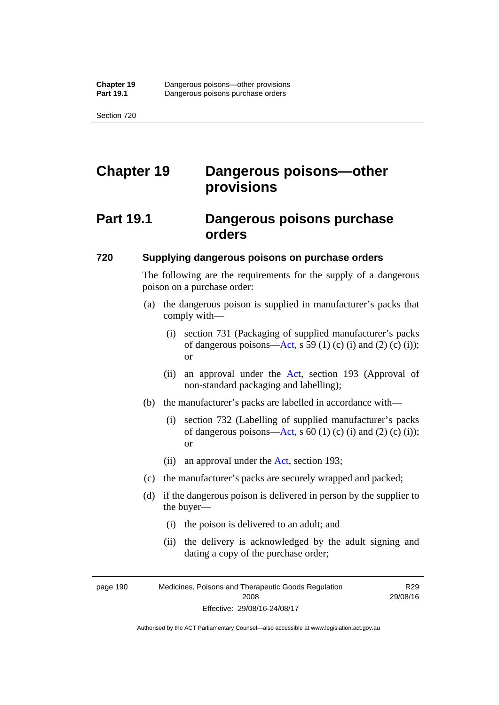# **Chapter 19 Dangerous poisons—other provisions**

## **Part 19.1 Dangerous poisons purchase orders**

#### **720 Supplying dangerous poisons on purchase orders**

The following are the requirements for the supply of a dangerous poison on a purchase order:

- (a) the dangerous poison is supplied in manufacturer's packs that comply with—
	- (i) section 731 (Packaging of supplied manufacturer's packs of dangerous poisons[—Act](http://www.legislation.act.gov.au/a/2008-26/default.asp), s 59 (1) (c) (i) and (2) (c) (i)); or
	- (ii) an approval under the [Act](http://www.legislation.act.gov.au/a/2008-26/default.asp), section 193 (Approval of non-standard packaging and labelling);
- (b) the manufacturer's packs are labelled in accordance with—
	- (i) section 732 (Labelling of supplied manufacturer's packs of dangerous poisons[—Act](http://www.legislation.act.gov.au/a/2008-26/default.asp), s  $60$  (1) (c) (i) and (2) (c) (i)); or
	- (ii) an approval under the [Act,](http://www.legislation.act.gov.au/a/2008-26/default.asp) section 193;
- (c) the manufacturer's packs are securely wrapped and packed;
- (d) if the dangerous poison is delivered in person by the supplier to the buyer—
	- (i) the poison is delivered to an adult; and
	- (ii) the delivery is acknowledged by the adult signing and dating a copy of the purchase order;

page 190 Medicines, Poisons and Therapeutic Goods Regulation 2008 Effective: 29/08/16-24/08/17

R29 29/08/16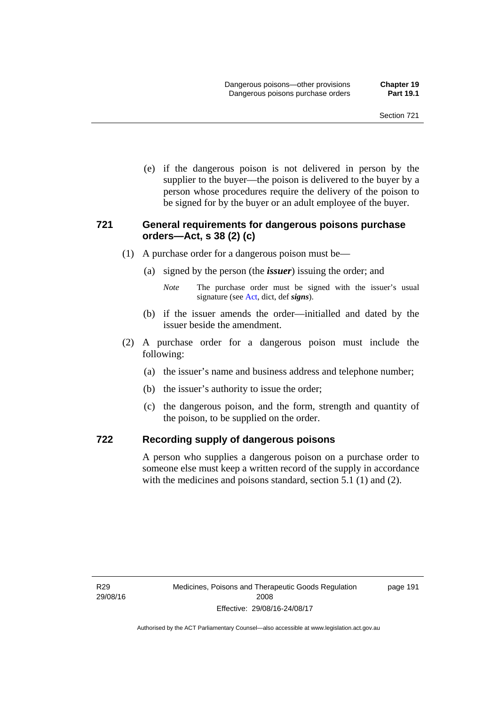(e) if the dangerous poison is not delivered in person by the supplier to the buyer—the poison is delivered to the buyer by a person whose procedures require the delivery of the poison to be signed for by the buyer or an adult employee of the buyer.

#### **721 General requirements for dangerous poisons purchase orders—Act, s 38 (2) (c)**

- (1) A purchase order for a dangerous poison must be—
	- (a) signed by the person (the *issuer*) issuing the order; and
		- *Note* The purchase order must be signed with the issuer's usual signature (see [Act](http://www.legislation.act.gov.au/a/2008-26/default.asp), dict, def *signs*).
	- (b) if the issuer amends the order—initialled and dated by the issuer beside the amendment.
- (2) A purchase order for a dangerous poison must include the following:
	- (a) the issuer's name and business address and telephone number;
	- (b) the issuer's authority to issue the order;
	- (c) the dangerous poison, and the form, strength and quantity of the poison, to be supplied on the order.

#### **722 Recording supply of dangerous poisons**

A person who supplies a dangerous poison on a purchase order to someone else must keep a written record of the supply in accordance with the medicines and poisons standard, section 5.1 (1) and (2).

page 191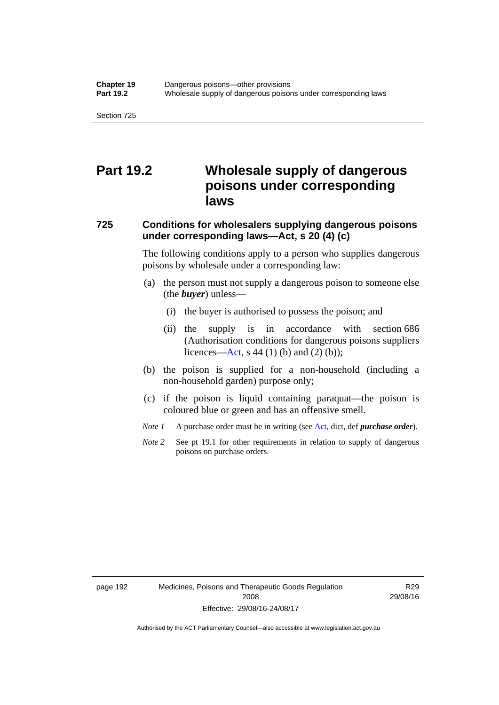## **Part 19.2 Wholesale supply of dangerous poisons under corresponding laws**

### **725 Conditions for wholesalers supplying dangerous poisons under corresponding laws—Act, s 20 (4) (c)**

The following conditions apply to a person who supplies dangerous poisons by wholesale under a corresponding law:

- (a) the person must not supply a dangerous poison to someone else (the *buyer*) unless—
	- (i) the buyer is authorised to possess the poison; and
	- (ii) the supply is in accordance with section 686 (Authorisation conditions for dangerous poisons suppliers licences—[Act,](http://www.legislation.act.gov.au/a/2008-26/default.asp) s 44 (1) (b) and (2) (b));
- (b) the poison is supplied for a non-household (including a non-household garden) purpose only;
- (c) if the poison is liquid containing paraquat—the poison is coloured blue or green and has an offensive smell.
- *Note 1* A purchase order must be in writing (see [Act,](http://www.legislation.act.gov.au/a/2008-26/default.asp) dict, def *purchase order*).
- *Note* 2 See pt 19.1 for other requirements in relation to supply of dangerous poisons on purchase orders.

R29 29/08/16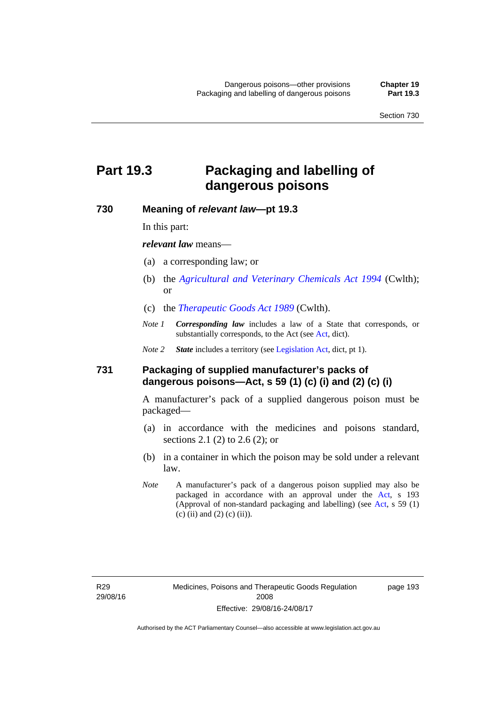## **Part 19.3 Packaging and labelling of dangerous poisons**

#### **730 Meaning of** *relevant law***—pt 19.3**

In this part:

*relevant law* means—

- (a) a corresponding law; or
- (b) the *[Agricultural and Veterinary Chemicals Act 1994](http://www.comlaw.gov.au/Series/C2004A04712)* (Cwlth); or
- (c) the *[Therapeutic Goods Act 1989](http://www.comlaw.gov.au/Series/C2004A03952)* (Cwlth).
- *Note 1 Corresponding law* includes a law of a State that corresponds, or substantially corresponds, to the [Act](http://www.legislation.act.gov.au/a/2008-26/default.asp) (see Act, dict).

*Note 2 State* includes a territory (see [Legislation Act,](http://www.legislation.act.gov.au/a/2001-14) dict, pt 1).

#### **731 Packaging of supplied manufacturer's packs of dangerous poisons—Act, s 59 (1) (c) (i) and (2) (c) (i)**

A manufacturer's pack of a supplied dangerous poison must be packaged—

- (a) in accordance with the medicines and poisons standard, sections 2.1 (2) to 2.6 (2); or
- (b) in a container in which the poison may be sold under a relevant law.
- *Note* A manufacturer's pack of a dangerous poison supplied may also be packaged in accordance with an approval under the [Act,](http://www.legislation.act.gov.au/a/2008-26/default.asp) s 193 (Approval of non-standard packaging and labelling) (see [Act](http://www.legislation.act.gov.au/a/2008-26/default.asp), s 59 (1) (c) (ii) and (2) (c) (ii)).

page 193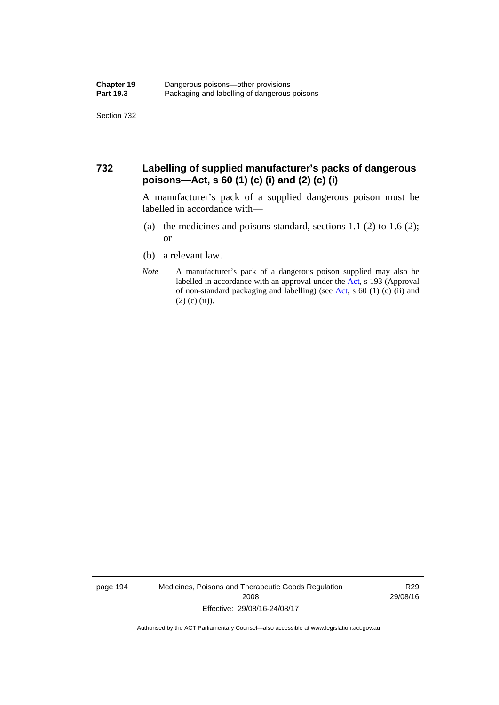#### **732 Labelling of supplied manufacturer's packs of dangerous poisons—Act, s 60 (1) (c) (i) and (2) (c) (i)**

A manufacturer's pack of a supplied dangerous poison must be labelled in accordance with—

- (a) the medicines and poisons standard, sections  $1.1$  (2) to  $1.6$  (2); or
- (b) a relevant law.
- *Note* A manufacturer's pack of a dangerous poison supplied may also be labelled in accordance with an approval under the [Act](http://www.legislation.act.gov.au/a/2008-26/default.asp), s 193 (Approval of non-standard packaging and labelling) (see [Act,](http://www.legislation.act.gov.au/a/2008-26/default.asp) s 60 (1) (c) (ii) and  $(2)$  (c) (ii)).

page 194 Medicines, Poisons and Therapeutic Goods Regulation 2008 Effective: 29/08/16-24/08/17

R29 29/08/16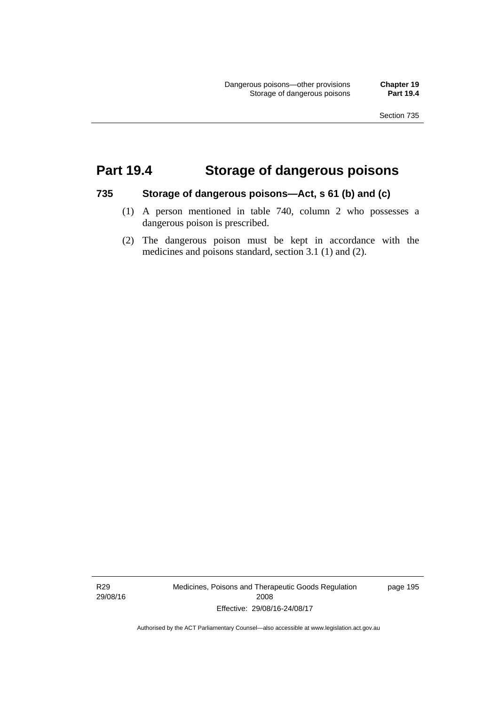## **Part 19.4 Storage of dangerous poisons**

#### **735 Storage of dangerous poisons—Act, s 61 (b) and (c)**

- (1) A person mentioned in table 740, column 2 who possesses a dangerous poison is prescribed.
- (2) The dangerous poison must be kept in accordance with the medicines and poisons standard, section 3.1 (1) and (2).

R29 29/08/16 Medicines, Poisons and Therapeutic Goods Regulation 2008 Effective: 29/08/16-24/08/17

page 195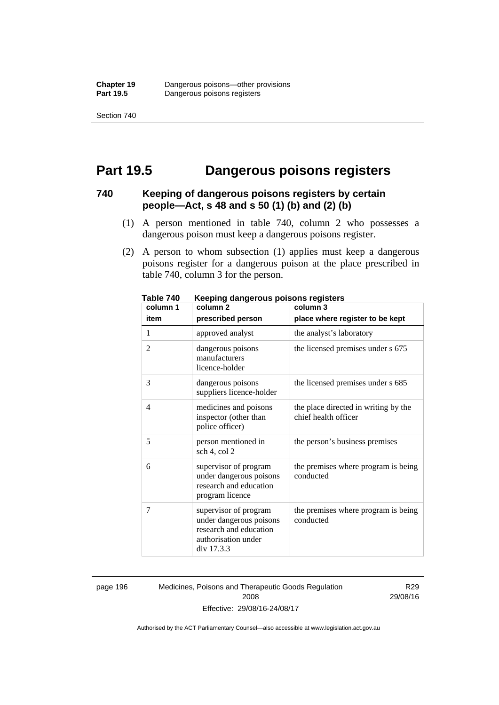Section 740

## **Part 19.5 Dangerous poisons registers**

#### **740 Keeping of dangerous poisons registers by certain people—Act, s 48 and s 50 (1) (b) and (2) (b)**

- (1) A person mentioned in table 740, column 2 who possesses a dangerous poison must keep a dangerous poisons register.
- (2) A person to whom subsection (1) applies must keep a dangerous poisons register for a dangerous poison at the place prescribed in table 740, column 3 for the person.

| 1 ANIC 140<br>column 1 | <u>Reepiriy dariyerous poisons registers</u><br>column <sub>2</sub>                                             | column 3                                                     |
|------------------------|-----------------------------------------------------------------------------------------------------------------|--------------------------------------------------------------|
| item                   | prescribed person                                                                                               | place where register to be kept                              |
| 1                      | approved analyst                                                                                                | the analyst's laboratory                                     |
| $\overline{2}$         | dangerous poisons<br>manufacturers<br>licence-holder                                                            | the licensed premises under s 675                            |
| 3                      | dangerous poisons<br>suppliers licence-holder                                                                   | the licensed premises under s 685                            |
| 4                      | medicines and poisons<br>inspector (other than<br>police officer)                                               | the place directed in writing by the<br>chief health officer |
| 5                      | person mentioned in<br>sch 4, col 2                                                                             | the person's business premises                               |
| 6                      | supervisor of program<br>under dangerous poisons<br>research and education<br>program licence                   | the premises where program is being<br>conducted             |
| 7                      | supervisor of program<br>under dangerous poisons<br>research and education<br>authorisation under<br>div 17.3.3 | the premises where program is being<br>conducted             |

**Table 740 Keeping dangerous poisons registers** 

page 196 Medicines, Poisons and Therapeutic Goods Regulation 2008 Effective: 29/08/16-24/08/17

R29 29/08/16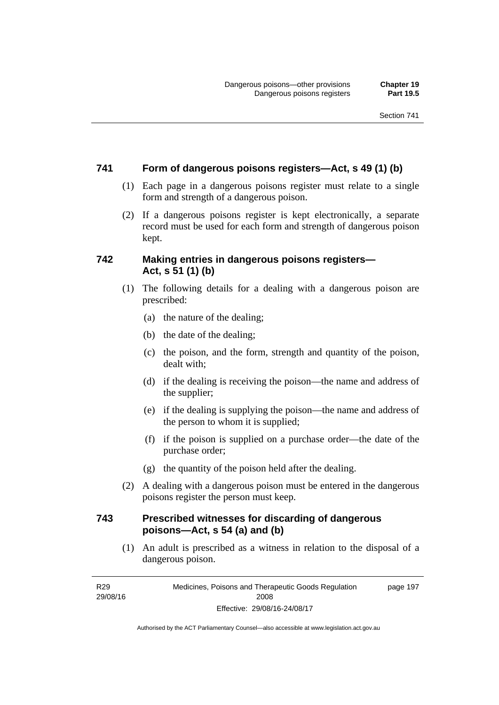#### **741 Form of dangerous poisons registers—Act, s 49 (1) (b)**

- (1) Each page in a dangerous poisons register must relate to a single form and strength of a dangerous poison.
- (2) If a dangerous poisons register is kept electronically, a separate record must be used for each form and strength of dangerous poison kept.

#### **742 Making entries in dangerous poisons registers— Act, s 51 (1) (b)**

- (1) The following details for a dealing with a dangerous poison are prescribed:
	- (a) the nature of the dealing;
	- (b) the date of the dealing;
	- (c) the poison, and the form, strength and quantity of the poison, dealt with;
	- (d) if the dealing is receiving the poison—the name and address of the supplier;
	- (e) if the dealing is supplying the poison—the name and address of the person to whom it is supplied;
	- (f) if the poison is supplied on a purchase order—the date of the purchase order;
	- (g) the quantity of the poison held after the dealing.
- (2) A dealing with a dangerous poison must be entered in the dangerous poisons register the person must keep.

#### **743 Prescribed witnesses for discarding of dangerous poisons—Act, s 54 (a) and (b)**

 (1) An adult is prescribed as a witness in relation to the disposal of a dangerous poison.

R29 29/08/16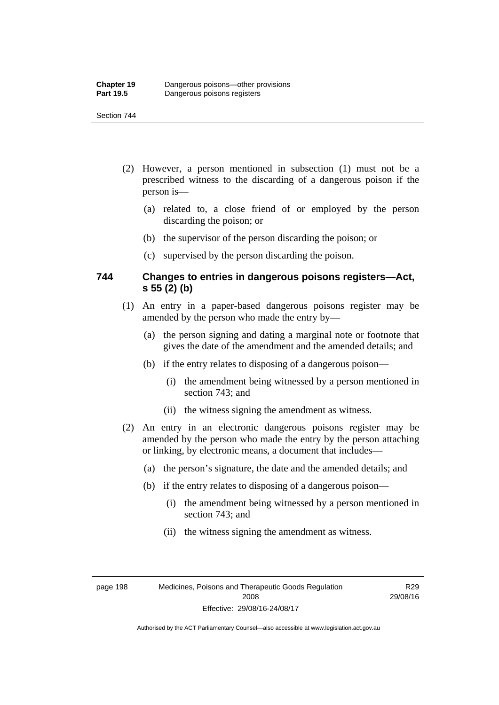#### Section 744

- (2) However, a person mentioned in subsection (1) must not be a prescribed witness to the discarding of a dangerous poison if the person is—
	- (a) related to, a close friend of or employed by the person discarding the poison; or
	- (b) the supervisor of the person discarding the poison; or
	- (c) supervised by the person discarding the poison.

#### **744 Changes to entries in dangerous poisons registers—Act, s 55 (2) (b)**

- (1) An entry in a paper-based dangerous poisons register may be amended by the person who made the entry by—
	- (a) the person signing and dating a marginal note or footnote that gives the date of the amendment and the amended details; and
	- (b) if the entry relates to disposing of a dangerous poison—
		- (i) the amendment being witnessed by a person mentioned in section 743; and
		- (ii) the witness signing the amendment as witness.
- (2) An entry in an electronic dangerous poisons register may be amended by the person who made the entry by the person attaching or linking, by electronic means, a document that includes—
	- (a) the person's signature, the date and the amended details; and
	- (b) if the entry relates to disposing of a dangerous poison—
		- (i) the amendment being witnessed by a person mentioned in section 743; and
		- (ii) the witness signing the amendment as witness.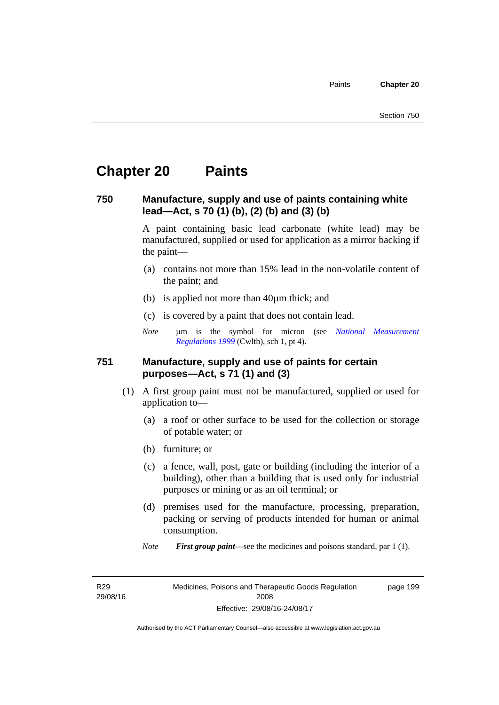## **Chapter 20 Paints**

#### **750 Manufacture, supply and use of paints containing white lead—Act, s 70 (1) (b), (2) (b) and (3) (b)**

A paint containing basic lead carbonate (white lead) may be manufactured, supplied or used for application as a mirror backing if the paint—

- (a) contains not more than 15% lead in the non-volatile content of the paint; and
- (b) is applied not more than 40µm thick; and
- (c) is covered by a paint that does not contain lead.
- *Note* um is the symbol for micron (see *National Measurement [Regulations 1999](http://www.comlaw.gov.au/Series/F1999B00110)* (Cwlth), sch 1, pt 4).

#### **751 Manufacture, supply and use of paints for certain purposes—Act, s 71 (1) and (3)**

- (1) A first group paint must not be manufactured, supplied or used for application to—
	- (a) a roof or other surface to be used for the collection or storage of potable water; or
	- (b) furniture; or
	- (c) a fence, wall, post, gate or building (including the interior of a building), other than a building that is used only for industrial purposes or mining or as an oil terminal; or
	- (d) premises used for the manufacture, processing, preparation, packing or serving of products intended for human or animal consumption.
	- *Note First group paint*—see the medicines and poisons standard, par 1 (1).

R29 29/08/16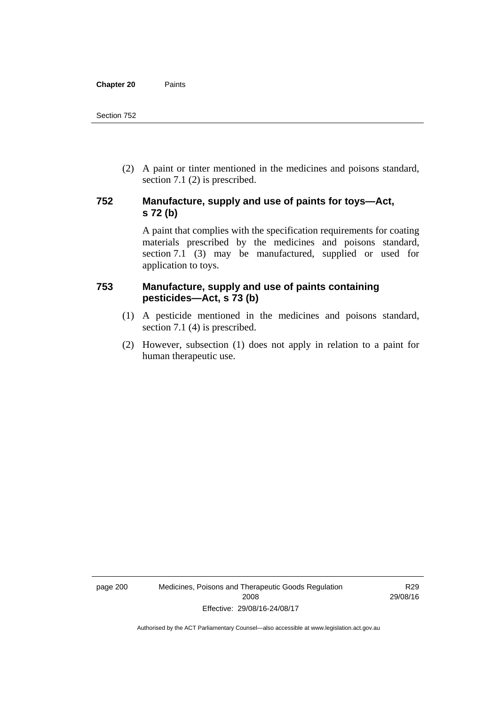(2) A paint or tinter mentioned in the medicines and poisons standard, section 7.1 (2) is prescribed.

#### **752 Manufacture, supply and use of paints for toys—Act, s 72 (b)**

A paint that complies with the specification requirements for coating materials prescribed by the medicines and poisons standard, section 7.1 (3) may be manufactured, supplied or used for application to toys.

#### **753 Manufacture, supply and use of paints containing pesticides—Act, s 73 (b)**

- (1) A pesticide mentioned in the medicines and poisons standard, section 7.1 (4) is prescribed.
- (2) However, subsection (1) does not apply in relation to a paint for human therapeutic use.

page 200 Medicines, Poisons and Therapeutic Goods Regulation 2008 Effective: 29/08/16-24/08/17

R29 29/08/16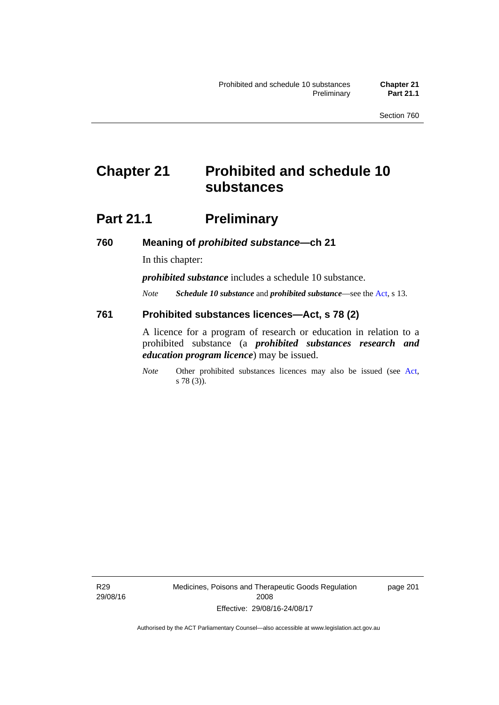## **Chapter 21 Prohibited and schedule 10 substances**

## **Part 21.1 Preliminary**

**760 Meaning of** *prohibited substance***—ch 21** 

In this chapter:

*prohibited substance* includes a schedule 10 substance.

*Note Schedule 10 substance* and *prohibited substance*—see the [Act](http://www.legislation.act.gov.au/a/2008-26/default.asp), s 13.

#### **761 Prohibited substances licences—Act, s 78 (2)**

A licence for a program of research or education in relation to a prohibited substance (a *prohibited substances research and education program licence*) may be issued.

*Note* Other prohibited substances licences may also be issued (see [Act,](http://www.legislation.act.gov.au/a/2008-26/default.asp) s 78 (3)).

R29 29/08/16 Medicines, Poisons and Therapeutic Goods Regulation 2008 Effective: 29/08/16-24/08/17

page 201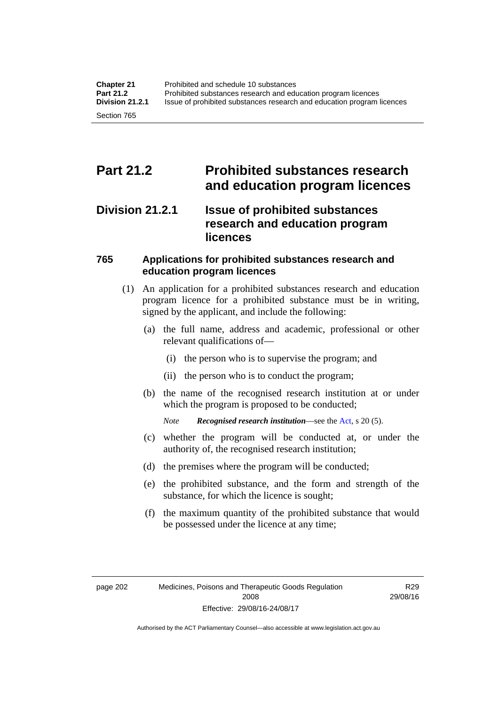## **Part 21.2 Prohibited substances research and education program licences**

#### **Division 21.2.1 Issue of prohibited substances research and education program licences**

#### **765 Applications for prohibited substances research and education program licences**

- (1) An application for a prohibited substances research and education program licence for a prohibited substance must be in writing, signed by the applicant, and include the following:
	- (a) the full name, address and academic, professional or other relevant qualifications of—
		- (i) the person who is to supervise the program; and
		- (ii) the person who is to conduct the program;
	- (b) the name of the recognised research institution at or under which the program is proposed to be conducted;
		- *Note Recognised research institution*—see the [Act](http://www.legislation.act.gov.au/a/2008-26/default.asp), s 20 (5).
	- (c) whether the program will be conducted at, or under the authority of, the recognised research institution;
	- (d) the premises where the program will be conducted;
	- (e) the prohibited substance, and the form and strength of the substance, for which the licence is sought;
	- (f) the maximum quantity of the prohibited substance that would be possessed under the licence at any time;

R29 29/08/16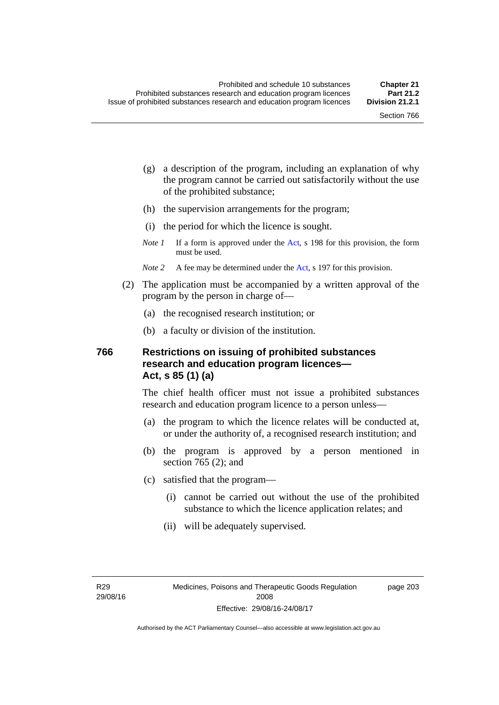page 203

- (g) a description of the program, including an explanation of why the program cannot be carried out satisfactorily without the use of the prohibited substance;
- (h) the supervision arrangements for the program;
- (i) the period for which the licence is sought.
- *Note 1* If a form is approved under the [Act](http://www.legislation.act.gov.au/a/2008-26/default.asp), s 198 for this provision, the form must be used.
- *Note* 2 A fee may be determined under the [Act,](http://www.legislation.act.gov.au/a/2008-26/default.asp) s 197 for this provision.
- (2) The application must be accompanied by a written approval of the program by the person in charge of—
	- (a) the recognised research institution; or
	- (b) a faculty or division of the institution.

#### **766 Restrictions on issuing of prohibited substances research and education program licences— Act, s 85 (1) (a)**

The chief health officer must not issue a prohibited substances research and education program licence to a person unless—

- (a) the program to which the licence relates will be conducted at, or under the authority of, a recognised research institution; and
- (b) the program is approved by a person mentioned in section 765 (2); and
- (c) satisfied that the program—
	- (i) cannot be carried out without the use of the prohibited substance to which the licence application relates; and
	- (ii) will be adequately supervised.

R29 29/08/16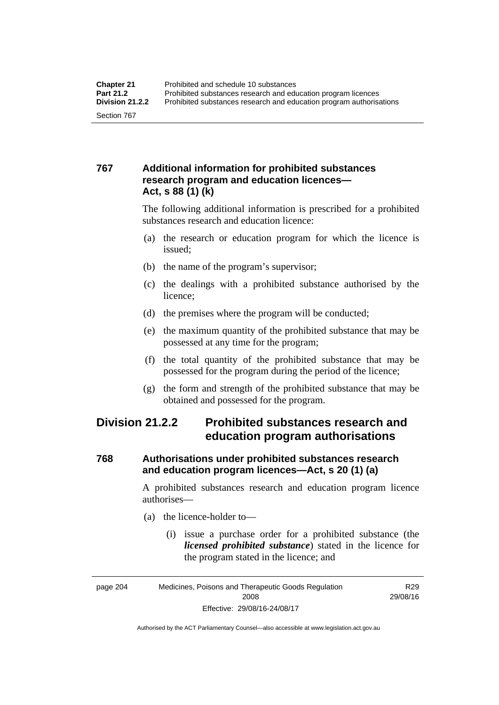#### **767 Additional information for prohibited substances research program and education licences— Act, s 88 (1) (k)**

The following additional information is prescribed for a prohibited substances research and education licence:

- (a) the research or education program for which the licence is issued;
- (b) the name of the program's supervisor;
- (c) the dealings with a prohibited substance authorised by the licence;
- (d) the premises where the program will be conducted;
- (e) the maximum quantity of the prohibited substance that may be possessed at any time for the program;
- (f) the total quantity of the prohibited substance that may be possessed for the program during the period of the licence;
- (g) the form and strength of the prohibited substance that may be obtained and possessed for the program.

### **Division 21.2.2 Prohibited substances research and education program authorisations**

#### **768 Authorisations under prohibited substances research and education program licences—Act, s 20 (1) (a)**

A prohibited substances research and education program licence authorises—

- (a) the licence-holder to—
	- (i) issue a purchase order for a prohibited substance (the *licensed prohibited substance*) stated in the licence for the program stated in the licence; and

R29 29/08/16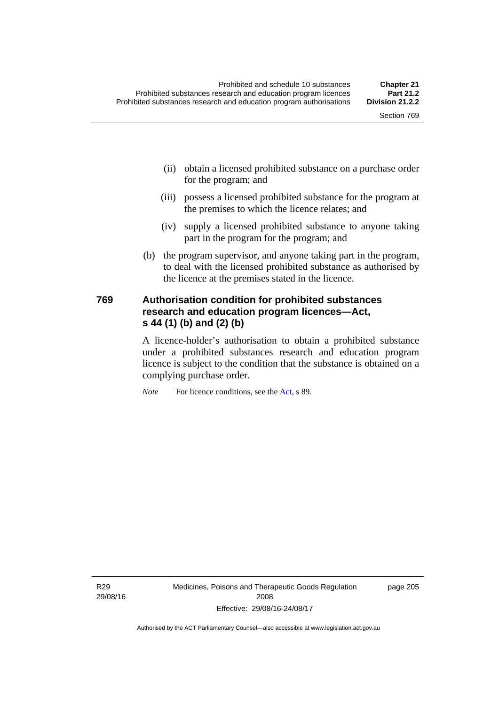- (ii) obtain a licensed prohibited substance on a purchase order for the program; and
- (iii) possess a licensed prohibited substance for the program at the premises to which the licence relates; and
- (iv) supply a licensed prohibited substance to anyone taking part in the program for the program; and
- (b) the program supervisor, and anyone taking part in the program, to deal with the licensed prohibited substance as authorised by the licence at the premises stated in the licence.

#### **769 Authorisation condition for prohibited substances research and education program licences—Act, s 44 (1) (b) and (2) (b)**

A licence-holder's authorisation to obtain a prohibited substance under a prohibited substances research and education program licence is subject to the condition that the substance is obtained on a complying purchase order.

*Note* For licence conditions, see the [Act](http://www.legislation.act.gov.au/a/2008-26/default.asp), s 89.

R29 29/08/16 page 205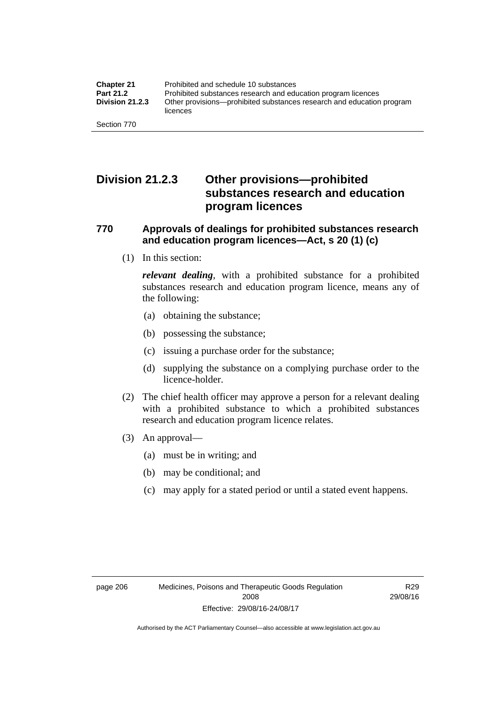### **Division 21.2.3 Other provisions—prohibited substances research and education program licences**

#### **770 Approvals of dealings for prohibited substances research and education program licences—Act, s 20 (1) (c)**

(1) In this section:

*relevant dealing*, with a prohibited substance for a prohibited substances research and education program licence, means any of the following:

- (a) obtaining the substance;
- (b) possessing the substance;
- (c) issuing a purchase order for the substance;
- (d) supplying the substance on a complying purchase order to the licence-holder.
- (2) The chief health officer may approve a person for a relevant dealing with a prohibited substance to which a prohibited substances research and education program licence relates.
- (3) An approval—
	- (a) must be in writing; and
	- (b) may be conditional; and
	- (c) may apply for a stated period or until a stated event happens.

R29 29/08/16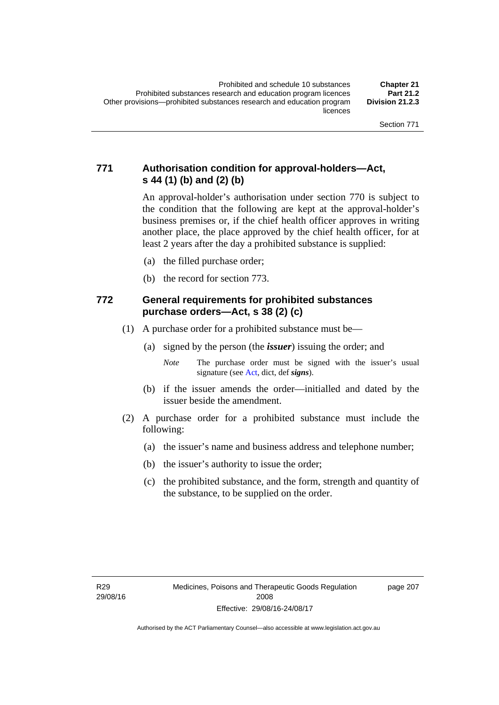#### **771 Authorisation condition for approval-holders—Act, s 44 (1) (b) and (2) (b)**

An approval-holder's authorisation under section 770 is subject to the condition that the following are kept at the approval-holder's business premises or, if the chief health officer approves in writing another place, the place approved by the chief health officer, for at least 2 years after the day a prohibited substance is supplied:

- (a) the filled purchase order;
- (b) the record for section 773.

#### **772 General requirements for prohibited substances purchase orders—Act, s 38 (2) (c)**

- (1) A purchase order for a prohibited substance must be—
	- (a) signed by the person (the *issuer*) issuing the order; and

- (b) if the issuer amends the order—initialled and dated by the issuer beside the amendment.
- (2) A purchase order for a prohibited substance must include the following:
	- (a) the issuer's name and business address and telephone number;
	- (b) the issuer's authority to issue the order;
	- (c) the prohibited substance, and the form, strength and quantity of the substance, to be supplied on the order.

page 207

*Note* The purchase order must be signed with the issuer's usual signature (see [Act](http://www.legislation.act.gov.au/a/2008-26/default.asp), dict, def *signs*).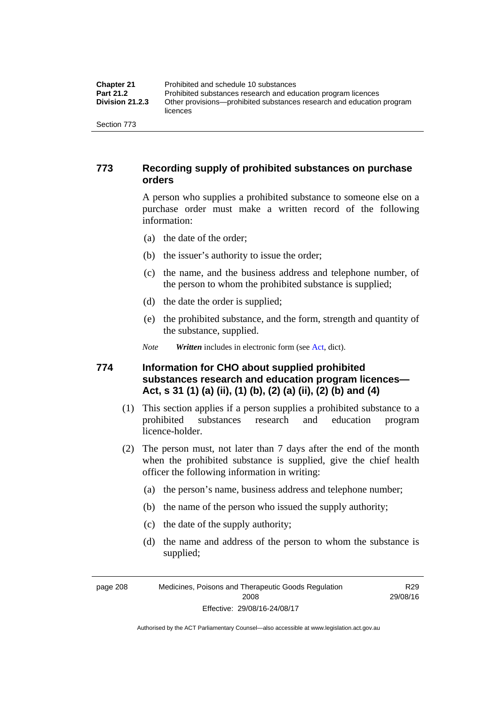| <b>Chapter 21</b>      | Prohibited and schedule 10 substances                                             |
|------------------------|-----------------------------------------------------------------------------------|
| <b>Part 21.2</b>       | Prohibited substances research and education program licences                     |
| <b>Division 21.2.3</b> | Other provisions—prohibited substances research and education program<br>licences |
| Section 773            |                                                                                   |

#### **773 Recording supply of prohibited substances on purchase orders**

A person who supplies a prohibited substance to someone else on a purchase order must make a written record of the following information:

- (a) the date of the order;
- (b) the issuer's authority to issue the order;
- (c) the name, and the business address and telephone number, of the person to whom the prohibited substance is supplied;
- (d) the date the order is supplied;
- (e) the prohibited substance, and the form, strength and quantity of the substance, supplied.
- *Note Written* includes in electronic form (see [Act,](http://www.legislation.act.gov.au/a/2008-26/default.asp) dict).

#### **774 Information for CHO about supplied prohibited substances research and education program licences— Act, s 31 (1) (a) (ii), (1) (b), (2) (a) (ii), (2) (b) and (4)**

- (1) This section applies if a person supplies a prohibited substance to a prohibited substances research and education program licence-holder.
- (2) The person must, not later than 7 days after the end of the month when the prohibited substance is supplied, give the chief health officer the following information in writing:
	- (a) the person's name, business address and telephone number;
	- (b) the name of the person who issued the supply authority;
	- (c) the date of the supply authority;
	- (d) the name and address of the person to whom the substance is supplied;

page 208 Medicines, Poisons and Therapeutic Goods Regulation 2008 Effective: 29/08/16-24/08/17

R29 29/08/16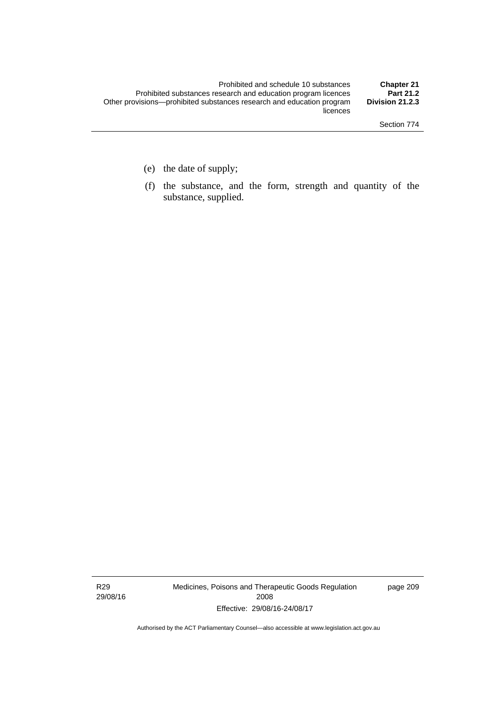- (e) the date of supply;
- (f) the substance, and the form, strength and quantity of the substance, supplied.

R29 29/08/16 Medicines, Poisons and Therapeutic Goods Regulation 2008 Effective: 29/08/16-24/08/17

page 209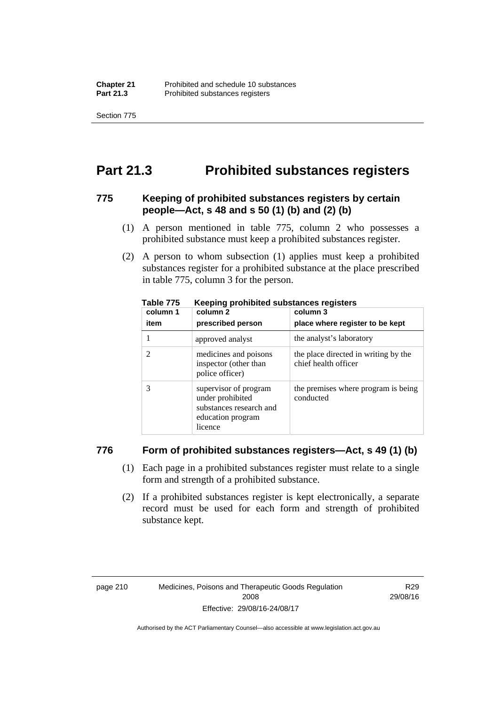Section 775

## **Part 21.3 Prohibited substances registers**

#### **775 Keeping of prohibited substances registers by certain people—Act, s 48 and s 50 (1) (b) and (2) (b)**

- (1) A person mentioned in table 775, column 2 who possesses a prohibited substance must keep a prohibited substances register.
- (2) A person to whom subsection (1) applies must keep a prohibited substances register for a prohibited substance at the place prescribed in table 775, column 3 for the person.

| column 1 | .<br>column 2                                                                                        | column 3                                                     |
|----------|------------------------------------------------------------------------------------------------------|--------------------------------------------------------------|
| item     | prescribed person                                                                                    | place where register to be kept                              |
|          | approved analyst                                                                                     | the analyst's laboratory                                     |
|          | medicines and poisons<br>inspector (other than<br>police officer)                                    | the place directed in writing by the<br>chief health officer |
|          | supervisor of program<br>under prohibited<br>substances research and<br>education program<br>licence | the premises where program is being<br>conducted             |

**Table 775 Keeping prohibited substances registers** 

#### **776 Form of prohibited substances registers—Act, s 49 (1) (b)**

- (1) Each page in a prohibited substances register must relate to a single form and strength of a prohibited substance.
- (2) If a prohibited substances register is kept electronically, a separate record must be used for each form and strength of prohibited substance kept.

R29 29/08/16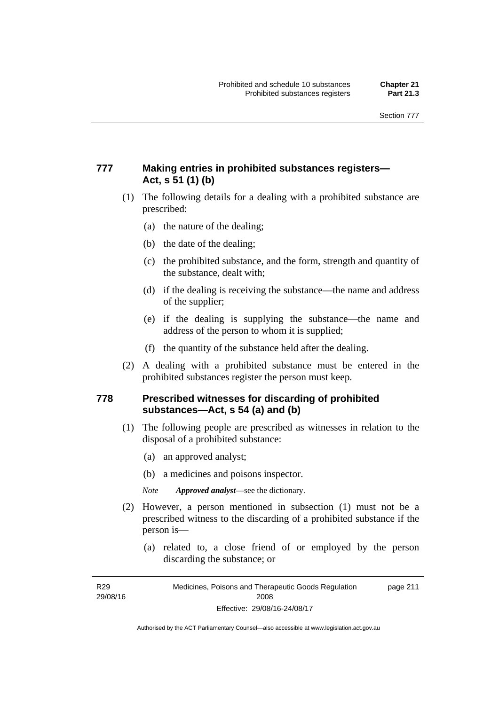#### **777 Making entries in prohibited substances registers— Act, s 51 (1) (b)**

- (1) The following details for a dealing with a prohibited substance are prescribed:
	- (a) the nature of the dealing;
	- (b) the date of the dealing;
	- (c) the prohibited substance, and the form, strength and quantity of the substance, dealt with;
	- (d) if the dealing is receiving the substance—the name and address of the supplier;
	- (e) if the dealing is supplying the substance—the name and address of the person to whom it is supplied;
	- (f) the quantity of the substance held after the dealing.
- (2) A dealing with a prohibited substance must be entered in the prohibited substances register the person must keep.

#### **778 Prescribed witnesses for discarding of prohibited substances—Act, s 54 (a) and (b)**

- (1) The following people are prescribed as witnesses in relation to the disposal of a prohibited substance:
	- (a) an approved analyst;
	- (b) a medicines and poisons inspector.

*Note Approved analyst*—see the dictionary.

- (2) However, a person mentioned in subsection (1) must not be a prescribed witness to the discarding of a prohibited substance if the person is—
	- (a) related to, a close friend of or employed by the person discarding the substance; or

R29 29/08/16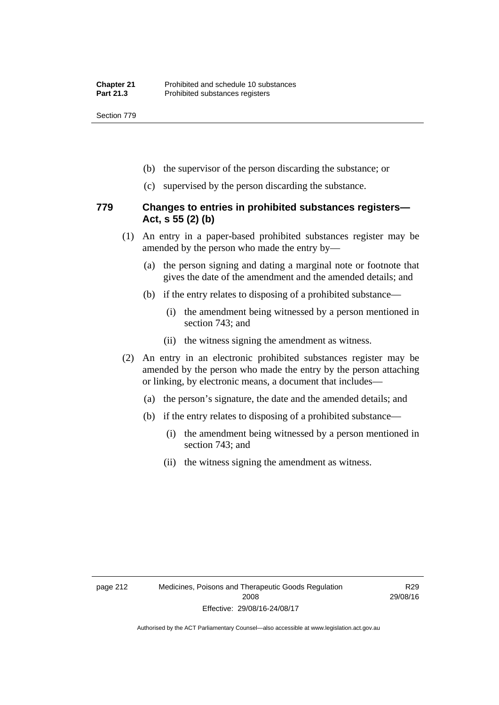Section 779

- (b) the supervisor of the person discarding the substance; or
- (c) supervised by the person discarding the substance.

#### **779 Changes to entries in prohibited substances registers— Act, s 55 (2) (b)**

- (1) An entry in a paper-based prohibited substances register may be amended by the person who made the entry by—
	- (a) the person signing and dating a marginal note or footnote that gives the date of the amendment and the amended details; and
	- (b) if the entry relates to disposing of a prohibited substance—
		- (i) the amendment being witnessed by a person mentioned in section 743; and
		- (ii) the witness signing the amendment as witness.
- (2) An entry in an electronic prohibited substances register may be amended by the person who made the entry by the person attaching or linking, by electronic means, a document that includes—
	- (a) the person's signature, the date and the amended details; and
	- (b) if the entry relates to disposing of a prohibited substance—
		- (i) the amendment being witnessed by a person mentioned in section 743; and
		- (ii) the witness signing the amendment as witness.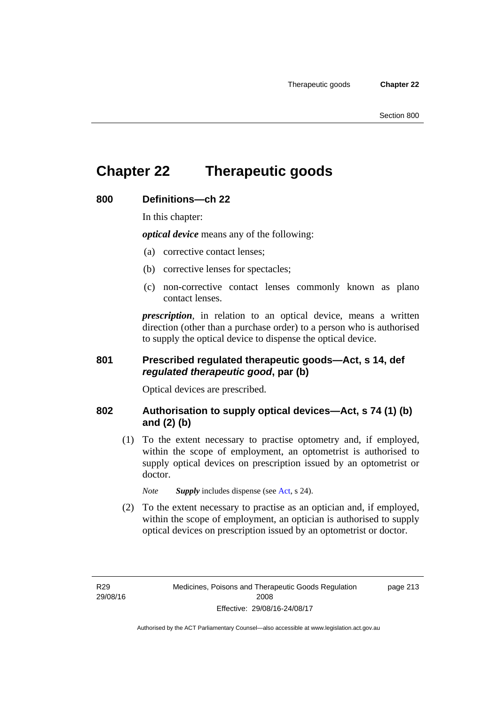## **Chapter 22 Therapeutic goods**

#### **800 Definitions—ch 22**

In this chapter:

*optical device* means any of the following:

- (a) corrective contact lenses;
- (b) corrective lenses for spectacles;
- (c) non-corrective contact lenses commonly known as plano contact lenses.

*prescription*, in relation to an optical device, means a written direction (other than a purchase order) to a person who is authorised to supply the optical device to dispense the optical device.

#### **801 Prescribed regulated therapeutic goods—Act, s 14, def**  *regulated therapeutic good***, par (b)**

Optical devices are prescribed.

#### **802 Authorisation to supply optical devices—Act, s 74 (1) (b) and (2) (b)**

 (1) To the extent necessary to practise optometry and, if employed, within the scope of employment, an optometrist is authorised to supply optical devices on prescription issued by an optometrist or doctor.

*Note Supply* includes dispense (see [Act,](http://www.legislation.act.gov.au/a/2008-26/default.asp) s 24).

 (2) To the extent necessary to practise as an optician and, if employed, within the scope of employment, an optician is authorised to supply optical devices on prescription issued by an optometrist or doctor.

R29 29/08/16 page 213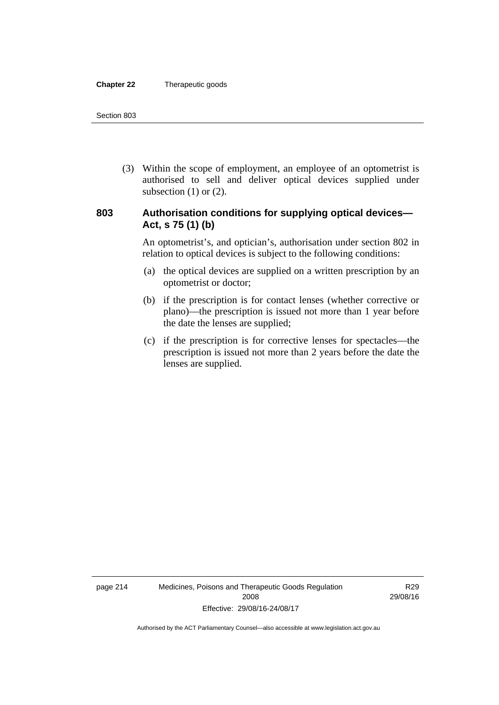#### **Chapter 22** Therapeutic goods

 (3) Within the scope of employment, an employee of an optometrist is authorised to sell and deliver optical devices supplied under subsection  $(1)$  or  $(2)$ .

#### **803 Authorisation conditions for supplying optical devices— Act, s 75 (1) (b)**

An optometrist's, and optician's, authorisation under section 802 in relation to optical devices is subject to the following conditions:

- (a) the optical devices are supplied on a written prescription by an optometrist or doctor;
- (b) if the prescription is for contact lenses (whether corrective or plano)—the prescription is issued not more than 1 year before the date the lenses are supplied;
- (c) if the prescription is for corrective lenses for spectacles—the prescription is issued not more than 2 years before the date the lenses are supplied.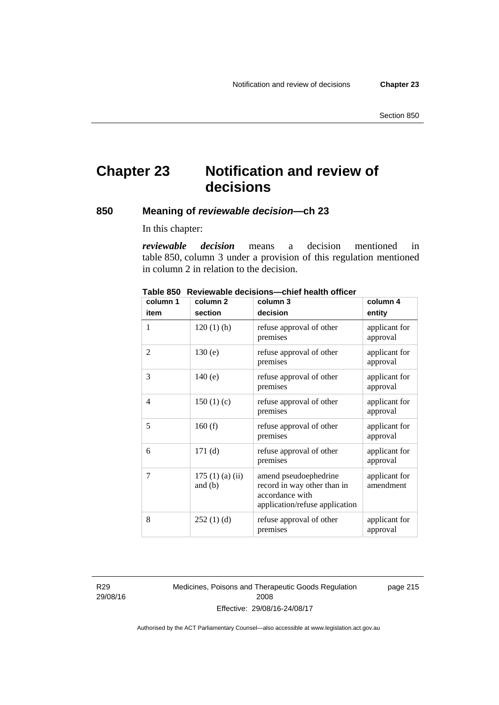## **Chapter 23 Notification and review of decisions**

#### **850 Meaning of** *reviewable decision—***ch 23**

In this chapter:

*reviewable decision* means a decision mentioned in table 850, column 3 under a provision of this regulation mentioned in column 2 in relation to the decision.

| column 1 | column <sub>2</sub>        | column 3                                                                                                  | column 4                   |
|----------|----------------------------|-----------------------------------------------------------------------------------------------------------|----------------------------|
| item     | section                    | decision                                                                                                  | entity                     |
| 1        | $120(1)$ (h)               | refuse approval of other<br>premises                                                                      | applicant for<br>approval  |
| 2        | 130(e)                     | refuse approval of other<br>premises                                                                      | applicant for<br>approval  |
| 3        | 140(e)                     | refuse approval of other<br>premises                                                                      | applicant for<br>approval  |
| 4        | 150(1)(c)                  | refuse approval of other<br>premises                                                                      | applicant for<br>approval  |
| 5        | 160(f)                     | refuse approval of other<br>premises                                                                      | applicant for<br>approval  |
| 6        | 171(d)                     | refuse approval of other<br>premises                                                                      | applicant for<br>approval  |
| 7        | 175(1)(a)(ii)<br>and $(b)$ | amend pseudoephedrine<br>record in way other than in<br>accordance with<br>application/refuse application | applicant for<br>amendment |
| 8        | 252(1)(d)                  | refuse approval of other<br>premises                                                                      | applicant for<br>approval  |

**Table 850 Reviewable decisions—chief health officer** 

R29 29/08/16 Medicines, Poisons and Therapeutic Goods Regulation 2008 Effective: 29/08/16-24/08/17

page 215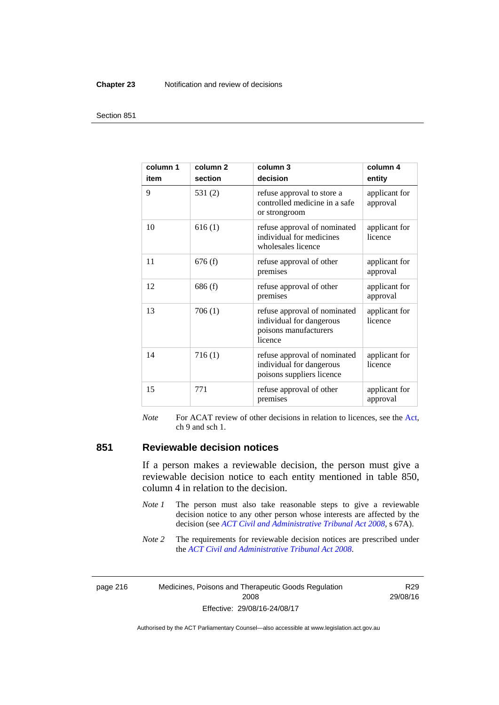#### **Chapter 23** Notification and review of decisions

#### Section 851

| column 1<br>item | column <sub>2</sub><br>section | column 3<br>decision                                                                         | column 4<br>entity        |
|------------------|--------------------------------|----------------------------------------------------------------------------------------------|---------------------------|
| 9                | 531(2)                         | refuse approval to store a<br>controlled medicine in a safe<br>or strongroom                 | applicant for<br>approval |
| 10               | 616(1)                         | refuse approval of nominated<br>individual for medicines<br>wholesales licence               | applicant for<br>licence  |
| 11               | 676(f)                         | refuse approval of other<br>premises                                                         | applicant for<br>approval |
| 12               | 686(f)                         | refuse approval of other<br>premises                                                         | applicant for<br>approval |
| 13               | 706(1)                         | refuse approval of nominated<br>individual for dangerous<br>poisons manufacturers<br>licence | applicant for<br>licence  |
| 14               | 716(1)                         | refuse approval of nominated<br>individual for dangerous<br>poisons suppliers licence        | applicant for<br>licence  |
| 15               | 771                            | refuse approval of other<br>premises                                                         | applicant for<br>approval |

*Note* For ACAT review of other decisions in relation to licences, see the [Act,](http://www.legislation.act.gov.au/a/2008-26/default.asp) ch 9 and sch 1.

#### **851 Reviewable decision notices**

If a person makes a reviewable decision, the person must give a reviewable decision notice to each entity mentioned in table 850, column 4 in relation to the decision.

- *Note 1* The person must also take reasonable steps to give a reviewable decision notice to any other person whose interests are affected by the decision (see *[ACT Civil and Administrative Tribunal Act 2008](http://www.legislation.act.gov.au/a/2008-35)*, s 67A).
- *Note* 2 The requirements for reviewable decision notices are prescribed under the *[ACT Civil and Administrative Tribunal Act 2008](http://www.legislation.act.gov.au/a/2008-35)*.

page 216 Medicines, Poisons and Therapeutic Goods Regulation 2008 Effective: 29/08/16-24/08/17

R29 29/08/16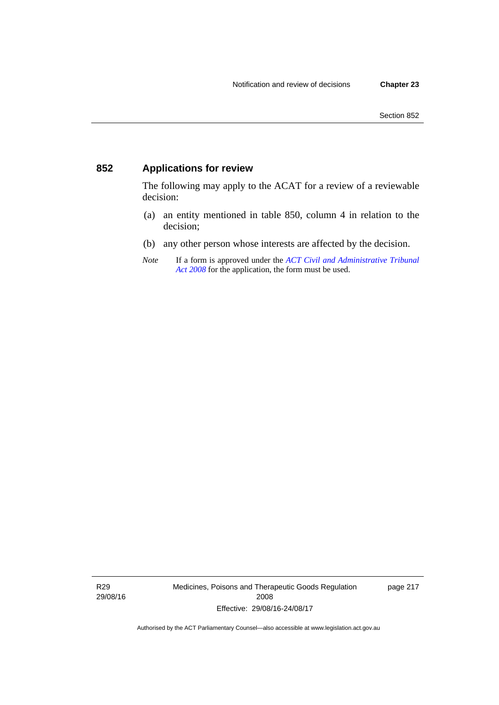#### **852 Applications for review**

The following may apply to the ACAT for a review of a reviewable decision:

- (a) an entity mentioned in table 850, column 4 in relation to the decision;
- (b) any other person whose interests are affected by the decision.
- *Note* If a form is approved under the *[ACT Civil and Administrative Tribunal](http://www.legislation.act.gov.au/a/2008-35)  [Act 2008](http://www.legislation.act.gov.au/a/2008-35)* for the application, the form must be used.

R29 29/08/16 Medicines, Poisons and Therapeutic Goods Regulation 2008 Effective: 29/08/16-24/08/17

page 217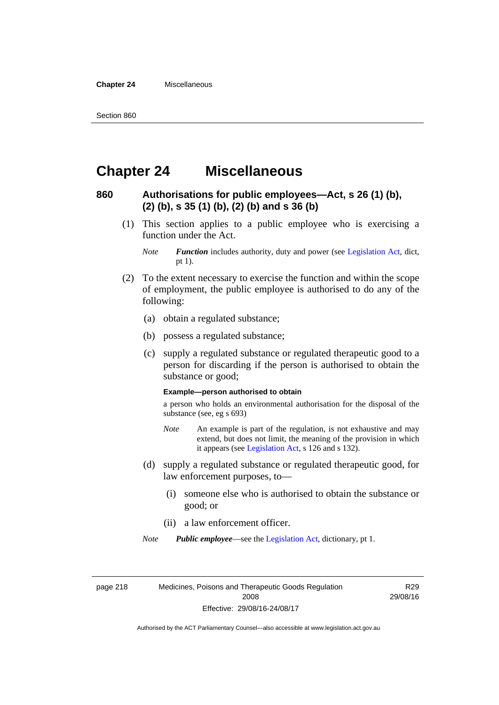**Chapter 24** Miscellaneous

## **Chapter 24 Miscellaneous**

#### **860 Authorisations for public employees—Act, s 26 (1) (b), (2) (b), s 35 (1) (b), (2) (b) and s 36 (b)**

 (1) This section applies to a public employee who is exercising a function under the Act.

- (2) To the extent necessary to exercise the function and within the scope of employment, the public employee is authorised to do any of the following:
	- (a) obtain a regulated substance;
	- (b) possess a regulated substance;
	- (c) supply a regulated substance or regulated therapeutic good to a person for discarding if the person is authorised to obtain the substance or good;

#### **Example—person authorised to obtain**

a person who holds an environmental authorisation for the disposal of the substance (see, eg s 693)

- *Note* An example is part of the regulation, is not exhaustive and may extend, but does not limit, the meaning of the provision in which it appears (see [Legislation Act,](http://www.legislation.act.gov.au/a/2001-14) s 126 and s 132).
- (d) supply a regulated substance or regulated therapeutic good, for law enforcement purposes, to—
	- (i) someone else who is authorised to obtain the substance or good; or
	- (ii) a law enforcement officer.

*Note Public employee*—see the [Legislation Act,](http://www.legislation.act.gov.au/a/2001-14) dictionary, pt 1.

page 218 Medicines, Poisons and Therapeutic Goods Regulation 2008 Effective: 29/08/16-24/08/17

R29 29/08/16

*Note Function* includes authority, duty and power (see [Legislation Act](http://www.legislation.act.gov.au/a/2001-14), dict, pt 1).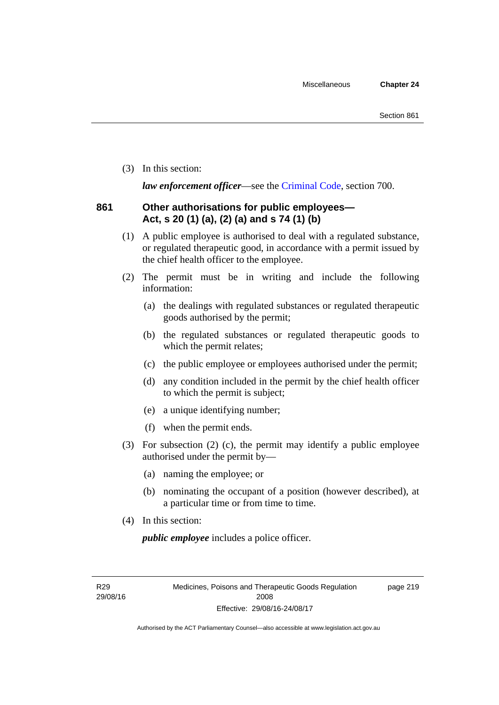(3) In this section:

*law enforcement officer*—see the [Criminal Code,](http://www.legislation.act.gov.au/a/2002-51) section 700.

#### **861 Other authorisations for public employees— Act, s 20 (1) (a), (2) (a) and s 74 (1) (b)**

- (1) A public employee is authorised to deal with a regulated substance, or regulated therapeutic good, in accordance with a permit issued by the chief health officer to the employee.
- (2) The permit must be in writing and include the following information:
	- (a) the dealings with regulated substances or regulated therapeutic goods authorised by the permit;
	- (b) the regulated substances or regulated therapeutic goods to which the permit relates;
	- (c) the public employee or employees authorised under the permit;
	- (d) any condition included in the permit by the chief health officer to which the permit is subject;
	- (e) a unique identifying number;
	- (f) when the permit ends.
- (3) For subsection (2) (c), the permit may identify a public employee authorised under the permit by—
	- (a) naming the employee; or
	- (b) nominating the occupant of a position (however described), at a particular time or from time to time.
- (4) In this section:

*public employee* includes a police officer.

R29 29/08/16 page 219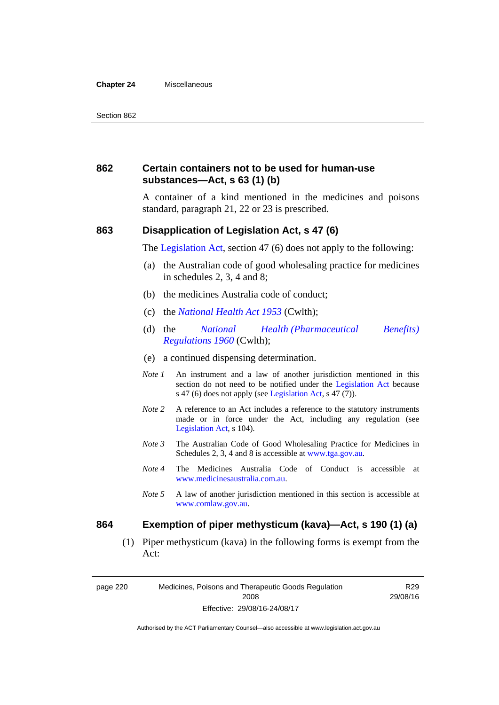#### **Chapter 24** Miscellaneous

#### **862 Certain containers not to be used for human-use substances—Act, s 63 (1) (b)**

A container of a kind mentioned in the medicines and poisons standard, paragraph 21, 22 or 23 is prescribed.

#### **863 Disapplication of Legislation Act, s 47 (6)**

The [Legislation Act](http://www.legislation.act.gov.au/a/2001-14), section 47 (6) does not apply to the following:

- (a) the Australian code of good wholesaling practice for medicines in schedules 2, 3, 4 and 8;
- (b) the medicines Australia code of conduct;
- (c) the *[National Health Act 1953](http://www.comlaw.gov.au/Series/C1953A00095)* (Cwlth);
- (d) the *[National Health \(Pharmaceutical Benefits\)](http://www.comlaw.gov.au/Series/F1996B02844)  [Regulations 1960](http://www.comlaw.gov.au/Series/F1996B02844)* (Cwlth);
- (e) a continued dispensing determination.
- *Note 1* An instrument and a law of another jurisdiction mentioned in this section do not need to be notified under the [Legislation Act](http://www.legislation.act.gov.au/a/2001-14) because s 47 (6) does not apply (see [Legislation Act](http://www.legislation.act.gov.au/a/2001-14), s 47 (7)).
- *Note 2* A reference to an Act includes a reference to the statutory instruments made or in force under the Act, including any regulation (see [Legislation Act,](http://www.legislation.act.gov.au/a/2001-14) s 104).
- *Note 3* The Australian Code of Good Wholesaling Practice for Medicines in Schedules 2, 3, 4 and 8 is accessible at [www.tga.gov.au.](http://www.tga.gov.au/)
- *Note 4* The Medicines Australia Code of Conduct is accessible at [www.medicinesaustralia.com.au](http://www.medicinesaustralia.com.au/).
- *Note 5* A law of another jurisdiction mentioned in this section is accessible at [www.comlaw.gov.au](http://www.comlaw.gov.au/).

#### **864 Exemption of piper methysticum (kava)—Act, s 190 (1) (a)**

 (1) Piper methysticum (kava) in the following forms is exempt from the Act:

page 220 Medicines, Poisons and Therapeutic Goods Regulation 2008 Effective: 29/08/16-24/08/17

R29 29/08/16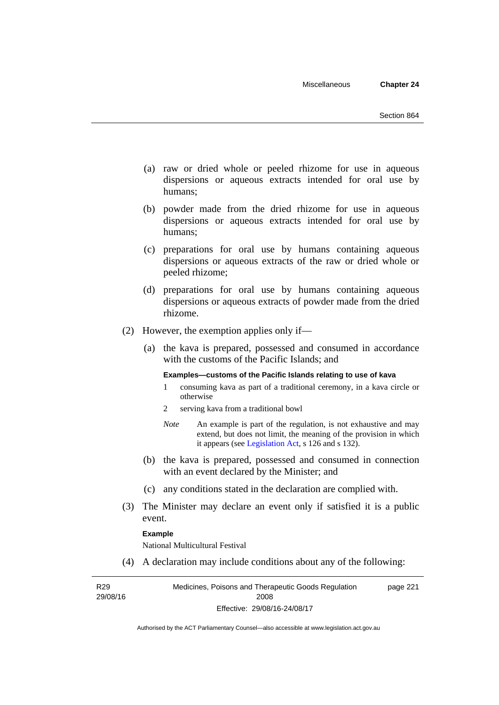- (a) raw or dried whole or peeled rhizome for use in aqueous dispersions or aqueous extracts intended for oral use by humans;
- (b) powder made from the dried rhizome for use in aqueous dispersions or aqueous extracts intended for oral use by humans;
- (c) preparations for oral use by humans containing aqueous dispersions or aqueous extracts of the raw or dried whole or peeled rhizome;
- (d) preparations for oral use by humans containing aqueous dispersions or aqueous extracts of powder made from the dried rhizome.
- (2) However, the exemption applies only if—
	- (a) the kava is prepared, possessed and consumed in accordance with the customs of the Pacific Islands; and

#### **Examples—customs of the Pacific Islands relating to use of kava**

- 1 consuming kava as part of a traditional ceremony, in a kava circle or otherwise
- 2 serving kava from a traditional bowl
- *Note* An example is part of the regulation, is not exhaustive and may extend, but does not limit, the meaning of the provision in which it appears (see [Legislation Act,](http://www.legislation.act.gov.au/a/2001-14) s 126 and s 132).
- (b) the kava is prepared, possessed and consumed in connection with an event declared by the Minister; and
- (c) any conditions stated in the declaration are complied with.
- (3) The Minister may declare an event only if satisfied it is a public event.

#### **Example**

National Multicultural Festival

(4) A declaration may include conditions about any of the following:

R29 29/08/16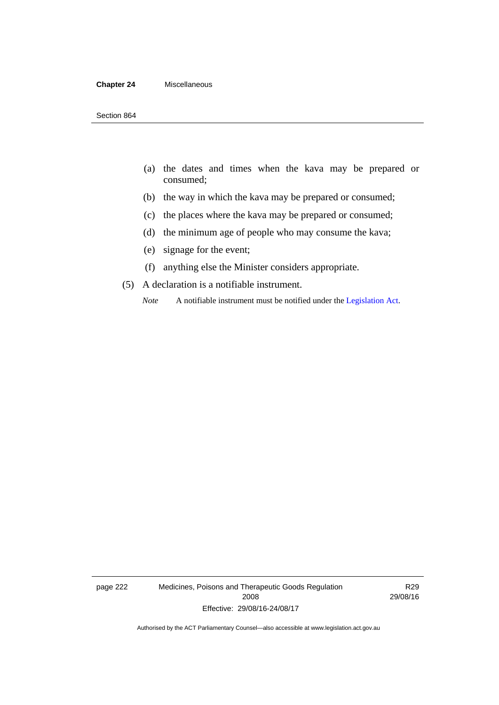#### **Chapter 24** Miscellaneous

- (a) the dates and times when the kava may be prepared or consumed;
- (b) the way in which the kava may be prepared or consumed;
- (c) the places where the kava may be prepared or consumed;
- (d) the minimum age of people who may consume the kava;
- (e) signage for the event;
- (f) anything else the Minister considers appropriate.
- (5) A declaration is a notifiable instrument.

*Note* A notifiable instrument must be notified under the [Legislation Act](http://www.legislation.act.gov.au/a/2001-14).

page 222 Medicines, Poisons and Therapeutic Goods Regulation 2008 Effective: 29/08/16-24/08/17

R29 29/08/16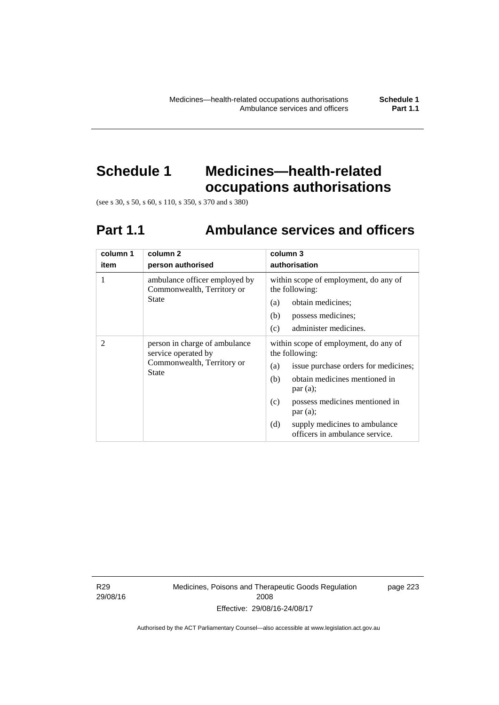# **Schedule 1 Medicines—health-related**

**occupations authorisations** 

(see s 30, s 50, s 60, s 110, s 350, s 370 and s 380)

## **Part 1.1 Ambulance services and officers**

| column 1<br>item | column <sub>2</sub><br>person authorised                                                           | column 3<br>authorisation                                                                                                                                                                                                                                                                                               |
|------------------|----------------------------------------------------------------------------------------------------|-------------------------------------------------------------------------------------------------------------------------------------------------------------------------------------------------------------------------------------------------------------------------------------------------------------------------|
| 1                | ambulance officer employed by<br>Commonwealth, Territory or<br><b>State</b>                        | within scope of employment, do any of<br>the following:<br>obtain medicines;<br>(a)<br>possess medicines;<br>(b)                                                                                                                                                                                                        |
| 2                | person in charge of ambulance<br>service operated by<br>Commonwealth, Territory or<br><b>State</b> | administer medicines.<br>(c)<br>within scope of employment, do any of<br>the following:<br>issue purchase orders for medicines;<br>(a)<br>obtain medicines mentioned in<br>(b)<br>par(a);<br>possess medicines mentioned in<br>(c)<br>par(a);<br>(d)<br>supply medicines to ambulance<br>officers in ambulance service. |

R29 29/08/16 Medicines, Poisons and Therapeutic Goods Regulation 2008 Effective: 29/08/16-24/08/17

page 223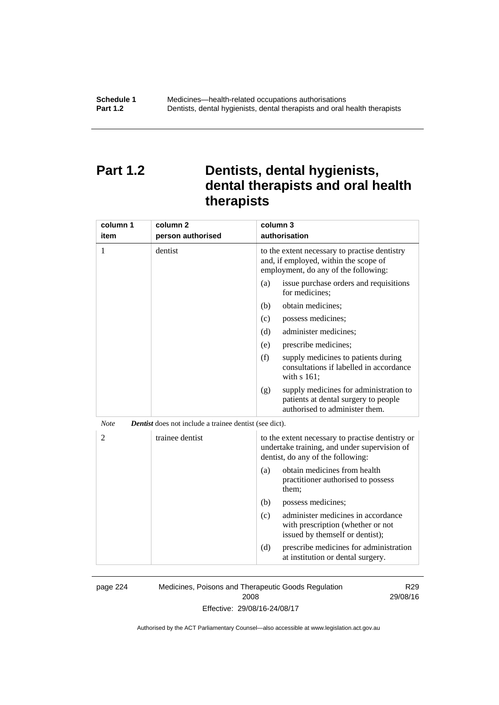## **Part 1.2 Dentists, dental hygienists, dental therapists and oral health therapists**

| column 1<br>item | column <sub>2</sub><br>person authorised               | column 3<br>authorisation                                                                                                             |
|------------------|--------------------------------------------------------|---------------------------------------------------------------------------------------------------------------------------------------|
| 1                | dentist                                                | to the extent necessary to practise dentistry<br>and, if employed, within the scope of<br>employment, do any of the following:        |
|                  |                                                        | issue purchase orders and requisitions<br>(a)<br>for medicines;                                                                       |
|                  |                                                        | obtain medicines;<br>(b)                                                                                                              |
|                  |                                                        | (c)<br>possess medicines;                                                                                                             |
|                  |                                                        | (d)<br>administer medicines;                                                                                                          |
|                  |                                                        | prescribe medicines;<br>(e)                                                                                                           |
|                  |                                                        | (f)<br>supply medicines to patients during<br>consultations if labelled in accordance<br>with s 161;                                  |
|                  |                                                        | supply medicines for administration to<br>(g)<br>patients at dental surgery to people<br>authorised to administer them.               |
| <b>Note</b>      | Dentist does not include a trainee dentist (see dict). |                                                                                                                                       |
| 2                | trainee dentist                                        | to the extent necessary to practise dentistry or<br>undertake training, and under supervision of<br>dentist, do any of the following: |
|                  |                                                        | obtain medicines from health<br>(a)<br>practitioner authorised to possess<br>them;                                                    |
|                  |                                                        | (b)<br>possess medicines;                                                                                                             |
|                  |                                                        | administer medicines in accordance<br>(c)<br>with prescription (whether or not<br>issued by themself or dentist);                     |
|                  |                                                        | (d)<br>prescribe medicines for administration<br>at institution or dental surgery.                                                    |

page 224 Medicines, Poisons and Therapeutic Goods Regulation 2008 Effective: 29/08/16-24/08/17

R29 29/08/16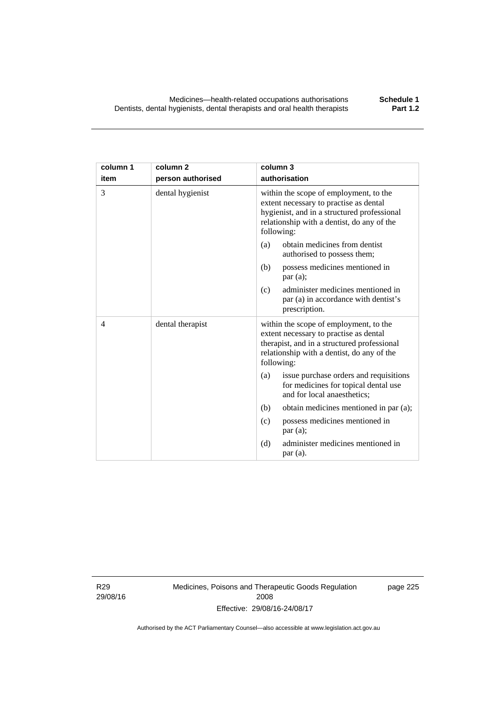| column 1<br>item | column <sub>2</sub><br>person authorised | column 3<br>authorisation                                                                                                                                                                   |
|------------------|------------------------------------------|---------------------------------------------------------------------------------------------------------------------------------------------------------------------------------------------|
| 3                | dental hygienist                         | within the scope of employment, to the<br>extent necessary to practise as dental<br>hygienist, and in a structured professional<br>relationship with a dentist, do any of the<br>following: |
|                  |                                          | obtain medicines from dentist<br>(a)<br>authorised to possess them;                                                                                                                         |
|                  |                                          | possess medicines mentioned in<br>(b)<br>par(a);                                                                                                                                            |
|                  |                                          | administer medicines mentioned in<br>(c)<br>par (a) in accordance with dentist's<br>prescription.                                                                                           |
| $\overline{4}$   | dental therapist                         | within the scope of employment, to the<br>extent necessary to practise as dental<br>therapist, and in a structured professional<br>relationship with a dentist, do any of the<br>following: |
|                  |                                          | issue purchase orders and requisitions<br>(a)<br>for medicines for topical dental use<br>and for local anaesthetics;                                                                        |
|                  |                                          | (b)<br>obtain medicines mentioned in par (a);                                                                                                                                               |
|                  |                                          | possess medicines mentioned in<br>(c)<br>par(a);                                                                                                                                            |
|                  |                                          | (d)<br>administer medicines mentioned in<br>par(a).                                                                                                                                         |

R29 29/08/16 Medicines, Poisons and Therapeutic Goods Regulation 2008 Effective: 29/08/16-24/08/17

page 225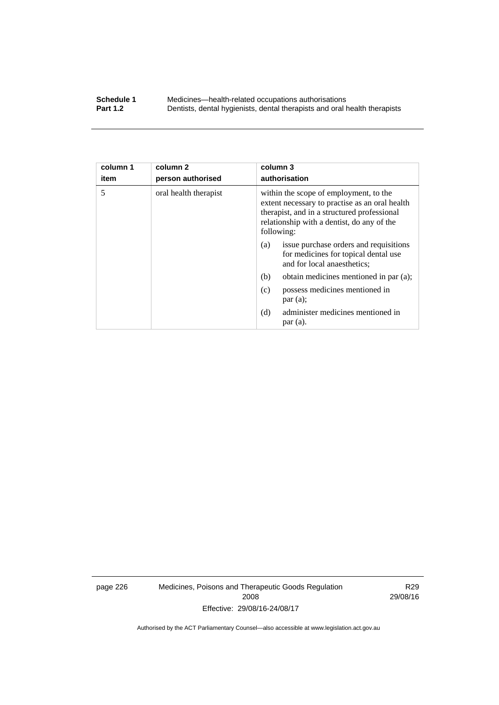#### **Schedule 1** Medicines—health-related occupations authorisations<br>**Part 1.2** Dentists, dental hygienists, dental therapists and oral health **Part 1.2** Dentists, dental hygienists, dental therapists and oral health therapists

| column 1<br>item | column 2<br>person authorised | column 3<br>authorisation                                                                                                                                                                           |
|------------------|-------------------------------|-----------------------------------------------------------------------------------------------------------------------------------------------------------------------------------------------------|
| 5                | oral health therapist         | within the scope of employment, to the<br>extent necessary to practise as an oral health<br>therapist, and in a structured professional<br>relationship with a dentist, do any of the<br>following: |
|                  |                               | issue purchase orders and requisitions<br>(a)<br>for medicines for topical dental use<br>and for local anaesthetics;                                                                                |
|                  |                               | obtain medicines mentioned in par (a);<br>(b)                                                                                                                                                       |
|                  |                               | possess medicines mentioned in<br>(c)<br>par(a);                                                                                                                                                    |
|                  |                               | administer medicines mentioned in<br>(d)<br>par (a).                                                                                                                                                |

page 226 Medicines, Poisons and Therapeutic Goods Regulation 2008 Effective: 29/08/16-24/08/17

R29 29/08/16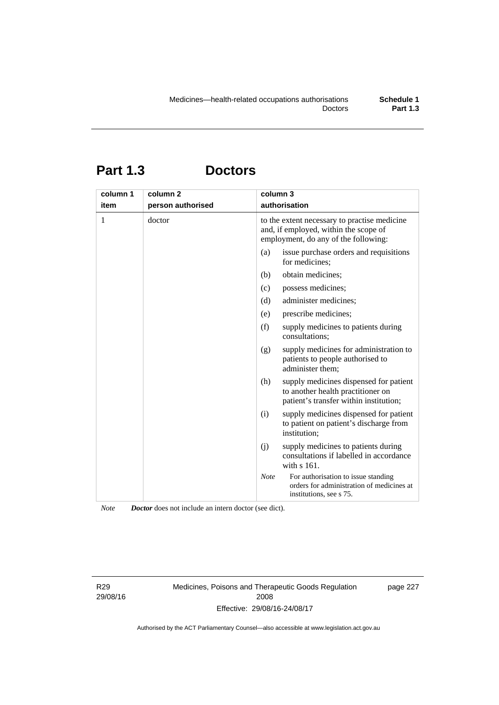## **Part 1.3 Doctors**

| column 1<br>item | column <sub>2</sub><br>person authorised | column 3<br>authorisation                                                                                                     |
|------------------|------------------------------------------|-------------------------------------------------------------------------------------------------------------------------------|
| 1                | doctor                                   | to the extent necessary to practise medicine<br>and, if employed, within the scope of<br>employment, do any of the following: |
|                  |                                          | issue purchase orders and requisitions<br>(a)<br>for medicines;                                                               |
|                  |                                          | obtain medicines;<br>(b)                                                                                                      |
|                  |                                          | possess medicines;<br>(c)                                                                                                     |
|                  |                                          | (d)<br>administer medicines;                                                                                                  |
|                  |                                          | prescribe medicines;<br>(e)                                                                                                   |
|                  |                                          | (f)<br>supply medicines to patients during<br>consultations:                                                                  |
|                  |                                          | supply medicines for administration to<br>(g)<br>patients to people authorised to<br>administer them;                         |
|                  |                                          | (h)<br>supply medicines dispensed for patient<br>to another health practitioner on<br>patient's transfer within institution;  |
|                  |                                          | supply medicines dispensed for patient<br>(i)<br>to patient on patient's discharge from<br>institution;                       |
|                  |                                          | supply medicines to patients during<br>(j)<br>consultations if labelled in accordance<br>with $s$ 161.                        |
|                  |                                          | <b>Note</b><br>For authorisation to issue standing<br>orders for administration of medicines at<br>institutions, see s 75.    |

*Note Doctor* does not include an intern doctor (see dict).

R29 29/08/16 Medicines, Poisons and Therapeutic Goods Regulation 2008 Effective: 29/08/16-24/08/17

page 227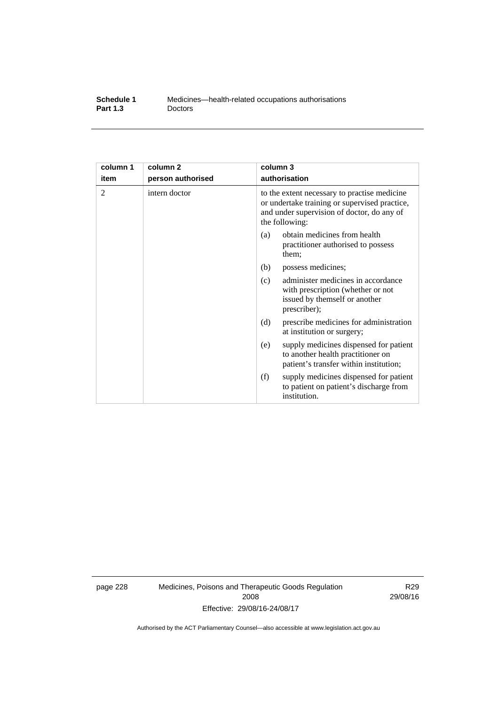| Schedule 1      | Medicines—health-related occupations authorisations |
|-----------------|-----------------------------------------------------|
| <b>Part 1.3</b> | <b>Doctors</b>                                      |

| column 1 | column <sub>2</sub> | column 3                                                                                                                                                      |
|----------|---------------------|---------------------------------------------------------------------------------------------------------------------------------------------------------------|
| item     | person authorised   | authorisation                                                                                                                                                 |
| 2        | intern doctor       | to the extent necessary to practise medicine<br>or undertake training or supervised practice,<br>and under supervision of doctor, do any of<br>the following: |
|          |                     | obtain medicines from health<br>(a)<br>practitioner authorised to possess<br>them:                                                                            |
|          |                     | (b)<br>possess medicines;                                                                                                                                     |
|          |                     | administer medicines in accordance<br>(c)<br>with prescription (whether or not<br>issued by themself or another<br>prescriber);                               |
|          |                     | (d)<br>prescribe medicines for administration<br>at institution or surgery;                                                                                   |
|          |                     | supply medicines dispensed for patient<br>(e)<br>to another health practitioner on<br>patient's transfer within institution;                                  |
|          |                     | (f)<br>supply medicines dispensed for patient<br>to patient on patient's discharge from<br>institution.                                                       |

page 228 Medicines, Poisons and Therapeutic Goods Regulation 2008 Effective: 29/08/16-24/08/17

R29 29/08/16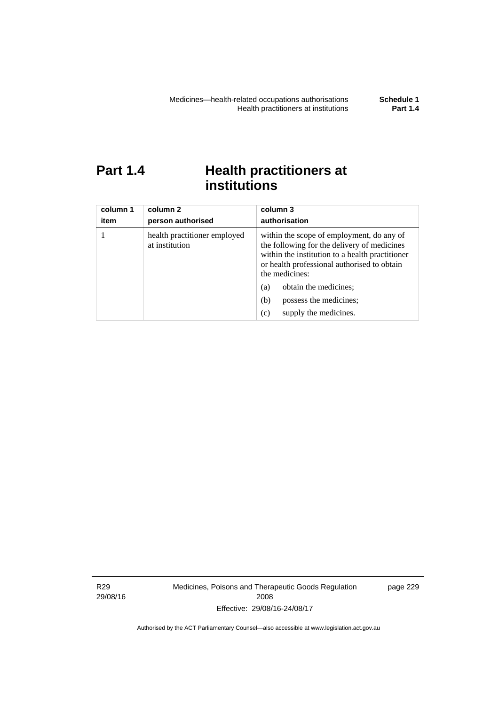### **Part 1.4 Health practitioners at institutions**

| column 1<br>item | column 2<br>person authorised                  | column 3<br>authorisation                                                                                                                                                                                    |
|------------------|------------------------------------------------|--------------------------------------------------------------------------------------------------------------------------------------------------------------------------------------------------------------|
|                  | health practitioner employed<br>at institution | within the scope of employment, do any of<br>the following for the delivery of medicines<br>within the institution to a health practitioner<br>or health professional authorised to obtain<br>the medicines: |
|                  |                                                | obtain the medicines;<br>(a)                                                                                                                                                                                 |
|                  |                                                | possess the medicines;<br>(b)                                                                                                                                                                                |
|                  |                                                | supply the medicines.<br>(c)                                                                                                                                                                                 |

R29 29/08/16 Medicines, Poisons and Therapeutic Goods Regulation 2008 Effective: 29/08/16-24/08/17

page 229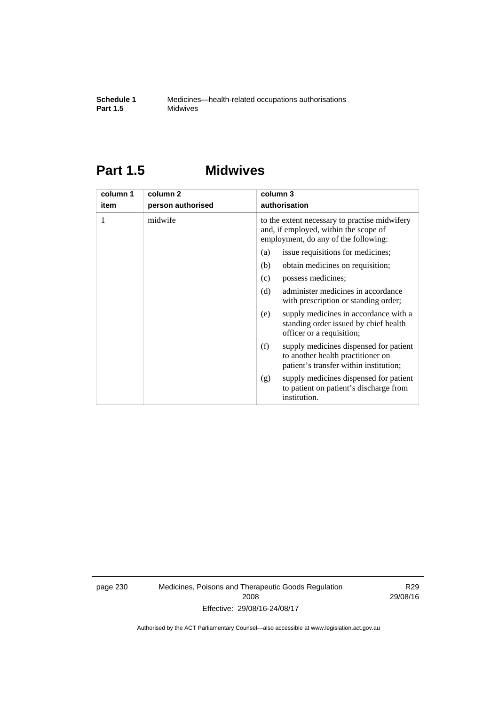### **Part 1.5 Midwives**

| column 1 | column 2          | column 3                                                                                                                       |  |  |
|----------|-------------------|--------------------------------------------------------------------------------------------------------------------------------|--|--|
| item     | person authorised | authorisation                                                                                                                  |  |  |
| 1        | midwife           | to the extent necessary to practise midwifery<br>and, if employed, within the scope of<br>employment, do any of the following: |  |  |
|          |                   | issue requisitions for medicines;<br>(a)                                                                                       |  |  |
|          |                   | (b)<br>obtain medicines on requisition;                                                                                        |  |  |
|          |                   | possess medicines;<br>(c)                                                                                                      |  |  |
|          |                   | administer medicines in accordance<br>(d)<br>with prescription or standing order;                                              |  |  |
|          |                   | supply medicines in accordance with a<br>(e)<br>standing order issued by chief health<br>officer or a requisition;             |  |  |
|          |                   | supply medicines dispensed for patient<br>(f)<br>to another health practitioner on<br>patient's transfer within institution;   |  |  |
|          |                   | supply medicines dispensed for patient<br>(g)<br>to patient on patient's discharge from<br>institution.                        |  |  |

page 230 Medicines, Poisons and Therapeutic Goods Regulation 2008 Effective: 29/08/16-24/08/17

R29 29/08/16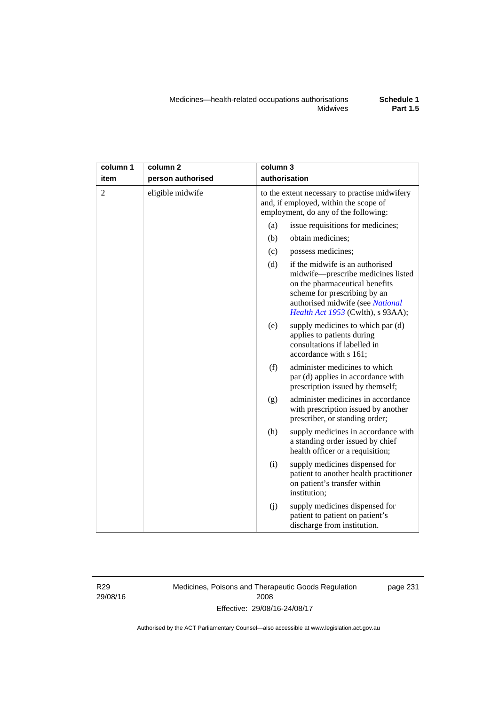| column 1       | column <sub>2</sub> | column 3 |                                                                                                                                                                                                                  |
|----------------|---------------------|----------|------------------------------------------------------------------------------------------------------------------------------------------------------------------------------------------------------------------|
| item           | person authorised   |          | authorisation                                                                                                                                                                                                    |
| $\overline{2}$ | eligible midwife    |          | to the extent necessary to practise midwifery<br>and, if employed, within the scope of<br>employment, do any of the following:                                                                                   |
|                |                     | (a)      | issue requisitions for medicines;                                                                                                                                                                                |
|                |                     | (b)      | obtain medicines;                                                                                                                                                                                                |
|                |                     | (c)      | possess medicines;                                                                                                                                                                                               |
|                |                     | (d)      | if the midwife is an authorised<br>midwife-prescribe medicines listed<br>on the pharmaceutical benefits<br>scheme for prescribing by an<br>authorised midwife (see National<br>Health Act 1953 (Cwlth), s 93AA); |
|                |                     | (e)      | supply medicines to which par (d)<br>applies to patients during<br>consultations if labelled in<br>accordance with s 161;                                                                                        |
|                |                     | (f)      | administer medicines to which<br>par (d) applies in accordance with<br>prescription issued by themself;                                                                                                          |
|                |                     | (g)      | administer medicines in accordance<br>with prescription issued by another<br>prescriber, or standing order;                                                                                                      |
|                |                     | (h)      | supply medicines in accordance with<br>a standing order issued by chief<br>health officer or a requisition;                                                                                                      |
|                |                     | (i)      | supply medicines dispensed for<br>patient to another health practitioner<br>on patient's transfer within<br>institution;                                                                                         |
|                |                     | (i)      | supply medicines dispensed for<br>patient to patient on patient's<br>discharge from institution.                                                                                                                 |

R29 29/08/16 Medicines, Poisons and Therapeutic Goods Regulation 2008 Effective: 29/08/16-24/08/17

page 231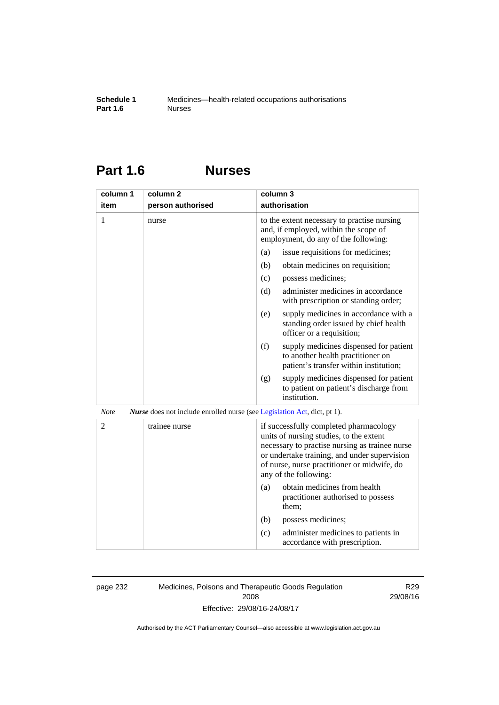### **Part 1.6 Nurses**

| column 1       | column 2                                                                        | column 3                                                                                                                                                                                                                                                    |
|----------------|---------------------------------------------------------------------------------|-------------------------------------------------------------------------------------------------------------------------------------------------------------------------------------------------------------------------------------------------------------|
| item           | person authorised                                                               | authorisation                                                                                                                                                                                                                                               |
| 1              | nurse                                                                           | to the extent necessary to practise nursing<br>and, if employed, within the scope of<br>employment, do any of the following:                                                                                                                                |
|                |                                                                                 | issue requisitions for medicines;<br>(a)                                                                                                                                                                                                                    |
|                |                                                                                 | (b)<br>obtain medicines on requisition;                                                                                                                                                                                                                     |
|                |                                                                                 | (c)<br>possess medicines;                                                                                                                                                                                                                                   |
|                |                                                                                 | administer medicines in accordance<br>(d)<br>with prescription or standing order;                                                                                                                                                                           |
|                |                                                                                 | supply medicines in accordance with a<br>(e)<br>standing order issued by chief health<br>officer or a requisition;                                                                                                                                          |
|                |                                                                                 | (f)<br>supply medicines dispensed for patient<br>to another health practitioner on<br>patient's transfer within institution;                                                                                                                                |
|                |                                                                                 | supply medicines dispensed for patient<br>(g)<br>to patient on patient's discharge from<br>institution.                                                                                                                                                     |
| <b>Note</b>    | <i>Nurse</i> does not include enrolled nurse (see Legislation Act, dict, pt 1). |                                                                                                                                                                                                                                                             |
| $\overline{2}$ | trainee nurse                                                                   | if successfully completed pharmacology<br>units of nursing studies, to the extent<br>necessary to practise nursing as trainee nurse<br>or undertake training, and under supervision<br>of nurse, nurse practitioner or midwife, do<br>any of the following: |
|                |                                                                                 | obtain medicines from health<br>(a)<br>practitioner authorised to possess<br>them:                                                                                                                                                                          |
|                |                                                                                 | (b)<br>possess medicines;                                                                                                                                                                                                                                   |
|                |                                                                                 | administer medicines to patients in<br>(c)<br>accordance with prescription.                                                                                                                                                                                 |

page 232 Medicines, Poisons and Therapeutic Goods Regulation 2008 Effective: 29/08/16-24/08/17

R29 29/08/16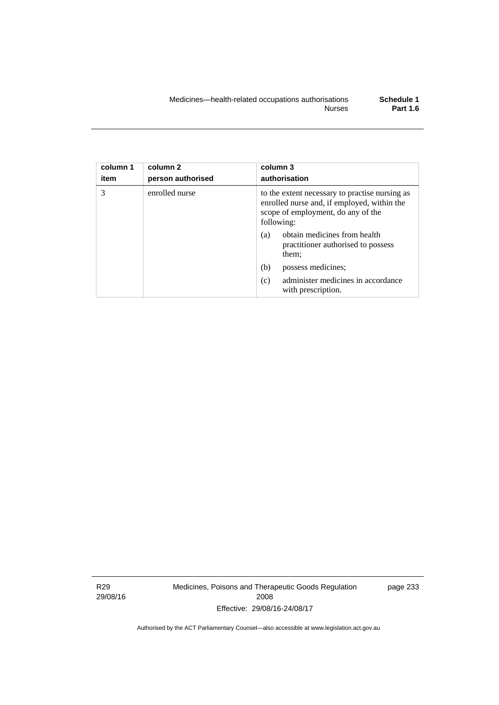| column 1<br>item | column 2<br>person authorised | column 3<br>authorisation                                                                                                                         |
|------------------|-------------------------------|---------------------------------------------------------------------------------------------------------------------------------------------------|
| 3                | enrolled nurse                | to the extent necessary to practise nursing as<br>enrolled nurse and, if employed, within the<br>scope of employment, do any of the<br>following: |
|                  |                               | obtain medicines from health<br>(a)<br>practitioner authorised to possess<br>them;                                                                |
|                  |                               | (b)<br>possess medicines;                                                                                                                         |
|                  |                               | administer medicines in accordance<br>(c)<br>with prescription.                                                                                   |

R29 29/08/16 Medicines, Poisons and Therapeutic Goods Regulation 2008 Effective: 29/08/16-24/08/17

page 233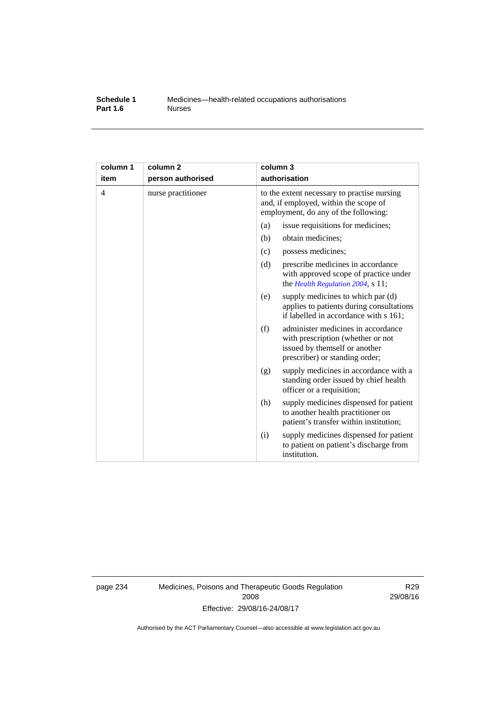#### **Schedule 1** Medicines—health-related occupations authorisations<br>**Part 1.6** Murses **Part 1.6**

| column 1<br>item | column <sub>2</sub><br>person authorised | column 3<br>authorisation                                                                                                                         |
|------------------|------------------------------------------|---------------------------------------------------------------------------------------------------------------------------------------------------|
| $\overline{4}$   | nurse practitioner                       | to the extent necessary to practise nursing<br>and, if employed, within the scope of<br>employment, do any of the following:                      |
|                  |                                          | (a)<br>issue requisitions for medicines;                                                                                                          |
|                  |                                          | (b)<br>obtain medicines;                                                                                                                          |
|                  |                                          | possess medicines;<br>(c)                                                                                                                         |
|                  |                                          | (d)<br>prescribe medicines in accordance<br>with approved scope of practice under<br>the Health Regulation 2004, s 11;                            |
|                  |                                          | supply medicines to which par (d)<br>(e)<br>applies to patients during consultations<br>if labelled in accordance with s 161;                     |
|                  |                                          | administer medicines in accordance<br>(f)<br>with prescription (whether or not<br>issued by themself or another<br>prescriber) or standing order; |
|                  |                                          | supply medicines in accordance with a<br>(g)<br>standing order issued by chief health<br>officer or a requisition;                                |
|                  |                                          | (h)<br>supply medicines dispensed for patient<br>to another health practitioner on<br>patient's transfer within institution;                      |
|                  |                                          | supply medicines dispensed for patient<br>(i)<br>to patient on patient's discharge from<br>institution.                                           |

page 234 Medicines, Poisons and Therapeutic Goods Regulation 2008 Effective: 29/08/16-24/08/17

R29 29/08/16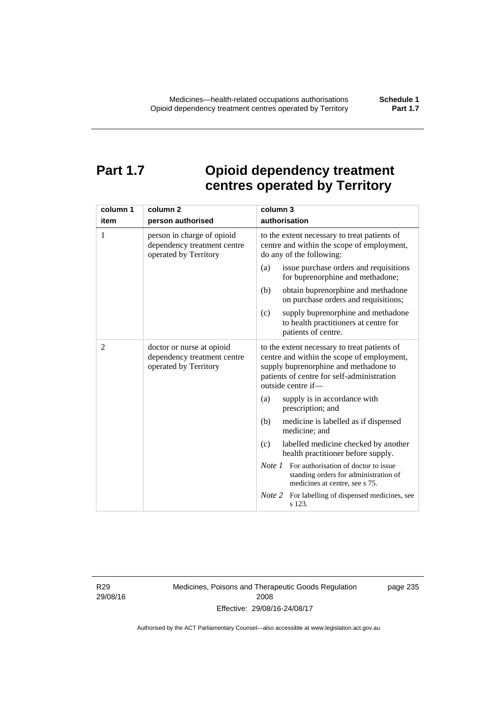### **Part 1.7 Opioid dependency treatment centres operated by Territory**

| column 1       | column <sub>2</sub>                                                                | column 3                                                                                                                                                                                                |
|----------------|------------------------------------------------------------------------------------|---------------------------------------------------------------------------------------------------------------------------------------------------------------------------------------------------------|
| item           | person authorised                                                                  | authorisation                                                                                                                                                                                           |
| 1              | person in charge of opioid<br>dependency treatment centre<br>operated by Territory | to the extent necessary to treat patients of<br>centre and within the scope of employment,<br>do any of the following:                                                                                  |
|                |                                                                                    | issue purchase orders and requisitions<br>(a)<br>for buprenorphine and methadone;                                                                                                                       |
|                |                                                                                    | obtain buprenorphine and methadone<br>(b)<br>on purchase orders and requisitions;                                                                                                                       |
|                |                                                                                    | supply buprenorphine and methadone<br>(c)<br>to health practitioners at centre for<br>patients of centre.                                                                                               |
| $\overline{2}$ | doctor or nurse at opioid<br>dependency treatment centre<br>operated by Territory  | to the extent necessary to treat patients of<br>centre and within the scope of employment,<br>supply buprenorphine and methadone to<br>patients of centre for self-administration<br>outside centre if- |
|                |                                                                                    | supply is in accordance with<br>(a)<br>prescription; and                                                                                                                                                |
|                |                                                                                    | (b)<br>medicine is labelled as if dispensed<br>medicine; and                                                                                                                                            |
|                |                                                                                    | (c)<br>labelled medicine checked by another<br>health practitioner before supply.                                                                                                                       |
|                |                                                                                    | <i>Note 1</i> For authorisation of doctor to issue<br>standing orders for administration of<br>medicines at centre, see s 75.                                                                           |
|                |                                                                                    | Note 2<br>For labelling of dispensed medicines, see<br>s 123.                                                                                                                                           |

R29 29/08/16 Medicines, Poisons and Therapeutic Goods Regulation 2008 Effective: 29/08/16-24/08/17

page 235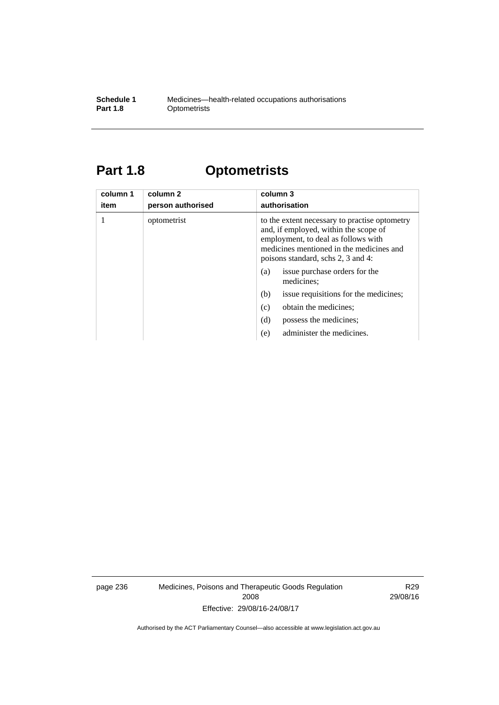#### **Schedule 1** Medicines—health-related occupations authorisations<br>**Part 1.8** Optometrists **Optometrists**

## **Part 1.8 Optometrists**

| column 1<br>item | column 2<br>person authorised | column 3<br>authorisation                                                                                                                                                                                       |
|------------------|-------------------------------|-----------------------------------------------------------------------------------------------------------------------------------------------------------------------------------------------------------------|
|                  | optometrist                   | to the extent necessary to practise optometry<br>and, if employed, within the scope of<br>employment, to deal as follows with<br>medicines mentioned in the medicines and<br>poisons standard, schs 2, 3 and 4: |
|                  |                               | issue purchase orders for the<br>(a)<br>medicines;                                                                                                                                                              |
|                  |                               | issue requisitions for the medicines;<br>(b)                                                                                                                                                                    |
|                  |                               | (c)<br>obtain the medicines;                                                                                                                                                                                    |
|                  |                               | (d)<br>possess the medicines;                                                                                                                                                                                   |
|                  |                               | administer the medicines.<br>(e)                                                                                                                                                                                |

page 236 Medicines, Poisons and Therapeutic Goods Regulation 2008 Effective: 29/08/16-24/08/17

R29 29/08/16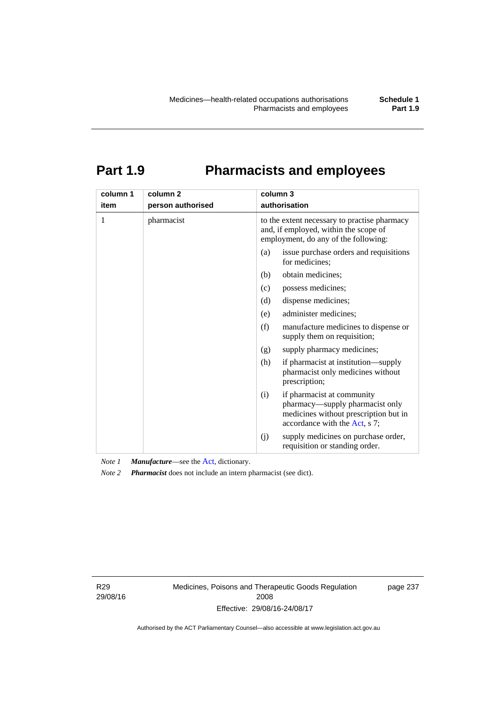# **Part 1.9 Pharmacists and employees**

| column 1 | column <sub>2</sub> | column 3                                                                                                                                       |  |  |
|----------|---------------------|------------------------------------------------------------------------------------------------------------------------------------------------|--|--|
| item     | person authorised   | authorisation                                                                                                                                  |  |  |
| 1        | pharmacist          | to the extent necessary to practise pharmacy<br>and, if employed, within the scope of<br>employment, do any of the following:                  |  |  |
|          |                     | issue purchase orders and requisitions<br>(a)<br>for medicines;                                                                                |  |  |
|          |                     | obtain medicines;<br>(b)                                                                                                                       |  |  |
|          |                     | (c)<br>possess medicines;                                                                                                                      |  |  |
|          |                     | dispense medicines;<br>(d)                                                                                                                     |  |  |
|          |                     | administer medicines;<br>(e)                                                                                                                   |  |  |
|          |                     | (f)<br>manufacture medicines to dispense or<br>supply them on requisition;                                                                     |  |  |
|          |                     | supply pharmacy medicines;<br>(g)                                                                                                              |  |  |
|          |                     | (h)<br>if pharmacist at institution—supply<br>pharmacist only medicines without<br>prescription;                                               |  |  |
|          |                     | if pharmacist at community<br>(i)<br>pharmacy—supply pharmacist only<br>medicines without prescription but in<br>accordance with the Act, s 7; |  |  |
|          |                     | supply medicines on purchase order,<br>(j)<br>requisition or standing order.                                                                   |  |  |

*Note 1 Manufacture*—see the [Act,](http://www.legislation.act.gov.au/a/2008-26/default.asp) dictionary.

*Note 2 Pharmacist* does not include an intern pharmacist (see dict).

R29 29/08/16 Medicines, Poisons and Therapeutic Goods Regulation 2008 Effective: 29/08/16-24/08/17

page 237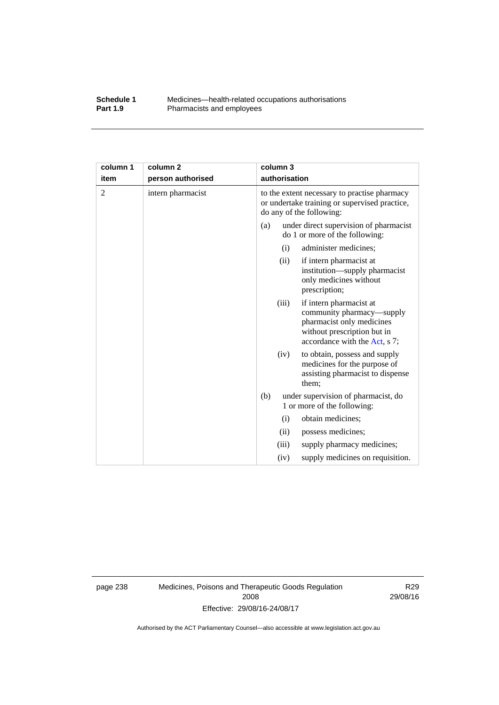#### **Schedule 1** Medicines—health-related occupations authorisations<br>**Part 1.9** Pharmacists and employees Pharmacists and employees

| column 1       | column <sub>2</sub> |     | column 3      |                                                                                                                                                   |
|----------------|---------------------|-----|---------------|---------------------------------------------------------------------------------------------------------------------------------------------------|
| item           | person authorised   |     | authorisation |                                                                                                                                                   |
| $\overline{2}$ | intern pharmacist   |     |               | to the extent necessary to practise pharmacy<br>or undertake training or supervised practice,<br>do any of the following:                         |
|                |                     | (a) |               | under direct supervision of pharmacist<br>do 1 or more of the following:                                                                          |
|                |                     |     | (i)           | administer medicines;                                                                                                                             |
|                |                     |     | (ii)          | if intern pharmacist at<br>institution—supply pharmacist<br>only medicines without<br>prescription;                                               |
|                |                     |     | (iii)         | if intern pharmacist at<br>community pharmacy—supply<br>pharmacist only medicines<br>without prescription but in<br>accordance with the Act, s 7; |
|                |                     |     | (iv)          | to obtain, possess and supply<br>medicines for the purpose of<br>assisting pharmacist to dispense<br>them;                                        |
|                |                     | (b) |               | under supervision of pharmacist, do<br>1 or more of the following:                                                                                |
|                |                     |     | (i)           | obtain medicines;                                                                                                                                 |
|                |                     |     | (ii)          | possess medicines;                                                                                                                                |
|                |                     |     | (iii)         | supply pharmacy medicines;                                                                                                                        |
|                |                     |     | (iv)          | supply medicines on requisition.                                                                                                                  |

page 238 Medicines, Poisons and Therapeutic Goods Regulation 2008 Effective: 29/08/16-24/08/17

R29 29/08/16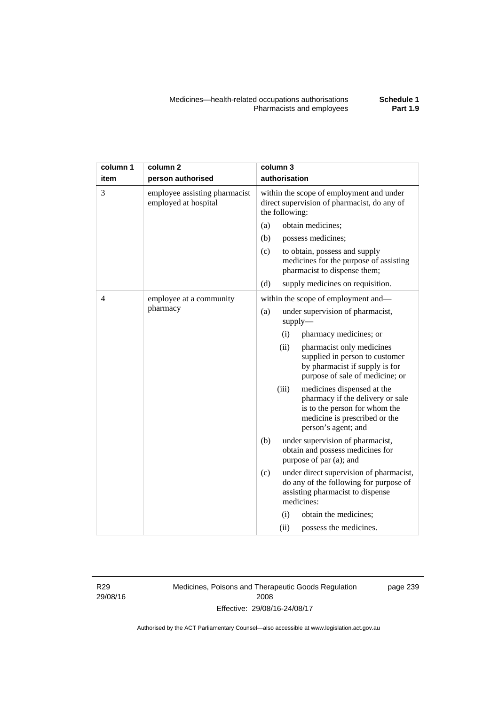| column 1 | column <sub>2</sub>                                   |                                                                                                           | column 3                                   |                                                                                                                                                         |
|----------|-------------------------------------------------------|-----------------------------------------------------------------------------------------------------------|--------------------------------------------|---------------------------------------------------------------------------------------------------------------------------------------------------------|
| item     | person authorised                                     | authorisation                                                                                             |                                            |                                                                                                                                                         |
| 3        | employee assisting pharmacist<br>employed at hospital | within the scope of employment and under<br>direct supervision of pharmacist, do any of<br>the following: |                                            |                                                                                                                                                         |
|          |                                                       | (a)                                                                                                       |                                            | obtain medicines;                                                                                                                                       |
|          |                                                       | (b)                                                                                                       |                                            | possess medicines;                                                                                                                                      |
|          |                                                       | (c)                                                                                                       |                                            | to obtain, possess and supply<br>medicines for the purpose of assisting<br>pharmacist to dispense them;                                                 |
|          |                                                       | (d)                                                                                                       |                                            | supply medicines on requisition.                                                                                                                        |
| 4        | employee at a community<br>pharmacy                   |                                                                                                           |                                            | within the scope of employment and-                                                                                                                     |
|          |                                                       | (a)                                                                                                       | under supervision of pharmacist,<br>supply |                                                                                                                                                         |
|          |                                                       |                                                                                                           | (i)                                        | pharmacy medicines; or                                                                                                                                  |
|          |                                                       |                                                                                                           | (ii)                                       | pharmacist only medicines<br>supplied in person to customer<br>by pharmacist if supply is for<br>purpose of sale of medicine; or                        |
|          |                                                       |                                                                                                           | (iii)                                      | medicines dispensed at the<br>pharmacy if the delivery or sale<br>is to the person for whom the<br>medicine is prescribed or the<br>person's agent; and |
|          |                                                       | (b)                                                                                                       |                                            | under supervision of pharmacist,<br>obtain and possess medicines for<br>purpose of par (a); and                                                         |
|          |                                                       | (c)                                                                                                       |                                            | under direct supervision of pharmacist,<br>do any of the following for purpose of<br>assisting pharmacist to dispense<br>medicines:                     |
|          |                                                       |                                                                                                           | (i)                                        | obtain the medicines;                                                                                                                                   |
|          |                                                       |                                                                                                           | (ii)                                       | possess the medicines.                                                                                                                                  |

R29 29/08/16 Medicines, Poisons and Therapeutic Goods Regulation 2008 Effective: 29/08/16-24/08/17

page 239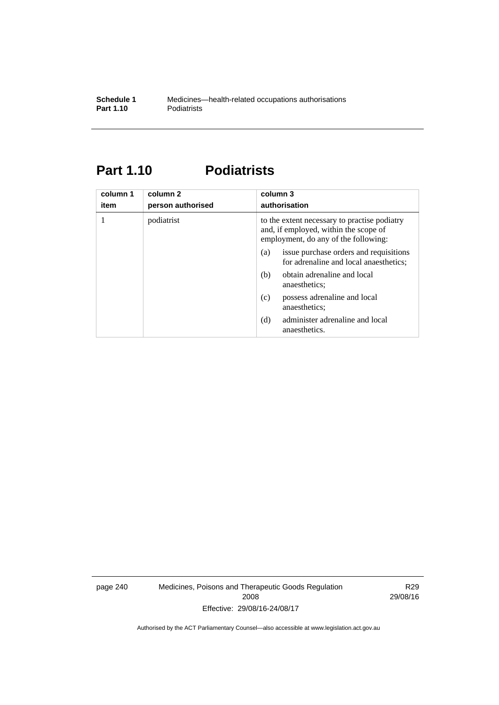### **Part 1.10 Podiatrists**

| column 1<br>item | column 2<br>person authorised | column 3<br>authorisation                                                                                                     |  |
|------------------|-------------------------------|-------------------------------------------------------------------------------------------------------------------------------|--|
|                  | podiatrist                    | to the extent necessary to practise podiatry<br>and, if employed, within the scope of<br>employment, do any of the following: |  |
|                  |                               | issue purchase orders and requisitions<br>(a)<br>for adrenaline and local anaesthetics;                                       |  |
|                  |                               | obtain adrenaline and local<br>(b)<br>anaesthetics:                                                                           |  |
|                  |                               | possess adrenaline and local<br>(c)<br>anaesthetics;                                                                          |  |
|                  |                               | administer adrenaline and local<br>(d)<br>anaesthetics.                                                                       |  |

page 240 Medicines, Poisons and Therapeutic Goods Regulation 2008 Effective: 29/08/16-24/08/17

R29 29/08/16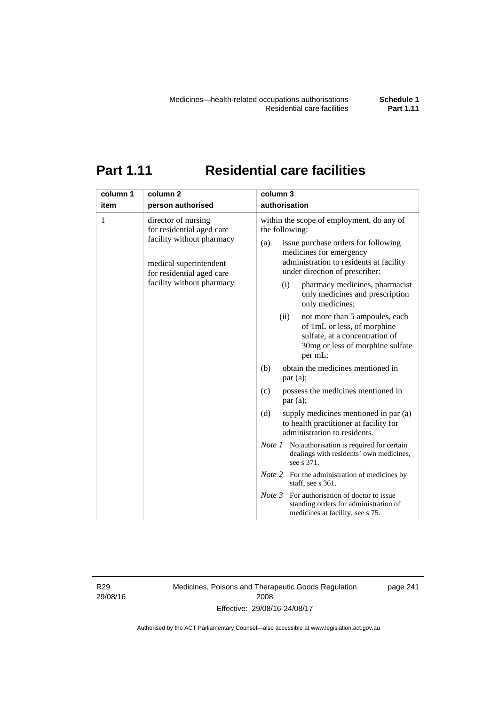## **Part 1.11 Residential care facilities**

| column 1 | column <sub>2</sub>                                                                                                                                               | column 3                                                                                                                                                                                                                                                                                                                                                                                  |
|----------|-------------------------------------------------------------------------------------------------------------------------------------------------------------------|-------------------------------------------------------------------------------------------------------------------------------------------------------------------------------------------------------------------------------------------------------------------------------------------------------------------------------------------------------------------------------------------|
| item     | person authorised                                                                                                                                                 | authorisation                                                                                                                                                                                                                                                                                                                                                                             |
| 1        | director of nursing<br>for residential aged care<br>facility without pharmacy<br>medical superintendent<br>for residential aged care<br>facility without pharmacy | within the scope of employment, do any of<br>the following:<br>issue purchase orders for following<br>(a)<br>medicines for emergency<br>administration to residents at facility<br>under direction of prescriber:<br>pharmacy medicines, pharmacist<br>(i)<br>only medicines and prescription<br>only medicines;<br>(ii)<br>not more than 5 ampoules, each<br>of 1mL or less, of morphine |
|          |                                                                                                                                                                   | sulfate, at a concentration of<br>30mg or less of morphine sulfate<br>per mL;                                                                                                                                                                                                                                                                                                             |
|          |                                                                                                                                                                   | obtain the medicines mentioned in<br>(b)<br>par(a);                                                                                                                                                                                                                                                                                                                                       |
|          |                                                                                                                                                                   | possess the medicines mentioned in<br>(c)<br>par(a);                                                                                                                                                                                                                                                                                                                                      |
|          |                                                                                                                                                                   | (d)<br>supply medicines mentioned in par (a)<br>to health practitioner at facility for<br>administration to residents.                                                                                                                                                                                                                                                                    |
|          |                                                                                                                                                                   | <i>Note 1</i> No authorisation is required for certain<br>dealings with residents' own medicines,<br>see s 371.                                                                                                                                                                                                                                                                           |
|          |                                                                                                                                                                   | <i>Note</i> 2 For the administration of medicines by<br>staff, see s 361.                                                                                                                                                                                                                                                                                                                 |
|          |                                                                                                                                                                   | Note 3<br>For authorisation of doctor to issue<br>standing orders for administration of<br>medicines at facility, see s 75.                                                                                                                                                                                                                                                               |

R29 29/08/16 Medicines, Poisons and Therapeutic Goods Regulation 2008 Effective: 29/08/16-24/08/17

page 241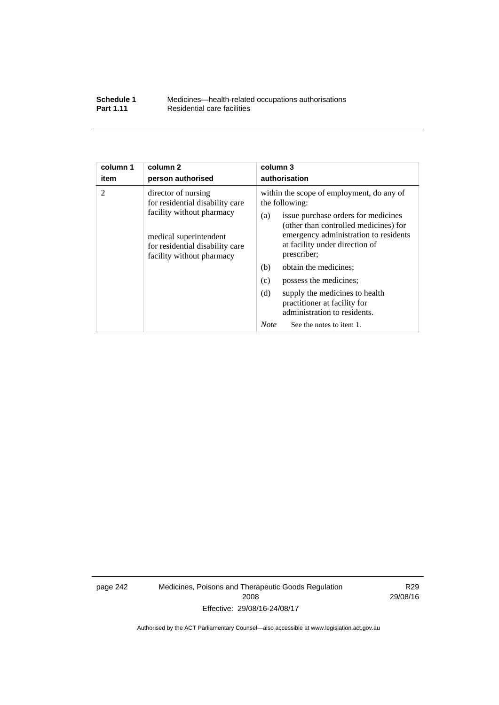| Schedule 1       | Medicines—health-related occupations authorisations |
|------------------|-----------------------------------------------------|
| <b>Part 1.11</b> | Residential care facilities                         |

| column 1       | column <sub>2</sub>                                                                                                                                                           | column 3                                                                                                                                                                                                                                                                                                                                                                                                                                                          |  |
|----------------|-------------------------------------------------------------------------------------------------------------------------------------------------------------------------------|-------------------------------------------------------------------------------------------------------------------------------------------------------------------------------------------------------------------------------------------------------------------------------------------------------------------------------------------------------------------------------------------------------------------------------------------------------------------|--|
| item           | person authorised                                                                                                                                                             | authorisation                                                                                                                                                                                                                                                                                                                                                                                                                                                     |  |
| $\overline{2}$ | director of nursing<br>for residential disability care<br>facility without pharmacy<br>medical superintendent<br>for residential disability care<br>facility without pharmacy | within the scope of employment, do any of<br>the following:<br>issue purchase orders for medicines<br>(a)<br>(other than controlled medicines) for<br>emergency administration to residents<br>at facility under direction of<br>prescriber;<br>(b)<br>obtain the medicines;<br>(c)<br>possess the medicines;<br>(d)<br>supply the medicines to health<br>practitioner at facility for<br>administration to residents.<br><b>Note</b><br>See the notes to item 1. |  |
|                |                                                                                                                                                                               |                                                                                                                                                                                                                                                                                                                                                                                                                                                                   |  |

page 242 Medicines, Poisons and Therapeutic Goods Regulation 2008 Effective: 29/08/16-24/08/17

R29 29/08/16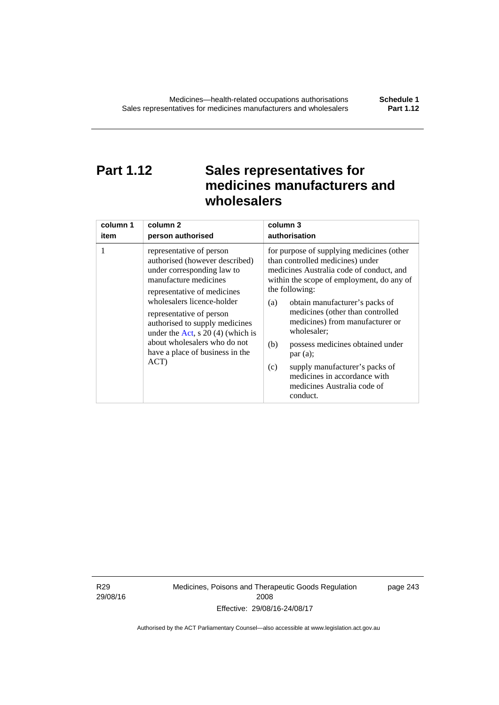### **Part 1.12 Sales representatives for medicines manufacturers and wholesalers**

| column 1 | column 2                                                                                                                                                                                                                                                                                                                                                      | column 3                                                                                                                                                                                                                                                                                                                                                                                                                                                                                          |  |
|----------|---------------------------------------------------------------------------------------------------------------------------------------------------------------------------------------------------------------------------------------------------------------------------------------------------------------------------------------------------------------|---------------------------------------------------------------------------------------------------------------------------------------------------------------------------------------------------------------------------------------------------------------------------------------------------------------------------------------------------------------------------------------------------------------------------------------------------------------------------------------------------|--|
| item     | person authorised                                                                                                                                                                                                                                                                                                                                             | authorisation                                                                                                                                                                                                                                                                                                                                                                                                                                                                                     |  |
| 1        | representative of person<br>authorised (however described)<br>under corresponding law to<br>manufacture medicines<br>representative of medicines<br>wholesalers licence-holder<br>representative of person<br>authorised to supply medicines<br>under the Act, s $20(4)$ (which is<br>about wholesalers who do not<br>have a place of business in the<br>ACT) | for purpose of supplying medicines (other<br>than controlled medicines) under<br>medicines Australia code of conduct, and<br>within the scope of employment, do any of<br>the following:<br>obtain manufacturer's packs of<br>(a)<br>medicines (other than controlled<br>medicines) from manufacturer or<br>wholesaler;<br>(b)<br>possess medicines obtained under<br>par(a);<br>supply manufacturer's packs of<br>(c)<br>medicines in accordance with<br>medicines Australia code of<br>conduct. |  |

R29 29/08/16 Medicines, Poisons and Therapeutic Goods Regulation 2008 Effective: 29/08/16-24/08/17

page 243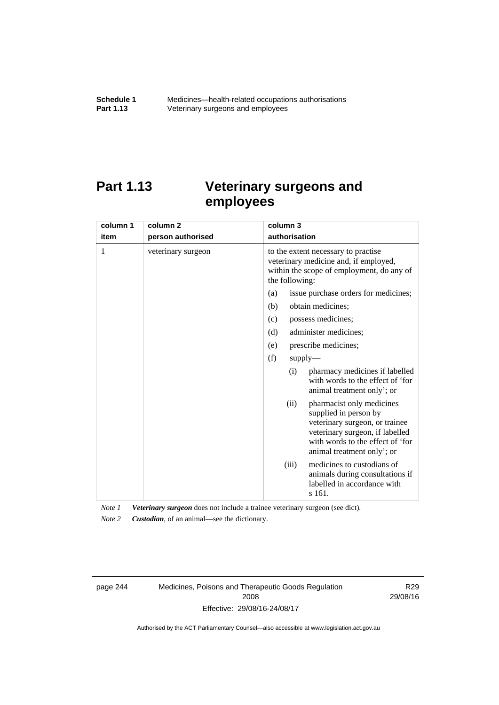### **Part 1.13 Veterinary surgeons and employees**

| column 1 | column <sub>2</sub> | column 3                                                                                                                                                                                          |  |  |
|----------|---------------------|---------------------------------------------------------------------------------------------------------------------------------------------------------------------------------------------------|--|--|
| item     | person authorised   | authorisation                                                                                                                                                                                     |  |  |
| 1        | veterinary surgeon  | to the extent necessary to practise<br>veterinary medicine and, if employed,<br>within the scope of employment, do any of<br>the following:                                                       |  |  |
|          |                     | issue purchase orders for medicines;<br>(a)                                                                                                                                                       |  |  |
|          |                     | (b)<br>obtain medicines;                                                                                                                                                                          |  |  |
|          |                     | possess medicines;<br>(c)                                                                                                                                                                         |  |  |
|          |                     | administer medicines;<br>(d)                                                                                                                                                                      |  |  |
|          |                     | prescribe medicines;<br>(e)                                                                                                                                                                       |  |  |
|          |                     | (f)<br>$supply$ —                                                                                                                                                                                 |  |  |
|          |                     | pharmacy medicines if labelled<br>(i)<br>with words to the effect of 'for<br>animal treatment only'; or                                                                                           |  |  |
|          |                     | pharmacist only medicines<br>(ii)<br>supplied in person by<br>veterinary surgeon, or trainee<br>veterinary surgeon, if labelled<br>with words to the effect of 'for<br>animal treatment only'; or |  |  |
|          |                     | medicines to custodians of<br>(iii)<br>animals during consultations if<br>labelled in accordance with<br>s 161.                                                                                   |  |  |

*Note 1 Veterinary surgeon* does not include a trainee veterinary surgeon (see dict).

*Note 2 Custodian*, of an animal—see the dictionary.

page 244 Medicines, Poisons and Therapeutic Goods Regulation 2008 Effective: 29/08/16-24/08/17

R29 29/08/16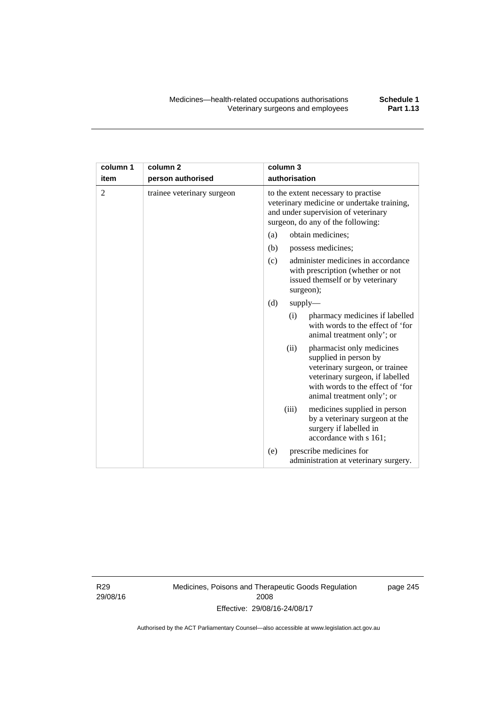| column 1 | column <sub>2</sub>        | column 3                                                                                                                                                                                          |  |  |
|----------|----------------------------|---------------------------------------------------------------------------------------------------------------------------------------------------------------------------------------------------|--|--|
| item     | person authorised          | authorisation                                                                                                                                                                                     |  |  |
| 2        | trainee veterinary surgeon | to the extent necessary to practise<br>veterinary medicine or undertake training,<br>and under supervision of veterinary<br>surgeon, do any of the following:                                     |  |  |
|          |                            | (a)<br>obtain medicines:                                                                                                                                                                          |  |  |
|          |                            | (b)<br>possess medicines;                                                                                                                                                                         |  |  |
|          |                            | administer medicines in accordance<br>(c)<br>with prescription (whether or not<br>issued themself or by veterinary<br>surgeon);                                                                   |  |  |
|          |                            | (d)<br>supply                                                                                                                                                                                     |  |  |
|          |                            | pharmacy medicines if labelled<br>(i)<br>with words to the effect of 'for<br>animal treatment only'; or                                                                                           |  |  |
|          |                            | (ii)<br>pharmacist only medicines<br>supplied in person by<br>veterinary surgeon, or trainee<br>veterinary surgeon, if labelled<br>with words to the effect of 'for<br>animal treatment only'; or |  |  |
|          |                            | (iii)<br>medicines supplied in person<br>by a veterinary surgeon at the<br>surgery if labelled in<br>accordance with s 161;                                                                       |  |  |
|          |                            | prescribe medicines for<br>(e)<br>administration at veterinary surgery.                                                                                                                           |  |  |

R29 29/08/16 Medicines, Poisons and Therapeutic Goods Regulation 2008 Effective: 29/08/16-24/08/17

page 245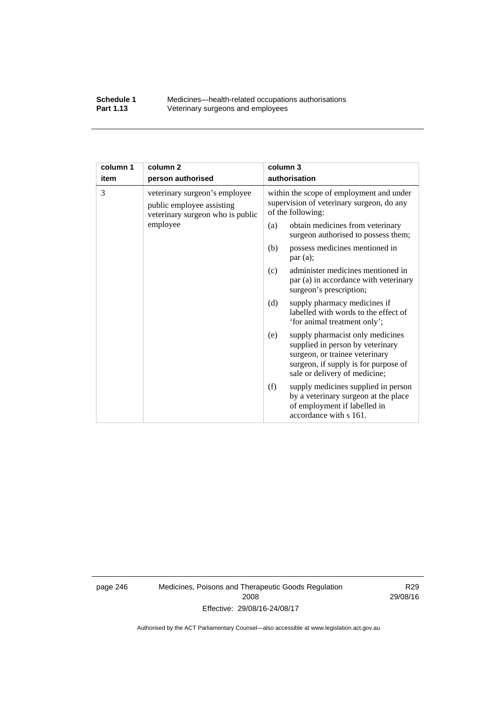#### **Schedule 1** Medicines—health-related occupations authorisations<br>**Part 1.13** Veterinary surgeons and employees Veterinary surgeons and employees

| column 1 | column <sub>2</sub>                                                                            | column 3                                                                                                                                                                               |  |
|----------|------------------------------------------------------------------------------------------------|----------------------------------------------------------------------------------------------------------------------------------------------------------------------------------------|--|
| item     | person authorised                                                                              | authorisation                                                                                                                                                                          |  |
| 3        | veterinary surgeon's employee<br>public employee assisting<br>veterinary surgeon who is public | within the scope of employment and under<br>supervision of veterinary surgeon, do any<br>of the following:                                                                             |  |
|          | employee                                                                                       | obtain medicines from veterinary<br>(a)<br>surgeon authorised to possess them;                                                                                                         |  |
|          |                                                                                                | possess medicines mentioned in<br>(b)<br>par(a);                                                                                                                                       |  |
|          |                                                                                                | administer medicines mentioned in<br>(c)<br>par (a) in accordance with veterinary<br>surgeon's prescription;                                                                           |  |
|          |                                                                                                | (d)<br>supply pharmacy medicines if<br>labelled with words to the effect of<br>'for animal treatment only';                                                                            |  |
|          |                                                                                                | supply pharmacist only medicines<br>(e)<br>supplied in person by veterinary<br>surgeon, or trainee veterinary<br>surgeon, if supply is for purpose of<br>sale or delivery of medicine; |  |
|          |                                                                                                | supply medicines supplied in person<br>(f)<br>by a veterinary surgeon at the place<br>of employment if labelled in<br>accordance with s 161.                                           |  |

page 246 Medicines, Poisons and Therapeutic Goods Regulation 2008 Effective: 29/08/16-24/08/17

R29 29/08/16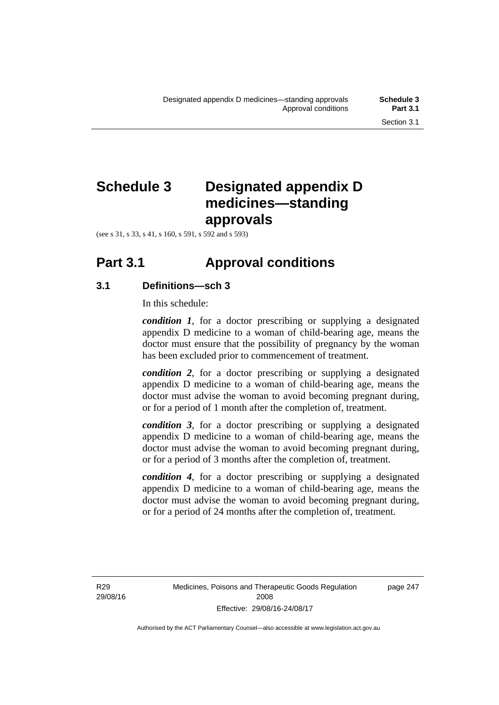## **Schedule 3 Designated appendix D medicines—standing approvals**

(see s 31, s 33, s 41, s 160, s 591, s 592 and s 593)

### **Part 3.1 Approval conditions**

#### **3.1 Definitions—sch 3**

In this schedule:

*condition 1*, for a doctor prescribing or supplying a designated appendix D medicine to a woman of child-bearing age, means the doctor must ensure that the possibility of pregnancy by the woman has been excluded prior to commencement of treatment.

*condition 2*, for a doctor prescribing or supplying a designated appendix D medicine to a woman of child-bearing age, means the doctor must advise the woman to avoid becoming pregnant during, or for a period of 1 month after the completion of, treatment.

*condition 3*, for a doctor prescribing or supplying a designated appendix D medicine to a woman of child-bearing age, means the doctor must advise the woman to avoid becoming pregnant during, or for a period of 3 months after the completion of, treatment.

*condition 4*, for a doctor prescribing or supplying a designated appendix D medicine to a woman of child-bearing age, means the doctor must advise the woman to avoid becoming pregnant during, or for a period of 24 months after the completion of, treatment.

R29 29/08/16 page 247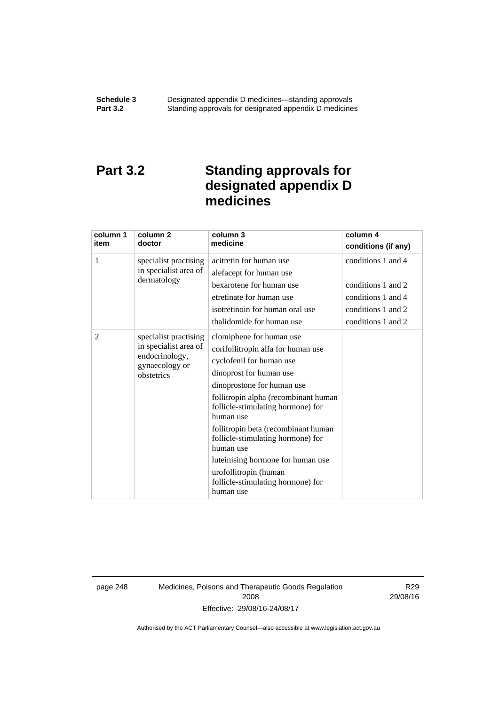### **Part 3.2 Standing approvals for designated appendix D medicines**

| column 1<br>item | column <sub>2</sub><br>doctor                                                                    | column 3<br>medicine                                                                                                                                                                                                                                                                                                                                                                                                                                   | column 4<br>conditions (if any)                                                                            |
|------------------|--------------------------------------------------------------------------------------------------|--------------------------------------------------------------------------------------------------------------------------------------------------------------------------------------------------------------------------------------------------------------------------------------------------------------------------------------------------------------------------------------------------------------------------------------------------------|------------------------------------------------------------------------------------------------------------|
| 1                | specialist practising<br>in specialist area of<br>dermatology                                    | acitretin for human use<br>alefacept for human use<br>bexarotene for human use<br>etretinate for human use<br>isotretinoin for human oral use<br>thalidomide for human use                                                                                                                                                                                                                                                                             | conditions 1 and 4<br>conditions 1 and 2<br>conditions 1 and 4<br>conditions 1 and 2<br>conditions 1 and 2 |
| 2                | specialist practising<br>in specialist area of<br>endocrinology,<br>gynaecology or<br>obstetrics | clomiphene for human use<br>corifollitropin alfa for human use<br>cyclofenil for human use<br>dinoprost for human use<br>dinoprostone for human use<br>follitropin alpha (recombinant human<br>follicle-stimulating hormone) for<br>human use<br>follitropin beta (recombinant human<br>follicle-stimulating hormone) for<br>human use<br>luteinising hormone for human use<br>urofollitropin (human<br>follicle-stimulating hormone) for<br>human use |                                                                                                            |

page 248 Medicines, Poisons and Therapeutic Goods Regulation 2008 Effective: 29/08/16-24/08/17

R29 29/08/16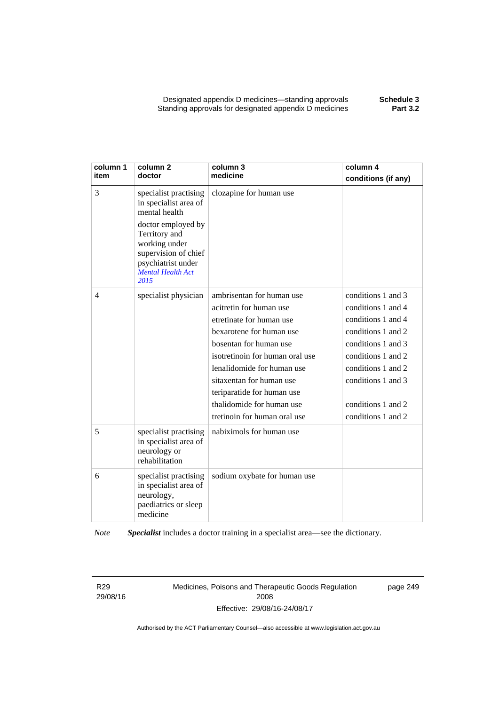| column 1<br>item | column <sub>2</sub><br>doctor                                                                                                                                                                             | column 3<br>medicine                                                                                                                                                                                                                                                                                                           | column 4<br>conditions (if any)                                                                                                                                                                                          |
|------------------|-----------------------------------------------------------------------------------------------------------------------------------------------------------------------------------------------------------|--------------------------------------------------------------------------------------------------------------------------------------------------------------------------------------------------------------------------------------------------------------------------------------------------------------------------------|--------------------------------------------------------------------------------------------------------------------------------------------------------------------------------------------------------------------------|
| 3                | specialist practising<br>in specialist area of<br>mental health<br>doctor employed by<br>Territory and<br>working under<br>supervision of chief<br>psychiatrist under<br><b>Mental Health Act</b><br>2015 | clozapine for human use                                                                                                                                                                                                                                                                                                        |                                                                                                                                                                                                                          |
| $\overline{4}$   | specialist physician                                                                                                                                                                                      | ambrisentan for human use<br>acitretin for human use<br>etretinate for human use<br>bexarotene for human use<br>bosentan for human use<br>isotretinoin for human oral use<br>lenalidomide for human use<br>sitaxentan for human use<br>teriparatide for human use<br>thalidomide for human use<br>tretinoin for human oral use | conditions 1 and 3<br>conditions 1 and 4<br>conditions 1 and 4<br>conditions 1 and 2<br>conditions 1 and 3<br>conditions 1 and 2<br>conditions 1 and 2<br>conditions 1 and 3<br>conditions 1 and 2<br>conditions 1 and 2 |
| 5                | specialist practising<br>in specialist area of<br>neurology or<br>rehabilitation                                                                                                                          | nabiximols for human use                                                                                                                                                                                                                                                                                                       |                                                                                                                                                                                                                          |
| 6                | specialist practising<br>in specialist area of<br>neurology,<br>paediatrics or sleep<br>medicine                                                                                                          | sodium oxybate for human use                                                                                                                                                                                                                                                                                                   |                                                                                                                                                                                                                          |

*Note Specialist* includes a doctor training in a specialist area—see the dictionary.

R29 29/08/16 Medicines, Poisons and Therapeutic Goods Regulation 2008 Effective: 29/08/16-24/08/17

page 249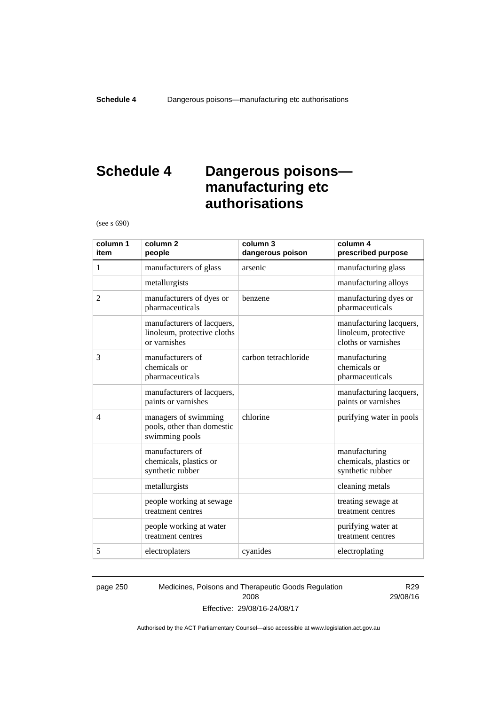### **Schedule 4 Dangerous poisons manufacturing etc authorisations**

(see s 690)

| column 1<br>item | column <sub>2</sub><br>people                                             | column 3<br>dangerous poison | column 4<br>prescribed purpose                                         |
|------------------|---------------------------------------------------------------------------|------------------------------|------------------------------------------------------------------------|
| 1                | manufacturers of glass                                                    | arsenic                      | manufacturing glass                                                    |
|                  | metallurgists                                                             |                              | manufacturing alloys                                                   |
| $\overline{2}$   | manufacturers of dyes or<br>pharmaceuticals                               | benzene                      | manufacturing dyes or<br>pharmaceuticals                               |
|                  | manufacturers of lacquers,<br>linoleum, protective cloths<br>or varnishes |                              | manufacturing lacquers,<br>linoleum, protective<br>cloths or varnishes |
| 3                | manufacturers of<br>chemicals or<br>pharmaceuticals                       | carbon tetrachloride         | manufacturing<br>chemicals or<br>pharmaceuticals                       |
|                  | manufacturers of lacquers,<br>paints or varnishes                         |                              | manufacturing lacquers,<br>paints or varnishes                         |
| $\overline{4}$   | managers of swimming<br>pools, other than domestic<br>swimming pools      | chlorine                     | purifying water in pools                                               |
|                  | manufacturers of<br>chemicals, plastics or<br>synthetic rubber            |                              | manufacturing<br>chemicals, plastics or<br>synthetic rubber            |
|                  | metallurgists                                                             |                              | cleaning metals                                                        |
|                  | people working at sewage<br>treatment centres                             |                              | treating sewage at<br>treatment centres                                |
|                  | people working at water<br>treatment centres                              |                              | purifying water at<br>treatment centres                                |
| 5                | electroplaters                                                            | cyanides                     | electroplating                                                         |

page 250 Medicines, Poisons and Therapeutic Goods Regulation 2008 Effective: 29/08/16-24/08/17

R29 29/08/16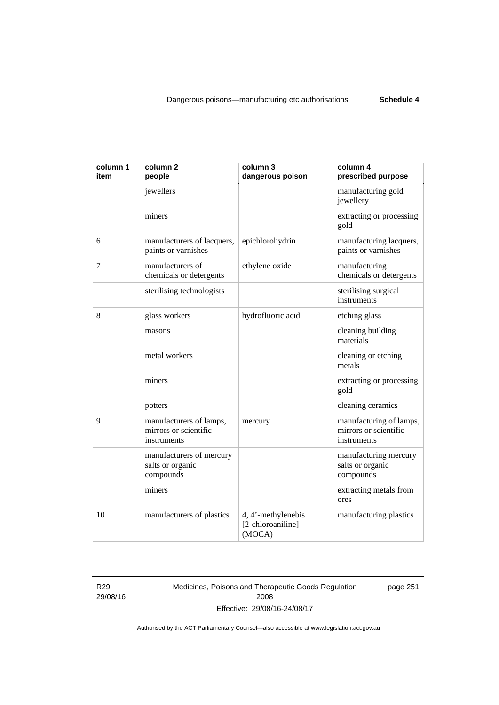| column 1<br>item | column <sub>2</sub><br>people                                   | column 3<br>dangerous poison                      | column 4<br>prescribed purpose                                  |
|------------------|-----------------------------------------------------------------|---------------------------------------------------|-----------------------------------------------------------------|
|                  | jewellers                                                       |                                                   | manufacturing gold<br>jewellery                                 |
|                  | miners                                                          |                                                   | extracting or processing<br>gold                                |
| 6                | manufacturers of lacquers,<br>paints or varnishes               | epichlorohydrin                                   | manufacturing lacquers,<br>paints or varnishes                  |
| 7                | manufacturers of<br>chemicals or detergents                     | ethylene oxide                                    | manufacturing<br>chemicals or detergents                        |
|                  | sterilising technologists                                       |                                                   | sterilising surgical<br>instruments                             |
| 8                | glass workers                                                   | hydrofluoric acid                                 | etching glass                                                   |
|                  | masons                                                          |                                                   | cleaning building<br>materials                                  |
|                  | metal workers                                                   |                                                   | cleaning or etching<br>metals                                   |
|                  | miners                                                          |                                                   | extracting or processing<br>gold                                |
|                  | potters                                                         |                                                   | cleaning ceramics                                               |
| 9                | manufacturers of lamps,<br>mirrors or scientific<br>instruments | mercury                                           | manufacturing of lamps,<br>mirrors or scientific<br>instruments |
|                  | manufacturers of mercury<br>salts or organic<br>compounds       |                                                   | manufacturing mercury<br>salts or organic<br>compounds          |
|                  | miners                                                          |                                                   | extracting metals from<br>ores                                  |
| 10               | manufacturers of plastics                                       | 4, 4'-methylenebis<br>[2-chloroaniline]<br>(MOCA) | manufacturing plastics                                          |

R29 29/08/16 Medicines, Poisons and Therapeutic Goods Regulation 2008 Effective: 29/08/16-24/08/17

page 251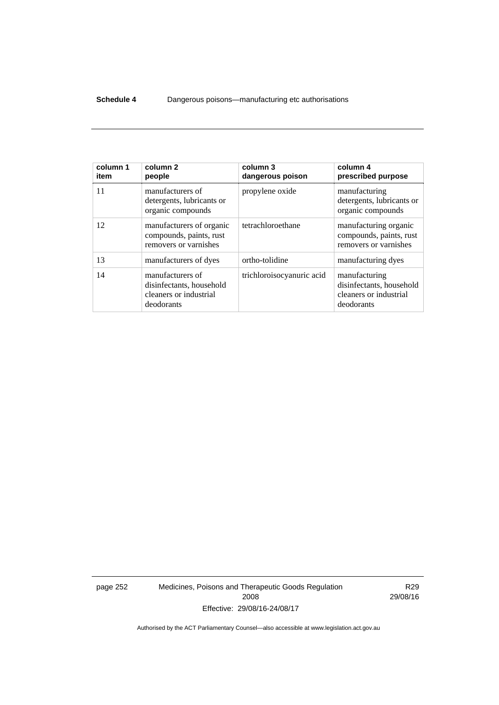#### **Schedule 4** Dangerous poisons—manufacturing etc authorisations

| column 1<br>item | column <sub>2</sub><br>people                                                        | column 3<br>dangerous poison | column 4<br>prescribed purpose                                                    |
|------------------|--------------------------------------------------------------------------------------|------------------------------|-----------------------------------------------------------------------------------|
| 11               | manufacturers of<br>detergents, lubricants or<br>organic compounds                   | propylene oxide              | manufacturing<br>detergents, lubricants or<br>organic compounds                   |
| 12               | manufacturers of organic<br>compounds, paints, rust<br>removers or varnishes         | tetrachloroethane            | manufacturing organic<br>compounds, paints, rust<br>removers or varnishes         |
| 13               | manufacturers of dyes                                                                | ortho-tolidine               | manufacturing dyes                                                                |
| 14               | manufacturers of<br>disinfectants, household<br>cleaners or industrial<br>deodorants | trichloroisocyanuric acid    | manufacturing<br>disinfectants, household<br>cleaners or industrial<br>deodorants |

page 252 Medicines, Poisons and Therapeutic Goods Regulation 2008 Effective: 29/08/16-24/08/17

R29 29/08/16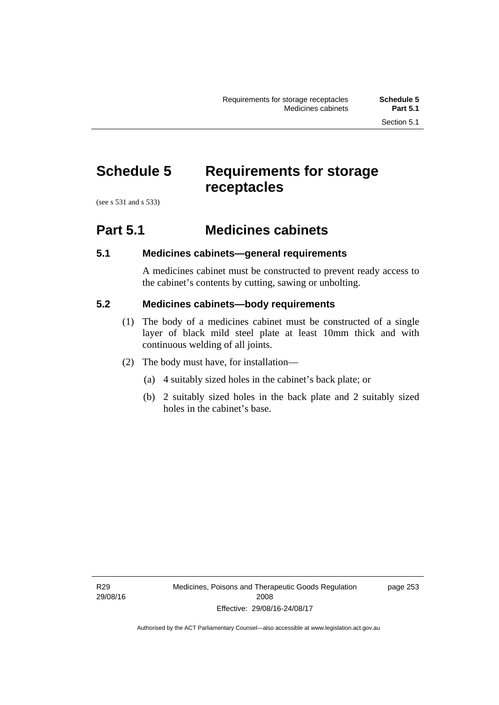### **Schedule 5 Requirements for storage receptacles**

(see s 531 and s 533)

#### **Part 5.1 Medicines cabinets**

#### **5.1 Medicines cabinets—general requirements**

A medicines cabinet must be constructed to prevent ready access to the cabinet's contents by cutting, sawing or unbolting.

#### **5.2 Medicines cabinets—body requirements**

- (1) The body of a medicines cabinet must be constructed of a single layer of black mild steel plate at least 10mm thick and with continuous welding of all joints.
- (2) The body must have, for installation—
	- (a) 4 suitably sized holes in the cabinet's back plate; or
	- (b) 2 suitably sized holes in the back plate and 2 suitably sized holes in the cabinet's base.

page 253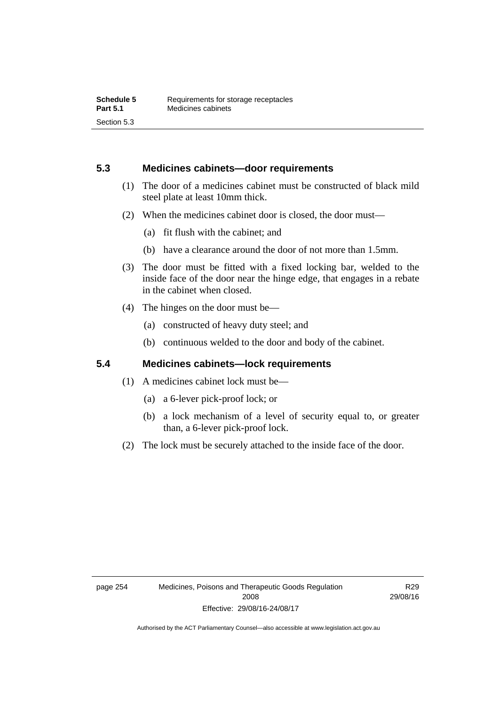#### **5.3 Medicines cabinets—door requirements**

- (1) The door of a medicines cabinet must be constructed of black mild steel plate at least 10mm thick.
- (2) When the medicines cabinet door is closed, the door must—
	- (a) fit flush with the cabinet; and
	- (b) have a clearance around the door of not more than 1.5mm.
- (3) The door must be fitted with a fixed locking bar, welded to the inside face of the door near the hinge edge, that engages in a rebate in the cabinet when closed.
- (4) The hinges on the door must be—
	- (a) constructed of heavy duty steel; and
	- (b) continuous welded to the door and body of the cabinet.

#### **5.4 Medicines cabinets—lock requirements**

- (1) A medicines cabinet lock must be—
	- (a) a 6-lever pick-proof lock; or
	- (b) a lock mechanism of a level of security equal to, or greater than, a 6-lever pick-proof lock.
- (2) The lock must be securely attached to the inside face of the door.

R29 29/08/16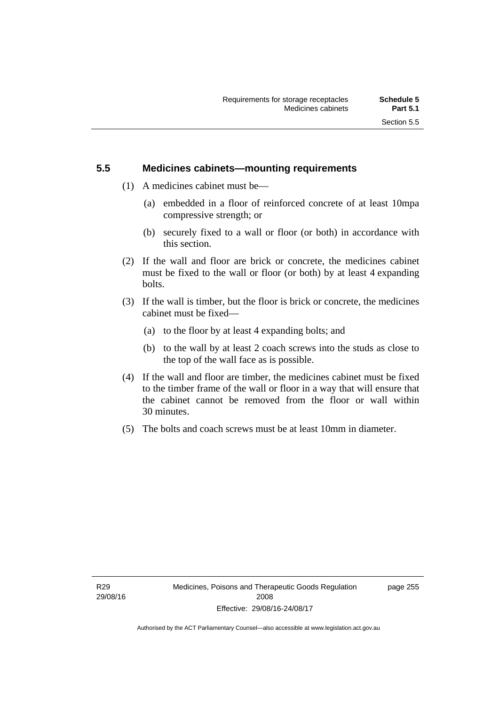#### **5.5 Medicines cabinets—mounting requirements**

- (1) A medicines cabinet must be—
	- (a) embedded in a floor of reinforced concrete of at least 10mpa compressive strength; or
	- (b) securely fixed to a wall or floor (or both) in accordance with this section.
- (2) If the wall and floor are brick or concrete, the medicines cabinet must be fixed to the wall or floor (or both) by at least 4 expanding bolts.
- (3) If the wall is timber, but the floor is brick or concrete, the medicines cabinet must be fixed—
	- (a) to the floor by at least 4 expanding bolts; and
	- (b) to the wall by at least 2 coach screws into the studs as close to the top of the wall face as is possible.
- (4) If the wall and floor are timber, the medicines cabinet must be fixed to the timber frame of the wall or floor in a way that will ensure that the cabinet cannot be removed from the floor or wall within 30 minutes.
- (5) The bolts and coach screws must be at least 10mm in diameter.

page 255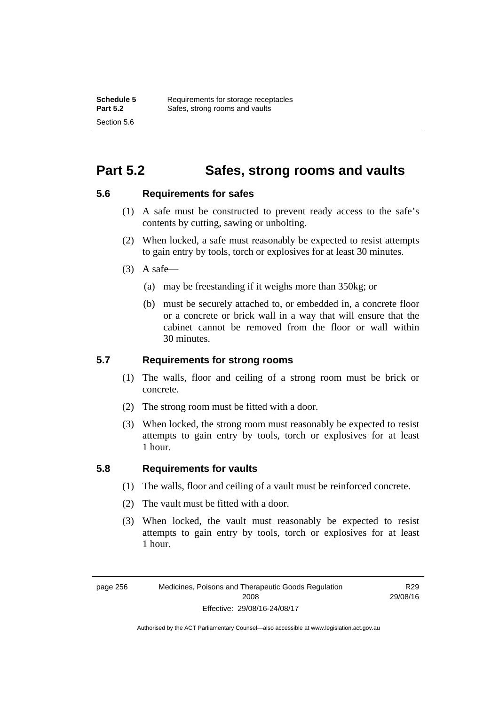### **Part 5.2 Safes, strong rooms and vaults**

#### **5.6 Requirements for safes**

- (1) A safe must be constructed to prevent ready access to the safe's contents by cutting, sawing or unbolting.
- (2) When locked, a safe must reasonably be expected to resist attempts to gain entry by tools, torch or explosives for at least 30 minutes.
- $(3)$  A safe-
	- (a) may be freestanding if it weighs more than 350kg; or
	- (b) must be securely attached to, or embedded in, a concrete floor or a concrete or brick wall in a way that will ensure that the cabinet cannot be removed from the floor or wall within 30 minutes.

#### **5.7 Requirements for strong rooms**

- (1) The walls, floor and ceiling of a strong room must be brick or concrete.
- (2) The strong room must be fitted with a door.
- (3) When locked, the strong room must reasonably be expected to resist attempts to gain entry by tools, torch or explosives for at least 1 hour.

#### **5.8 Requirements for vaults**

- (1) The walls, floor and ceiling of a vault must be reinforced concrete.
- (2) The vault must be fitted with a door.
- (3) When locked, the vault must reasonably be expected to resist attempts to gain entry by tools, torch or explosives for at least 1 hour.

page 256 Medicines, Poisons and Therapeutic Goods Regulation 2008 Effective: 29/08/16-24/08/17

R29 29/08/16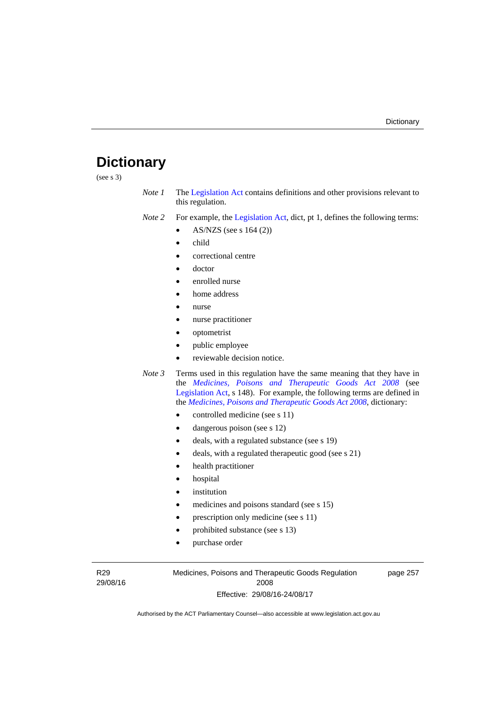### **Dictionary**

(see s 3)

- *Note 1* The [Legislation Act](http://www.legislation.act.gov.au/a/2001-14) contains definitions and other provisions relevant to this regulation.
- *Note 2* For example, the [Legislation Act,](http://www.legislation.act.gov.au/a/2001-14) dict, pt 1, defines the following terms:
	- AS/NZS (see s 164 (2))
	- child
	- correctional centre
	- doctor
	- enrolled nurse
	- home address
	- nurse
	- nurse practitioner
	- optometrist
	- public employee
	- reviewable decision notice.
- *Note 3* Terms used in this regulation have the same meaning that they have in the *[Medicines, Poisons and Therapeutic Goods Act 2008](http://www.legislation.act.gov.au/a/2008-26)* (see [Legislation Act,](http://www.legislation.act.gov.au/a/2001-14) s 148). For example, the following terms are defined in the *[Medicines, Poisons and Therapeutic Goods Act 2008](http://www.legislation.act.gov.au/a/2008-26)*, dictionary:
	- controlled medicine (see s 11)
	- dangerous poison (see s 12)
	- deals, with a regulated substance (see s 19)
	- deals, with a regulated therapeutic good (see s 21)
	- health practitioner
	- hospital
	- institution
	- medicines and poisons standard (see s 15)
	- prescription only medicine (see s 11)
	- prohibited substance (see s 13)
	- purchase order

R29 29/08/16 Medicines, Poisons and Therapeutic Goods Regulation 2008 Effective: 29/08/16-24/08/17

page 257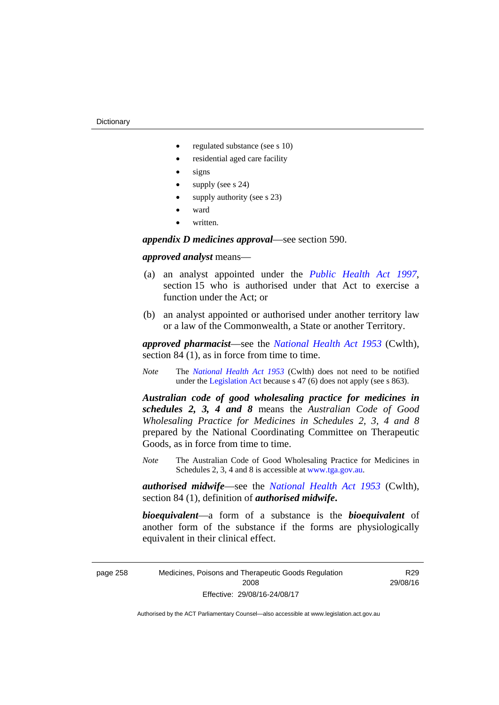- regulated substance (see s 10)
- residential aged care facility
- signs
- supply (see s 24)
- supply authority (see s 23)
- ward
- written.

*appendix D medicines approval*—see section 590.

#### *approved analyst* means—

- (a) an analyst appointed under the *[Public Health Act 1997](http://www.legislation.act.gov.au/a/1997-69)*, section 15 who is authorised under that Act to exercise a function under the Act; or
- (b) an analyst appointed or authorised under another territory law or a law of the Commonwealth, a State or another Territory.

*approved pharmacist*––see the *[National Health Act 1953](http://www.comlaw.gov.au/Series/C1953A00095)* (Cwlth), section 84 (1), as in force from time to time.

*Note* The *[National Health Act 1953](http://www.comlaw.gov.au/Series/C1953A00095)* (Cwlth) does not need to be notified under the [Legislation Act](http://www.legislation.act.gov.au/a/2001-14) because s 47 (6) does not apply (see s 863).

*Australian code of good wholesaling practice for medicines in schedules 2, 3, 4 and 8* means the *Australian Code of Good Wholesaling Practice for Medicines in Schedules 2, 3, 4 and 8* prepared by the National Coordinating Committee on Therapeutic Goods, as in force from time to time.

*Note* The Australian Code of Good Wholesaling Practice for Medicines in Schedules 2, 3, 4 and 8 is accessible at [www.tga.gov.au.](http://www.tga.gov.au/)

*authorised midwife*—see the *[National Health Act 1953](http://www.comlaw.gov.au/Series/C1953A00095)* (Cwlth), section 84 (1), definition of *authorised midwife***.**

*bioequivalent*—a form of a substance is the *bioequivalent* of another form of the substance if the forms are physiologically equivalent in their clinical effect.

page 258 Medicines, Poisons and Therapeutic Goods Regulation 2008 Effective: 29/08/16-24/08/17

R29 29/08/16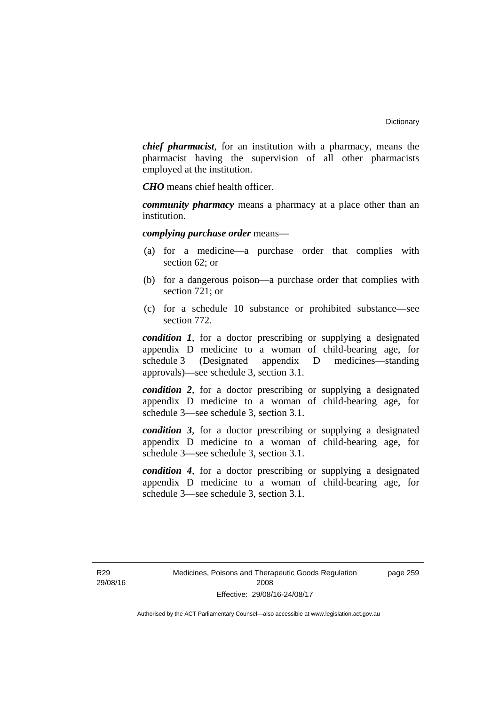*chief pharmacist*, for an institution with a pharmacy, means the pharmacist having the supervision of all other pharmacists employed at the institution.

*CHO* means chief health officer.

*community pharmacy* means a pharmacy at a place other than an institution.

*complying purchase order* means—

- (a) for a medicine—a purchase order that complies with section 62; or
- (b) for a dangerous poison—a purchase order that complies with section 721; or
- (c) for a schedule 10 substance or prohibited substance—see section 772.

*condition 1*, for a doctor prescribing or supplying a designated appendix D medicine to a woman of child-bearing age, for schedule 3 (Designated appendix D medicines—standing approvals)—see schedule 3, section 3.1.

*condition 2*, for a doctor prescribing or supplying a designated appendix D medicine to a woman of child-bearing age, for schedule 3—see schedule 3, section 3.1.

*condition 3*, for a doctor prescribing or supplying a designated appendix D medicine to a woman of child-bearing age, for schedule 3—see schedule 3, section 3.1.

*condition 4*, for a doctor prescribing or supplying a designated appendix D medicine to a woman of child-bearing age, for schedule 3—see schedule 3, section 3.1.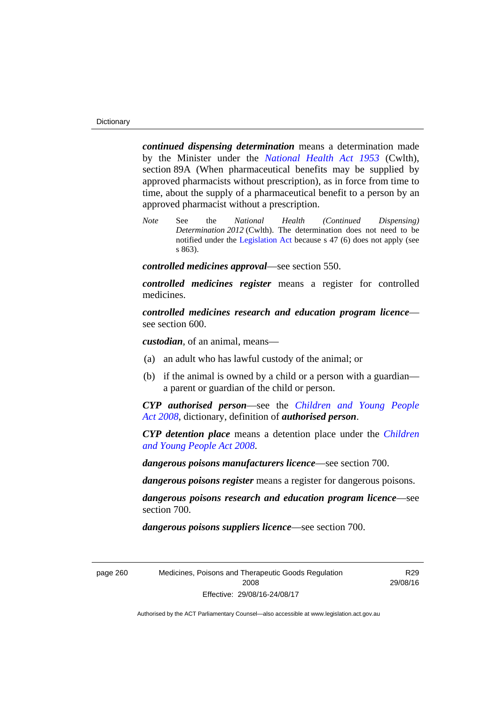*continued dispensing determination* means a determination made by the Minister under the *[National Health Act 1953](http://www.comlaw.gov.au/Series/C1953A00095)* (Cwlth), section 89A (When pharmaceutical benefits may be supplied by approved pharmacists without prescription), as in force from time to time, about the supply of a pharmaceutical benefit to a person by an approved pharmacist without a prescription.

*Note* See the *National Health (Continued Dispensing) Determination 2012* (Cwlth). The determination does not need to be notified under the [Legislation Act](http://www.legislation.act.gov.au/a/2001-14) because s 47 (6) does not apply (see s 863).

*controlled medicines approval*—see section 550.

*controlled medicines register* means a register for controlled medicines.

*controlled medicines research and education program licence* see section 600.

*custodian*, of an animal, means—

- (a) an adult who has lawful custody of the animal; or
- (b) if the animal is owned by a child or a person with a guardian a parent or guardian of the child or person.

*CYP authorised person*—see the *[Children and Young People](http://www.legislation.act.gov.au/a/2008-19)  [Act 2008](http://www.legislation.act.gov.au/a/2008-19)*, dictionary, definition of *authorised person*.

*CYP detention place* means a detention place under the *[Children](http://www.legislation.act.gov.au/a/2008-19)  [and Young People Act 2008](http://www.legislation.act.gov.au/a/2008-19)*.

*dangerous poisons manufacturers licence*—see section 700.

*dangerous poisons register* means a register for dangerous poisons.

*dangerous poisons research and education program licence*—see section 700.

*dangerous poisons suppliers licence*—see section 700.

page 260 Medicines, Poisons and Therapeutic Goods Regulation 2008 Effective: 29/08/16-24/08/17

R29 29/08/16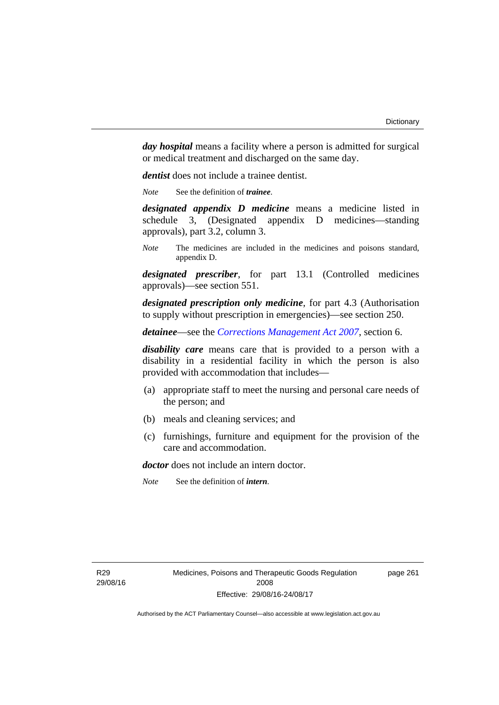*day hospital* means a facility where a person is admitted for surgical or medical treatment and discharged on the same day.

*dentist* does not include a trainee dentist.

*Note* See the definition of *trainee*.

*designated appendix D medicine* means a medicine listed in schedule 3, (Designated appendix D medicines—standing approvals), part 3.2, column 3.

*Note* The medicines are included in the medicines and poisons standard, appendix D.

*designated prescriber*, for part 13.1 (Controlled medicines approvals)—see section 551.

*designated prescription only medicine*, for part 4.3 (Authorisation to supply without prescription in emergencies)—see section 250.

*detainee*—see the *[Corrections Management Act 2007](http://www.legislation.act.gov.au/a/2007-15)*, section 6.

*disability care* means care that is provided to a person with a disability in a residential facility in which the person is also provided with accommodation that includes—

- (a) appropriate staff to meet the nursing and personal care needs of the person; and
- (b) meals and cleaning services; and
- (c) furnishings, furniture and equipment for the provision of the care and accommodation.

*doctor* does not include an intern doctor.

*Note* See the definition of *intern*.

page 261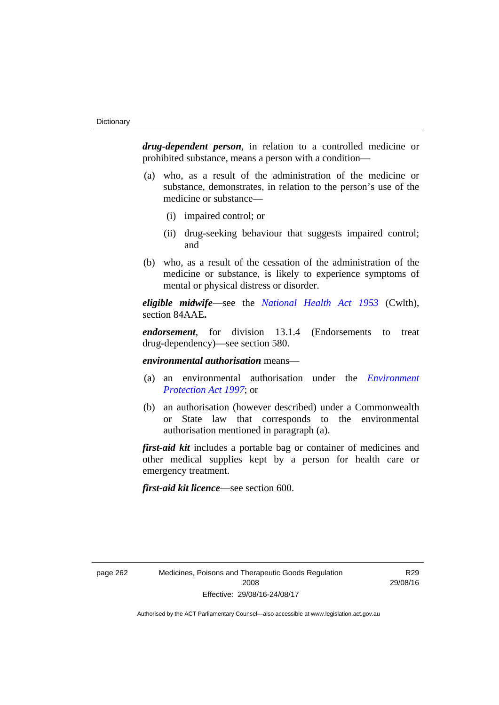*drug-dependent person*, in relation to a controlled medicine or prohibited substance, means a person with a condition—

- (a) who, as a result of the administration of the medicine or substance, demonstrates, in relation to the person's use of the medicine or substance—
	- (i) impaired control; or
	- (ii) drug-seeking behaviour that suggests impaired control; and
- (b) who, as a result of the cessation of the administration of the medicine or substance, is likely to experience symptoms of mental or physical distress or disorder.

*eligible midwife*—see the *[National Health Act 1953](http://www.comlaw.gov.au/Series/C1953A00095)* (Cwlth), section 84AAE**.**

*endorsement*, for division 13.1.4 (Endorsements to treat drug-dependency)—see section 580.

*environmental authorisation* means—

- (a) an environmental authorisation under the *[Environment](http://www.legislation.act.gov.au/a/1997-92)  [Protection Act 1997](http://www.legislation.act.gov.au/a/1997-92)*; or
- (b) an authorisation (however described) under a Commonwealth or State law that corresponds to the environmental authorisation mentioned in paragraph (a).

*first-aid kit* includes a portable bag or container of medicines and other medical supplies kept by a person for health care or emergency treatment.

*first-aid kit licence*—see section 600.

R29 29/08/16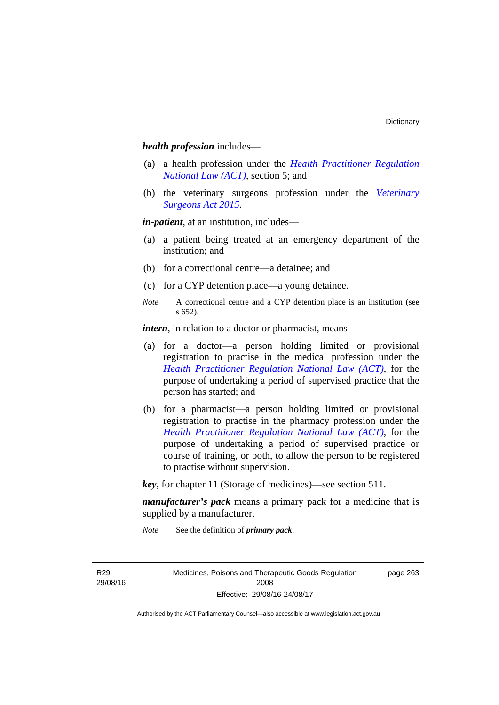*health profession* includes—

- (a) a health profession under the *[Health Practitioner Regulation](http://www.legislation.act.gov.au/a/db_39269/default.asp)  [National Law \(ACT\)](http://www.legislation.act.gov.au/a/db_39269/default.asp)*, section 5; and
- (b) the veterinary surgeons profession under the *[Veterinary](http://www.legislation.act.gov.au/a/2015-29/default.asp)  [Surgeons Act 2015](http://www.legislation.act.gov.au/a/2015-29/default.asp)*.

*in-patient*, at an institution, includes—

- (a) a patient being treated at an emergency department of the institution; and
- (b) for a correctional centre—a detainee; and
- (c) for a CYP detention place—a young detainee.
- *Note* A correctional centre and a CYP detention place is an institution (see s 652).

*intern*, in relation to a doctor or pharmacist, means—

- (a) for a doctor—a person holding limited or provisional registration to practise in the medical profession under the *[Health Practitioner Regulation National Law \(ACT\)](http://www.legislation.act.gov.au/a/db_39269/default.asp)*, for the purpose of undertaking a period of supervised practice that the person has started; and
- (b) for a pharmacist—a person holding limited or provisional registration to practise in the pharmacy profession under the *[Health Practitioner Regulation National Law \(ACT\)](http://www.legislation.act.gov.au/a/db_39269/default.asp)*, for the purpose of undertaking a period of supervised practice or course of training, or both, to allow the person to be registered to practise without supervision.

*key*, for chapter 11 (Storage of medicines)—see section 511.

*manufacturer's pack* means a primary pack for a medicine that is supplied by a manufacturer.

*Note* See the definition of *primary pack*.

R29 29/08/16 Medicines, Poisons and Therapeutic Goods Regulation 2008 Effective: 29/08/16-24/08/17

page 263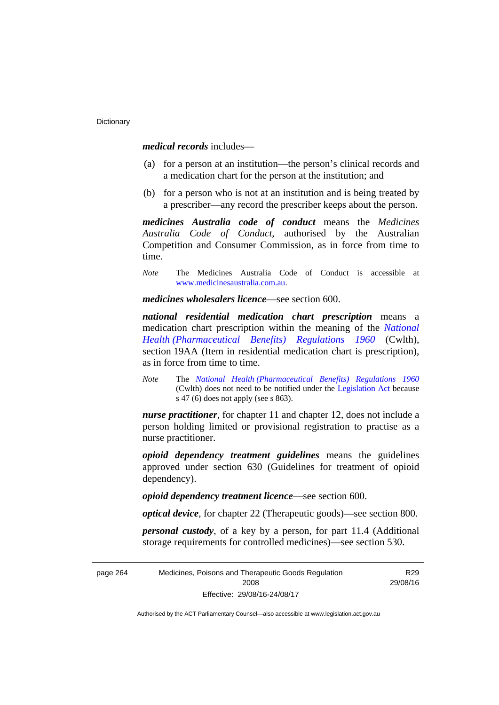*medical records* includes—

- (a) for a person at an institution—the person's clinical records and a medication chart for the person at the institution; and
- (b) for a person who is not at an institution and is being treated by a prescriber—any record the prescriber keeps about the person.

*medicines Australia code of conduct* means the *Medicines Australia Code of Conduct*, authorised by the Australian Competition and Consumer Commission, as in force from time to time.

*Note* The Medicines Australia Code of Conduct is accessible at [www.medicinesaustralia.com.au](http://www.medicinesaustralia.com.au/).

*medicines wholesalers licence*—see section 600.

*national residential medication chart prescription* means a medication chart prescription within the meaning of the *[National](http://www.comlaw.gov.au/Series/F1996B02844)  [Health \(Pharmaceutical Benefits\) Regulations 1960](http://www.comlaw.gov.au/Series/F1996B02844)* (Cwlth), section 19AA (Item in residential medication chart is prescription), as in force from time to time.

*Note* The *[National Health \(Pharmaceutical Benefits\) Regulations 1960](http://www.comlaw.gov.au/Series/F1996B02844)* (Cwlth) does not need to be notified under the [Legislation Act](http://www.legislation.act.gov.au/a/2001-14) because s 47 (6) does not apply (see s 863).

*nurse practitioner*, for chapter 11 and chapter 12, does not include a person holding limited or provisional registration to practise as a nurse practitioner.

*opioid dependency treatment guidelines* means the guidelines approved under section 630 (Guidelines for treatment of opioid dependency).

*opioid dependency treatment licence*—see section 600.

*optical device*, for chapter 22 (Therapeutic goods)—see section 800.

*personal custody*, of a key by a person, for part 11.4 (Additional storage requirements for controlled medicines)—see section 530.

> R29 29/08/16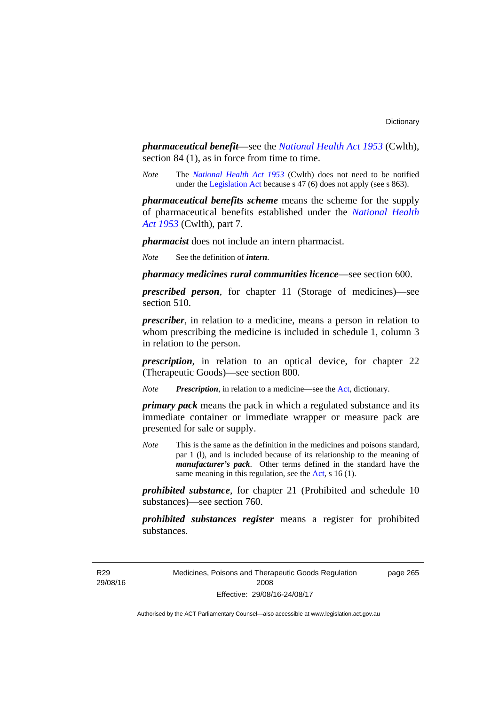*pharmaceutical benefit*—see the *[National Health Act 1953](http://www.comlaw.gov.au/Series/C1953A00095)* (Cwlth), section 84 (1), as in force from time to time.

*Note* The *[National Health Act 1953](http://www.comlaw.gov.au/Series/C1953A00095)* (Cwlth) does not need to be notified under the [Legislation Act](http://www.legislation.act.gov.au/a/2001-14) because s 47 (6) does not apply (see s 863).

*pharmaceutical benefits scheme* means the scheme for the supply of pharmaceutical benefits established under the *[National Health](http://www.comlaw.gov.au/Series/C1953A00095)  [Act 1953](http://www.comlaw.gov.au/Series/C1953A00095)* (Cwlth), part 7.

*pharmacist* does not include an intern pharmacist.

*Note* See the definition of *intern*.

*pharmacy medicines rural communities licence*—see section 600.

*prescribed person*, for chapter 11 (Storage of medicines)—see section 510.

*prescriber*, in relation to a medicine, means a person in relation to whom prescribing the medicine is included in schedule 1, column 3 in relation to the person.

*prescription*, in relation to an optical device, for chapter 22 (Therapeutic Goods)—see section 800.

*Note Prescription*, in relation to a medicine—see the [Act](http://www.legislation.act.gov.au/a/2008-26/default.asp), dictionary.

*primary pack* means the pack in which a regulated substance and its immediate container or immediate wrapper or measure pack are presented for sale or supply.

*Note* This is the same as the definition in the medicines and poisons standard, par 1 (l), and is included because of its relationship to the meaning of *manufacturer's pack*. Other terms defined in the standard have the same meaning in this regulation, see the [Act](http://www.legislation.act.gov.au/a/2008-26/default.asp), s 16 (1).

*prohibited substance*, for chapter 21 (Prohibited and schedule 10 substances)—see section 760.

*prohibited substances register* means a register for prohibited substances.

R29 29/08/16 page 265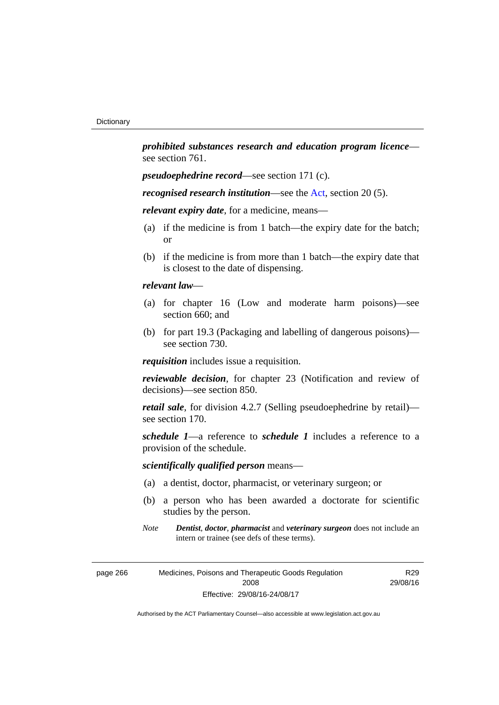*prohibited substances research and education program licence* see section 761.

*pseudoephedrine record*—see section 171 (c).

*recognised research institution*—see the [Act](http://www.legislation.act.gov.au/a/2008-26/default.asp), section 20 (5).

*relevant expiry date*, for a medicine, means—

- (a) if the medicine is from 1 batch—the expiry date for the batch; or
- (b) if the medicine is from more than 1 batch—the expiry date that is closest to the date of dispensing.

## *relevant law*—

- (a) for chapter 16 (Low and moderate harm poisons)—see section 660; and
- (b) for part 19.3 (Packaging and labelling of dangerous poisons) see section 730.

*requisition* includes issue a requisition.

*reviewable decision*, for chapter 23 (Notification and review of decisions)—see section 850.

*retail sale*, for division 4.2.7 (Selling pseudoephedrine by retail) see section 170.

*schedule 1*—a reference to *schedule 1* includes a reference to a provision of the schedule.

# *scientifically qualified person* means—

- (a) a dentist, doctor, pharmacist, or veterinary surgeon; or
- (b) a person who has been awarded a doctorate for scientific studies by the person.
- *Note Dentist*, *doctor*, *pharmacist* and *veterinary surgeon* does not include an intern or trainee (see defs of these terms).

R29 29/08/16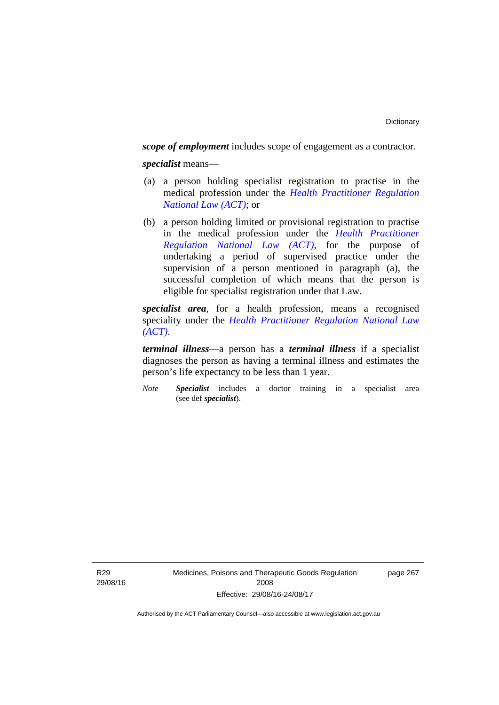*scope of employment* includes scope of engagement as a contractor. *specialist* means—

- (a) a person holding specialist registration to practise in the medical profession under the *[Health Practitioner Regulation](http://www.legislation.act.gov.au/a/db_39269/default.asp)  [National Law \(ACT\)](http://www.legislation.act.gov.au/a/db_39269/default.asp)*; or
- (b) a person holding limited or provisional registration to practise in the medical profession under the *[Health Practitioner](http://www.legislation.act.gov.au/a/db_39269/default.asp)  [Regulation National Law \(ACT\)](http://www.legislation.act.gov.au/a/db_39269/default.asp)*, for the purpose of undertaking a period of supervised practice under the supervision of a person mentioned in paragraph (a), the successful completion of which means that the person is eligible for specialist registration under that Law.

*specialist area*, for a health profession, means a recognised speciality under the *[Health Practitioner Regulation National Law](http://www.legislation.act.gov.au/a/db_39269/default.asp)  [\(ACT\)](http://www.legislation.act.gov.au/a/db_39269/default.asp)*.

*terminal illness*—a person has a *terminal illness* if a specialist diagnoses the person as having a terminal illness and estimates the person's life expectancy to be less than 1 year.

*Note Specialist* includes a doctor training in a specialist area (see def *specialist*).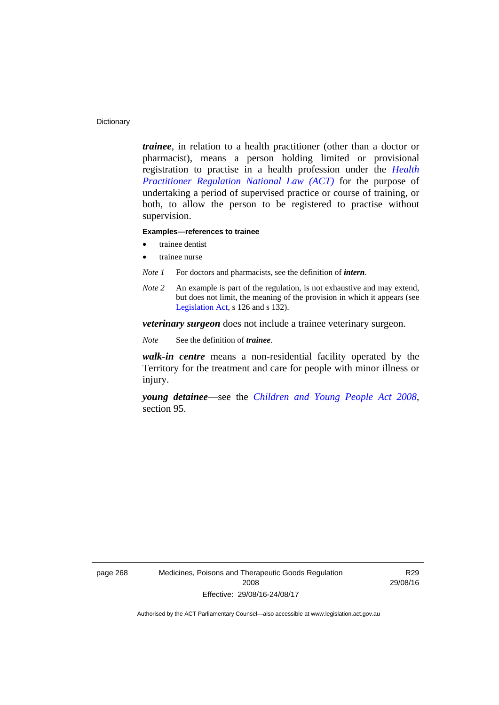#### **Dictionary**

*trainee*, in relation to a health practitioner (other than a doctor or pharmacist), means a person holding limited or provisional registration to practise in a health profession under the *[Health](http://www.legislation.act.gov.au/a/db_39269/default.asp)  [Practitioner Regulation National Law \(ACT\)](http://www.legislation.act.gov.au/a/db_39269/default.asp)* for the purpose of undertaking a period of supervised practice or course of training, or both, to allow the person to be registered to practise without supervision.

#### **Examples—references to trainee**

- trainee dentist
- trainee nurse
- *Note 1* For doctors and pharmacists, see the definition of *intern*.
- *Note 2* An example is part of the regulation, is not exhaustive and may extend, but does not limit, the meaning of the provision in which it appears (see [Legislation Act,](http://www.legislation.act.gov.au/a/2001-14) s 126 and s 132).

*veterinary surgeon* does not include a trainee veterinary surgeon.

*Note* See the definition of *trainee*.

*walk-in centre* means a non-residential facility operated by the Territory for the treatment and care for people with minor illness or injury.

*young detainee*—see the *[Children and Young People Act 2008](http://www.legislation.act.gov.au/a/2008-19)*, section 95.

R29 29/08/16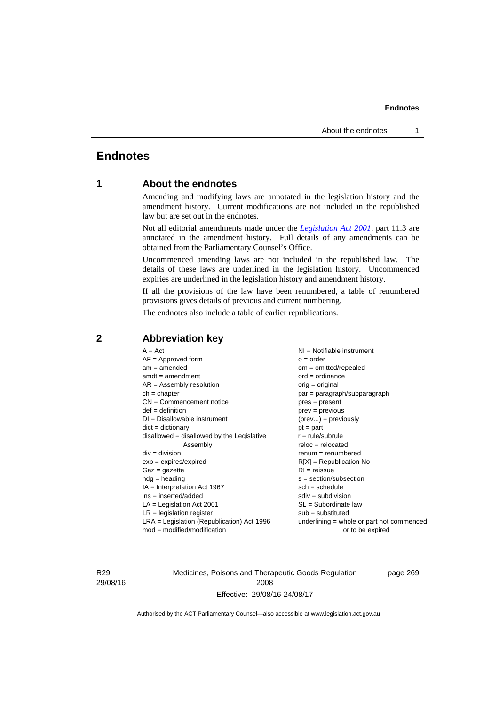# **Endnotes**

# **1 About the endnotes**

Amending and modifying laws are annotated in the legislation history and the amendment history. Current modifications are not included in the republished law but are set out in the endnotes.

Not all editorial amendments made under the *[Legislation Act 2001](http://www.legislation.act.gov.au/a/2001-14)*, part 11.3 are annotated in the amendment history. Full details of any amendments can be obtained from the Parliamentary Counsel's Office.

Uncommenced amending laws are not included in the republished law. The details of these laws are underlined in the legislation history. Uncommenced expiries are underlined in the legislation history and amendment history.

If all the provisions of the law have been renumbered, a table of renumbered provisions gives details of previous and current numbering.

The endnotes also include a table of earlier republications.

| $A = Act$<br>$ch = chapter$<br>$def = definition$<br>$div = division$<br>$Gaz = gazette$<br>$hdg = heading$ | $AF =$ Approved form<br>$am = amended$<br>$amdt = amendment$<br>$AR = Assembly resolution$<br>$CN =$ Commencement notice<br>$DI = Disallowable instrument$<br>$dict = dictionary$<br>disallowed = disallowed by the Legislative<br>Assembly<br>$exp = expires/expired$<br>$IA = Interpretation Act 1967$<br>$ins = inserted/added$<br>$LA =$ Legislation Act 2001<br>$LR =$ legislation register | NI = Notifiable instrument<br>$o = order$<br>$om = omitted/repealed$<br>$ord = ordinance$<br>$orig = original$<br>par = paragraph/subparagraph<br>$pres = present$<br>$prev = previous$<br>$(\text{prev}) = \text{previously}$<br>$pt = part$<br>$r = rule/subrule$<br>$reloc = relocated$<br>$remum = renumbered$<br>$R[X]$ = Republication No<br>$RI = reissue$<br>$s = section/subsection$<br>$sch = schedule$<br>$sdiv = subdivision$<br>$SL = Subordinate$ law<br>$sub =$ substituted |
|-------------------------------------------------------------------------------------------------------------|--------------------------------------------------------------------------------------------------------------------------------------------------------------------------------------------------------------------------------------------------------------------------------------------------------------------------------------------------------------------------------------------------|--------------------------------------------------------------------------------------------------------------------------------------------------------------------------------------------------------------------------------------------------------------------------------------------------------------------------------------------------------------------------------------------------------------------------------------------------------------------------------------------|
|                                                                                                             | $LRA =$ Legislation (Republication) Act 1996                                                                                                                                                                                                                                                                                                                                                     |                                                                                                                                                                                                                                                                                                                                                                                                                                                                                            |
|                                                                                                             | $mod = modified/modification$                                                                                                                                                                                                                                                                                                                                                                    | $underlining = whole or part not commenced$<br>or to be expired                                                                                                                                                                                                                                                                                                                                                                                                                            |
|                                                                                                             |                                                                                                                                                                                                                                                                                                                                                                                                  |                                                                                                                                                                                                                                                                                                                                                                                                                                                                                            |

## **2 Abbreviation key**

R29 29/08/16 Medicines, Poisons and Therapeutic Goods Regulation 2008 Effective: 29/08/16-24/08/17

page 269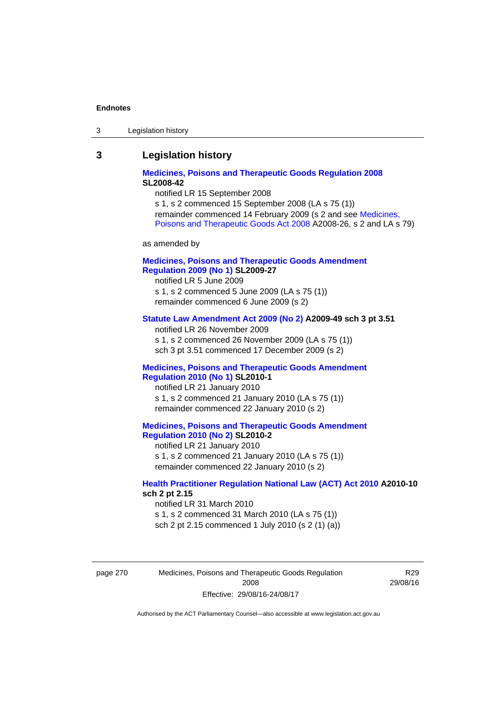| Legislation history<br>-3 |
|---------------------------|
|---------------------------|

## **3 Legislation history**

## **[Medicines, Poisons and Therapeutic Goods Regulation 2008](http://www.legislation.act.gov.au/sl/2008-42) SL2008-42**

notified LR 15 September 2008

s 1, s 2 commenced 15 September 2008 (LA s 75 (1)) remainder commenced 14 February 2009 (s 2 and see [Medicines,](http://www.legislation.act.gov.au/a/2008-26)  [Poisons and Therapeutic Goods Act 2008](http://www.legislation.act.gov.au/a/2008-26) A2008-26, s 2 and LA s 79)

as amended by

## **[Medicines, Poisons and Therapeutic Goods Amendment](http://www.legislation.act.gov.au/sl/2009-27)  [Regulation 2009 \(No 1\)](http://www.legislation.act.gov.au/sl/2009-27) SL2009-27**

notified LR 5 June 2009 s 1, s 2 commenced 5 June 2009 (LA s 75 (1)) remainder commenced 6 June 2009 (s 2)

#### **[Statute Law Amendment Act 2009 \(No 2\)](http://www.legislation.act.gov.au/a/2009-49) A2009-49 sch 3 pt 3.51**

notified LR 26 November 2009 s 1, s 2 commenced 26 November 2009 (LA s 75 (1)) sch 3 pt 3.51 commenced 17 December 2009 (s 2)

#### **[Medicines, Poisons and Therapeutic Goods Amendment](http://www.legislation.act.gov.au/sl/2010-1)  [Regulation 2010 \(No 1\)](http://www.legislation.act.gov.au/sl/2010-1) SL2010-1**

notified LR 21 January 2010 s 1, s 2 commenced 21 January 2010 (LA s 75 (1)) remainder commenced 22 January 2010 (s 2)

#### **[Medicines, Poisons and Therapeutic Goods Amendment](http://www.legislation.act.gov.au/sl/2010-2)  [Regulation 2010 \(No 2\)](http://www.legislation.act.gov.au/sl/2010-2) SL2010-2**

notified LR 21 January 2010 s 1, s 2 commenced 21 January 2010 (LA s 75 (1)) remainder commenced 22 January 2010 (s 2)

## **[Health Practitioner Regulation National Law \(ACT\) Act 2010](http://www.legislation.act.gov.au/a/2010-10) A2010-10 sch 2 pt 2.15**

notified LR 31 March 2010 s 1, s 2 commenced 31 March 2010 (LA s 75 (1)) sch 2 pt 2.15 commenced 1 July 2010 (s 2 (1) (a))

page 270 Medicines, Poisons and Therapeutic Goods Regulation 2008 Effective: 29/08/16-24/08/17

R29 29/08/16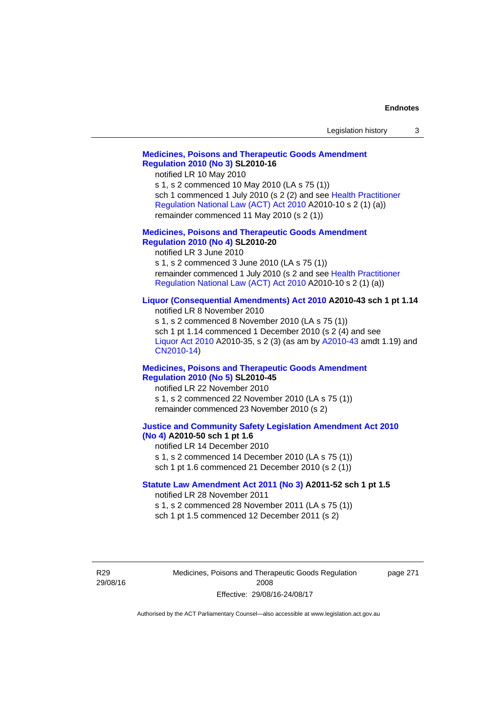| Legislation history |  |
|---------------------|--|
|---------------------|--|

## **[Medicines, Poisons and Therapeutic Goods Amendment](http://www.legislation.act.gov.au/sl/2010-16)  [Regulation 2010 \(No 3\)](http://www.legislation.act.gov.au/sl/2010-16) SL2010-16**

notified LR 10 May 2010

s 1, s 2 commenced 10 May 2010 (LA s 75 (1)) sch 1 commenced 1 July 2010 (s 2 (2) and see [Health Practitioner](http://www.legislation.act.gov.au/a/2010-10)  [Regulation National Law \(ACT\) Act 2010](http://www.legislation.act.gov.au/a/2010-10) A2010-10 s 2 (1) (a)) remainder commenced 11 May 2010 (s 2 (1))

#### **[Medicines, Poisons and Therapeutic Goods Amendment](http://www.legislation.act.gov.au/sl/2010-20)  [Regulation 2010 \(No 4\)](http://www.legislation.act.gov.au/sl/2010-20) SL2010-20**

notified LR 3 June 2010 s 1, s 2 commenced 3 June 2010 (LA s 75 (1)) remainder commenced 1 July 2010 (s 2 and see [Health Practitioner](http://www.legislation.act.gov.au/a/2010-10)  [Regulation National Law \(ACT\) Act 2010](http://www.legislation.act.gov.au/a/2010-10) A2010-10 s 2 (1) (a))

#### **[Liquor \(Consequential Amendments\) Act 2010](http://www.legislation.act.gov.au/a/2010-43) A2010-43 sch 1 pt 1.14**

notified LR 8 November 2010 s 1, s 2 commenced 8 November 2010 (LA s 75 (1)) sch 1 pt 1.14 commenced 1 December 2010 (s 2 (4) and see [Liquor Act 2010](http://www.legislation.act.gov.au/a/2010-35) A2010-35, s 2 (3) (as am by [A2010-43](http://www.legislation.act.gov.au/a/2010-43) amdt 1.19) and [CN2010-14](http://www.legislation.act.gov.au/cn/2010-14/default.asp))

#### **[Medicines, Poisons and Therapeutic Goods Amendment](http://www.legislation.act.gov.au/sl/2010-45)  [Regulation 2010 \(No 5\)](http://www.legislation.act.gov.au/sl/2010-45) SL2010-45**

notified LR 22 November 2010 s 1, s 2 commenced 22 November 2010 (LA s 75 (1)) remainder commenced 23 November 2010 (s 2)

#### **[Justice and Community Safety Legislation Amendment Act 2010](http://www.legislation.act.gov.au/a/2010-50)  [\(No 4\)](http://www.legislation.act.gov.au/a/2010-50) A2010-50 sch 1 pt 1.6**

notified LR 14 December 2010 s 1, s 2 commenced 14 December 2010 (LA s 75 (1)) sch 1 pt 1.6 commenced 21 December 2010 (s 2 (1))

#### **[Statute Law Amendment Act 2011 \(No 3\)](http://www.legislation.act.gov.au/a/2011-52) A2011-52 sch 1 pt 1.5**  notified LR 28 November 2011

s 1, s 2 commenced 28 November 2011 (LA s 75 (1))

sch 1 pt 1.5 commenced 12 December 2011 (s 2)

R29 29/08/16 Medicines, Poisons and Therapeutic Goods Regulation 2008 Effective: 29/08/16-24/08/17

page 271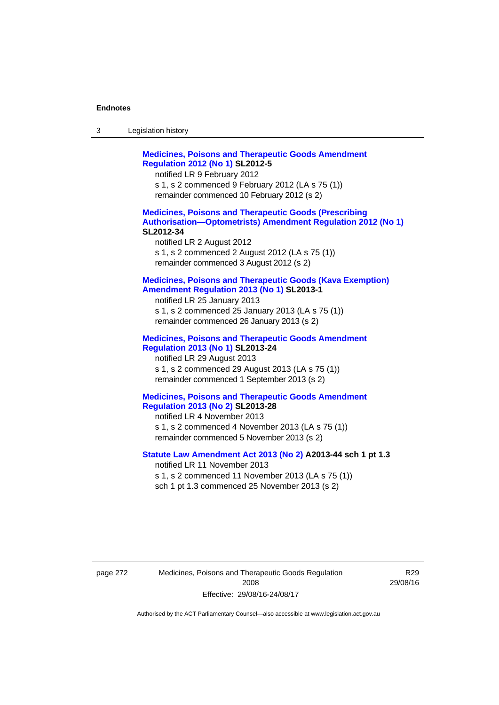| -3 | Legislation history |  |
|----|---------------------|--|
|----|---------------------|--|

**[Medicines, Poisons and Therapeutic Goods Amendment](http://www.legislation.act.gov.au/sl/2012-5)  [Regulation 2012 \(No 1\)](http://www.legislation.act.gov.au/sl/2012-5) SL2012-5**  notified LR 9 February 2012 s 1, s 2 commenced 9 February 2012 (LA s 75 (1)) remainder commenced 10 February 2012 (s 2) **[Medicines, Poisons and Therapeutic Goods \(Prescribing](http://www.legislation.act.gov.au/sl/2012-34)  [Authorisation—Optometrists\) Amendment Regulation 2012 \(No 1\)](http://www.legislation.act.gov.au/sl/2012-34) SL2012-34**  notified LR 2 August 2012 s 1, s 2 commenced 2 August 2012 (LA s 75 (1)) remainder commenced 3 August 2012 (s 2) **[Medicines, Poisons and Therapeutic Goods \(Kava Exemption\)](http://www.legislation.act.gov.au/sl/2013-1/default.asp)  [Amendment Regulation 2013 \(No 1\)](http://www.legislation.act.gov.au/sl/2013-1/default.asp) SL2013-1**  notified LR 25 January 2013 s 1, s 2 commenced 25 January 2013 (LA s 75 (1)) remainder commenced 26 January 2013 (s 2) **[Medicines, Poisons and Therapeutic Goods Amendment](http://www.legislation.act.gov.au/sl/2013-24/default.asp)  [Regulation 2013 \(No 1\)](http://www.legislation.act.gov.au/sl/2013-24/default.asp) SL2013-24**  notified LR 29 August 2013 s 1, s 2 commenced 29 August 2013 (LA s 75 (1)) remainder commenced 1 September 2013 (s 2) **[Medicines, Poisons and Therapeutic Goods Amendment](http://www.legislation.act.gov.au/sl/2013-28)  [Regulation 2013 \(No 2\)](http://www.legislation.act.gov.au/sl/2013-28) SL2013-28**  notified LR 4 November 2013 s 1, s 2 commenced 4 November 2013 (LA s 75 (1)) remainder commenced 5 November 2013 (s 2) **[Statute Law Amendment Act 2013 \(No 2\)](http://www.legislation.act.gov.au/a/2013-44) A2013-44 sch 1 pt 1.3**  notified LR 11 November 2013 s 1, s 2 commenced 11 November 2013 (LA s 75 (1)) sch 1 pt 1.3 commenced 25 November 2013 (s 2)

page 272 Medicines, Poisons and Therapeutic Goods Regulation 2008 Effective: 29/08/16-24/08/17

R29 29/08/16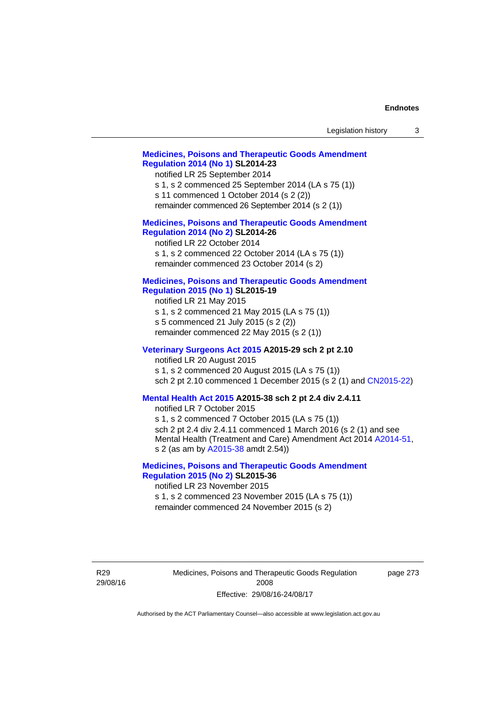| Legislation history                                                                                                                                                                                                                                                                                                  | 3 |
|----------------------------------------------------------------------------------------------------------------------------------------------------------------------------------------------------------------------------------------------------------------------------------------------------------------------|---|
| <b>Medicines, Poisons and Therapeutic Goods Amendment</b><br><b>Regulation 2014 (No 1) SL2014-23</b><br>notified LR 25 September 2014<br>s 1, s 2 commenced 25 September 2014 (LA s 75 (1))<br>s 11 commenced 1 October 2014 (s 2 (2))<br>remainder commenced 26 September 2014 (s 2 (1))                            |   |
| <b>Medicines, Poisons and Therapeutic Goods Amendment</b><br><b>Regulation 2014 (No 2) SL2014-26</b><br>notified LR 22 October 2014<br>s 1, s 2 commenced 22 October 2014 (LA s 75 (1))<br>remainder commenced 23 October 2014 (s 2)                                                                                 |   |
| <b>Medicines, Poisons and Therapeutic Goods Amendment</b><br><b>Regulation 2015 (No 1) SL2015-19</b><br>notified LR 21 May 2015<br>s 1, s 2 commenced 21 May 2015 (LA s 75 (1))<br>s 5 commenced 21 July 2015 (s 2 (2))<br>remainder commenced 22 May 2015 (s 2 (1))                                                 |   |
| Veterinary Surgeons Act 2015 A2015-29 sch 2 pt 2.10<br>notified LR 20 August 2015<br>s 1, s 2 commenced 20 August 2015 (LA s 75 (1))<br>sch 2 pt 2.10 commenced 1 December 2015 (s 2 (1) and CN2015-22)                                                                                                              |   |
| Mental Health Act 2015 A2015-38 sch 2 pt 2.4 div 2.4.11<br>notified LR 7 October 2015<br>s 1, s 2 commenced 7 October 2015 (LA s 75 (1))<br>sch 2 pt 2.4 div 2.4.11 commenced 1 March 2016 (s 2 (1) and see<br>Mental Health (Treatment and Care) Amendment Act 2014 A2014-51,<br>s 2 (as am by A2015-38 amdt 2.54)) |   |
| <b>Medicines, Poisons and Therapeutic Goods Amendment</b><br><b>Regulation 2015 (No 2) SL2015-36</b><br>notified LR 23 November 2015<br>s 1, s 2 commenced 23 November 2015 (LA s 75 (1))<br>remainder commenced 24 November 2015 (s 2)                                                                              |   |
| Medicines, Poisons and Therapeutic Goods Regulation<br>page 273<br>2008<br>Effective: 29/08/16-24/08/17                                                                                                                                                                                                              |   |

Authorised by the ACT Parliamentary Counsel—also accessible at www.legislation.act.gov.au

R29 29/08/16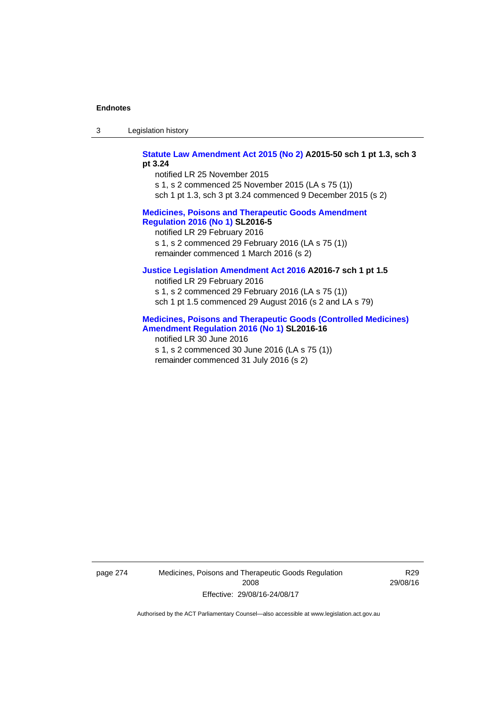3 Legislation history

**[Statute Law Amendment Act 2015 \(No 2\)](http://www.legislation.act.gov.au/a/2015-50) A2015-50 sch 1 pt 1.3, sch 3 pt 3.24** 

notified LR 25 November 2015 s 1, s 2 commenced 25 November 2015 (LA s 75 (1)) sch 1 pt 1.3, sch 3 pt 3.24 commenced 9 December 2015 (s 2)

## **[Medicines, Poisons and Therapeutic Goods Amendment](http://www.legislation.act.gov.au/sl/2016-5)  [Regulation 2016 \(No 1\)](http://www.legislation.act.gov.au/sl/2016-5) SL2016-5**

notified LR 29 February 2016 s 1, s 2 commenced 29 February 2016 (LA s 75 (1)) remainder commenced 1 March 2016 (s 2)

## **[Justice Legislation Amendment Act 2016](http://www.legislation.act.gov.au/a/2016-7/default.asp) A2016-7 sch 1 pt 1.5**

notified LR 29 February 2016 s 1, s 2 commenced 29 February 2016 (LA s 75 (1)) sch 1 pt 1.5 commenced 29 August 2016 (s 2 and LA s 79)

## **[Medicines, Poisons and Therapeutic](http://www.legislation.act.gov.au/sl/2016-16) Goods (Controlled Medicines) [Amendment Regulation 2016 \(No 1\)](http://www.legislation.act.gov.au/sl/2016-16) SL2016-16**

notified LR 30 June 2016 s 1, s 2 commenced 30 June 2016 (LA s 75 (1)) remainder commenced 31 July 2016 (s 2)

page 274 Medicines, Poisons and Therapeutic Goods Regulation 2008 Effective: 29/08/16-24/08/17

R29 29/08/16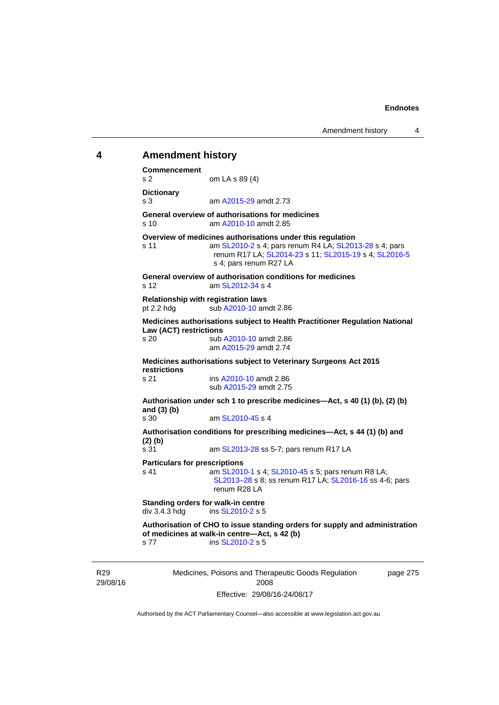# **4 Amendment history Commencement**  s 2 om LA s 89 (4) **Dictionary**  s 3 am [A2015-29](http://www.legislation.act.gov.au/a/2015-29) amdt 2.73 **General overview of authorisations for medicines**  s 10 am [A2010-10](http://www.legislation.act.gov.au/a/2010-10) amdt 2.85 **Overview of medicines authorisations under this regulation**  s 11 am [SL2010-2](http://www.legislation.act.gov.au/sl/2010-2) s 4; pars renum R4 LA; [SL2013-28](http://www.legislation.act.gov.au/sl/2013-28) s 4; pars renum R17 LA; [SL2014-23](http://www.legislation.act.gov.au/sl/2014-23) s 11; [SL2015-19](http://www.legislation.act.gov.au/sl/2015-19) s 4; [SL2016-5](http://www.legislation.act.gov.au/sl/2016-5) s 4; pars renum R27 LA **General overview of authorisation conditions for medicines**  s 12  $\frac{12}{12}$  am SI  $\frac{2012-34}{54}$  s 4 **Relationship with registration laws**  pt 2.2 hdg sub  $A2010-10$  amdt 2.86 **Medicines authorisations subject to Health Practitioner Regulation National Law (ACT) restrictions**  s 20 sub [A2010-10](http://www.legislation.act.gov.au/a/2010-10) amdt 2.86 am [A2015-29](http://www.legislation.act.gov.au/a/2015-29) amdt 2.74 **Medicines authorisations subject to Veterinary Surgeons Act 2015 restrictions**  s 21 ins [A2010-10](http://www.legislation.act.gov.au/a/2010-10) amdt 2.86 sub [A2015-29](http://www.legislation.act.gov.au/a/2015-29) amdt 2.75 **Authorisation under sch 1 to prescribe medicines—Act, s 40 (1) (b), (2) (b) and (3) (b)**  am [SL2010-45](http://www.legislation.act.gov.au/sl/2010-45) s 4 **Authorisation conditions for prescribing medicines—Act, s 44 (1) (b) and (2) (b)**  s 31 **am [SL2013-28](http://www.legislation.act.gov.au/sl/2013-28) ss 5-7; pars renum R17 LA Particulars for prescriptions**  s 41 **am [SL2010-1](http://www.legislation.act.gov.au/sl/2010-1) s 4; [SL2010-45](http://www.legislation.act.gov.au/sl/2010-45) s 5; pars renum R8 LA;** [SL2013–28](http://www.legislation.act.gov.au/sl/2013-28) s 8; ss renum R17 LA; [SL2016-16](http://www.legislation.act.gov.au/sl/2016-16) ss 4-6; pars renum R28 LA **Standing orders for walk-in centre div 3.4.3 hdg ins SL2010-2 s 5** ins [SL2010-2](http://www.legislation.act.gov.au/sl/2010-2) s 5 **Authorisation of CHO to issue standing orders for supply and administration of medicines at walk-in centre—Act, s 42 (b)**  s 77 ins [SL2010-2](http://www.legislation.act.gov.au/sl/2010-2) s 5

R29 29/08/16 Medicines, Poisons and Therapeutic Goods Regulation 2008 Effective: 29/08/16-24/08/17

page 275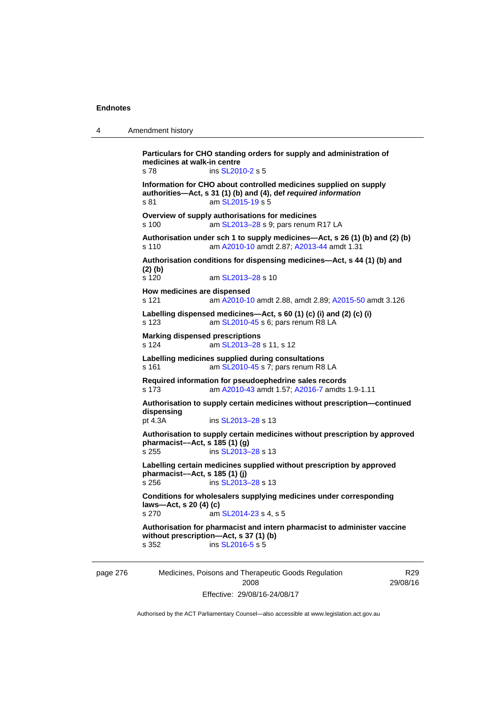| $\boldsymbol{\Lambda}$ | Amendment history |
|------------------------|-------------------|
|------------------------|-------------------|

**Particulars for CHO standing orders for supply and administration of medicines at walk-in centre**  s 78 ins [SL2010-2](http://www.legislation.act.gov.au/sl/2010-2) s 5 **Information for CHO about controlled medicines supplied on supply authorities—Act, s 31 (1) (b) and (4), def** *required information*  s 81 am [SL2015-19](http://www.legislation.act.gov.au/sl/2015-19) s 5 **Overview of supply authorisations for medicines**  s 100 am SL2013-28 s 9; pars renum R17 LA **Authorisation under sch 1 to supply medicines—Act, s 26 (1) (b) and (2) (b)**  s 110 am [A2010-10](http://www.legislation.act.gov.au/a/2010-10) amdt 2.87; [A2013-44](http://www.legislation.act.gov.au/a/2013-44) amdt 1.31 **Authorisation conditions for dispensing medicines—Act, s 44 (1) (b) and (2) (b)**  s 120 am [SL2013–28](http://www.legislation.act.gov.au/sl/2013-28) s 10 **How medicines are dispensed**  s 121 am [A2010-10](http://www.legislation.act.gov.au/a/2010-10) amdt 2.88, amdt 2.89; [A2015-50](http://www.legislation.act.gov.au/a/2015-50) amdt 3.126 **Labelling dispensed medicines—Act, s 60 (1) (c) (i) and (2) (c) (i)**  s 123 am [SL2010-45](http://www.legislation.act.gov.au/sl/2010-45) s 6; pars renum R8 LA **Marking dispensed prescriptions**  s 124 am [SL2013–28](http://www.legislation.act.gov.au/sl/2013-28) s 11, s 12 **Labelling medicines supplied during consultations**  s 161 **am [SL2010-45](http://www.legislation.act.gov.au/sl/2010-45) s 7; pars renum R8 LA Required information for pseudoephedrine sales records**  s 173 am [A2010-43](http://www.legislation.act.gov.au/a/2010-43) amdt 1.57; [A2016-7](http://www.legislation.act.gov.au/a/2016-7/default.asp) amdts 1.9-1.11 **Authorisation to supply certain medicines without prescription—continued dispensing**  pt 4.3A ins [SL2013–28](http://www.legislation.act.gov.au/sl/2013-28) s 13 **Authorisation to supply certain medicines without prescription by approved pharmacist––Act, s 185 (1) (g)**  s 255 ins [SL2013–28](http://www.legislation.act.gov.au/sl/2013-28) s 13 **Labelling certain medicines supplied without prescription by approved pharmacist—Act, s 185 (1) (j)**<br>s 256 **ins SL2013** ins [SL2013–28](http://www.legislation.act.gov.au/sl/2013-28) s 13 **Conditions for wholesalers supplying medicines under corresponding laws—Act, s 20 (4) (c)**  s 270 am [SL2014-23](http://www.legislation.act.gov.au/sl/2014-23) s 4, s 5 **Authorisation for pharmacist and intern pharmacist to administer vaccine without prescription—Act, s 37 (1) (b)**  s 352 ins [SL2016-5](http://www.legislation.act.gov.au/sl/2016-5) s 5

page 276 Medicines, Poisons and Therapeutic Goods Regulation 2008 Effective: 29/08/16-24/08/17

R29 29/08/16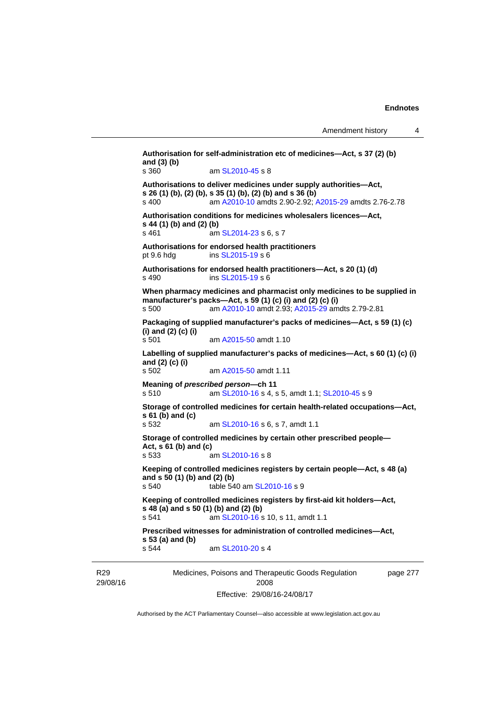```
Medicines, Poisons and Therapeutic Goods Regulation 
                                                                 page 277 
Authorisation for self-administration etc of medicines—Act, s 37 (2) (b) 
and (3) (b) 
s 360 am SL2010-45 s 8 
Authorisations to deliver medicines under supply authorities—Act, 
s 26 (1) (b), (2) (b), s 35 (1) (b), (2) (b) and s 36 (b) 
s 400 am A2010-10 amdts 2.90-2.92; A2015-29 amdts 2.76-2.78 
Authorisation conditions for medicines wholesalers licences—Act, 
s 44 (1) (b) and (2) (b)<br>s 461 am
                  SL2014-23 s 6, s 7
Authorisations for endorsed health practitioners 
pt 9.6 hdg ins SL2015-19 s 6 
Authorisations for endorsed health practitioners—Act, s 20 (1) (d) 
s 490 ins SL2015-19 s 6 
When pharmacy medicines and pharmacist only medicines to be supplied in 
manufacturer's packs—Act, s 59 (1) (c) (i) and (2) (c) (i) 
s 500 am A2010-10 amdt 2.93; A2015-29 amdts 2.79-2.81 
Packaging of supplied manufacturer's packs of medicines—Act, s 59 (1) (c) 
(i) and (2) (c) (i) 
s 501 am A2015-50 amdt 1.10
Labelling of supplied manufacturer's packs of medicines—Act, s 60 (1) (c) (i) 
and (2) (c) (i) 
s 502 am A2015-50 amdt 1.11
Meaning of prescribed person—ch 11 
s 510 am SL2010-16 s 4, s 5, amdt 1.1; SL2010-45 s 9 
Storage of controlled medicines for certain health-related occupations—Act, 
s 61 (b) and (c) 
s 532 am SL2010-16 s 6, s 7, amdt 1.1 
Storage of controlled medicines by certain other prescribed people—
Act, s 61 (b) and (c) 
s 533 am SL2010-16 s 8 
Keeping of controlled medicines registers by certain people—Act, s 48 (a) 
and s 50 (1) (b) and (2) (b) 
s 540 table 540 am SL2010-16 s 9 
Keeping of controlled medicines registers by first-aid kit holders—Act, 
s 48 (a) and s 50 (1) (b) and (2) (b) 
s 541 SL2010-16 s 10, s 11, amdt 1.1
Prescribed witnesses for administration of controlled medicines—Act, 
s 53 (a) and (b) 
s 544 am SL2010-20 s 4
```
R29 29/08/16

2008 Effective: 29/08/16-24/08/17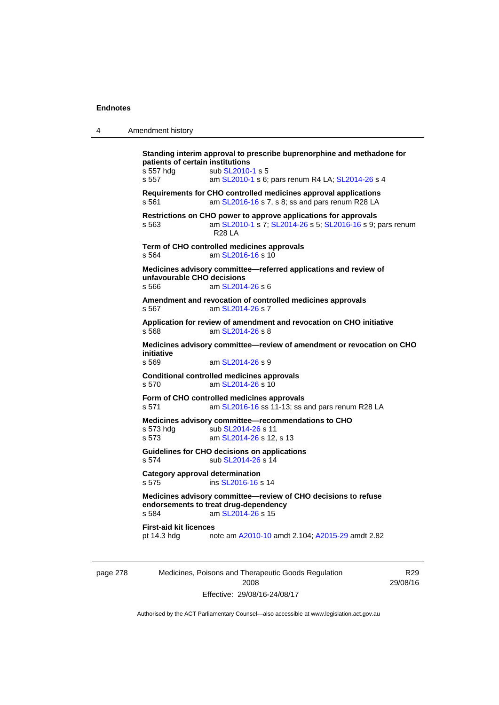| 4        | Amendment history                                                                                                                                                                                        |
|----------|----------------------------------------------------------------------------------------------------------------------------------------------------------------------------------------------------------|
|          | Standing interim approval to prescribe buprenorphine and methadone for<br>patients of certain institutions<br>s 557 hdg<br>sub SL2010-1 s 5<br>s 557<br>am SL2010-1 s 6; pars renum R4 LA; SL2014-26 s 4 |
|          | Requirements for CHO controlled medicines approval applications<br>s 561<br>am SL2016-16 s 7, s 8; ss and pars renum R28 LA                                                                              |
|          | Restrictions on CHO power to approve applications for approvals<br>am SL2010-1 s 7; SL2014-26 s 5; SL2016-16 s 9; pars renum<br>s 563<br><b>R28 LA</b>                                                   |
|          | Term of CHO controlled medicines approvals<br>am SL2016-16 s 10<br>s 564                                                                                                                                 |
|          | Medicines advisory committee—referred applications and review of<br>unfavourable CHO decisions<br>am SL2014-26 s 6<br>s 566                                                                              |
|          | Amendment and revocation of controlled medicines approvals<br>am SL2014-26 s 7<br>s 567                                                                                                                  |
|          | Application for review of amendment and revocation on CHO initiative<br>s 568<br>am SL2014-26 s 8                                                                                                        |
|          | Medicines advisory committee-review of amendment or revocation on CHO<br>initiative<br>s 569<br>am SL2014-26 s 9                                                                                         |
|          | <b>Conditional controlled medicines approvals</b><br>am SL2014-26 s 10<br>s 570                                                                                                                          |
|          | Form of CHO controlled medicines approvals<br>s 571<br>am SL2016-16 ss 11-13; ss and pars renum R28 LA                                                                                                   |
|          | Medicines advisory committee-recommendations to CHO<br>s 573 hdg<br>sub SL2014-26 s 11<br>s 573<br>am SL2014-26 s 12, s 13                                                                               |
|          | Guidelines for CHO decisions on applications<br>sub SL2014-26 s 14<br>s 574                                                                                                                              |
|          | <b>Category approval determination</b><br>s 575<br>ins SL2016-16 s 14                                                                                                                                    |
|          | Medicines advisory committee-review of CHO decisions to refuse<br>endorsements to treat drug-dependency<br>s 584<br>am SL2014-26 s 15                                                                    |
|          | <b>First-aid kit licences</b><br>pt 14.3 hdg<br>note am A2010-10 amdt 2.104; A2015-29 amdt 2.82                                                                                                          |
| page 278 | Medicines, Poisons and Therapeutic Goods Regulation<br>R <sub>29</sub>                                                                                                                                   |

Authorised by the ACT Parliamentary Counsel—also accessible at www.legislation.act.gov.au

2008 Effective: 29/08/16-24/08/17 29/08/16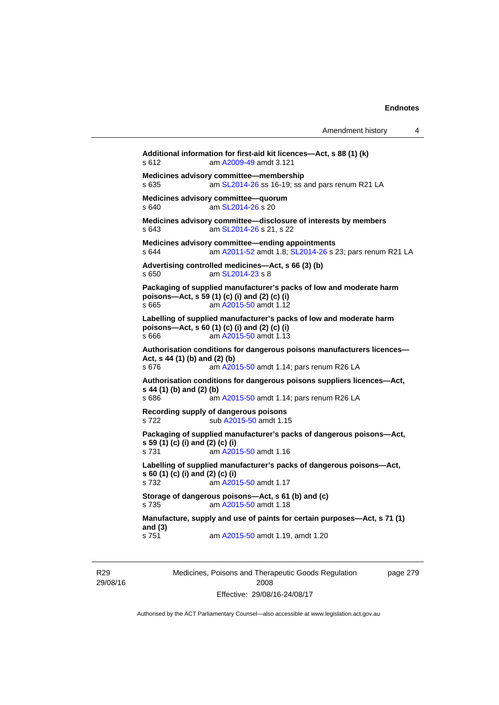|                                           |                                                                                                                                               | Amendment history | 4 |
|-------------------------------------------|-----------------------------------------------------------------------------------------------------------------------------------------------|-------------------|---|
| s 612                                     | Additional information for first-aid kit licences-Act, s 88 (1) (k)<br>am A2009-49 amdt 3.121                                                 |                   |   |
| s 635                                     | Medicines advisory committee-membership<br>am SL2014-26 ss 16-19; ss and pars renum R21 LA                                                    |                   |   |
| s 640                                     | Medicines advisory committee-quorum<br>am SL2014-26 s 20                                                                                      |                   |   |
| s 643                                     | Medicines advisory committee-disclosure of interests by members<br>am SL2014-26 s 21, s 22                                                    |                   |   |
| s 644                                     | Medicines advisory committee-ending appointments<br>am A2011-52 amdt 1.8; SL2014-26 s 23; pars renum R21 LA                                   |                   |   |
| s 650                                     | Advertising controlled medicines-Act, s 66 (3) (b)<br>am SL2014-23 s 8                                                                        |                   |   |
| s 665                                     | Packaging of supplied manufacturer's packs of low and moderate harm<br>poisons-Act, s 59 (1) (c) (i) and (2) (c) (i)<br>am A2015-50 amdt 1.12 |                   |   |
| s 666                                     | Labelling of supplied manufacturer's packs of low and moderate harm<br>poisons-Act, s 60 (1) (c) (i) and (2) (c) (i)<br>am A2015-50 amdt 1.13 |                   |   |
| Act, s 44 (1) (b) and (2) (b)<br>s 676    | Authorisation conditions for dangerous poisons manufacturers licences—<br>am A2015-50 amdt 1.14; pars renum R26 LA                            |                   |   |
| s 44 (1) (b) and (2) (b)<br>s 686         | Authorisation conditions for dangerous poisons suppliers licences—Act,<br>am A2015-50 amdt 1.14; pars renum R26 LA                            |                   |   |
| s 722                                     | Recording supply of dangerous poisons<br>sub A2015-50 amdt 1.15                                                                               |                   |   |
| s 59 (1) (c) (i) and (2) (c) (i)<br>s 731 | Packaging of supplied manufacturer's packs of dangerous poisons-Act,<br>am A2015-50 amdt 1.16                                                 |                   |   |
| s 60 (1) (c) (i) and (2) (c) (i)<br>s 732 | Labelling of supplied manufacturer's packs of dangerous poisons-Act,<br>am A2015-50 amdt 1.17                                                 |                   |   |
| s 735                                     | Storage of dangerous poisons-Act, s 61 (b) and (c)<br>am A2015-50 amdt 1.18                                                                   |                   |   |
| and $(3)$<br>s 751                        | Manufacture, supply and use of paints for certain purposes-Act, s 71 (1)<br>am A2015-50 amdt 1.19, amdt 1.20                                  |                   |   |

R29 29/08/16 Medicines, Poisons and Therapeutic Goods Regulation 2008 Effective: 29/08/16-24/08/17

page 279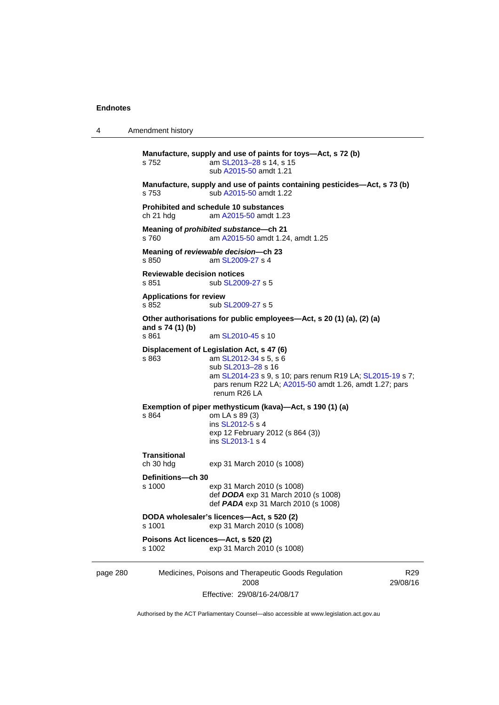| 4                                                                                                                                        | Amendment history                                                                  |                                                                                                                                                                                                                                 |                             |  |  |
|------------------------------------------------------------------------------------------------------------------------------------------|------------------------------------------------------------------------------------|---------------------------------------------------------------------------------------------------------------------------------------------------------------------------------------------------------------------------------|-----------------------------|--|--|
|                                                                                                                                          | s 752                                                                              | Manufacture, supply and use of paints for toys-Act, s 72 (b)<br>am SL2013-28 s 14, s 15<br>sub A2015-50 amdt 1.21                                                                                                               |                             |  |  |
|                                                                                                                                          | s 753                                                                              | Manufacture, supply and use of paints containing pesticides-Act, s 73 (b)<br>sub A2015-50 amdt 1.22                                                                                                                             |                             |  |  |
|                                                                                                                                          | <b>Prohibited and schedule 10 substances</b><br>ch 21 hdg<br>am A2015-50 amdt 1.23 |                                                                                                                                                                                                                                 |                             |  |  |
|                                                                                                                                          | s 760                                                                              | Meaning of <i>prohibited substance</i> -ch 21<br>am A2015-50 amdt 1.24, amdt 1.25                                                                                                                                               |                             |  |  |
| Meaning of reviewable decision--- ch 23<br>s 850<br>am SL2009-27 s 4<br><b>Reviewable decision notices</b><br>sub SL2009-27 s 5<br>s 851 |                                                                                    |                                                                                                                                                                                                                                 |                             |  |  |
|                                                                                                                                          |                                                                                    |                                                                                                                                                                                                                                 |                             |  |  |
|                                                                                                                                          | <b>Applications for review</b><br>s 852                                            | sub SL2009-27 s 5                                                                                                                                                                                                               |                             |  |  |
| Other authorisations for public employees—Act, s 20 (1) (a), (2) (a)<br>and s 74 (1) (b)<br>s 861<br>am SL2010-45 s 10                   |                                                                                    |                                                                                                                                                                                                                                 |                             |  |  |
|                                                                                                                                          | s 863                                                                              | Displacement of Legislation Act, s 47 (6)<br>am SL2012-34 s 5, s 6<br>sub SL2013-28 s 16<br>am SL2014-23 s 9, s 10; pars renum R19 LA; SL2015-19 s 7;<br>pars renum R22 LA; A2015-50 amdt 1.26, amdt 1.27; pars<br>renum R26 LA |                             |  |  |
|                                                                                                                                          | s 864                                                                              | Exemption of piper methysticum (kava)-Act, s 190 (1) (a)<br>om LA s 89 (3)<br>ins SL2012-5 s 4<br>exp 12 February 2012 (s 864 (3))<br>ins SL2013-1 s 4                                                                          |                             |  |  |
|                                                                                                                                          | <b>Transitional</b><br>ch 30 hdg                                                   | exp 31 March 2010 (s 1008)                                                                                                                                                                                                      |                             |  |  |
|                                                                                                                                          | Definitions—ch 30<br>s 1000                                                        | exp 31 March 2010 (s 1008)<br>def DODA exp 31 March 2010 (s 1008)<br>def <b>PADA</b> exp 31 March 2010 (s 1008)                                                                                                                 |                             |  |  |
|                                                                                                                                          | s 1001                                                                             | DODA wholesaler's licences-Act, s 520 (2)<br>exp 31 March 2010 (s 1008)                                                                                                                                                         |                             |  |  |
|                                                                                                                                          | s 1002                                                                             | Poisons Act licences-Act, s 520 (2)<br>exp 31 March 2010 (s 1008)                                                                                                                                                               |                             |  |  |
| page 280                                                                                                                                 |                                                                                    | Medicines, Poisons and Therapeutic Goods Regulation<br>2008                                                                                                                                                                     | R <sub>29</sub><br>29/08/16 |  |  |

Effective: 29/08/16-24/08/17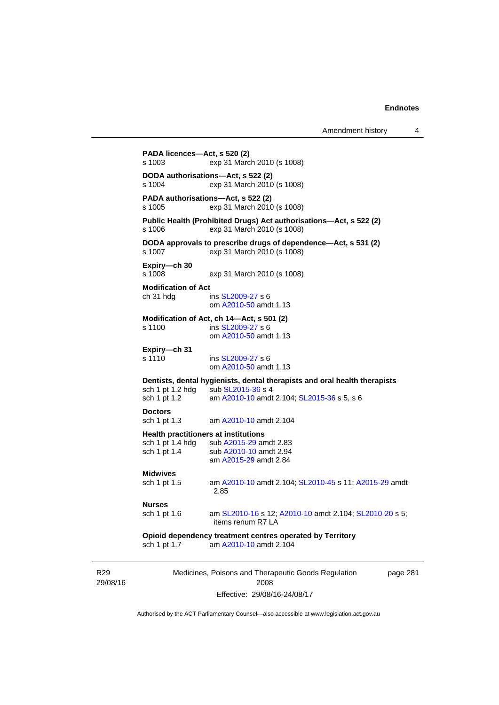| PADA licences-Act, s 520 (2)            |                                                                                                                                                               |
|-----------------------------------------|---------------------------------------------------------------------------------------------------------------------------------------------------------------|
| s 1003                                  | exp 31 March 2010 (s 1008)                                                                                                                                    |
| s 1004                                  | DODA authorisations-Act, s 522 (2)<br>exp 31 March 2010 (s 1008)                                                                                              |
| s 1005                                  | PADA authorisations-Act, s 522 (2)<br>exp 31 March 2010 (s 1008)                                                                                              |
| s 1006                                  | Public Health (Prohibited Drugs) Act authorisations-Act, s 522 (2)<br>exp 31 March 2010 (s 1008)                                                              |
| s 1007                                  | DODA approvals to prescribe drugs of dependence-Act, s 531 (2)<br>exp 31 March 2010 (s 1008)                                                                  |
| Expiry-ch 30<br>s 1008                  | exp 31 March 2010 (s 1008)                                                                                                                                    |
| <b>Modification of Act</b><br>ch 31 hdg | ins SL2009-27 s 6<br>om A2010-50 amdt 1.13                                                                                                                    |
| s 1100                                  | Modification of Act, ch 14-Act, s 501 (2)<br>ins SL2009-27 s 6<br>om A2010-50 amdt 1.13                                                                       |
| Expiry-ch 31<br>s 1110                  | ins SL2009-27 s 6<br>om A2010-50 amdt 1.13                                                                                                                    |
| sch 1 pt 1.2                            | Dentists, dental hygienists, dental therapists and oral health therapists<br>sch 1 pt 1.2 hdg sub SL2015-36 s 4<br>am A2010-10 amdt 2.104; SL2015-36 s 5, s 6 |
| <b>Doctors</b><br>sch 1 pt 1.3          | am A2010-10 amdt 2.104                                                                                                                                        |
|                                         | <b>Health practitioners at institutions</b><br>sch 1 pt 1.4 hdg sub A2015-29 amdt 2.83                                                                        |
| sch 1 pt 1.4                            | sub A2010-10 amdt 2.94<br>am A2015-29 amdt 2.84                                                                                                               |
| <b>Midwives</b><br>sch 1 pt 1.5         | am A2010-10 amdt 2.104; SL2010-45 s 11; A2015-29 amdt<br>2.85                                                                                                 |
| <b>Nurses</b>                           |                                                                                                                                                               |
| sch 1 pt 1.6                            | am SL2010-16 s 12; A2010-10 amdt 2.104; SL2010-20 s 5;<br>items renum R7 LA                                                                                   |
|                                         | Opioid dependency treatment centres operated by Territory                                                                                                     |

R29 29/08/16

2008 Effective: 29/08/16-24/08/17 page 281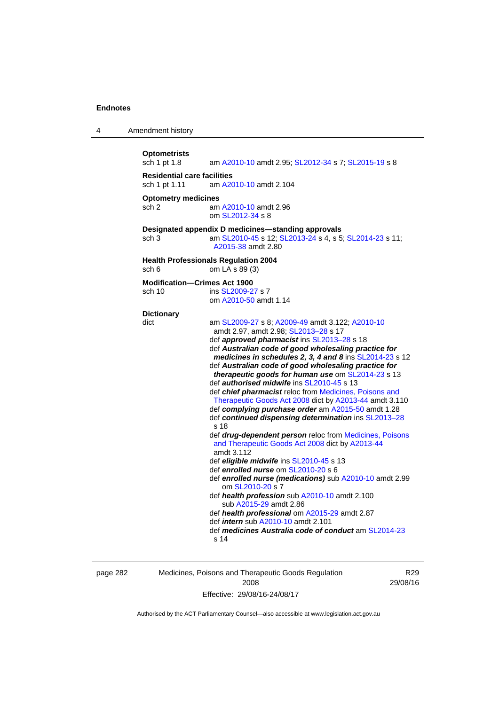| 4 | Amendment history                                   |                                                                                                                                                                                                                                                                                                                                                                                                                                                                                                                                                                                                                                                                                                                                                                                                                                                                                                                                                                                                                                                                                                                                                                                                                         |
|---|-----------------------------------------------------|-------------------------------------------------------------------------------------------------------------------------------------------------------------------------------------------------------------------------------------------------------------------------------------------------------------------------------------------------------------------------------------------------------------------------------------------------------------------------------------------------------------------------------------------------------------------------------------------------------------------------------------------------------------------------------------------------------------------------------------------------------------------------------------------------------------------------------------------------------------------------------------------------------------------------------------------------------------------------------------------------------------------------------------------------------------------------------------------------------------------------------------------------------------------------------------------------------------------------|
|   | <b>Optometrists</b><br>sch 1 pt 1.8                 | am A2010-10 amdt 2.95; SL2012-34 s 7; SL2015-19 s 8                                                                                                                                                                                                                                                                                                                                                                                                                                                                                                                                                                                                                                                                                                                                                                                                                                                                                                                                                                                                                                                                                                                                                                     |
|   | <b>Residential care facilities</b><br>sch 1 pt 1.11 | am A2010-10 amdt 2.104                                                                                                                                                                                                                                                                                                                                                                                                                                                                                                                                                                                                                                                                                                                                                                                                                                                                                                                                                                                                                                                                                                                                                                                                  |
|   | <b>Optometry medicines</b><br>sch <sub>2</sub>      | am A2010-10 amdt 2.96<br>om SL2012-34 s 8                                                                                                                                                                                                                                                                                                                                                                                                                                                                                                                                                                                                                                                                                                                                                                                                                                                                                                                                                                                                                                                                                                                                                                               |
|   | sch 3                                               | Designated appendix D medicines-standing approvals<br>am SL2010-45 s 12; SL2013-24 s 4, s 5; SL2014-23 s 11;<br>A2015-38 amdt 2.80                                                                                                                                                                                                                                                                                                                                                                                                                                                                                                                                                                                                                                                                                                                                                                                                                                                                                                                                                                                                                                                                                      |
|   | sch 6                                               | <b>Health Professionals Regulation 2004</b><br>om LA s 89 (3)                                                                                                                                                                                                                                                                                                                                                                                                                                                                                                                                                                                                                                                                                                                                                                                                                                                                                                                                                                                                                                                                                                                                                           |
|   | <b>Modification-Crimes Act 1900</b><br>sch 10       | ins SL2009-27 s 7<br>om A2010-50 amdt 1.14                                                                                                                                                                                                                                                                                                                                                                                                                                                                                                                                                                                                                                                                                                                                                                                                                                                                                                                                                                                                                                                                                                                                                                              |
|   | <b>Dictionary</b><br>dict                           | am SL2009-27 s 8; A2009-49 amdt 3.122; A2010-10<br>amdt 2.97, amdt 2.98; SL2013-28 s 17<br>def approved pharmacist ins SL2013-28 s 18<br>def Australian code of good wholesaling practice for<br>medicines in schedules 2, 3, 4 and 8 ins SL2014-23 s 12<br>def Australian code of good wholesaling practice for<br>therapeutic goods for human use om SL2014-23 s 13<br>def <i>authorised midwife</i> ins SL2010-45 s 13<br>def <i>chief pharmacist</i> reloc from Medicines, Poisons and<br>Therapeutic Goods Act 2008 dict by A2013-44 amdt 3.110<br>def complying purchase order am A2015-50 amdt 1.28<br>def continued dispensing determination ins SL2013-28<br>s 18<br>def drug-dependent person reloc from Medicines, Poisons<br>and Therapeutic Goods Act 2008 dict by A2013-44<br>amdt 3.112<br>def <i>eligible midwife</i> ins SL2010-45 s 13<br>def enrolled nurse om SL2010-20 s 6<br>def enrolled nurse (medications) sub A2010-10 amdt 2.99<br>om SL2010-20 s 7<br>def health profession sub A2010-10 amdt 2.100<br>sub A2015-29 amdt 2.86<br>def health professional om A2015-29 amdt 2.87<br>def <i>intern</i> sub A2010-10 amdt 2.101<br>def medicines Australia code of conduct am SL2014-23<br>s 14 |

page 282 Medicines, Poisons and Therapeutic Goods Regulation 2008 Effective: 29/08/16-24/08/17

R29 29/08/16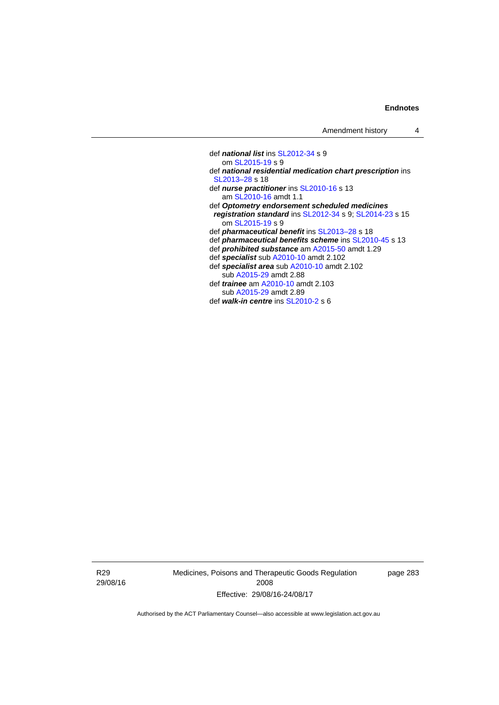def *national list* ins [SL2012-34](http://www.legislation.act.gov.au/sl/2012-34) s 9 om [SL2015-19](http://www.legislation.act.gov.au/sl/2015-19) s 9 def *national residential medication chart prescription* ins [SL2013–28](http://www.legislation.act.gov.au/sl/2013-28) s 18 def *nurse practitioner* ins [SL2010-16](http://www.legislation.act.gov.au/sl/2010-16) s 13 am [SL2010-16](http://www.legislation.act.gov.au/sl/2010-16) amdt 1.1 def *Optometry endorsement scheduled medicines registration standard* ins [SL2012-34](http://www.legislation.act.gov.au/sl/2012-34) s 9; [SL2014-23](http://www.legislation.act.gov.au/sl/2014-23) s 15 om [SL2015-19](http://www.legislation.act.gov.au/sl/2015-19) s 9 def *pharmaceutical benefit* ins [SL2013–28](http://www.legislation.act.gov.au/sl/2013-28) s 18 def *pharmaceutical benefits scheme* ins [SL2010-45](http://www.legislation.act.gov.au/sl/2010-45) s 13 def *prohibited substance* am [A2015-50](http://www.legislation.act.gov.au/a/2015-50) amdt 1.29 def *specialist* sub [A2010-10](http://www.legislation.act.gov.au/a/2010-10) amdt 2.102 def *specialist area* sub [A2010-10](http://www.legislation.act.gov.au/a/2010-10) amdt 2.102 sub [A2015-29](http://www.legislation.act.gov.au/a/2015-29) amdt 2.88 def *trainee* am [A2010-10](http://www.legislation.act.gov.au/a/2010-10) amdt 2.103 sub [A2015-29](http://www.legislation.act.gov.au/a/2015-29) amdt 2.89 def *walk-in centre* ins [SL2010-2](http://www.legislation.act.gov.au/sl/2010-2) s 6

R29 29/08/16 Medicines, Poisons and Therapeutic Goods Regulation 2008 Effective: 29/08/16-24/08/17

page 283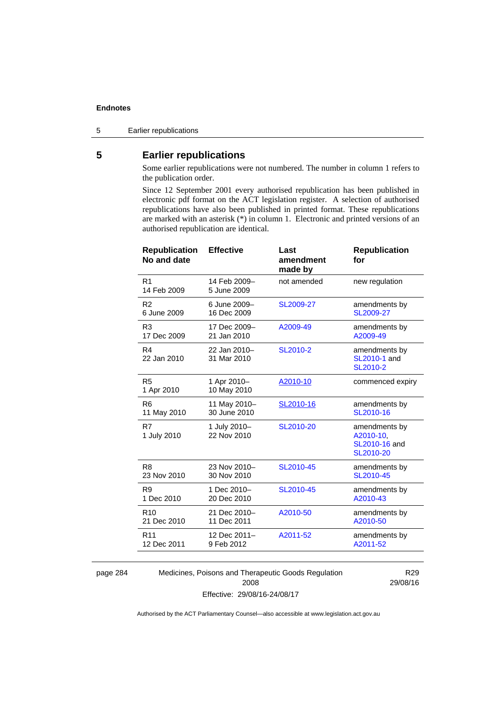5 Earlier republications

# **5 Earlier republications**

Some earlier republications were not numbered. The number in column 1 refers to the publication order.

Since 12 September 2001 every authorised republication has been published in electronic pdf format on the ACT legislation register. A selection of authorised republications have also been published in printed format. These republications are marked with an asterisk (\*) in column 1. Electronic and printed versions of an authorised republication are identical.

| <b>Republication</b><br>No and date | <b>Effective</b>            | Last<br>amendment<br>made by | <b>Republication</b><br>for                              |
|-------------------------------------|-----------------------------|------------------------------|----------------------------------------------------------|
| R <sub>1</sub><br>14 Feb 2009       | 14 Feb 2009-<br>5 June 2009 | not amended                  | new regulation                                           |
| R <sub>2</sub>                      | 6 June 2009-                | SL2009-27                    | amendments by                                            |
| 6 June 2009                         | 16 Dec 2009                 |                              | SL2009-27                                                |
| R <sub>3</sub>                      | 17 Dec 2009-                | A2009-49                     | amendments by                                            |
| 17 Dec 2009                         | 21 Jan 2010                 |                              | A2009-49                                                 |
| R <sub>4</sub><br>22 Jan 2010       | 22 Jan 2010-<br>31 Mar 2010 | SL2010-2                     | amendments by<br><b>SL2010-1 and</b><br>SL2010-2         |
| R <sub>5</sub><br>1 Apr 2010        | 1 Apr 2010-<br>10 May 2010  | A2010-10                     | commenced expiry                                         |
| R6                                  | 11 May 2010-                | SL2010-16                    | amendments by                                            |
| 11 May 2010                         | 30 June 2010                |                              | SL2010-16                                                |
| R7<br>1 July 2010                   | 1 July 2010-<br>22 Nov 2010 | SL2010-20                    | amendments by<br>A2010-10,<br>SL2010-16 and<br>SL2010-20 |
| R <sub>8</sub>                      | 23 Nov 2010-                | SL2010-45                    | amendments by                                            |
| 23 Nov 2010                         | 30 Nov 2010                 |                              | SL2010-45                                                |
| R <sub>9</sub>                      | 1 Dec 2010-                 | SL2010-45                    | amendments by                                            |
| 1 Dec 2010                          | 20 Dec 2010                 |                              | A2010-43                                                 |
| R <sub>10</sub>                     | 21 Dec 2010-                | A2010-50                     | amendments by                                            |
| 21 Dec 2010                         | 11 Dec 2011                 |                              | A2010-50                                                 |
| R <sub>11</sub>                     | 12 Dec 2011-                | A2011-52                     | amendments by                                            |
| 12 Dec 2011                         | 9 Feb 2012                  |                              | A2011-52                                                 |
|                                     |                             |                              |                                                          |

page 284 Medicines, Poisons and Therapeutic Goods Regulation 2008 Effective: 29/08/16-24/08/17

R29 29/08/16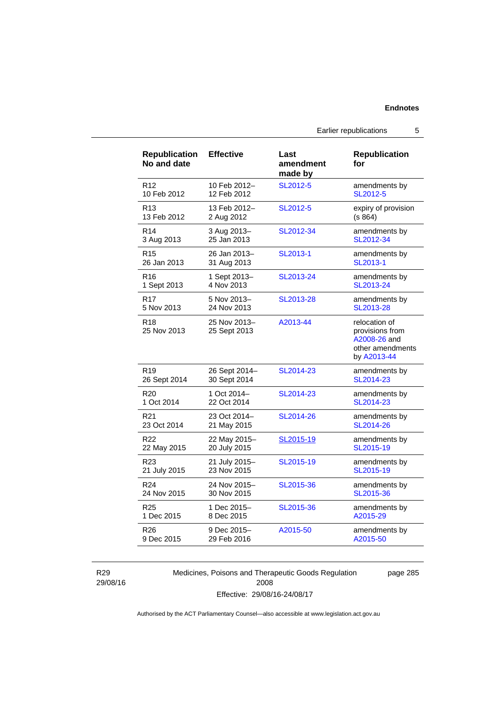| <b>Republication</b><br>No and date | <b>Effective</b>             | Last<br>amendment<br>made by | <b>Republication</b><br>for                                                         |
|-------------------------------------|------------------------------|------------------------------|-------------------------------------------------------------------------------------|
| R <sub>12</sub>                     | 10 Feb 2012-                 | SL2012-5                     | amendments by                                                                       |
| 10 Feb 2012                         | 12 Feb 2012                  |                              | SL2012-5                                                                            |
| R <sub>13</sub>                     | 13 Feb 2012-                 | SL2012-5                     | expiry of provision                                                                 |
| 13 Feb 2012                         | 2 Aug 2012                   |                              | (s 864)                                                                             |
| R <sub>14</sub>                     | 3 Aug 2013-                  | SL2012-34                    | amendments by                                                                       |
| 3 Aug 2013                          | 25 Jan 2013                  |                              | SL2012-34                                                                           |
| R <sub>15</sub>                     | 26 Jan 2013-                 | SL2013-1                     | amendments by                                                                       |
| 26 Jan 2013                         | 31 Aug 2013                  |                              | SL2013-1                                                                            |
| R <sub>16</sub>                     | 1 Sept 2013-                 | SL2013-24                    | amendments by                                                                       |
| 1 Sept 2013                         | 4 Nov 2013                   |                              | SL2013-24                                                                           |
| R17                                 | 5 Nov 2013-                  | SL2013-28                    | amendments by                                                                       |
| 5 Nov 2013                          | 24 Nov 2013                  |                              | SL2013-28                                                                           |
| R <sub>18</sub><br>25 Nov 2013      | 25 Nov 2013-<br>25 Sept 2013 | A2013-44                     | relocation of<br>provisions from<br>A2008-26 and<br>other amendments<br>by A2013-44 |
| R <sub>19</sub>                     | 26 Sept 2014-                | SL2014-23                    | amendments by                                                                       |
| 26 Sept 2014                        | 30 Sept 2014                 |                              | SL2014-23                                                                           |
| R <sub>20</sub>                     | 1 Oct 2014-                  | SL2014-23                    | amendments by                                                                       |
| 1 Oct 2014                          | 22 Oct 2014                  |                              | SL2014-23                                                                           |
| R <sub>21</sub>                     | 23 Oct 2014-                 | SL2014-26                    | amendments by                                                                       |
| 23 Oct 2014                         | 21 May 2015                  |                              | SL2014-26                                                                           |
| R22                                 | 22 May 2015-                 | SL2015-19                    | amendments by                                                                       |
| 22 May 2015                         | 20 July 2015                 |                              | SL2015-19                                                                           |
| R23                                 | 21 July 2015-                | SL2015-19                    | amendments by                                                                       |
| 21 July 2015                        | 23 Nov 2015                  |                              | SL2015-19                                                                           |
| R <sub>24</sub>                     | 24 Nov 2015-                 | SL2015-36                    | amendments by                                                                       |
| 24 Nov 2015                         | 30 Nov 2015                  |                              | SL2015-36                                                                           |
| R <sub>25</sub>                     | 1 Dec 2015-                  | SL2015-36                    | amendments by                                                                       |
| 1 Dec 2015                          | 8 Dec 2015                   |                              | A2015-29                                                                            |
| R <sub>26</sub>                     | 9 Dec 2015-                  | A2015-50                     | amendments by                                                                       |
| 9 Dec 2015                          | 29 Feb 2016                  |                              | A2015-50                                                                            |

R29 29/08/16 Medicines, Poisons and Therapeutic Goods Regulation 2008 Effective: 29/08/16-24/08/17

page 285